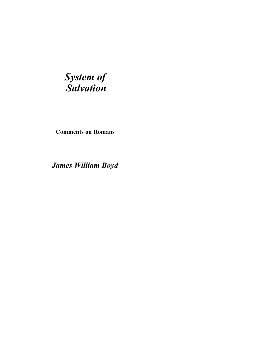## *System of Salvation*

**Comments on Romans**

*James William Boyd*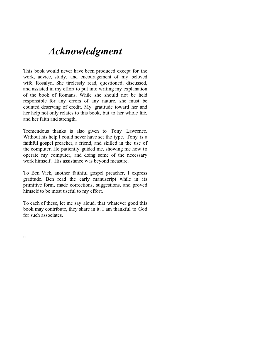## *Acknowledgment*

This book would never have been produced except for the work, advice, study, and encouragement of my beloved wife, Rosalyn. She tirelessly read, questioned, discussed, and assisted in my effort to put into writing my explanation of the book of Romans. While she should not be held responsible for any errors of any nature, she must be counted deserving of credit. My gratitude toward her and her help not only relates to this book, but to her whole life, and her faith and strength.

Tremendous thanks is also given to Tony Lawrence. Without his help I could never have set the type. Tony is a faithful gospel preacher, a friend, and skilled in the use of the computer. He patiently guided me, showing me how to operate my computer, and doing some of the necessary work himself. His assistance was beyond measure.

To Ben Vick, another faithful gospel preacher, I express gratitude. Ben read the early manuscript while in its primitive form, made corrections, suggestions, and proved himself to be most useful to my effort.

To each of these, let me say aloud, that whatever good this book may contribute, they share in it. I am thankful to God for such associates.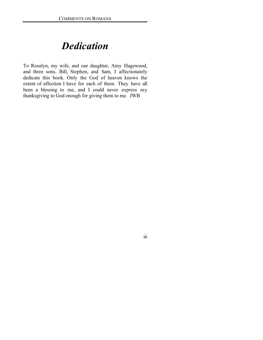### *Dedication*

To Rosalyn, my wife, and our daughter, Amy Hagewood, and three sons, Bill, Stephen, and Sam, I affectionately dedicate this book. Only the God of heaven knows the extent of affection I have for each of them. They have all been a blessing to me, and I could never express my thanksgiving to God enough for giving them to me. JWB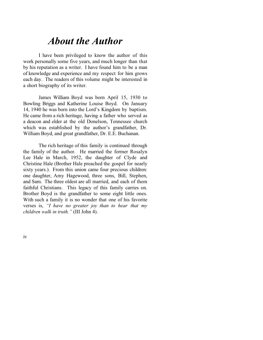### *About the Author*

I have been privileged to know the author of this work personally some five years, and much longer than that by his reputation as a writer. I have found him to be a man of knowledge and experience and my respect for him grows each day. The readers of this volume might be interested in a short biography of its writer.

James William Boyd was born April 15, 1930 to Bowling Briggs and Katherine Louise Boyd. On January 14, 1940 he was born into the Lord's Kingdom by baptism. He came from a rich heritage, having a father who served as a deacon and elder at the old Donelson, Tennessee church which was established by the author's grandfather, Dr. William Boyd, and great grandfather, Dr. E.E. Buchanan.

The rich heritage of this family is continued through the family of the author. He married the former Rosalyn Lee Hale in March, 1952, the daughter of Clyde and Christine Hale (Brother Hale preached the gospel for nearly sixty years.). From this union came four precious children: one daughter, Amy Hagewood, three sons, Bill, Stephen, and Sam. The three oldest are all married, and each of them faithful Christians. This legacy of this family carries on. Brother Boyd is the grandfather to some eight little ones. With such a family it is no wonder that one of his favorite verses is, *"I have no greater joy than to hear that my children walk in truth."* (III John 4).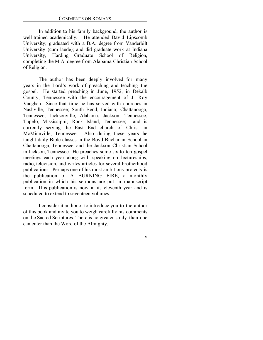In addition to his family background, the author is well-trained academically. He attended David Lipscomb University; graduated with a B.A. degree from Vanderbilt University (cum laude); and did graduate work at Indiana University, Harding Graduate School of Religion, completing the M.A. degree from Alabama Christian School of Religion.

The author has been deeply involved for many years in the Lord's work of preaching and teaching the gospel. He started preaching in June, 1952, in Dekalb County, Tennessee with the encouragement of J. Roy Vaughan. Since that time he has served with churches in Nashville, Tennessee; South Bend, Indiana; Chattanooga, Tennessee; Jacksonville, Alabama; Jackson, Tennessee; Tupelo, Mississippi; Rock Island, Tennessee; and is currently serving the East End church of Christ in McMinnville, Tennessee. Also during these years he taught daily Bible classes in the Boyd-Buchanan School in Chattanooga, Tennessee, and the Jackson Christian School in Jackson, Tennessee. He preaches some six to ten gospel meetings each year along with speaking on lectureships, radio, television, and writes articles for several brotherhood publications. Perhaps one of his most ambitious projects is the publication of A BURNING FIRE, a monthly publication in which his sermons are put in manuscript form. This publication is now in its eleventh year and is scheduled to extend to seventeen volumes.

I consider it an honor to introduce you to the author of this book and invite you to weigh carefully his comments on the Sacred Scriptures. There is no greater study than one can enter than the Word of the Almighty.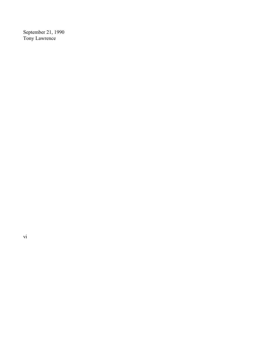September 21, 1990 Tony Lawrence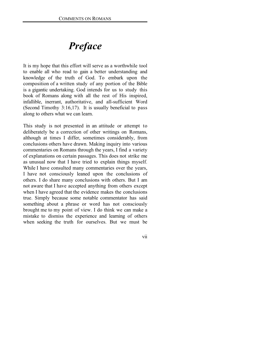# *Preface*

It is my hope that this effort will serve as a worthwhile tool to enable all who read to gain a better understanding and knowledge of the truth of God. To embark upon the composition of a written study of any portion of the Bible is a gigantic undertaking. God intends for us to study this book of Romans along with all the rest of His inspired, infallible, inerrant, authoritative, and all-sufficient Word (Second Timothy 3:16,17). It is usually beneficial to pass along to others what we can learn.

This study is not presented in an attitude or attempt to deliberately be a correction of other writings on Romans, although at times I differ, sometimes considerably, from conclusions others have drawn. Making inquiry into various commentaries on Romans through the years, I find a variety of explanations on certain passages. This does not strike me as unusual now that I have tried to explain things myself. While I have consulted many commentaries over the years, I have not consciously leaned upon the conclusions of others. I do share many conclusions with others. But I am not aware that I have accepted anything from others except when I have agreed that the evidence makes the conclusions true. Simply because some notable commentator has said something about a phrase or word has not consciously brought me to my point of view. I do think we can make a mistake to dismiss the experience and learning of others when seeking the truth for ourselves. But we must be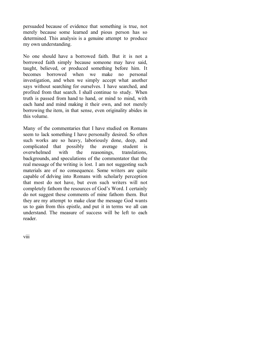persuaded because of evidence that something is true, not merely because some learned and pious person has so determined. This analysis is a genuine attempt to produce my own understanding.

No one should have a borrowed faith. But it is not a borrowed faith simply because someone may have said, taught, believed, or produced something before him. It becomes borrowed when we make no personal investigation, and when we simply accept what another says without searching for ourselves. I have searched, and profited from that search. I shall continue to study. When truth is passed from hand to hand, or mind to mind, with each hand and mind making it their own, and not merely borrowing the item, in that sense, even originality abides in this volume.

Many of the commentaries that I have studied on Romans seem to lack something I have personally desired. So often such works are so heavy, laboriously done, deep, and complicated that possibly the average student is overwhelmed with the reasonings, translations, backgrounds, and speculations of the commentator that the real message of the writing is lost. I am not suggesting such materials are of no consequence. Some writers are quite capable of delving into Romans with scholarly perception that most do not have, but even such writers will not completely fathom the resources of God's Word. I certainly do not suggest these comments of mine fathom them. But they are my attempt to make clear the message God wants us to gain from this epistle, and put it in terms we all can understand. The measure of success will be left to each reader.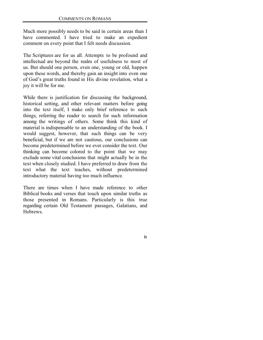Much more possibly needs to be said in certain areas than I have commented. I have tried to make an expedient comment on every point that I felt needs discussion.

The Scriptures are for us all. Attempts to be profound and intellectual are beyond the realm of usefulness to most of us. But should one person, even one, young or old, happen upon these words, and thereby gain an insight into even one of God's great truths found in His divine revelation, what a joy it will be for me.

While there is justification for discussing the background, historical setting, and other relevant matters before going into the text itself, I make only brief reference to such things, referring the reader to search for such information among the writings of others. Some think this kind of material is indispensable to an understanding of the book. I would suggest, however, that such things can be very beneficial, but if we are not cautious, our conclusions can become predetermined before we ever consider the text. Our thinking can become colored to the point that we may exclude some vital conclusions that might actually be in the text when closely studied. I have preferred to draw from the text what the text teaches, without predetermined introductory material having too much influence.

There are times when I have made reference to other Biblical books and verses that touch upon similar truths as those presented in Romans. Particularly is this true regarding certain Old Testament passages, Galatians, and Hebrews.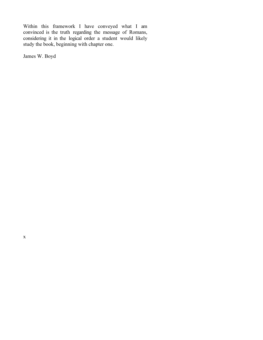Within this framework I have conveyed what I am convinced is the truth regarding the message of Romans, considering it in the logical order a student would likely study the book, beginning with chapter one.

James W. Boyd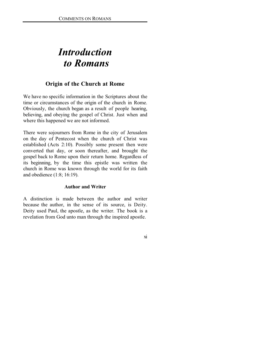## *Introduction to Romans*

### **Origin of the Church at Rome**

We have no specific information in the Scriptures about the time or circumstances of the origin of the church in Rome. Obviously, the church began as a result of people hearing, believing, and obeying the gospel of Christ. Just when and where this happened we are not informed.

There were sojourners from Rome in the city of Jerusalem on the day of Pentecost when the church of Christ was established (Acts 2:10). Possibly some present then were converted that day, or soon thereafter, and brought the gospel back to Rome upon their return home. Regardless of its beginning, by the time this epistle was written the church in Rome was known through the world for its faith and obedience (1:8; 16:19).

#### **Author and Writer**

A distinction is made between the author and writer because the author, in the sense of its source, is Deity. Deity used Paul, the apostle, as the writer. The book is a revelation from God unto man through the inspired apostle.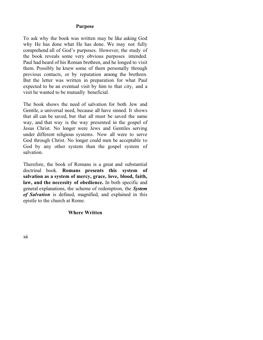#### **Purpose**

To ask why the book was written may be like asking God why He has done what He has done. We may not fully comprehend all of God's purposes. However, the study of the book reveals some very obvious purposes intended. Paul had heard of his Roman brethren, and he longed to visit them. Possibly he knew some of them personally through previous contacts, or by reputation among the brethren. But the letter was written in preparation for what Paul expected to be an eventual visit by him to that city, and a visit he wanted to be mutually beneficial.

The book shows the need of salvation for both Jew and Gentile, a universal need, because all have sinned. It shows that all can be saved, but that all must be saved the same way, and that way is the way presented in the gospel of Jesus Christ. No longer were Jews and Gentiles serving under different religious systems. Now all were to serve God through Christ. No longer could men be acceptable to God by any other system than the gospel system of salvation.

Therefore, the book of Romans is a great and substantial doctrinal book. **Romans presents this system of salvation as a system of mercy, grace, love, blood, faith, law, and the necessity of obedience.** In both specific and general explanations, the scheme of redemption, the *System of Salvation* is defined, magnified, and explained in this epistle to the church at Rome.

#### **Where Written**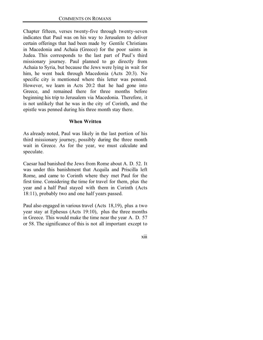Chapter fifteen, verses twenty-five through twenty-seven indicates that Paul was on his way to Jerusalem to deliver certain offerings that had been made by Gentile Christians in Macedonia and Achaia (Greece) for the poor saints in Judea. This corresponds to the last part of Paul's third missionary journey. Paul planned to go directly from Achaia to Syria, but because the Jews were lying in wait for him, he went back through Macedonia (Acts 20:3). No specific city is mentioned where this letter was penned. However, we learn in Acts 20:2 that he had gone into Greece, and remained there for three months before beginning his trip to Jerusalem via Macedonia. Therefore, it is not unlikely that he was in the city of Corinth, and the epistle was penned during his three month stay there.

#### **When Written**

As already noted, Paul was likely in the last portion of his third missionary journey, possibly during the three month wait in Greece. As for the year, we must calculate and speculate.

Caesar had banished the Jews from Rome about A. D. 52. It was under this banishment that Acquila and Priscilla left Rome, and came to Corinth where they met Paul for the first time. Considering the time for travel for them, plus the year and a half Paul stayed with them in Corinth (Acts 18:11), probably two and one half years passed.

Paul also engaged in various travel (Acts 18,19), plus a two year stay at Ephesus (Acts 19:10), plus the three months in Greece. This would make the time near the year A. D. 57 or 58. The significance of this is not all important except to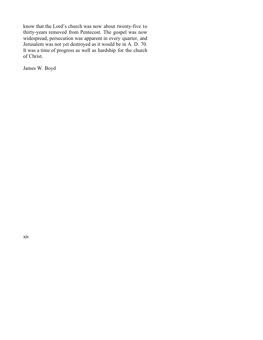know that the Lord's church was now about twenty-five to thirty-years removed from Pentecost. The gospel was now widespread, persecution was apparent in every quarter, and Jerusalem was not yet destroyed as it would be in A. D. 70. It was a time of progress as well as hardship for the church of Christ.

James W. Boyd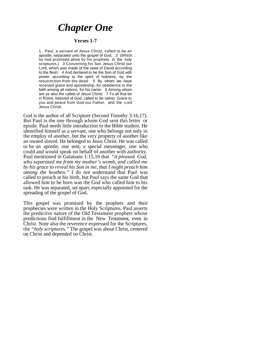### *Chapter One*

#### **Verses 1-7**

1 Paul, a servant of Jesus Christ, called to be an apostle, separated unto the gospel of God, 2 (Which he had promised afore by his prophets in the holy scriptures,) 3 Concerning his Son Jesus Christ our Lord, which was made of the seed of David according to the flesh; 4 And declared to be the Son of God with power, according to the spirit of holiness, by the resurrection from the dead: 5 By whom we have received grace and apostleship, for obedience to the faith among all nations, for his name: 6 Among whom are ye also the called of Jesus Christ: 7 To all that be in Rome, beloved of God, called to be saints: Grace to you and peace from God our Father, and the Lord Jesus Christ.

God is the author of all Scripture (Second Timothy 3:16,17). But Paul is the one through whom God sent this letter or epistle. Paul needs little introduction to the Bible student. He identified himself as a servant, one who belongs not only in the employ of another, but the very property of another like an owned slaved. He belonged to Jesus Christ. He was called to be an apostle; one sent, a special messenger, one who could and would speak on behalf of another with authority. Paul mentioned in Galatians 1:15,16 that *"it pleased God, who separated me from my mother's womb, and called me by his grace to reveal his Son in me, that I might preach him among the heathen."* I do not understand that Paul was called to preach at his birth, but Paul says the same God that allowed him to be born was the God who called him to his task. He was separated, set apart, especially appointed for the spreading of the gospel of God.

This gospel was promised by the prophets and their prophecies were written in the Holy Scriptures. Paul asserts the predictive nature of the Old Testament prophets whose predictions find fulfillment in the New Testament, even in Christ. Note also the reverence expressed for the Scriptures, the "*holy scriptures."* The gospel was about Christ, centered on Christ and depended on Christ.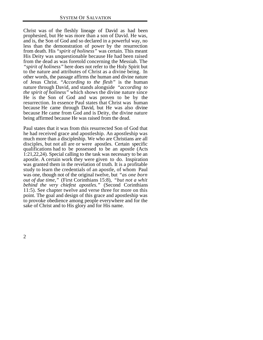Christ was of the fleshly lineage of David as had been prophesied, but He was more than a son of David. He was, and is, the Son of God and so declared in a powerful way, no less than the demonstration of power by the resurrection from death. His *"spirit of holiness"* was certain. This meant His Deity was unquestionable because He had been raised from the dead as was foretold concerning the Messiah. The *"spirit of holiness"* here does not refer to the Holy Spirit but to the nature and attributes of Christ as a divine being. In other words, the passage affirms the human and divine nature of Jesus Christ. *"According to the flesh"* is the human nature through David, and stands alongside *"according to the spirit of holiness"* which shows the divine nature since He is the Son of God and was proven to be by the resurrection. In essence Paul states that Christ was human because He came through David, but He was also divine because He came from God and is Deity, the divine nature being affirmed because He was raised from the dead.

Paul states that it was from this resurrected Son of God that he had received grace and apostleship. An apostleship was much more than a discipleship. We who are Christians are all disciples, but not all are or were apostles. Certain specific qualifications had to be possessed to be an apostle (Acts 1:21,22,24). Special calling to the task was necessary to be an apostle. A certain work they were given to do. Inspiration was granted them in the revelation of truth. It is a profitable study to learn the credentials of an apostle, of whom Paul was one, though not of the original twelve, but *"as one born out of due time,"* (First Corinthians 15:8), *"but not a whit behind the very chiefest apostles."* (Second Corinthians 11:5). See chapter twelve and verse three for more on this point. The goal and design of this grace and apostleship was to provoke obedience among people everywhere and for the sake of Christ and to His glory and for His name.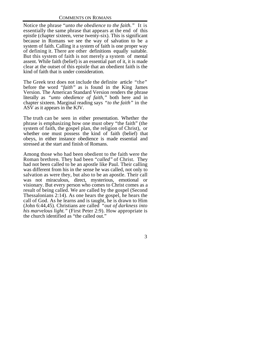Notice the phrase "*unto the obedience to the faith."* It is essentially the same phrase that appears at the end of this epistle (chapter sixteen, verse twenty-six). This is significant because in Romans we see the way of salvation to be a system of faith. Calling it a system of faith is one proper way of defining it. There are other definitions equally suitable. But this system of faith is not merely a system of mental assent. While faith (belief) is an essential part of it, it is made clear at the outset of this epistle that an obedient faith is the kind of faith that is under consideration.

The Greek text does not include the definite article "the" before the word *"faith"* as is found in the King James Version. The American Standard Version renders the phrase literally as *"unto obedience of faith,"* both here and in chapter sixteen. Marginal reading says *"to the faith"* in the ASV as it appears in the KJV.

The truth can be seen in either presentation. Whether the phrase is emphasizing how one must obey "the faith" (the system of faith, the gospel plan, the religion of Christ), or whether one must possess the kind of faith (belief) that obeys, in either instance obedience is made essential and stressed at the start and finish of Romans.

Among those who had been obedient to the faith were the Roman brethren. They had been "*called"* of Christ. They had not been called to be an apostle like Paul. Their calling was different from his in the sense he was called, not only to salvation as were they, but also to be an apostle. Their call was not miraculous, direct, mysterious, emotional or visionary. But every person who comes to Christ comes as a result of being called. We are called by the gospel (Second Thessalonians 2:14). As one hears the gospel, he hears the call of God. As he learns and is taught, he is drawn to Him (John 6:44,45). Christians are called *"out of darkness into his marvelous light."* (First Peter 2:9). How appropriate is the church identified as "the called out."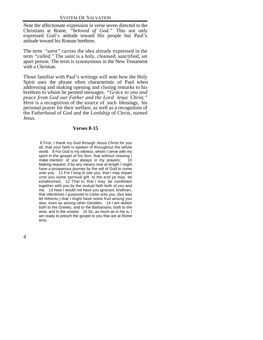Note the affectionate expression in verse seven directed to the Christians at Rome, *"beloved of God."* This not only expressed God's attitude toward His people but Paul's attitude toward his Roman brethren.

The term *"saint"* carries the idea already expressed in the term *"called."* The saint is a holy, cleansed, sanctified, set apart person. The term is synonymous in the New Testament with a Christian.

Those familiar with Paul's writings will note how the Holy Spirit uses the phrase often characteristic of Paul when addressing and making opening and closing remarks to his brethren to whom he penned messages. *"Grace to you and peace from God our Father and the Lord Jesus Christ."* Here is a recognition of the source of such blessings, his personal prayer for their welfare, as well as a recognition of the Fatherhood of God and the Lordship of Christ, named Jesus.

#### **Verses 8-15**

 8 First, I thank my God through Jesus Christ for you all, that your faith is spoken of throughout the whole world. 9 For God is my witness, whom I serve with my spirit in the gospel of his Son, that without ceasing I make mention of you always in my prayers; 10 Making request, if by any means now at length I might have a prosperous journey by the will of God to come unto you. 11 For I long to see you, that I may impart unto you some spiritual gift, to the end ye may be established; 12 That is, that I may be comforted together with you by the mutual faith both of you and me. 13 Now I would not have you ignorant, brethren, that oftentimes I purposed to come unto you, (but was let hitherto,) that I might have some fruit among you also, even as among other Gentiles. 14 I am debtor both to the Greeks, and to the Barbarians; both to the wise, and to the unwise. 15 So, as much as in me is, I am ready to preach the gospel to you that are at Rome also.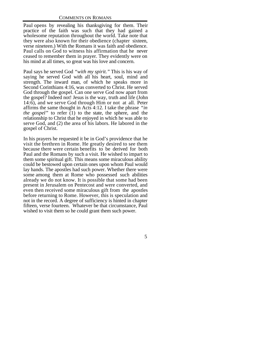Paul opens by revealing his thanksgiving for them. Their practice of the faith was such that they had gained a wholesome reputation throughout the world. Take note that they were also known for their obedience (chapter sixteen, verse nineteen.) With the Romans it was faith and obedience. Paul calls on God to witness his affirmation that he never ceased to remember them in prayer. They evidently were on his mind at all times, so great was his love and concern.

Paul says he served God *"with my spirit."* This is his way of saying he served God with all his heart, soul, mind and strength. The inward man, of which he speaks more in Second Corinthians 4:16, was converted to Christ. He served God through the gospel. Can one serve God now apart from the gospel? Indeed not! Jesus is the way, truth and life (John 14:6), and we serve God through Him or not at all. Peter affirms the same thought in Acts 4:12. I take the phrase *"in the gospel"* to refer (1) to the state, the sphere, and the relationship to Christ that he enjoyed in which he was able to serve God, and (2) the area of his labors. He labored in the gospel of Christ.

In his prayers he requested it be in God's providence that he visit the brethren in Rome. He greatly desired to see them because there were certain benefits to be derived for both Paul and the Romans by such a visit. He wished to impart to them some spiritual gift. This means some miraculous ability could be bestowed upon certain ones upon whom Paul would lay hands. The apostles had such power. Whether there were some among them at Rome who possessed such abilities already we do not know. It is possible that some had been present in Jerusalem on Pentecost and were converted, and even then received some miraculous gift from the apostles before returning to Rome. However, this is speculation and not in the record. A degree of sufficiency is hinted in chapter fifteen, verse fourteen. Whatever be that circumstance, Paul wished to visit them so he could grant them such power.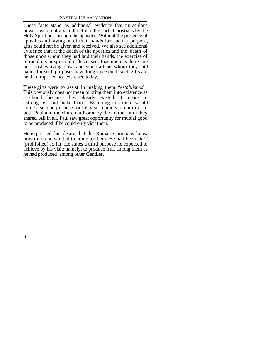These facts stand as additional evidence that miraculous powers were not given directly to the early Christians by the Holy Spirit but through the apostles. Without the presence of apostles and laying on of their hands for such a purpose, gifts could not be given and received. We also see additional evidence that at the death of the apostles and the death of those upon whom they had laid their hands, the exercise of miraculous or spiritual gifts ceased. Inasmuch as there are not apostles living now, and since all on whom they laid hands for such purposes have long since died, such gifts are neither imparted nor exercised today.

These gifts were to assist in making them *"established."* This obviously does not mean to bring them into existence as a church because they already existed. It means to "strengthen and make firm." By doing this there would come a second purpose for his visit; namely, a comfort to both Paul and the church at Rome by the mutual faith they shared. All in all, Paul saw great opportunity for mutual good to be produced if he could only visit them.

He expressed his desire that the Roman Christians know how much he wanted to come to them. He had been "*let"* (prohibited) so far. He states a third purpose he expected to achieve by his visit; namely, to produce fruit among them as he had produced among other Gentiles.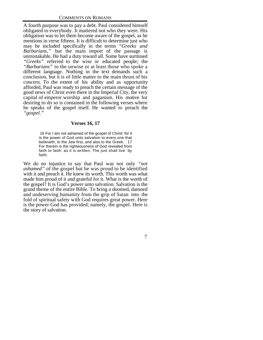A fourth purpose was to pay a debt. Paul considered himself obligated to everybody. It mattered not who they were. His obligation was to let them become aware of the gospel, as he mentions in verse fifteen. It is difficult to determine just who may be included specifically in the terms *"Greeks and Barbarians,"* but the main import of the passage is unmistakable. He had a duty toward all. Some have surmised *"Greeks"* referred to the wise or educated people; the *"Barbarians"* to the unwise or at least those who spoke a different language. Nothing in the text demands such a conclusion, but it is of little matter to the main thrust of his concern. To the extent of his ability and as opportunity afforded, Paul was ready to preach the certain message of the good news of Christ even there in the Imperial City, the very capital of emperor worship and paganism. His motive for desiring to do so is contained in the following verses where he speaks of the gospel itself. He wanted to preach the *"gospel."*

#### **Verses 16, 17**

 16 For I am not ashamed of the gospel of Christ: for it is the power of God unto salvation to every one that believeth; to the Jew first, and also to the Greek. 17 For therein is the righteousness of God revealed from faith to faith: as it is written, The just shall live by faith.

We do no injustice to say that Paul was not only *"not ashamed"* of the gospel but he was proud to be identified with it and preach it. He knew its worth. This worth was what made him proud of it and grateful for it. What is the worth of the gospel? It is God's power unto salvation. Salvation is the grand theme of the entire Bible. To bring a doomed, damned and undeserving humanity from the grip of Satan into the fold of spiritual safety with God requires great power. Here is the power God has provided; namely, the gospel. Here is the story of salvation.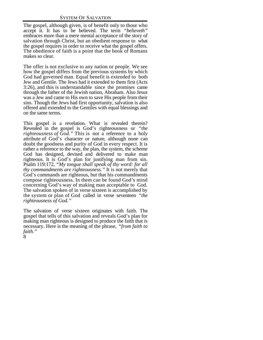The gospel, although given, is of benefit only to those who accept it. It has to be believed. The term *"believeth"* embraces more than a mere mental acceptance of the story of salvation through Christ, but an obedient response to what the gospel requires in order to receive what the gospel offers. The obedience of faith is a point that the book of Romans makes so clear.

The offer is not exclusive to any nation or people. We see how the gospel differs from the previous systems by which God had governed man. Equal benefit is extended to both Jew and Gentile. The Jews had it extended to them first (Acts 3:26), and this is understandable since the promises came through the father of the Jewish nation, Abraham. Also Jesus was a Jew and came to His own to save His people from their sins. Though the Jews had first opportunity, salvation is also offered and extended to the Gentiles with equal blessings and on the same terms.

This gospel is a revelation. What is revealed therein? Revealed in the gospel is God's righteousness or *"the righteousness of God."* This is not a reference to a holy attribute of God's character or nature, although none can doubt the goodness and purity of God in every respect. It is rather a reference to the way, the plan, the system, the scheme God has designed, devised and delivered to make man righteous. It is God's plan for justifying man from sin. Psalm 119:172, *"My tongue shall speak of thy word: for all thy commandments are righteousness."* It is not merely that God's commands are righteous, but that his commandments compose righteousness. In them can be found God's mind concerning God's way of making man acceptable to God. The salvation spoken of in verse sixteen is accomplished by the system or plan of God called in verse seventeen *"the righteousness of God."*

The salvation of verse sixteen originates with faith. The gospel that tells of this salvation and reveals God's plan for making man righteous is designed to produce the faith that is necessary. Here is the meaning of the phrase, *"from faith to faith."*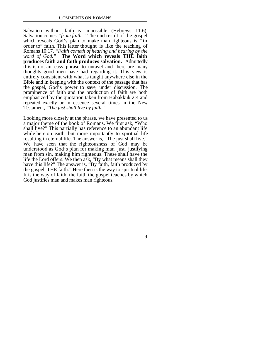Salvation without faith is impossible (Hebrews 11:6). Salvation comes *"from faith."* The end result of the gospel which reveals God's plan to make man righteous is "in order to" faith. This latter thought is like the teaching of Romans 10:17, *"Faith cometh of hearing and hearing by the word of God."* **The Word which reveals THE faith produces faith and faith produces salvation.** Admittedly this is not an easy phrase to unravel and there are many thoughts good men have had regarding it. This view is entirely consistent with what is taught anywhere else in the Bible and in keeping with the context of the passage that has the gospel, God's power to save, under discussion. The prominence of faith and the production of faith are both emphasized by the quotation taken from Habakkuk 2:4 and repeated exactly or in essence several times in the New Testament, *"The just shall live by faith."*

Looking more closely at the phrase, we have presented to us a major theme of the book of Romans. We first ask, "Who shall live?" This partially has reference to an abundant life while here on earth, but more importantly to spiritual life resulting in eternal life. The answer is, "The just shall live." We have seen that the righteousness of God may be understood as God's plan for making man just, justifying man from sin, making him righteous. These shall have the life the Lord offers. We then ask, "By what means shall they have this life?" The answer is, "By faith, faith produced by the gospel, THE faith." Here then is the way to spiritual life. It is the way of faith, the faith the gospel teaches by which God justifies man and makes man righteous.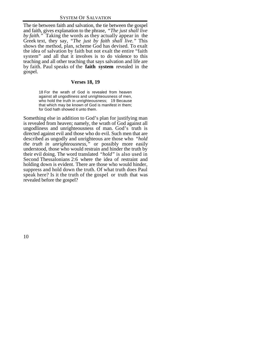The tie between faith and salvation, the tie between the gospel and faith, gives explanation to the phrase, *"The just shall live by faith."* Taking the words as they actually appear in the Greek text, they say, *"The just by faith shall live."* This shows the method, plan, scheme God has devised. To exalt the idea of salvation by faith but not exalt the entire "faith system" and all that it involves is to do violence to this teaching and all other teaching that says salvation and life are by faith. Paul speaks of the **faith system** revealed in the gospel.

#### **Verses 18, 19**

18 For the wrath of God is revealed from heaven against all ungodliness and unrighteousness of men, who hold the truth in unrighteousness; 19 Because that which may be known of God is manifest in them; for God hath showed it unto them.

Something else in addition to God's plan for justifying man is revealed from heaven; namely, the wrath of God against all ungodliness and unrighteousness of man. God's truth is directed against evil and those who do evil. Such men that are described as ungodly and unrighteous are those who *"hold the truth in unrighteousness,"* or possibly more easily understood, those who would restrain and hinder the truth by their evil doing. The word translated *"hold"* is also used in Second Thessalonians 2:6 where the idea of restraint and holding down is evident. There are those who would hinder, suppress and hold down the truth. Of what truth does Paul speak here? Is it the truth of the gospel or truth that was revealed before the gospel?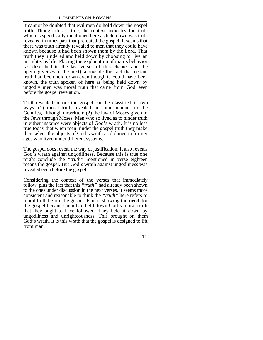It cannot be doubted that evil men do hold down the gospel truth. Though this is true, the context indicates the truth which is specifically mentioned here as held down was truth revealed in times past that pre-dated the gospel. It seems that there was truth already revealed to men that they could have known because it had been shown them by the Lord. That truth they hindered and held down by choosing to live an unrighteous life. Placing the explanation of man's behavior (as described in the last verses of this chapter and the opening verses of the next) alongside the fact that certain truth had been held down even though it could have been known, the truth spoken of here as being held down by ungodly men was moral truth that came from God even before the gospel revelation.

Truth revealed before the gospel can be classified in two ways: (1) moral truth revealed in some manner to the Gentiles, although unwritten; (2) the law of Moses given to the Jews through Moses. Men who so lived as to hinder truth in either instance were objects of God's wrath. It is no less true today that when men hinder the gospel truth they make themselves the objects of God's wrath as did men in former ages who lived under different systems.

The gospel does reveal the way of justification. It also reveals God's wrath against ungodliness. Because this is true one might conclude the *"truth"* mentioned in verse eighteen means the gospel. But God's wrath against ungodliness was revealed even before the gospel.

Considering the context of the verses that immediately follow, plus the fact that this *"truth"* had already been shown to the ones under discussion in the next verses, it seems more consistent and reasonable to think the *"truth"* here refers to moral truth before the gospel. Paul is showing the **need** for the gospel because men had held down God's moral truth that they ought to have followed. They held it down by ungodliness and unrighteousness. This brought on them God's wrath. It is this wrath that the gospel is designed to lift from man.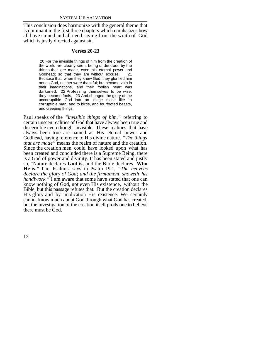This conclusion does harmonize with the general theme that is dominant in the first three chapters which emphasizes how all have sinned and all need saving from the wrath of God which is justly directed against sin.

#### **Verses 20-23**

 20 For the invisible things of him from the creation of the world are clearly seen, being understood by the things that are made, even his eternal power and Godhead; so that they are without excuse: 21 Because that, when they knew God, they glorified him not as God, neither were thankful; but became vain in their imaginations, and their foolish heart was darkened. 22 Professing themselves to be wise, they became fools, 23 And changed the glory of the uncorruptible God into an image made like to corruptible man, and to birds, and fourfooted beasts, and creeping things.

Paul speaks of the *"invisible things of him,"* referring to certain unseen realities of God that have always been true and discernible even though invisible. These realities that have always been true are named as His eternal power and Godhead, having reference to His divine nature. *"The things that are made"* means the realm of nature and the creation. Since the creation men could have looked upon what has been created and concluded there is a Supreme Being, there is a God of power and divinity. It has been stated and justly so, "Nature declares **God is,** and the Bible declares **Who He is.**" The Psalmist says in Psalm 19:1, *"The heavens declare the glory of God; and the firmament showeth his handiwork."* I am aware that some have stated that one can know nothing of God, not even His existence, without the Bible, but this passage refutes that. But the creation declares His glory and by implication His existence. We certainly cannot know much about God through what God has created, but the investigation of the creation itself prods one to believe there must be God.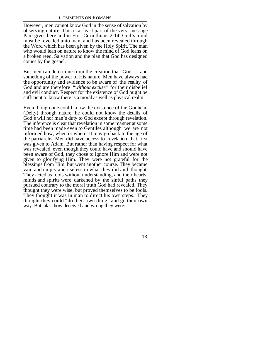However, men cannot know God in the sense of salvation by observing nature. This is at least part of the very message Paul gives here and in First Corinthians 2:14. God's mind must be revealed unto man, and has been revealed through the Word which has been given by the Holy Spirit. The man who would lean on nature to know the mind of God leans on a broken reed. Salvation and the plan that God has designed comes by the gospel.

But men can determine from the creation that God is and something of the power of His nature. Men have always had the opportunity and evidence to be aware of the reality of God and are therefore *"without excuse"* for their disbelief and evil conduct. Respect for the existence of God ought be sufficient to know there is a moral as well as physical realm.

Even though one could know the existence of the Godhead (Deity) through nature, he could not know the details of God's will nor man's duty to God except through revelation. The inference is clear that revelation in some manner at some time had been made even to Gentiles although we are not informed how, when or where. It may go back to the age of the patriarchs. Men did have access to revelation that first was given to Adam. But rather than having respect for what was revealed, even though they could have and should have been aware of God, they chose to ignore Him and were not given to glorifying Him. They were not grateful for the blessings from Him, but went another course. They became vain and empty and useless in what they did and thought. They acted as fools without understanding, and their hearts, minds and spirits were darkened by the sinful paths they pursued contrary to the moral truth God had revealed. They thought they were wise, but proved themselves to be fools. They thought it was in man to direct his own steps. They thought they could "do their own thing" and go their own way. But, alas, how deceived and wrong they were.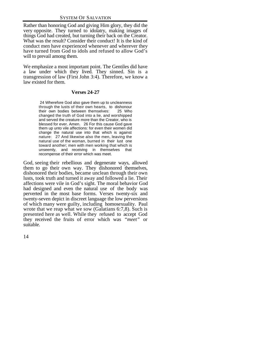Rather than honoring God and giving Him glory, they did the very opposite. They turned to idolatry, making images of things God had created, but turning their back on the Creator. What was the result? Consider their conduct! It is the kind of conduct men have experienced whenever and wherever they have turned from God to idols and refused to allow God's will to prevail among them.

We emphasize a most important point. The Gentiles did have a law under which they lived. They sinned. Sin is a transgression of law (First John 3:4). Therefore, we know a law existed for them.

#### **Verses 24-27**

 24 Wherefore God also gave them up to uncleanness through the lusts of their own hearts, to dishonour their own bodies between themselves: 25 Who changed the truth of God into a lie, and worshipped and served the creature more than the Creator, who is blessed for ever. Amen. 26 For this cause God gave them up unto vile affections: for even their women did change the natural use into that which is against nature: 27 And likewise also the men, leaving the natural use of the woman, burned in their lust one toward another; men with men working that which is unseemly, and receiving in themselves that recompense of their error which was meet.

God, seeing their rebellious and degenerate ways, allowed them to go their own way. They dishonored themselves, dishonored their bodies, became unclean through their own lusts, took truth and turned it away and followed a lie. Their affections were vile in God's sight. The moral behavior God had designed and even the natural use of the body was perverted in the most base forms. Verses twenty-six and twenty-seven depict in discreet language the low perversions of which many were guilty, including homosexuality. Paul wrote that we reap what we sow (Galatians 6:7,8). Such is presented here as well. While they refused to accept God they received the fruits of error which was *"meet"* or suitable.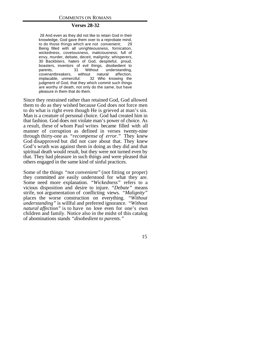#### **Verses 28-32**

 28 And even as they did not like to retain God in their knowledge, God gave them over to a reprobate mind, to do those things which are not convenient; 29 Being filled with all unrighteousness, fornication, wickedness, covetousness, maliciousness; full of envy, murder, debate, deceit, malignity; whisperers, 30 Backbiters, haters of God, despiteful, proud, boasters, inventors of evil things, disobedient to parents, 31 Without understanding, covenantbreakers, without natural affection,<br>implacable unmerciful: 32 Who knowing the implacable, unmerciful: judgment of God, that they which commit such things are worthy of death, not only do the same, but have pleasure in them that do them.

Since they restrained rather than retained God, God allowed them to do as they wished because God does not force men to do what is right even though He is grieved at man's sin. Man is a creature of personal choice. God had created him in that fashion. God does not violate man's power of choice. As a result, these of whom Paul writes became filled with all manner of corruption as defined in verses twenty-nine through thirty-one as *"recompense of error."* They knew God disapproved but did not care about that. They knew God's wrath was against them in doing as they did and that spiritual death would result, but they were not turned even by that. They had pleasure in such things and were pleased that others engaged in the same kind of sinful practices.

Some of the things *"not convenient"* (not fitting or proper) they committed are easily understood for what they are. Some need more explanation. *"Wickedness"* refers to a vicious disposition and desire to injure. *"Debate"* means strife, not argumentation of conflicting views. *"Malignity"* places the worse construction on everything. *"Without understanding"* is willful and preferred ignorance. *"Without natural affection*" is to have no love even for one's own children and family. Notice also in the midst of this catalog of abominations stands *"disobedient to parents."*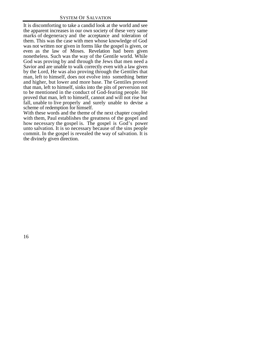It is discomforting to take a candid look at the world and see the apparent increases in our own society of these very same marks of degeneracy and the acceptance and toleration of them. This was the case with men whose knowledge of God was not written nor given in forms like the gospel is given, or even as the law of Moses. Revelation had been given nonetheless. Such was the way of the Gentile world. While God was proving by and through the Jews that men need a Savior and are unable to walk correctly even with a law given by the Lord, He was also proving through the Gentiles that man, left to himself, does not evolve into something better and higher, but lower and more base. The Gentiles proved that man, left to himself, sinks into the pits of perversion not to be mentioned in the conduct of God-fearing people. He proved that man, left to himself, cannot and will not rise but fall, unable to live properly and surely unable to devise a scheme of redemption for himself.

With these words and the theme of the next chapter coupled with them, Paul establishes the greatness of the gospel and how necessary the gospel is. The gospel is God's power unto salvation. It is so necessary because of the sins people commit. In the gospel is revealed the way of salvation. It is the divinely given direction.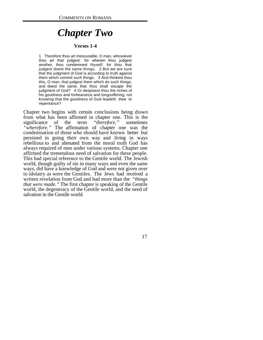## *Chapter Two*

#### **Verses 1-4**

1 Therefore thou art inexcusable, O man, whosoever thou art that judgest: for wherein thou judgest another, thou condemnest thyself; for thou that judgest doest the same things. 2 But we are sure that the judgment of God is according to truth against them which commit such things. 3 And thinkest thou this, O man, that judgest them which do such things, and doest the same, that thou shalt escape the judgment of God? 4 Or despisest thou the riches of his goodness and forbearance and longsuffering; not knowing that the goodness of God leadeth thee to repentance?

Chapter two begins with certain conclusions being drawn from what has been affirmed in chapter one. This is the significance of the term *"therefore,"* sometimes *"wherefore."* The affirmation of chapter one was the condemnation of those who should have known better but persisted in going their own way and living in ways rebellious to and alienated from the moral truth God has always required of men under various systems. Chapter one affirmed the tremendous need of salvation for these people. This had special reference to the Gentile world. The Jewish world, though guilty of sin in many ways and even the same ways, did have a knowledge of God and were not given over to idolatry as were the Gentiles. The Jews had received a written revelation from God and had more than the *"things that were made."* The first chapter is speaking of the Gentile world, the degeneracy of the Gentile world, and the need of salvation in the Gentile world.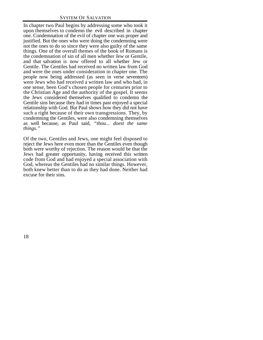In chapter two Paul begins by addressing some who took it upon themselves to condemn the evil described in chapter one. Condemnation of the evil of chapter one was proper and justified. But the ones who were doing the condemning were not the ones to do so since they were also guilty of the same things. One of the overall themes of the book of Romans is the condemnation of sin of all men whether Jew or Gentile, and that salvation is now offered to all whether Jew or Gentile. The Gentiles had received no written law from God and were the ones under consideration in chapter one. The people now being addressed (as seen in verse seventeen) were Jews who had received a written law and who had, in one sense, been God's chosen people for centuries prior to the Christian Age and the authority of the gospel. It seems the Jews considered themselves qualified to condemn the Gentile sins because they had in times past enjoyed a special relationship with God. But Paul shows how they did not have such a right because of their own transgressions. They, by condemning the Gentiles, were also condemning themselves as well because, as Paul said, *"thou... doest the same things."*

Of the two, Gentiles and Jews, one might feel disposed to reject the Jews here even more than the Gentiles even though both were worthy of rejection. The reason would be that the Jews had greater opportunity, having received this written code from God and had enjoyed a special association with God, whereas the Gentiles had no similar things. However, both knew better than to do as they had done. Neither had excuse for their sins.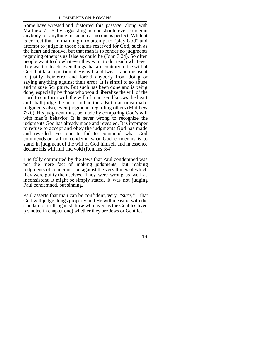Some have wrested and distorted this passage, along with Matthew 7:1-5, by suggesting no one should ever condemn anybody for anything inasmuch as no one is perfect. While it is correct that no man ought to attempt to "play God" and attempt to judge in those realms reserved for God, such as the heart and motive, but that man is to render no judgments regarding others is as false as could be (John 7:24). So often people want to do whatever they want to do, teach whatever they want to teach, even things that are contrary to the will of God, but take a portion of His will and twist it and misuse it to justify their error and forbid anybody from doing or saying anything against their error. It is sinful to so abuse and misuse Scripture. But such has been done and is being done, especially by those who would liberalize the will of the Lord to conform with the will of man. God knows the heart and shall judge the heart and actions. But man must make judgments also, even judgments regarding others (Matthew 7:20). His judgment must be made by comparing God's will with man's behavior. It is never wrong to recognize the judgments God has already made and revealed. It is improper to refuse to accept and obey the judgments God has made and revealed. For one to fail to commend what God commends or fail to condemn what God condemns is to stand in judgment of the will of God himself and in essence declare His will null and void (Romans 3:4).

The folly committed by the Jews that Paul condemned was not the mere fact of making judgments, but making judgments of condemnation against the very things of which they were guilty themselves. They were wrong as well as inconsistent. It might be simply stated, it was not judging Paul condemned, but sinning.

Paul asserts that man can be confident, very *"sure,"* that God will judge things properly and He will measure with the standard of truth against those who lived as the Gentiles lived (as noted in chapter one) whether they are Jews or Gentiles.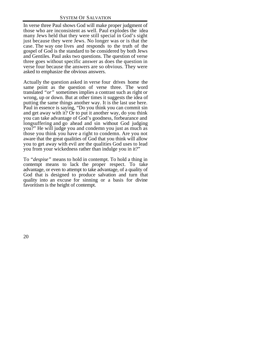In verse three Paul shows God will make proper judgment of those who are inconsistent as well. Paul explodes the idea many Jews held that they were still special in God's sight just because they were Jews. No longer was or is that the case. The way one lives and responds to the truth of the gospel of God is the standard to be considered by both Jews and Gentiles. Paul asks two questions. The question of verse three goes without specific answer as does the question in verse four because the answers are so obvious. They were asked to emphasize the obvious answers.

Actually the question asked in verse four drives home the same point as the question of verse three. The word translated *"or"* sometimes implies a contrast such as right or wrong, up or down. But at other times it suggests the idea of putting the same things another way. It is the last use here. Paul in essence is saying, "Do you think you can commit sin and get away with it? Or to put it another way, do you think you can take advantage of God's goodness, forbearance and longsuffering and go ahead and sin without God judging you?" He will judge you and condemn you just as much as those you think you have a right to condemn. Are you not aware that the great qualities of God that you think will allow you to get away with evil are the qualities God uses to lead you from your wickedness rather than indulge you in it?"

To *"despise"* means to hold in contempt. To hold a thing in contempt means to lack the proper respect. To take advantage, or even to attempt to take advantage, of a quality of God that is designed to produce salvation and turn that quality into an excuse for sinning or a basis for divine favoritism is the height of contempt.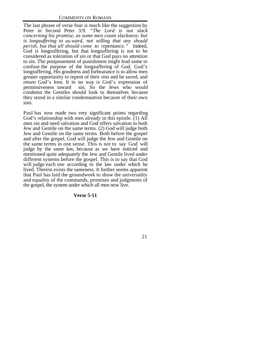The last phrase of verse four is much like the suggestion by Peter in Second Peter 3:9. *"The Lord is not slack concerning his promise, as some men count slackness; but is longsuffering to us-ward, not willing that any should perish, but that all should come to repentance."* Indeed, God is longsuffering, but that longsuffering is not to be considered as toleration of sin or that God pays no attention to sin. The postponement of punishment might lead some to confuse the purpose of the longsuffering of God. God's longsuffering, His goodness and forbearance is to allow men greater opportunity to repent of their sins and be saved, and return God's love. It in no way is God's expression of permissiveness toward sin. So the Jews who would condemn the Gentiles should look to themselves because they stood in a similar condemnation because of their own sins.

Paul has now made two very significant points regarding God's relationship with men already in this epistle. (1) All men sin and need salvation and God offers salvation to both Jew and Gentile on the same terms. (2) God will judge both Jew and Gentile on the same terms. Both before the gospel and after the gospel, God will judge the Jew and Gentile on the same terms in one sense. This is not to say God will judge by the same law, because as we have noticed and mentioned quite adequately the Jew and Gentile lived under different systems before the gospel. This is to say that God will judge each one according to the law under which he lived. Therein exists the sameness. It further seems apparent that Paul has laid the groundwork to show the universality and equality of the commands, promises and judgments of the gospel, the system under which all men now live.

#### **Verse 5-11**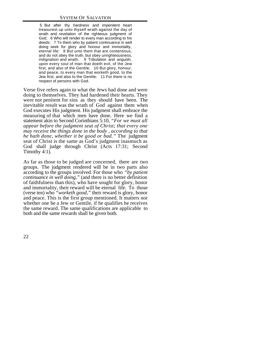5 But after thy hardness and impenitent heart treasurest up unto thyself wrath against the day of wrath and revelation of the righteous judgment of God; 6 Who will render to every man according to his deeds: 7 To them who by patient continuance in well doing seek for glory and honour and immortality, eternal life: 8 But unto them that are contentious, and do not obey the truth, but obey unrighteousness, indignation and wrath, 9 Tribulation and anguish, upon every soul of man that doeth evil, of the Jew first, and also of the Gentile; 10 But glory, honour, and peace, to every man that worketh good, to the Jew first, and also to the Gentile: 11 For there is no respect of persons with God.

Verse five refers again to what the Jews had done and were doing to themselves. They had hardened their hearts. They were not penitent for sins as they should have been. The inevitable result was the wrath of God against them when God executes His judgment. His judgment shall embrace the measuring of that which men have done. Here we find a statement akin to Second Corinthians 5:10, *"For we must all appear before the judgment seat of Christ; that every one may receive the things done in the body , according to that he hath done, whether it be good or bad."* The judgment seat of Christ is the same as God's judgment inasmuch as God shall judge through Christ (Acts 17:31; Second Timothy 4:1).

As far as those to be judged are concerned, there are two groups. The judgment rendered will be in two parts also according to the groups involved. For those who *"by patient continuance in well doing,"* (and there is no better definition of faithfulness than this), who have sought for glory, honor and immortality, their reward will be eternal life. To those (verse ten) who *"worketh good,"* their reward is glory, honor and peace. This is the first group mentioned. It matters not whether one be a Jew or Gentile, if he qualifies he receives the same reward. The same qualifications are applicable to both and the same rewards shall be given both.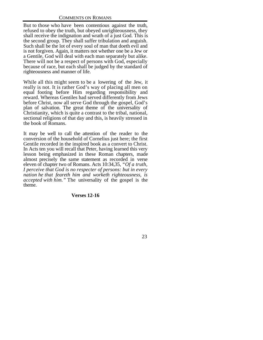But to those who have been contentious against the truth, refused to obey the truth, but obeyed unrighteousness, they shall receive the indignation and wrath of a just God. This is the second group. They shall suffer tribulation and anguish. Such shall be the lot of every soul of man that doeth evil and is not forgiven. Again, it matters not whether one be a Jew or a Gentile, God will deal with each man separately but alike. There will not be a respect of persons with God, especially because of race, but each shall be judged by the standard of righteousness and manner of life.

While all this might seem to be a lowering of the Jew, it really is not. It is rather God's way of placing all men on equal footing before Him regarding responsibility and reward. Whereas Gentiles had served differently from Jews before Christ, now all serve God through the gospel, God's plan of salvation. The great theme of the universality of Christianity, which is quite a contrast to the tribal, national, sectional religions of that day and this, is heavily stressed in the book of Romans.

It may be well to call the attention of the reader to the conversion of the household of Cornelius just here; the first Gentile recorded in the inspired book as a convert to Christ. In Acts ten you will recall that Peter, having learned this very lesson being emphasized in these Roman chapters, made almost precisely the same statement as recorded in verse eleven of chapter two of Romans. Acts 10:34,35, *"Of a truth, I perceive that God is no respecter of persons: but in every nation he that feareth him and worketh righteousness, is accepted with him."* The universality of the gospel is the theme.

# **Verses 12-16**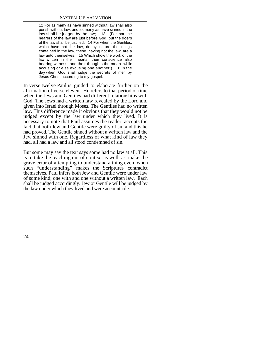12 For as many as have sinned without law shall also perish without law: and as many as have sinned in the law shall be judged by the law; 13 (For not the hearers of the law are just before God, but the doers of the law shall be justified. 14 For when the Gentiles, which have not the law, do by nature the things contained in the law, these, having not the law, are a law unto themselves: 15 Which show the work of the law written in their hearts, their conscience also bearing witness, and their thoughts the mean while accusing or else excusing one another;) 16 In the day when God shall judge the secrets of men by Jesus Christ according to my gospel.

In verse twelve Paul is guided to elaborate further on the affirmation of verse eleven. He refers to that period of time when the Jews and Gentiles had different relationships with God. The Jews had a written law revealed by the Lord and given into Israel through Moses. The Gentiles had no written law. This difference made it obvious that they would not be judged except by the law under which they lived. It is necessary to note that Paul assumes the reader accepts the fact that both Jew and Gentile were guilty of sin and this he had proved. The Gentile sinned without a written law and the Jew sinned with one. Regardless of what kind of law they had, all had a law and all stood condemned of sin.

But some may say the text says some had no law at all. This is to take the teaching out of context as well as make the grave error of attempting to understand a thing even when such "understanding" makes the Scriptures contradict themselves. Paul infers both Jew and Gentile were under law of some kind; one with and one without a written law. Each shall be judged accordingly. Jew or Gentile will be judged by the law under which they lived and were accountable.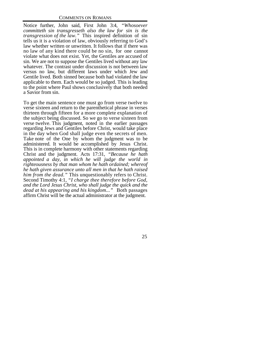Notice further, John said, First John 3:4, *"Whosoever committeth sin transgresseth also the law for sin is the transgression of the law."* This inspired definition of sin tells us it is a violation of law, obviously referring to God's law whether written or unwritten. It follows that if there was no law of any kind there could be no sin, for one cannot violate what does not exist. Yet, the Gentiles are accused of sin. We are not to suppose the Gentiles lived without any law whatever. The contrast under discussion is not between law versus no law, but different laws under which Jew and Gentile lived. Both sinned because both had violated the law applicable to them. Each would be so judged. This is leading to the point where Paul shows conclusively that both needed a Savior from sin.

To get the main sentence one must go from verse twelve to verse sixteen and return to the parenthetical phrase in verses thirteen through fifteen for a more complete explanation of the subject being discussed. So we go to verse sixteen from verse twelve. This judgment, noted in the earlier passages regarding Jews and Gentiles before Christ, would take place in the day when God shall judge even the secrets of men. Take note of the One by whom the judgment was to be administered. It would be accomplished by Jesus Christ. This is in complete harmony with other statements regarding Christ and the judgment. Acts 17:31, *"Because he hath appointed a day, in which he will judge the world in righteousness by that man whom he hath ordained; whereof he hath given assurance unto all men in that he hath raised him from the dead."* This unquestionably refers to Christ. Second Timothy 4:1, *"I charge thee therefore before God, and the Lord Jesus Christ, who shall judge the quick and the dead at his appearing and his kingdom..."* Both passages affirm Christ will be the actual administrator at the judgment.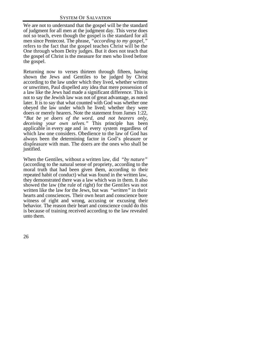We are not to understand that the gospel will be the standard of judgment for all men at the judgment day. This verse does not so teach, even though the gospel is the standard for all men since Pentecost. The phrase, *"according to my gospel,"* refers to the fact that the gospel teaches Christ will be the One through whom Deity judges. But it does not teach that the gospel of Christ is the measure for men who lived before the gospel.

Returning now to verses thirteen through fifteen, having shown the Jews and Gentiles to be judged by Christ according to the law under which they lived, whether written or unwritten, Paul dispelled any idea that mere possession of a law like the Jews had made a significant difference. This is not to say the Jewish law was not of great advantage, as noted later. It is to say that what counted with God was whether one obeyed the law under which he lived; whether they were doers or merely hearers. Note the statement from James 1:22, *"But be ye doers of the word, and not hearers only, deceiving your own selves."* This principle has been applicable in every age and in every system regardless of which law one considers. Obedience to the law of God has always been the determining factor in God's pleasure or displeasure with man. The doers are the ones who shall be justified.

When the Gentiles, without a written law, did *"by nature"* (according to the natural sense of propriety, according to the moral truth that had been given them, according to their repeated habit of conduct) what was found in the written law, they demonstrated there was a law which was in them. It also showed the law (the rule of right) for the Gentiles was not written like the law for the Jews, but was *"written"* in their hearts and consciences. Their own heart and conscience bore witness of right and wrong, accusing or excusing their behavior. The reason their heart and conscience could do this is because of training received according to the law revealed unto them.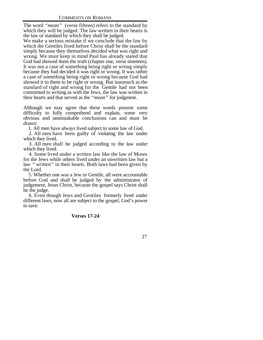The word *"mean"* (verse fifteen) refers to the standard by which they will be judged. The law written in their hearts is the law or standard by which they shall be judged.

We make a serious mistake if we conclude that the law by which the Gentiles lived before Christ shall be the standard simply because they themselves decided what was right and wrong. We must keep in mind Paul has already stated that God had showed them the truth (chapter one, verse nineteen). It was not a case of something being right or wrong simply because they had decided it was right or wrong. It was rather a case of something being right or wrong because God had showed it to them to be right or wrong. But inasmuch as the standard of right and wrong for the Gentile had not been committed to writing as with the Jews, the law was written in their hearts and that served as the *"mean"* for judgment.

Although we may agree that these words present some difficulty to fully comprehend and explain, some very obvious and unmistakable conclusions can and must be drawn:

1. All men have always lived subject to some law of God.

 2. All men have been guilty of violating the law under which they lived.

 3. All men shall be judged according to the law under which they lived.

 4. Some lived under a written law like the law of Moses for the Jews while others lived under an unwritten law but a law *" written"* in their hearts. Both laws had been given by the Lord.

 5. Whether one was a Jew or Gentile, all were accountable before God and shall be judged by the administrator of judgement, Jesus Christ, because the gospel says Christ shall be the judge.

 6. Even though Jews and Gentiles formerly lived under different laws, now all are subject to the gospel, God's power to save.

# **Verses 17-24**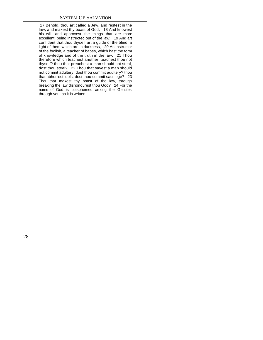17 Behold, thou art called a Jew, and restest in the law, and makest thy boast of God, 18 And knowest his will, and approvest the things that are more excellent, being instructed out of the law; 19 And art confident that thou thyself art a guide of the blind, a light of them which are in darkness, 20 An instructor of the foolish, a teacher of babes, which hast the form of knowledge and of the truth in the law. 21 Thou therefore which teachest another, teachest thou not thyself? thou that preachest a man should not steal, dost thou steal? 22 Thou that sayest a man should not commit adultery, dost thou commit adultery? thou that abhorrest idols, dost thou commit sacrilege? 23 Thou that makest thy boast of the law, through breaking the law dishonourest thou God? 24 For the name of God is blasphemed among the Gentiles through you, as it is written.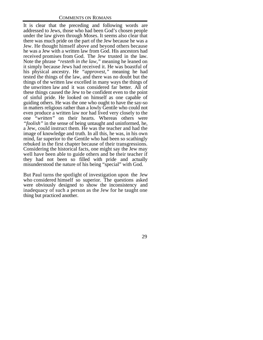It is clear that the preceding and following words are addressed to Jews, those who had been God's chosen people under the law given through Moses. It seems also clear that there was much pride on the part of the Jew because he was a Jew. He thought himself above and beyond others because he was a Jew with a written law from God. His ancestors had received promises from God. The Jew trusted in the law. Note the phrase *"resteth in the law,"* meaning he leaned on it simply because Jews had received it. He was boastful of his physical ancestry. He *"approvest,"* meaning he had tested the things of the law, and there was no doubt but the things of the written law excelled in many ways the things of the unwritten law and it was considered far better. All of these things caused the Jew to be confident even to the point of sinful pride. He looked on himself as one capable of guiding others. He was the one who ought to have the say-so in matters religious rather than a lowly Gentile who could not even produce a written law nor had lived very closely to the one *"written"* on their hearts. Whereas others were *"foolish"* in the sense of being untaught and uninformed, he, a Jew, could instruct them. He was the teacher and had the image of knowledge and truth. In all this, he was, in his own mind, far superior to the Gentile who had been so scathingly rebuked in the first chapter because of their transgressions. Considering the historical facts, one might say the Jew may well have been able to guide others and be their teacher if they had not been so filled with pride and actually misunderstood the nature of his being "special" with God.

But Paul turns the spotlight of investigation upon the Jew who considered himself so superior. The questions asked were obviously designed to show the inconsistency and inadequacy of such a person as the Jew for he taught one thing but practiced another.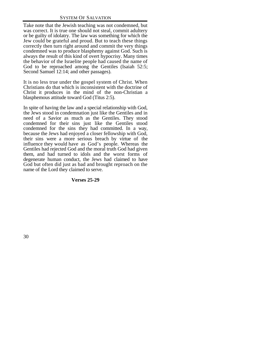Take note that the Jewish teaching was not condemned, but was correct. It is true one should not steal, commit adultery or be guilty of idolatry. The law was something for which the Jew could be grateful and proud. But to teach these things correctly then turn right around and commit the very things condemned was to produce blasphemy against God. Such is always the result of this kind of overt hypocrisy. Many times the behavior of the Israelite people had caused the name of God to be reproached among the Gentiles (Isaiah 52:5; Second Samuel 12:14; and other passages).

It is no less true under the gospel system of Christ. When Christians do that which is inconsistent with the doctrine of Christ it produces in the mind of the non-Christian a blasphemous attitude toward God (Titus 2:5).

In spite of having the law and a special relationship with God, the Jews stood in condemnation just like the Gentiles and in need of a Savior as much as the Gentiles. They stood condemned for their sins just like the Gentiles stood condemned for the sins they had committed. In a way, because the Jews had enjoyed a closer fellowship with God, their sins were a more serious breach by virtue of the influence they would have as God's people. Whereas the Gentiles had rejected God and the moral truth God had given them, and had turned to idols and the worst forms of degenerate human conduct, the Jews had claimed to have God but often did just as bad and brought reproach on the name of the Lord they claimed to serve.

# **Verses 25-29**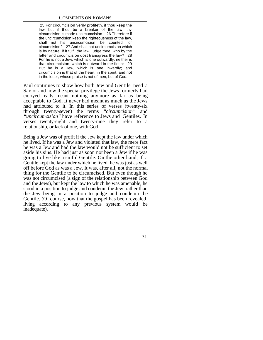25 For circumcision verily profiteth, if thou keep the law: but if thou be a breaker of the law, thy circumcision is made uncircumcision. 26 Therefore if the uncircumcision keep the righteousness of the law, shall not his uncircumcision be counted for circumcision? 27 And shall not uncircumcision which is by nature, if it fulfil the law, judge thee, who by the letter and circumcision dost transgress the law? 28 For he is not a Jew, which is one outwardly; neither is that circumcision, which is outward in the flesh: 29 But he is a Jew, which is one inwardly; and circumcision is that of the heart, in the spirit, and not in the letter; whose praise is not of men, but of God.

Paul continues to show how both Jew and Gentile need a Savior and how the special privilege the Jews formerly had enjoyed really meant nothing anymore as far as being acceptable to God. It never had meant as much as the Jews had attributed to it. In this series of verses (twenty-six through twenty-seven) the terms *"circumcision"* and *"uncircumcision"* have reference to Jews and Gentiles. In verses twenty-eight and twenty-nine they refer to a relationship, or lack of one, with God.

Being a Jew was of profit if the Jew kept the law under which he lived. If he was a Jew and violated that law, the mere fact he was a Jew and had the law would not be sufficient to set aside his sins. He had just as soon not been a Jew if he was going to live like a sinful Gentile. On the other hand, if a Gentile kept the law under which he lived, he was just as well off before God as was a Jew. It was, after all, not the normal thing for the Gentile to be circumcised. But even though he was not circumcised (a sign of the relationship between God and the Jews), but kept the law to which he was amenable, he stood in a position to judge and condemn the Jew rather than the Jew being in a position to judge and condemn the Gentile. (Of course, now that the gospel has been revealed, living according to any previous system would be inadequate).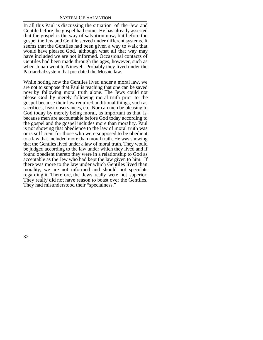In all this Paul is discussing the situation of the Jew and Gentile before the gospel had come. He has already asserted that the gospel is the way of salvation now, but before the gospel the Jew and Gentile served under different systems. It seems that the Gentiles had been given a way to walk that would have pleased God, although what all that way may have included we are not informed. Occasional contacts of Gentiles had been made through the ages, however, such as when Jonah went to Nineveh. Probably they lived under the Patriarchal system that pre-dated the Mosaic law.

While noting how the Gentiles lived under a moral law, we are not to suppose that Paul is teaching that one can be saved now by following moral truth alone. The Jews could not please God by merely following moral truth prior to the gospel because their law required additional things, such as sacrifices, feast observances, etc. Nor can men be pleasing to God today by merely being moral, as important as that is, because men are accountable before God today according to the gospel and the gospel includes more than morality. Paul is not showing that obedience to the law of moral truth was or is sufficient for those who were supposed to be obedient to a law that included more than moral truth. He was showing that the Gentiles lived under a law of moral truth. They would be judged according to the law under which they lived and if found obedient thereto they were in a relationship to God as acceptable as the Jew who had kept the law given to him. If there was more to the law under which Gentiles lived than morality, we are not informed and should not speculate regarding it. Therefore, the Jews really were not superior. They really did not have reason to boast over the Gentiles. They had misunderstood their "specialness."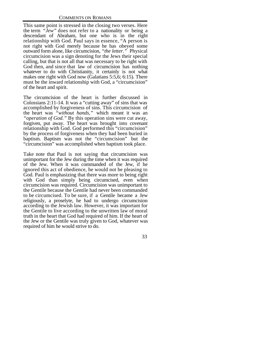This same point is stressed in the closing two verses. Here the term *"Jew"* does not refer to a nationality or being a descendant of Abraham, but one who is in the right relationship with God. Paul says in essence, "A person is not right with God merely because he has obeyed some outward form alone, like circumcision, *"the letter."* Physical circumcision was a sign denoting for the Jews their special calling, but that is not all that was necessary to be right with God then, and since that law of circumcision has nothing whatever to do with Christianity, it certainly is not what makes one right with God now (Galatians 5:5,6; 6:15). There must be the inward relationship with God, a "circumcision" of the heart and spirit.

The circumcision of the heart is further discussed in Colossians 2:11-14. It was a "cutting away" of sins that was accomplished by forgiveness of sins. This circumcision of the heart was *"without hands,"* which meant it was an *"operation of God."* By this operation sins were cut away, forgiven, put away. The heart was brought into covenant relationship with God. God performed this "circumcision" by the process of forgiveness when they had been buried in baptism. Baptism was not the "circumcision" but the "circumcision" was accomplished when baptism took place.

Take note that Paul is not saying that circumcision was unimportant for the Jew during the time when it was required of the Jew. When it was commanded of the Jew, if he ignored this act of obedience, he would not be pleasing to God. Paul is emphasizing that there was more to being right with God than simply being circumcised, even when circumcision was required. Circumcision was unimportant to the Gentile because the Gentile had never been commanded to be circumcised. To be sure, if a Gentile became a Jew religiously, a proselyte, he had to undergo circumcision according to the Jewish law. However, it was important for the Gentile to live according to the unwritten law of moral truth in the heart that God had required of him. If the heart of the Jew or the Gentile was truly given to God, whatever was required of him he would strive to do.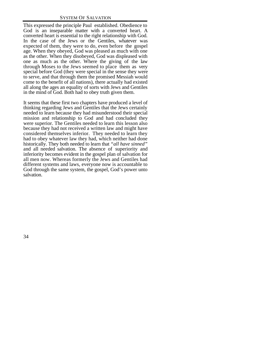This expressed the principle Paul established. Obedience to God is an inseparable matter with a converted heart. A converted heart is essential to the right relationship with God. In the case of the Jews or the Gentiles, whatever was expected of them, they were to do, even before the gospel age. When they obeyed, God was pleased as much with one as the other. When they disobeyed, God was displeased with one as much as the other. Where the giving of the law through Moses to the Jews seemed to place them as very special before God (they were special in the sense they were to serve, and that through them the promised Messiah would come to the benefit of all nations), there actually had existed all along the ages an equality of sorts with Jews and Gentiles in the mind of God. Both had to obey truth given them.

It seems that these first two chapters have produced a level of thinking regarding Jews and Gentiles that the Jews certainly needed to learn because they had misunderstood their special mission and relationship to God and had concluded they were superior. The Gentiles needed to learn this lesson also because they had not received a written law and might have considered themselves inferior. They needed to learn they had to obey whatever law they had, which neither had done historically. They both needed to learn that *"all have sinned"* and all needed salvation. The absence of superiority and inferiority becomes evident in the gospel plan of salvation for all men now. Whereas formerly the Jews and Gentiles had different systems and laws, everyone now is accountable to God through the same system, the gospel, God's power unto salvation.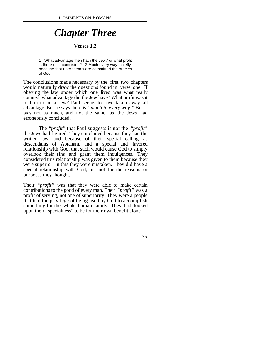# *Chapter Three*

## **Verses 1,2**

1 What advantage then hath the Jew? or what profit is there of circumcision? 2 Much every way: chiefly, because that unto them were committed the oracles of God.

The conclusions made necessary by the first two chapters would naturally draw the questions found in verse one. If obeying the law under which one lived was what really counted, what advantage did the Jew have? What profit was it to him to be a Jew? Paul seems to have taken away all advantage. But he says there is *"much in every way."* But it was not as much, and not the same, as the Jews had erroneously concluded.

The *"profit"* that Paul suggests is not the *"profit"* the Jews had figured. They concluded because they had the written law, and because of their special calling as descendants of Abraham, and a special and favored relationship with God, that such would cause God to simply overlook their sins and grant them indulgences. They considered this relationship was given to them because they were superior. In this they were mistaken. They did have a special relationship with God, but not for the reasons or purposes they thought.

Their *"profit"* was that they were able to make certain contributions to the good of every man. Their *"profit"* was a profit of serving, not one of superiority. They were a people that had the privilege of being used by God to accomplish something for the whole human family. They had looked upon their "specialness" to be for their own benefit alone.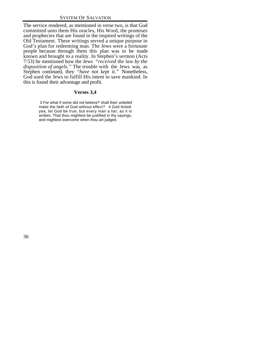The service rendered, as mentioned in verse two, is that God committed unto them His oracles, His Word, the promises and prophecies that are found in the inspired writings of the Old Testament. These writings served a unique purpose in God's plan for redeeming man. The Jews were a fortunate people because through them this plan was to be made known and brought to a reality. In Stephen's sermon (Acts 7:53) he mentioned how the Jews *"received the law by the disposition of angels."* The trouble with the Jews was, as Stephen continued, they *"have not kept it."* Nonetheless, God used the Jews to fulfill His intent to save mankind. In this is found their advantage and profit.

# **Verses 3,4**

 3 For what if some did not believe? shall their unbelief make the faith of God without effect? 4 God forbid: yea, let God be true, but every man a liar; as it is written, That thou mightest be justified in thy sayings, and mightest overcome when thou art judged.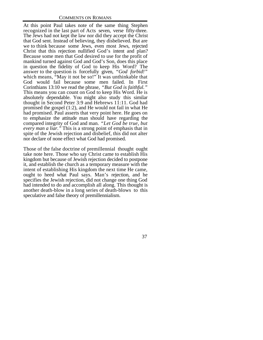At this point Paul takes note of the same thing Stephen recognized in the last part of Acts seven, verse fifty-three. The Jews had not kept the law nor did they accept the Christ that God sent. Instead of believing, they disbelieved. But are we to think because some Jews, even most Jews, rejected Christ that this rejection nullified God's intent and plan? Because some men that God desired to use for the profit of mankind turned against God and God's Son, does this place in question the fidelity of God to keep His Word? The answer to the question is forcefully given, *"God forbid!"* which means, "May it not be so!" It was unthinkable that God would fail because some men failed. In First Corinthians 13:10 we read the phrase, *"But God is faithful."* This means you can count on God to keep His Word. He is absolutely dependable. You might also study this similar thought in Second Peter 3:9 and Hebrews 11:11. God had promised the gospel (1:2), and He would not fail in what He had promised. Paul asserts that very point here. He goes on to emphasize the attitude man should have regarding the compared integrity of God and man. *"Let God be true, but every man a liar."* This is a strong point of emphasis that in spite of the Jewish rejection and disbelief, this did not alter nor declare of none effect what God had promised.

Those of the false doctrine of premillennial thought ought take note here. Those who say Christ came to establish His kingdom but because of Jewish rejection decided to postpone it, and establish the church as a temporary measure with the intent of establishing His kingdom the next time He came, ought to heed what Paul says. Man's rejection, and he specifies the Jewish rejection, did not change one thing God had intended to do and accomplish all along. This thought is another death-blow in a long series of death-blows to this speculative and false theory of premillennialism.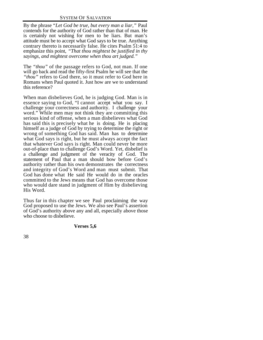## SYSTEM OF SALVATION

By the phrase *"Let God be true, but every man a liar,"* Paul contends for the authority of God rather than that of man. He is certainly not wishing for men to be liars. But man's attitude must be to accept what God says to be true. Anything contrary thereto is necessarily false. He cites Psalm 51:4 to emphasize this point, *"That thou mightest be justified in thy sayings, and mightest overcome when thou art judged."*

The *"thou"* of the passage refers to God, not man. If one will go back and read the fifty-first Psalm he will see that the *"thou"* refers to God there, so it must refer to God here in Romans when Paul quoted it. Just how are we to understand this reference?

When man disbelieves God, he is judging God. Man is in essence saying to God, "I cannot accept what you say. I challenge your correctness and authority. I challenge your word." While men may not think they are committing this serious kind of offense, when a man disbelieves what God has said this is precisely what he is doing. He is placing himself as a judge of God by trying to determine the right or wrong of something God has said. Man has to determine what God says is right, but he must always accept the fact that whatever God says is right. Man could never be more out-of-place than to challenge God's Word. Yet, disbelief is a challenge and judgment of the veracity of God. The statement of Paul that a man should bow before God's authority rather than his own demonstrates the correctness and integrity of God's Word and man must submit. That God has done what He said He would do in the oracles committed to the Jews means that God has overcome those who would dare stand in judgment of Him by disbelieving His Word.

Thus far in this chapter we see Paul proclaiming the way God proposed to use the Jews. We also see Paul's assertion of God's authority above any and all, especially above those who choose to disbelieve.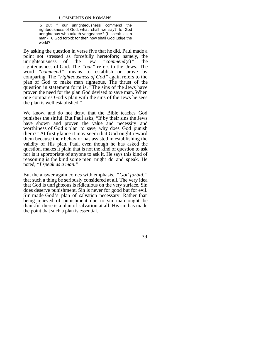5 But if our unrighteousness commend the righteousness of God, what shall we say? Is God unrighteous who taketh vengeance? (I speak as a man) 6 God forbid: for then how shall God judge the world?

By asking the question in verse five that he did, Paul made a point not stressed as forcefully heretofore; namely, the unrighteousness of the Jew "commend(s)" the unrighteousness of the Jew *"commend*(s)*"* the righteousness of God. The *"our"* refers to the Jews. The word *"commend"* means to establish or prove by comparing. The *"righteousness of God"* again refers to the plan of God to make man righteous. The thrust of the question in statement form is, "The sins of the Jews have proven the need for the plan God devised to save man. When one compares God's plan with the sins of the Jews he sees the plan is well established."

We know, and do not deny, that the Bible teaches God punishes the sinful. But Paul asks, "If by their sins the Jews have shown and proven the value and necessity and worthiness of God's plan to save, why does God punish them?" At first glance it may seem that God ought reward them because their behavior has assisted in establishing the validity of His plan. Paul, even though he has asked the question, makes it plain that is not the kind of question to ask nor is it appropriate of anyone to ask it. He says this kind of reasoning is the kind some men might do and speak. He noted, *"I speak as a man."*

But the answer again comes with emphasis, *"God forbid,"* that such a thing be seriously considered at all. The very idea that God is unrighteous is ridiculous on the very surface. Sin does deserve punishment. Sin is never for good but for evil. Sin made God's plan of salvation necessary. Rather than being relieved of punishment due to sin man ought be thankful there is a plan of salvation at all. His sin has made the point that such a plan is essential.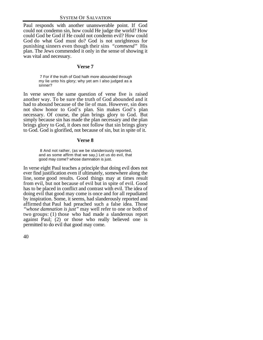Paul responds with another unanswerable point. If God could not condemn sin, how could He judge the world? How could God be God if He could not condemn evil? How could God do what God must do? God is not unrighteous for punishing sinners even though their sins *"commend"* His plan. The Jews commended it only in the sense of showing it was vital and necessary.

#### **Verse 7**

 7 For if the truth of God hath more abounded through my lie unto his glory; why yet am I also judged as a sinner?

In verse seven the same question of verse five is raised another way. To be sure the truth of God abounded and it had to abound because of the lie of man. However, sin does not show honor to God's plan. Sin makes God's plan necessary. Of course, the plan brings glory to God. But simply because sin has made the plan necessary and the plan brings glory to God, it does not follow that sin brings glory to God. God is glorified, not because of sin, but in spite of it.

#### **Verse 8**

 8 And not rather, (as we be slanderously reported, and as some affirm that we say,) Let us do evil, that good may come? whose damnation is just.

In verse eight Paul teaches a principle that doing evil does not ever find justification even if ultimately, somewhere along the line, some good results. Good things may at times result from evil, but not because of evil but in spite of evil. Good has to be placed in conflict and contrast with evil. The idea of doing evil that good may come is once and for all repudiated by inspiration. Some, it seems, had slanderously reported and affirmed that Paul had preached such a false idea. Those *"whose damnation is just"* may well refer to one or both of two groups: (1) those who had made a slanderous report against Paul; (2) or those who really believed one is permitted to do evil that good may come.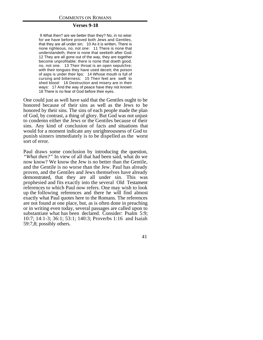## **Verses 9-18**

 9 What then? are we better than they? No, in no wise: for we have before proved both Jews and Gentiles, that they are all under sin; 10 As it is written, There is none righteous, no, not one: 11 There is none that understandeth, there is none that seeketh after God. 12 They are all gone out of the way, they are together become unprofitable; there is none that doeth good, no, not one. 13 Their throat is an open sepulchre; with their tongues they have used deceit; the poison of asps is under their lips: 14 Whose mouth is full of cursing and bitterness: 15 Their feet are swift to shed blood: 16 Destruction and misery are in their ways: 17 And the way of peace have they not known: 18 There is no fear of God before their eyes.

One could just as well have said that the Gentiles ought to be honored because of their sins as well as the Jews to be honored by their sins. The sins of each people made the plan of God, by contrast, a thing of glory. But God was not unjust to condemn either the Jews or the Gentiles because of their sins. Any kind of conclusion of facts and situations that would for a moment indicate any unrighteousness of God to punish sinners immediately is to be dispelled as the worst sort of error.

Paul draws some conclusion by introducing the question, *"What then?"* In view of all that had been said, what do we now know? We know the Jew is no better than the Gentile, and the Gentile is no worse than the Jew. Paul has already proven, and the Gentiles and Jews themselves have already demonstrated, that they are all under sin. This was prophesied and fits exactly into the several Old Testament references to which Paul now refers. One may wish to look up the following references and there he will find almost exactly what Paul quotes here to the Romans. The references are not found at one place, but, as is often done in preaching or in writing even today, several passages are called upon to substantiate what has been declared. Consider: Psalm 5:9; 10:7; 14:1-3; 36:1; 53:1; 140:3; Proverbs 1:16 and Isaiah 59:7,8; possibly others.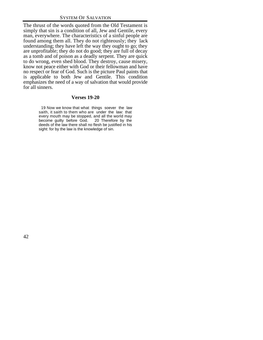The thrust of the words quoted from the Old Testament is simply that sin is a condition of all, Jew and Gentile, every man, everywhere. The characteristics of a sinful people are found among them all. They do not righteously; they lack understanding; they have left the way they ought to go; they are unprofitable; they do not do good; they are full of decay as a tomb and of poison as a deadly serpent. They are quick to do wrong, even shed blood. They destroy, cause misery, know not peace either with God or their fellowman and have no respect or fear of God. Such is the picture Paul paints that is applicable to both Jew and Gentile. This condition emphasizes the need of a way of salvation that would provide for all sinners.

## **Verses 19-20**

 19 Now we know that what things soever the law saith, it saith to them who are under the law: that every mouth may be stopped, and all the world may become guilty before God. 20 Therefore by the deeds of the law there shall no flesh be justified in his sight: for by the law is the knowledge of sin.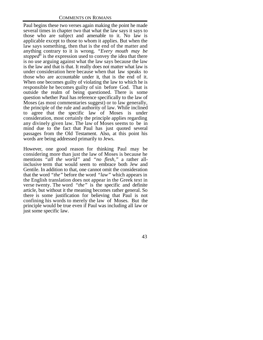Paul begins these two verses again making the point he made several times in chapter two that what the law says it says to those who are subject and amenable to it. No law is applicable except to those to whom it applies. But when the law says something, then that is the end of the matter and anything contrary to it is wrong. *"Every mouth may be stopped*" is the expression used to convey the idea that there is no use arguing against what the law says because the law is the law and that is that. It really does not matter what law is under consideration here because when that law speaks to those who are accountable under it, that is the end of it. When one becomes guilty of violating the law to which he is responsible he becomes guilty of sin before God. That is outside the realm of being questioned. There is some question whether Paul has reference specifically to the law of Moses (as most commentaries suggest) or to law generally, the principle of the rule and authority of law. While inclined to agree that the specific law of Moses is under consideration, most certainly the principle applies regarding any divinely given law. The law of Moses seems to be in mind due to the fact that Paul has just quoted several passages from the Old Testament. Also, at this point his words are being addressed primarily to Jews.

However, one good reason for thinking Paul may be considering more than just the law of Moses is because he mentions *"all the world"* and *"no flesh,"* a rather allinclusive term that would seem to embrace both Jew and Gentile. In addition to that, one cannot omit the consideration that the word *"the"* before the word *"law"* which appears in the English translation does not appear in the Greek text in verse twenty. The word *"the"* is the specific and definite article, but without it the meaning becomes rather general. So there is some justification for believing that Paul is not confining his words to merely the law of Moses. But the principle would be true even if Paul was including all law or just some specific law.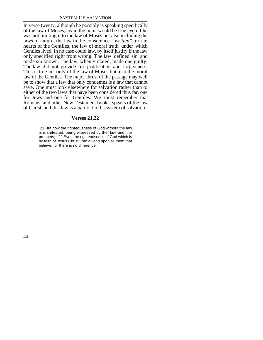In verse twenty, although he possibly is speaking specifically of the law of Moses, again the point would be true even if he was not limiting it to the law of Moses but also including the laws of nature, the law in the conscience *"written"* on the hearts of the Gentiles, the law of moral truth under which Gentiles lived. In no case could law, by itself justify if the law only specified right from wrong. The law defined sin and made sin known. The law, when violated, made one guilty. The law did not provide for justification and forgiveness. This is true not only of the law of Moses but also the moral law of the Gentiles. The major thrust of the passage may well be to show that a law that only condemns is a law that cannot save. One must look elsewhere for salvation rather than to either of the two laws that have been considered thus far, one for Jews and one for Gentiles. We must remember that Romans, and other New Testament books, speaks of the law of Christ, and this law is a part of God's system of salvation.

#### **Verses 21,22**

 21 But now the righteousness of God without the law is manifested, being witnessed by the law and the prophets; 22 Even the righteousness of God which is by faith of Jesus Christ unto all and upon all them that believe: for there is no difference: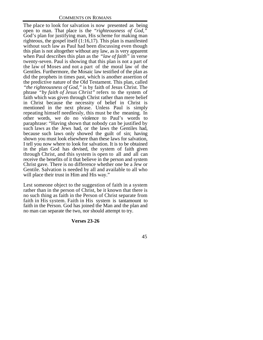The place to look for salvation is now presented as being open to man. That place is the *"righteousness of God,"* God's plan for justifying man, His scheme for making man righteous, the gospel itself (1:16,17). This plan is manifested without such law as Paul had been discussing even though this plan is not altogether without any law, as is very apparent when Paul describes this plan as the *"law of faith"* in verse twenty-seven. Paul is showing that this plan is not a part of the law of Moses and not a part of the moral law of the Gentiles. Furthermore, the Mosaic law testified of the plan as did the prophets in times past, which is another assertion of the predictive nature of the Old Testament. This plan, called *"the righteousness of God,"* is by faith of Jesus Christ. The phrase *"by faith of Jesus Christ"* refers to the system of faith which was given through Christ rather than mere belief in Christ because the necessity of belief in Christ is mentioned in the next phrase. Unless Paul is simply repeating himself needlessly, this must be the meaning. In other words, we do no violence to Paul's words to paraphrase: "Having shown that nobody can be justified by such laws as the Jews had, or the laws the Gentiles had, because such laws only showed the guilt of sin; having shown you must look elsewhere than these laws for salvation, I tell you now where to look for salvation. It is to be obtained in the plan God has devised, the system of faith given through Christ, and this system is open to all and all can receive the benefits of it that believe in the person and system Christ gave. There is no difference whether one be a Jew or Gentile. Salvation is needed by all and available to all who will place their trust in Him and His way."

Lest someone object to the suggestion of faith in a system rather than in the person of Christ, be it known that there is no such thing as faith in the Person of Christ separate from faith in His system. Faith in His system is tantamount to faith in the Person. God has joined the Man and the plan and no man can separate the two, nor should attempt to try.

#### **Verses 23-26**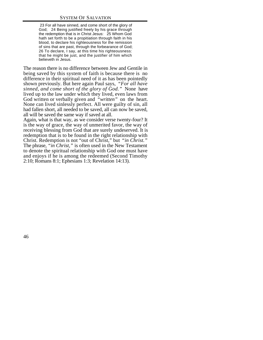23 For all have sinned, and come short of the glory of God; 24 Being justified freely by his grace through the redemption that is in Christ Jesus: 25 Whom God hath set forth to be a propitiation through faith in his blood, to declare his righteousness for the remission of sins that are past, through the forbearance of God; 26 To declare, I say, at this time his righteousness: that he might be just, and the justifier of him which believeth in Jesus.

The reason there is no difference between Jew and Gentile in being saved by this system of faith is because there is no difference in their spiritual need of it as has been pointedly shown previously. But here again Paul says, *"For all have sinned, and come short of the glory of God."* None have lived up to the law under which they lived, even laws from God written or verbally given and *"written"* on the heart. None can lived sinlessly perfect. All were guilty of sin, all had fallen short, all needed to be saved, all can now be saved, all will be saved the same way if saved at all.

Again, what is that way, as we consider verse twenty-four? It is the way of grace, the way of unmerited favor, the way of receiving blessing from God that are surely undeserved. It is redemption that is to be found in the right relationship with Christ. Redemption is not "out of Christ," but *"in Christ."* The phrase, *"in Christ,"* is often used in the New Testament to denote the spiritual relationship with God one must have and enjoys if he is among the redeemed (Second Timothy 2:10; Romans 8:1; Ephesians 1:3; Revelation 14:13).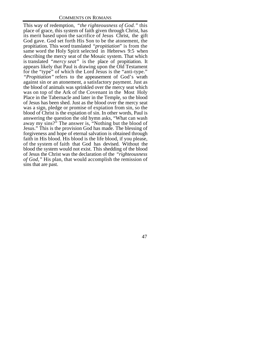This way of redemption, *"the righteousness of God."* this place of grace, this system of faith given through Christ, has its merit based upon the sacrifice of Jesus Christ, the gift God gave. God set forth His Son to be the atonement, the propitiation. This word translated *"propitiation*" is from the same word the Holy Spirit selected in Hebrews 9:5 when describing the mercy seat of the Mosaic system. That which is translated *"mercy seat"* is the place of propitiation. It appears likely that Paul is drawing upon the Old Testament for the "type" of which the Lord Jesus is the "anti-type." *"Propitiation"* refers to the appeasement of God's wrath against sin or an atonement, a satisfactory payment. Just as the blood of animals was sprinkled over the mercy seat which was on top of the Ark of the Covenant in the Most Holy Place in the Tabernacle and later in the Temple, so the blood of Jesus has been shed. Just as the blood over the mercy seat was a sign, pledge or promise of expiation from sin, so the blood of Christ is the expiation of sin. In other words, Paul is answering the question the old hymn asks, "What can wash away my sins?" The answer is, "Nothing but the blood of Jesus." This is the provision God has made. The blessing of forgiveness and hope of eternal salvation is obtained through faith in His blood. His blood is the life blood, if you please, of the system of faith that God has devised. Without the blood the system would not exist. This shedding of the blood of Jesus the Christ was the declaration of the *"righteousness of God,"* His plan, that would accomplish the remission of sins that are past.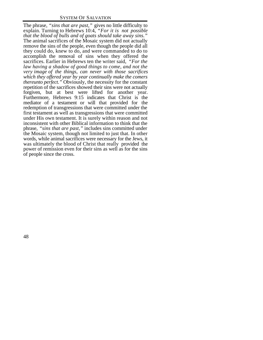The phrase, *"sins that are past,"* gives no little difficulty to explain. Turning to Hebrews 10:4, *"For it is not possible that the blood of bulls and of goats should take away sins."* The animal sacrifices of the Mosaic system did not actually remove the sins of the people, even though the people did all they could do, knew to do, and were commanded to do to accomplish the removal of sins when they offered the sacrifices. Earlier in Hebrews ten the writer said, *"For the law having a shadow of good things to come, and not the very image of the things, can never with those sacrifices which they offered year by year continually make the comers thereunto perfect."* Obviously, the necessity for the constant repetition of the sacrifices showed their sins were not actually forgiven, but at best were lifted for another year. Furthermore, Hebrews 9:15 indicates that Christ is the mediator of a testament or will that provided for the redemption of transgressions that were committed under the first testament as well as transgressions that were committed under His own testament. It is surely within reason and not inconsistent with other Biblical information to think that the phrase, *"sins that are past,"* includes sins committed under the Mosaic system, though not limited to just that. In other words, while animal sacrifices were necessary for the Jews, it was ultimately the blood of Christ that really provided the power of remission even for their sins as well as for the sins of people since the cross.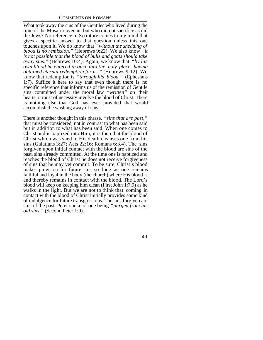What took away the sins of the Gentiles who lived during the time of the Mosaic covenant but who did not sacrifice as did the Jews? No reference in Scripture comes to my mind that gives a specific answer to that question unless this one touches upon it. We do know that *"without the shedding of blood is no remission."* (Hebrews 9:22). We also know *"it is not possible that the blood of bulls and goats should take away sins."* (Hebrews 10:4). Again, we know that *"by his own blood he entered in once into the holy place, having obtained eternal redemption for us."* (Hebrews 9:12). We know that redemption is *"through his blood."* (Ephesians 1:7). Suffice it here to say that even though there is no specific reference that informs us of the remission of Gentile sins committed under the moral law *"written"* on their hearts, it must of necessity involve the blood of Christ. There is nothing else that God has ever provided that would accomplish the washing away of sins.

There is another thought in this phrase, *"sins that are past,"* that must be considered, not in contrast to what has been said but in addition to what has been said. When one comes to Christ and is baptized into Him, it is then that the blood of Christ which was shed in His death cleanses one from his sins (Galatians 3:27; Acts 22:16; Romans 6:3,4). The sins forgiven upon initial contact with the blood are sins of the past, sins already committed. At the time one is baptized and reaches the blood of Christ he does not receive forgiveness of sins that he may yet commit. To be sure, Christ's blood makes provision for future sins so long as one remains faithful and loyal in the body (the church) where His blood is and thereby remains in contact with the blood. The Lord's blood will keep on keeping him clean (First John 1:7,9) as he walks in the light. But we are not to think that coming in contact with the blood of Christ initially provides some kind of indulgence for future transgressions. The sins forgiven are sins of the past. Peter spoke of one being *"purged from his old sins."* (Second Peter 1:9).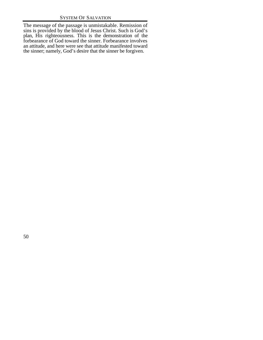The message of the passage is unmistakable. Remission of sins is provided by the blood of Jesus Christ. Such is God's plan, His righteousness. This is the demonstration of the forbearance of God toward the sinner. Forbearance involves an attitude, and here were see that attitude manifested toward the sinner; namely, God's desire that the sinner be forgiven.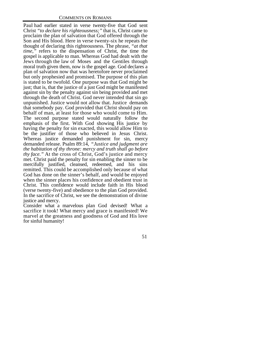Paul had earlier stated in verse twenty-five that God sent Christ *"to declare his righteousness;"* that is, Christ came to proclaim the plan of salvation that God offered through the Son and His blood. Here in verse twenty-six he repeats the thought of declaring this righteousness. The phrase, *"at that time,"* refers to the dispensation of Christ, the time the gospel is applicable to man. Whereas God had dealt with the Jews through the law of Moses and the Gentiles through moral truth given them, now is the gospel age. God declares a plan of salvation now that was heretofore never proclaimed but only prophesied and promised. The purpose of this plan is stated to be twofold. One purpose was that God might be just; that is, that the justice of a just God might be manifested against sin by the penalty against sin being provided and met through the death of Christ. God never intended that sin go unpunished. Justice would not allow that. Justice demands that somebody pay. God provided that Christ should pay on behalf of man, at least for those who would come to Him. The second purpose stated would naturally follow the emphasis of the first. With God showing His justice by having the penalty for sin exacted, this would allow Him to be the justifier of those who believed in Jesus Christ. Whereas justice demanded punishment for sin, mercy demanded release. Psalm 89:14, *"Justice and judgment are the habitation of thy throne: mercy and truth shall go before thy face."* At the cross of Christ, God's justice and mercy met. Christ paid the penalty for sin enabling the sinner to be mercifully justified, cleansed, redeemed, and his sins remitted. This could be accomplished only because of what God has done on the sinner's behalf, and would be enjoyed when the sinner places his confidence and obedient trust in Christ. This confidence would include faith in His blood (verse twenty-five) and obedience to the plan God provided. In the sacrifice of Christ, we see the demonstration of divine justice and mercy.

Consider what a marvelous plan God devised! What a sacrifice it took! What mercy and grace is manifested! We marvel at the greatness and goodness of God and His love for sinful humanity!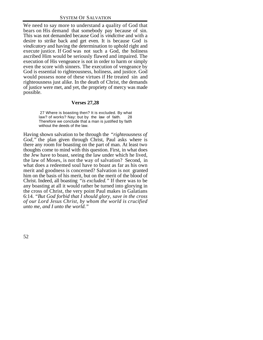We need to say more to understand a quality of God that bears on His demand that somebody pay because of sin. This was not demanded because God is *vindictive* and with a desire to strike back and get even. It is because God is *vindicatory* and having the determination to uphold right and execute justice. If God was not such a God, the holiness ascribed Him would be seriously flawed and impaired. The execution of His vengeance is not in order to harm or simply even the score with sinners. The execution of vengeance by God is essential to righteousness, holiness, and justice. God would possess none of these virtues if He treated sin and righteousness just alike. In the death of Christ, the demands of justice were met, and yet, the propriety of mercy was made possible.

## **Verses 27,28**

 27 Where is boasting then? It is excluded. By what law? of works? Nay: but by the law of faith. 28 Therefore we conclude that a man is justified by faith without the deeds of the law.

Having shown salvation to be through the *"righteousness of God,"* the plan given through Christ, Paul asks where is there any room for boasting on the part of man. At least two thoughts come to mind with this question. First, in what does the Jew have to boast, seeing the law under which he lived, the law of Moses, is not the way of salvation? Second, in what does a redeemed soul have to boast as far as his own merit and goodness is concerned? Salvation is not granted him on the basis of his merit, but on the merit of the blood of Christ. Indeed, all boasting *"is excluded."* If there was to be any boasting at all it would rather be turned into glorying in the cross of Christ, the very point Paul makes in Galatians 6:14. *"But God forbid that I should glory, save in the cross of our Lord Jesus Christ, by whom the world is crucified unto me, and I unto the world."*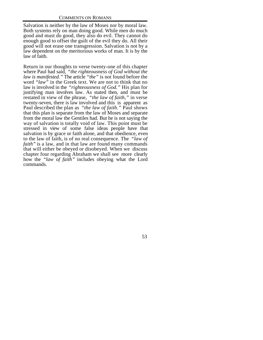Salvation is neither by the law of Moses nor by moral law. Both systems rely on man doing good. While men do much good and must do good, they also do evil. They cannot do enough good to offset the guilt of the evil they do. All their good will not erase one transgression. Salvation is not by a law dependent on the meritorious works of man. It is by the law of faith.

Return in our thoughts to verse twenty-one of this chapter where Paul had said, *"the righteousness of God without the law is manifested."* The article *"the"* is not found before the word *"law"* in the Greek text. We are not to think that no law is involved in the *"righteousness of God."* His plan for justifying man involves law. As stated then, and must be restated in view of the phrase, *"the law of faith,"* in verse twenty-seven, there is law involved and this is apparent as Paul described the plan as *"the law of faith."* Paul shows that this plan is separate from the law of Moses and separate from the moral law the Gentiles had. But he is not saying the way of salvation is totally void of law. This point must be stressed in view of some false ideas people have that salvation is by grace or faith alone, and that obedience, even to the law of faith, is of no real consequence. The *"law of faith"* is a law, and in that law are found many commands that will either be obeyed or disobeyed. When we discuss chapter four regarding Abraham we shall see more clearly how the *"law of faith"* includes obeying what the Lord commands.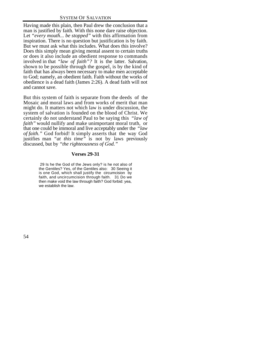Having made this plain, then Paul drew the conclusion that a man is justified by faith. With this none dare raise objection. Let *"every mouth... be stopped"* with this affirmation from inspiration. There is no question but justification is by faith. But we must ask what this includes. What does this involve? Does this simply mean giving mental assent to certain truths or does it also include an obedient response to commands involved in that *"law of faith"?* It is the latter. Salvation, shown to be possible through the gospel, is by the kind of faith that has always been necessary to make men acceptable to God; namely, an obedient faith. Faith without the works of obedience is a dead faith (James 2:26). A dead faith will not and cannot save.

But this system of faith is separate from the deeds of the Mosaic and moral laws and from works of merit that man might do. It matters not which law is under discussion, the system of salvation is founded on the blood of Christ. We certainly do not understand Paul to be saying this *"law of faith"* would nullify and make unimportant moral truth, or that one could be immoral and live acceptably under the *"law of faith."* God forbid! It simply asserts that the way God justifies man *"at this time"* is not by laws previously discussed, but by *"the righteousness of God."*

# **Verses 29-31**

 29 Is he the God of the Jews only? is he not also of the Gentiles? Yes, of the Gentiles also: 30 Seeing it is one God, which shall justify the circumcision by faith, and uncircumcision through faith. 31 Do we then make void the law through faith? God forbid: yea, we establish the law.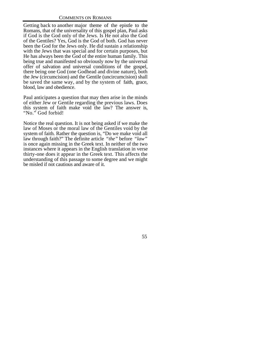Getting back to another major theme of the epistle to the Romans, that of the universality of this gospel plan, Paul asks if God is the God only of the Jews. Is He not also the God of the Gentiles? Yes, God is the God of both. God has never been the God for the Jews only. He did sustain a relationship with the Jews that was special and for certain purposes, but He has always been the God of the entire human family. This being true and manifested so obviously now by the universal offer of salvation and universal conditions of the gospel, there being one God (one Godhead and divine nature), both the Jew (circumcision) and the Gentile (uncircumcision) shall be saved the same way, and by the system of faith, grace, blood, law and obedience.

Paul anticipates a question that may then arise in the minds of either Jew or Gentile regarding the previous laws. Does this system of faith make void the law? The answer is, "No." God forbid!

Notice the real question. It is not being asked if we make the law of Moses or the moral law of the Gentiles void by the system of faith. Rather the question is, "Do we make void all law through faith?" The definite article *"the"* before *"law"* is once again missing in the Greek text. In neither of the two instances where it appears in the English translation in verse thirty-one does it appear in the Greek text. This affects the understanding of this passage to some degree and we might be misled if not cautious and aware of it.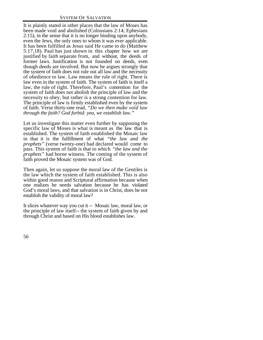It is plainly stated in other places that the law of Moses has been made void and abolished (Colossians 2:14; Ephesians 2:15), in the sense that it is no longer binding upon anybody, even the Jews, the only ones to whom it was ever applicable. It has been fulfilled as Jesus said He came to do (Matthew 5:17,18). Paul has just shown in this chapter how we are justified by faith separate from, and without, the deeds of former laws. Justification is not founded on deeds, even though deeds are involved. But now he argues strongly that the system of faith does not rule out all law and the necessity of obedience to law. Law means the rule of right. There is law even in the system of faith. The system of faith is itself a law, the rule of right. Therefore, Paul's contention for the system of faith does not abolish the principle of law and the necessity to obey, but rather is a strong contention for law. The principle of law is firmly established even by the system of faith. Verse thirty-one read, *"Do we then make void law through the faith? God forbid: yea, we establish law."*

Let us investigate this matter even further by supposing the specific law of Moses is what is meant as the law that is established. The system of faith established the Mosaic law in that it is the fulfillment of what *"the law and the prophets"* (verse twenty-one) had declared would come to pass. This system of faith is that to which *"the law and the prophets"* had borne witness. The coming of the system of faith proved the Mosaic system was of God.

Then again, let us suppose the moral law of the Gentiles is the law which the system of faith established. This is also within good reason and Scriptural affirmation because when one realizes he needs salvation because he has violated God's moral laws, and that salvation is in Christ, does he not establish the validity of moral law?

It slices whatever way you cut it -- Mosaic law, moral law, or the principle of law itself-- the system of faith given by and through Christ and based on His blood establishes law.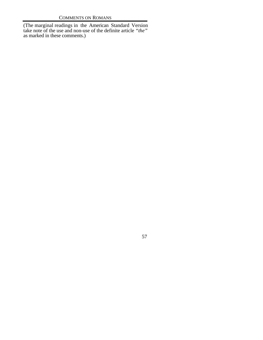(The marginal readings in the American Standard Version take note of the use and non-use of the definite article *"the"* as marked in these comments.)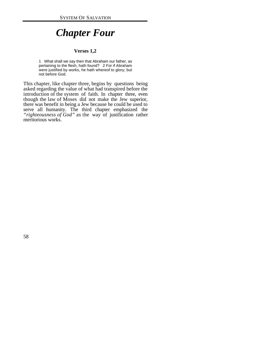# *Chapter Four*

## **Verses 1,2**

1 What shall we say then that Abraham our father, as pertaining to the flesh, hath found? 2 For if Abraham were justified by works, he hath whereof to glory; but not before God.

This chapter, like chapter three, begins by questions being asked regarding the value of what had transpired before the introduction of the system of faith. In chapter three, even though the law of Moses did not make the Jew superior, there was benefit in being a Jew because he could be used to serve all humanity. The third chapter emphasized the *"righteousness of God"* as the way of justification rather meritorious works.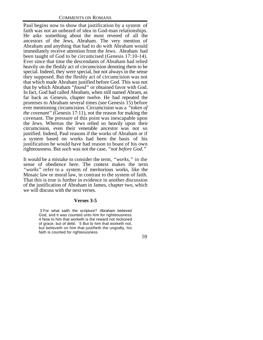Paul begins now to show that justification by a system of faith was not an unheard of idea in God-man relationships. He asks something about the most revered of all the ancestors of the Jews, Abraham. The very mention of Abraham and anything that had to do with Abraham would immediately receive attention from the Jews. Abraham had been taught of God to be circumcised (Genesis 17:10-14). Ever since that time the descendants of Abraham had relied heavily on the fleshly act of circumcision denoting them to be special. Indeed, they were special, but not always in the sense they supposed. But the fleshly act of circumcision was not that which made Abraham justified before God. This was not that by which Abraham *"found"* or obtained favor with God. In fact, God had called Abraham, when still named Abram, as far back as Genesis, chapter twelve. He had repeated the promises to Abraham several times (see Genesis 15) before ever mentioning circumcision. Circumcision was a *"token of the covenant"* (Genesis 17:11), not the reason for making the covenant. The pressure of this point was inescapable upon the Jews. Whereas the Jews relied so heavily upon their circumcision, even their venerable ancestor was not so justified. Indeed, Paul reasons if the works of Abraham or if a system based on works had been the basis of his justification he would have had reason to boast of his own righteousness. But such was not the case, *"not before God."*

It would be a mistake to consider the term, *"works,"* in the sense of obedience here. The context makes the term *"works"* refer to a system of meritorious works, like the Mosaic law or moral law, in contrast to the system of faith. That this is true is further in evidence in another discussion of the justification of Abraham in James, chapter two, which we will discuss with the next verses.

## **Verses 3-5**

 3 For what saith the scripture? Abraham believed God, and it was counted unto him for righteousness. 4 Now to him that worketh is the reward not reckoned of grace, but of debt. 5 But to him that worketh not, but believeth on him that justifieth the ungodly, his faith is counted for righteousness.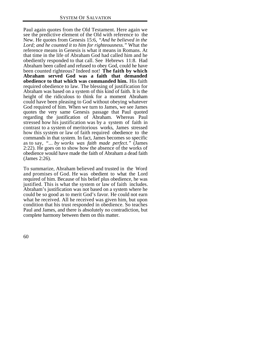Paul again quotes from the Old Testament. Here again we see the predictive element of the Old with reference to the New. He quotes from Genesis 15:6, *"And he believed in the Lord; and he counted it to him for righteousness."* What the reference means in Genesis is what it means in Romans. At that time in the life of Abraham God had called him and he obediently responded to that call. See Hebrews 11:8. Had Abraham been called and refused to obey God, could he have been counted righteous? Indeed not! **The faith by which Abraham served God was a faith that demanded obedience to that which was commanded him.** His faith required obedience to law. The blessing of justification for Abraham was based on a system of this kind of faith. It is the height of the ridiculous to think for a moment Abraham could have been pleasing to God without obeying whatever God required of him. When we turn to James, we see James quotes the very same Genesis passage that Paul quoted regarding the justification of Abraham. Whereas Paul stressed how his justification was by a system of faith in contrast to a system of meritorious works, James stressed how this system or law of faith required obedience to the commands in that system. In fact, James becomes so specific as to say, *"... by works was faith made perfect."* (James 2:22). He goes on to show how the absence of the works of obedience would have made the faith of Abraham a dead faith (James 2:26).

To summarize, Abraham believed and trusted in the Word and promises of God. He was obedient to what the Lord required of him. Because of his belief plus obedience, he was justified. This is what the system or law of faith includes. Abraham's justification was not based on a system where he could be so good as to merit God's favor. He could not earn what he received. All he received was given him, but upon condition that his trust responded in obedience. So teaches Paul and James, and there is absolutely no contradiction, but complete harmony between them on this matter.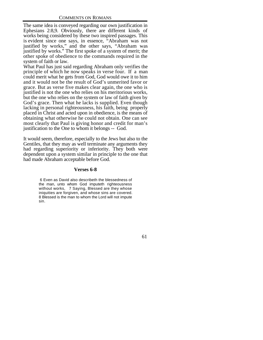The same idea is conveyed regarding our own justification in Ephesians 2:8,9. Obviously, there are different kinds of works being considered by these two inspired passages. This is evident since one says, in essence, "Abraham was not justified by works," and the other says, "Abraham was justified by works." The first spoke of a system of merit; the other spoke of obedience to the commands required in the system of faith or law.

What Paul has just said regarding Abraham only verifies the principle of which he now speaks in verse four. If a man could merit what he gets from God, God would owe it to him and it would not be the result of God's unmerited favor or grace. But as verse five makes clear again, the one who is justified is not the one who relies on his meritorious works, but the one who relies on the system or law of faith given by God's grace. Then what he lacks is supplied. Even though lacking in personal righteousness, his faith, being properly placed in Christ and acted upon in obedience, is the means of obtaining what otherwise he could not obtain. One can see most clearly that Paul is giving honor and credit for man's justification to the One to whom it belongs -- God.

It would seem, therefore, especially to the Jews but also to the Gentiles, that they may as well terminate any arguments they had regarding superiority or inferiority. They both were dependent upon a system similar in principle to the one that had made Abraham acceptable before God.

#### **Verses 6-8**

 6 Even as David also describeth the blessedness of the man, unto whom God imputeth righteousness without works, 7 Saying, Blessed are they whose iniquities are forgiven, and whose sins are covered. 8 Blessed is the man to whom the Lord will not impute sin.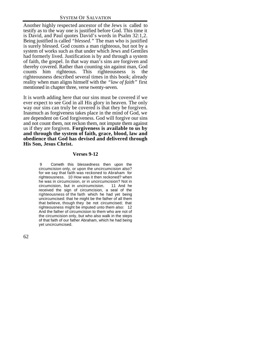Another highly respected ancestor of the Jews is called to testify as to the way one is justified before God. This time it is David, and Paul quotes David's words in Psalm 32:1,2. Being justified is called *"blessed."* The man who is justified is surely blessed. God counts a man righteous, but not by a system of works such as that under which Jews and Gentiles had formerly lived. Justification is by and through a system of faith, the gospel. In that way man's sins are forgiven and thereby covered. Rather than counting sin against man, God counts him righteous. This righteousness is the righteousness described several times in this book; already reality when man aligns himself with the *"law of faith"* first mentioned in chapter three, verse twenty-seven.

It is worth adding here that our sins must be covered if we ever expect to see God in all His glory in heaven. The only way our sins can truly be covered is that they be forgiven. Inasmuch as forgiveness takes place in the mind of God, we are dependent on God forgiveness. God will forgive our sins and not count them, not reckon them, not impute them against us if they are forgiven. **Forgiveness is available to us by and through the system of faith, grace, blood, law and obedience that God has devised and delivered through His Son, Jesus Christ.**

#### **Verses 9-12**

 9 Cometh this blessedness then upon the circumcision only, or upon the uncircumcision also? for we say that faith was reckoned to Abraham for righteousness. 10 How was it then reckoned? when he was in circumcision, or in uncircumcision? Not in circumcision, but in uncircumcision. 11 And he received the sign of circumcision, a seal of the righteousness of the faith which he had yet being uncircumcised: that he might be the father of all them that believe, though they be not circumcised; that righteousness might be imputed unto them also: 12 And the father of circumcision to them who are not of the circumcision only, but who also walk in the steps of that faith of our father Abraham, which he had being yet uncircumcised.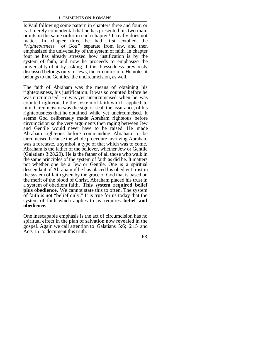Is Paul following some pattern in chapters three and four, or is it merely coincidental that he has presented his two main points in the same order in each chapter? It really does not matter. In chapter three he had first extolled the "*righteousness* of God" separate from law, and then emphasized the universality of the system of faith. In chapter four he has already stressed how justification is by the system of faith, and now he proceeds to emphasize the universality of it by asking if this blessedness previously discussed belongs only to Jews, the circumcision. He notes it belongs to the Gentiles, the uncircumcision, as well.

The faith of Abraham was the means of obtaining his righteousness, his justification. It was so counted before he was circumcised. He was yet uncircumcised when he was counted righteous by the system of faith which applied to him. Circumcision was the sign or seal, the assurance, of his righteousness that he obtained while yet uncircumcised. It seems God deliberately made Abraham righteous before circumcision so the very arguments then raging between Jew and Gentile would never have to be raised. He made Abraham righteous before commanding Abraham to be circumcised because the whole procedure involving Abraham was a foretaste, a symbol, a type of that which was to come. Abraham is the father of the believer, whether Jew or Gentile (Galatians 3:28,29). He is the father of all those who walk in the same principles of the system of faith as did he. It matters not whether one be a Jew or Gentile. One is a spiritual descendant of Abraham if he has placed his obedient trust in the system of faith given by the grace of God that is based on the merit of the blood of Christ. Abraham placed his trust in a system of obedient faith. **This system required belief plus obedience.** We cannot state this to often. The system of faith is not "belief only." It is true for us today that the system of faith which applies to us requires **belief and obedience.**

One inescapable emphasis is the act of circumcision has no spiritual effect in the plan of salvation now revealed in the gospel. Again we call attention to Galatians 5:6; 6:15 and Acts 15 to document this truth.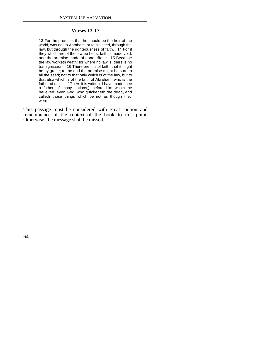#### **Verses 13-17**

13 For the promise, that he should be the heir of the world, was not to Abraham, or to his seed, through the law, but through the righteousness of faith. 14 For if they which are of the law be heirs, faith is made void, and the promise made of none effect: 15 Because the law worketh wrath: for where no law is, there is no transgression. 16 Therefore it is of faith, that it might be by grace; to the end the promise might be sure to all the seed; not to that only which is of the law, but to that also which is of the faith of Abraham; who is the father of us all, 17 (As it is written, I have made thee a father of many nations,) before him whom he believed, even God, who quickeneth the dead, and calleth those things which be not as though they were.

This passage must be considered with great caution and remembrance of the context of the book to this point. Otherwise, the message shall be missed.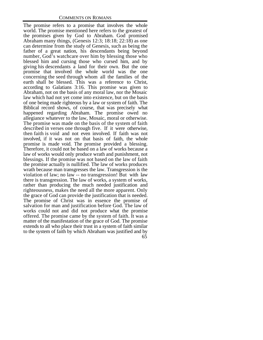65 The promise refers to a promise that involves the whole world. The promise mentioned here refers to the greatest of the promises given by God to Abraham. God promised Abraham many things, (Genesis 12:3; 18:18; 22:18) as one can determine from the study of Genesis, such as being the father of a great nation, his descendants being beyond number, God's watchcare over him by blessing those who blessed him and cursing those who cursed him, and by giving his descendants a land for their own. But the one promise that involved the whole world was the one concerning the seed through whom all the families of the earth shall be blessed. This was a reference to Christ, according to Galatians 3:16. This promise was given to Abraham, not on the basis of any moral law, nor the Mosaic law which had not yet come into existence, but on the basis of one being made righteous by a law or system of faith. The Biblical record shows, of course, that was precisely what happened regarding Abraham. The promise owed no allegiance whatever to the law, Mosaic, moral or otherwise. The promise was made on the basis of the system of faith described in verses one through five. If it were otherwise, then faith is void and not even involved. If faith was not involved, if it was not on that basis of faith, the whole promise is made void. The promise provided a blessing. Therefore, it could not be based on a law of works because a law of works would only produce wrath and punishment, not blessings. If the promise was not based on the law of faith the promise actually is nullified. The law of works produces wrath because man transgresses the law. Transgression is the violation of law; no law -- no transgression! But with law there is transgression. The law of works, a system of works, rather than producing the much needed justification and righteousness, makes the need all the more apparent. Only the grace of God can provide the justification that is needed. The promise of Christ was in essence the promise of salvation for man and justification before God. The law of works could not and did not produce what the promise offered. The promise came by the system of faith. It was a matter of the manifestation of the grace of God. The promise extends to all who place their trust in a system of faith similar to the system of faith by which Abraham was justified and by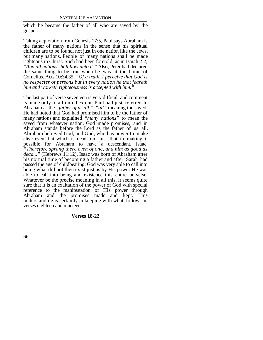which he became the father of all who are saved by the gospel.

Taking a quotation from Genesis 17:5, Paul says Abraham is the father of many nations in the sense that his spiritual children are to be found, not just in one nation like the Jews, but many nations. People of many nations shall be made righteous in Christ. Such had been foretold, as in Isaiah 2:2, *"And all nations shall flow unto it."* Also, Peter had declared the same thing to be true when he was at the home of Cornelius. Acts 10:34,35, *"Of a truth, I perceive that God is no respecter of persons but in every nation he that feareth him and worketh righteousness is accepted with him."*

The last part of verse seventeen is very difficult and comment is made only to a limited extent. Paul had just referred to Abraham as the *"father of us all," "all"* meaning the saved. He had noted that God had promised him to be the father of many nations and explained *"many nations"* to mean the saved from whatever nation. God made promises, and in Abraham stands before the Lord as the father of us all. Abraham believed God, and God, who has power to make alive even that which is dead, did just that in making it possible for Abraham to have a descendant, Isaac. *"Therefore sprang there even of one, and him as good as dead..."* (Hebrews 11:12). Isaac was born of Abraham after his normal time of becoming a father and after Sarah had passed the age of childbearing. God was very able to call into being what did not then exist just as by His power He was able to call into being and existence this entire universe. Whatever be the precise meaning in all this, it seems quite sure that it is an exaltation of the power of God with special reference to the manifestation of His power through Abraham and the promises made and kept. This understanding is certainly in keeping with what follows in verses eighteen and nineteen.

#### **Verses 18-22**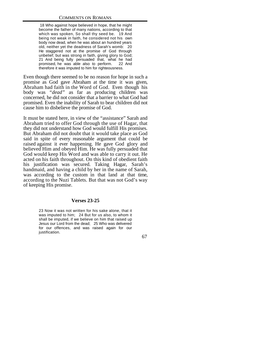18 Who against hope believed in hope, that he might become the father of many nations, according to that which was spoken, So shall thy seed be. 19 And being not weak in faith, he considered not his own body now dead, when he was about an hundred years old, neither yet the deadness of Sarah's womb: 20 He staggered not at the promise of God through unbelief; but was strong in faith, giving glory to God; 21 And being fully persuaded that, what he had promised, he was able also to perform. 22 And therefore it was imputed to him for righteousness.

Even though there seemed to be no reason for hope in such a promise as God gave Abraham at the time it was given, Abraham had faith in the Word of God. Even though his body was *"dead"* as far as producing children was concerned, he did not consider that a barrier to what God had promised. Even the inability of Sarah to bear children did not cause him to disbelieve the promise of God.

It must be stated here, in view of the "assistance" Sarah and Abraham tried to offer God through the use of Hagar, that they did not understand how God would fulfill His promises. But Abraham did not doubt that it would take place as God said in spite of every reasonable argument that could be raised against it ever happening. He gave God glory and believed Him and obeyed Him. He was fully persuaded that God would keep His Word and was able to carry it out. He acted on his faith throughout. On this kind of obedient faith his justification was secured. Taking Hagar, Sarah's handmaid, and having a child by her in the name of Sarah, was according to the custom in that land at that time, according to the Nuzi Tablets. But that was not God's way of keeping His promise.

## **Verses 23-25**

23 Now it was not written for his sake alone, that it was imputed to him; 24 But for us also, to whom it shall be imputed, if we believe on him that raised up Jesus our Lord from the dead; 25 Who was delivered for our offences, and was raised again for our justification.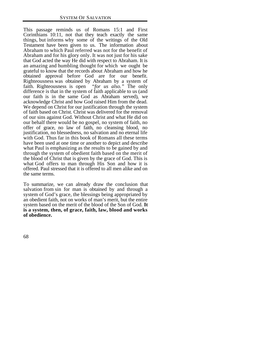This passage reminds us of Romans 15:1 and First Corinthians 10:11, not that they teach exactly the same things, but informs why some of the writings of the Old Testament have been given to us. The information about Abraham to which Paul referred was not for the benefit of Abraham and for his glory only. It was not just for his sake that God acted the way He did with respect to Abraham. It is an amazing and humbling thought for which we ought be grateful to know that the records about Abraham and how he obtained approval before God are for our benefit. Righteousness was obtained by Abraham by a system of faith. Righteousness is open *"for us also."* The only difference is that in the system of faith applicable to us (and our faith is in the same God as Abraham served), we acknowledge Christ and how God raised Him from the dead. We depend on Christ for our justification through the system of faith based on Christ. Christ was delivered for the removal of our sins against God. Without Christ and what He did on our behalf there would be no gospel, no system of faith, no offer of grace, no law of faith, no cleansing blood, no justification, no blessedness, no salvation and no eternal life with God. Thus far in this book of Romans all these terms have been used at one time or another to depict and describe what Paul is emphasizing as the results to be gained by and through the system of obedient faith based on the merit of the blood of Christ that is given by the grace of God. This is what God offers to man through His Son and how it is offered. Paul stressed that it is offered to all men alike and on the same terms.

To summarize, we can already draw the conclusion that salvation from sin for man is obtained by and through a system of God's grace, the blessings being appropriated by an obedient faith, not on works of man's merit, but the entire system based on the merit of the blood of the Son of God. **It is a system, then, of grace, faith, law, blood and works of obedience.**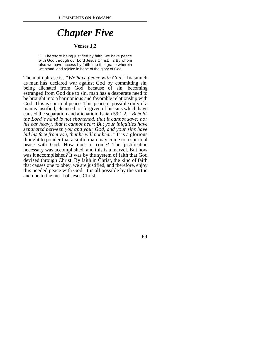# *Chapter Five*

#### **Verses 1,2**

1 Therefore being justified by faith, we have peace with God through our Lord Jesus Christ: 2 By whom also we have access by faith into this grace wherein we stand, and rejoice in hope of the glory of God.

The main phrase is, *"We have peace with God."* Inasmuch as man has declared war against God by committing sin, being alienated from God because of sin, becoming estranged from God due to sin, man has a desperate need to be brought into a harmonious and favorable relationship with God. This is spiritual peace. This peace is possible only if a man is justified, cleansed, or forgiven of his sins which have caused the separation and alienation. Isaiah 59:1,2, *"Behold, the Lord's hand is not shortened, that it cannot save; nor his ear heavy, that it cannot hear: But your iniquities have separated between you and your God, and your sins have hid his face from you, that he will not hear."* It is a glorious thought to ponder that a sinful man may come to a spiritual peace with God. How does it come? The justification necessary was accomplished, and this is a marvel. But how was it accomplished? It was by the system of faith that God devised through Christ. By faith in Christ, the kind of faith that causes one to obey, we are justified, and therefore, enjoy this needed peace with God. It is all possible by the virtue and due to the merit of Jesus Christ.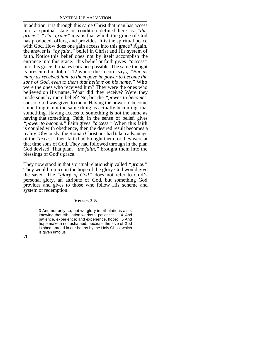In addition, it is through this same Christ that man has access into a spiritual state or condition defined here as *"this grace." "This grace"* means that which the grace of God has produced, offers, and provides. It is the spiritual peace with God. How does one gain access into this grace? Again, the answer is *"by faith,"* belief in Christ and His system of faith. Notice this belief does not by itself accomplish the entrance into this grace. This belief or faith gives *"access"* into this grace. It makes entrance possible. The same thought is presented in John 1:12 where the record says, *"But as many as received him, to them gave he power to become the sons of God, even to them that believe on his name."* Who were the ones who received him? They were the ones who believed on His name. What did they receive? Were they made sons by mere belief? No, but the *"power to become"* sons of God was given to them. Having the power to become something is not the same thing as actually becoming that something. Having access to something is not the same as having that something. Faith, in the sense of belief, gives *"power to become."* Faith gives *"access."* When this faith is coupled with obedience, then the desired result becomes a reality. Obviously, the Roman Christians had taken advantage of the *"access"* their faith had brought them for they were at that time sons of God. They had followed through in the plan God devised. That plan, *"the faith,"* brought them into the blessings of God's grace.

They now stood in that spiritual relationship called *"grace."* They would rejoice in the hope of the glory God would give the saved. The *"glory of God"* does not refer to God's personal glory, an attribute of God, but something God provides and gives to those who follow His scheme and system of redemption.

#### **Verses 3-5**

3 And not only so, but we glory in tribulations also: knowing that tribulation worketh patience; 4 And patience, experience; and experience, hope: 5 And hope maketh not ashamed; because the love of God is shed abroad in our hearts by the Holy Ghost which is given unto us.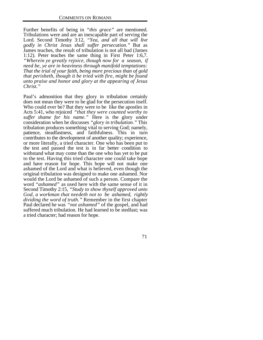Further benefits of being in *"this grace"* are mentioned. Tribulations were and are an inescapable part of serving the Lord. Second Timothy 3:12, *"Yea, and all that will live godly in Christ Jesus shall suffer persecution."* But as James teaches, the result of tribulation is not all bad (James 1:12). Peter teaches the same thing in First Peter 1:6,7. *"Wherein ye greatly rejoice, though now for a season, if need be, ye are in heaviness through manifold temptations: That the trial of your faith, being more precious than of gold that perisheth, though it be tried with fire, might be found unto praise and honor and glory at the appearing of Jesus Christ."*

Paul's admonition that they glory in tribulation certainly does not mean they were to be glad for the persecution itself. Who could ever be? But they were to be like the apostles in Acts 5:41, who rejoiced *"that they were counted worthy to suffer shame for his name."* Here is the glory under consideration when he discusses *"glory in tribulation."* This tribulation produces something vital to serving God; namely, patience, steadfastness, and faithfulness. This in turn contributes to the development of another quality; experience, or more literally, a tried character. One who has been put to the test and passed the test is in far better condition to withstand what may come than the one who has yet to be put to the test. Having this tried character one could take hope and have reason for hope. This hope will not make one ashamed of the Lord and what is believed, even though the original tribulation was designed to make one ashamed. Nor would the Lord be ashamed of such a person. Compare the word *"ashamed"* as used here with the same sense of it in Second Timothy 2:15, *"Study to show thyself approved unto God, a workman that needeth not to be ashamed, rightly dividing the word of truth."* Remember in the first chapter Paul declared he was *"not ashamed"* of the gospel, and had suffered much tribulation. He had learned to be stedfast; was a tried character; had reason for hope.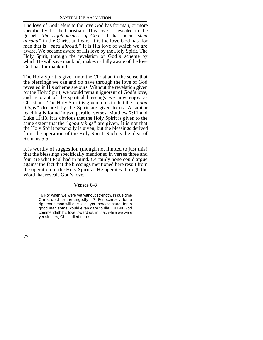The love of God refers to the love God has for man, or more specifically, for the Christian. This love is revealed in the gospel, *"the righteousness of God."* It has been *"shed abroad"* in the Christian heart. It is the love God has for man that is *"shed abroad."* It is His love of which we are aware. We became aware of His love by the Holy Spirit. The Holy Spirit, through the revelation of God's scheme by which He will save mankind, makes us fully aware of the love God has for mankind.

The Holy Spirit is given unto the Christian in the sense that the blessings we can and do have through the love of God revealed in His scheme are ours. Without the revelation given by the Holy Spirit, we would remain ignorant of God's love, and ignorant of the spiritual blessings we now enjoy as Christians. The Holy Spirit is given to us in that the *"good things"* declared by the Spirit are given to us. A similar teaching is found in two parallel verses, Matthew 7:11 and Luke  $11:13$ . It is obvious that the Holy Spirit is given to the same extent that the *"good things"* are given. It is not that the Holy Spirit personally is given, but the blessings derived from the operation of the Holy Spirit. Such is the idea of Romans 5:5.

It is worthy of suggestion (though not limited to just this) that the blessings specifically mentioned in verses three and four are what Paul had in mind. Certainly none could argue against the fact that the blessings mentioned here result from the operation of the Holy Spirit as He operates through the Word that reveals God's love.

## **Verses 6-8**

 6 For when we were yet without strength, in due time Christ died for the ungodly. 7 For scarcely for a righteous man will one die: yet peradventure for a good man some would even dare to die. 8 But God commendeth his love toward us, in that, while we were yet sinners, Christ died for us.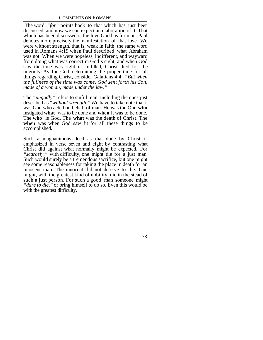The word *"for"* points back to that which has just been discussed, and now we can expect an elaboration of it. That which has been discussed is the love God has for man. Paul denotes more precisely the manifestation of that love. We were without strength, that is, weak in faith, the same word used in Romans 4:19 when Paul described what Abraham was not. When we were hopeless, indifferent, and wayward from doing what was correct in God's sight, and when God saw the time was right or fulfilled, Christ died for the ungodly. As for God determining the proper time for all things regarding Christ, consider Galatians 4:4. *"But when the fullness of the time was come, God sent forth his Son, made of a woman, made under the law."*

The *"ungodly"* refers to sinful man, including the ones just described as *"without strength."* We have to take note that it was God who acted on behalf of man. He was the One **who** instigated **what** was to be done and **when** it was to be done. The **who** is God. The **what** was the death of Christ. The **when** was when God saw fit for all these things to be accomplished.

Such a magnanimous deed as that done by Christ is emphasized in verse seven and eight by contrasting what Christ did against what normally might be expected. For *"scarcely,"* with difficulty, one might die for a just man. Such would surely be a tremendous sacrifice, but one might see some reasonableness for taking the place in death for an innocent man. The innocent did not deserve to die. One might, with the greatest kind of nobility, die in the stead of such a just person. For such a good man someone might *"dare to die,"* or bring himself to do so. Even this would be with the greatest difficulty.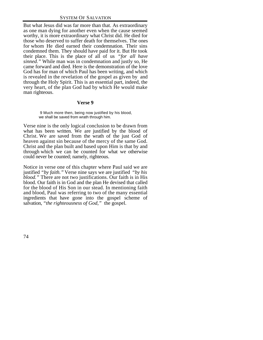But what Jesus did was far more than that. As extraordinary as one man dying for another even when the cause seemed worthy, it is more extraordinary what Christ did. He died for those who deserved to suffer death for themselves. The ones for whom He died earned their condemnation. Their sins condemned them. They should have paid for it. But He took their place. This is the place of all of us *"for all have sinned."* While man was in condemnation and justly so, He came forward and died. Here is the demonstration of the love God has for man of which Paul has been writing, and which is revealed in the revelation of the gospel as given by and through the Holy Spirit. This is an essential part, indeed, the very heart, of the plan God had by which He would make man righteous.

#### **Verse 9**

 9 Much more then, being now justified by his blood, we shall be saved from wrath through him.

Verse nine is the only logical conclusion to be drawn from what has been written. We are justified by the blood of Christ. We are saved from the wrath of the just God of heaven against sin because of the mercy of the same God. Christ and the plan built and based upon Him is that by and through which we can be counted for what we otherwise could never be counted; namely, righteous.

Notice in verse one of this chapter where Paul said we are justified *"by faith."* Verse nine says we are justified *"by his blood."* There are not two justifications. Our faith is in His blood. Our faith is in God and the plan He devised that called for the blood of His Son in our stead. In mentioning faith and blood, Paul was referring to two of the many essential ingredients that have gone into the gospel scheme of salvation, *"the righteousness of God,"* the gospel.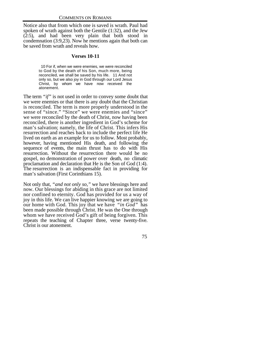Notice also that from which one is saved is wrath. Paul had spoken of wrath against both the Gentile (1:32), and the Jew (2:5), and had been very plain that both stood in condemnation (3:9,23). Now he mentions again that both can be saved from wrath and reveals how.

## **Verses 10-11**

 10 For if, when we were enemies, we were reconciled to God by the death of his Son, much more, being reconciled, we shall be saved by his life. 11 And not only so, but we also joy in God through our Lord Jesus Christ, by whom we have now received the atonement.

The term *"if"* is not used in order to convey some doubt that we were enemies or that there is any doubt that the Christian is reconciled. The term is more properly understood in the sense of "since." "Since" we were enemies and "since" we were reconciled by the death of Christ, now having been reconciled, there is another ingredient in God's scheme for man's salvation; namely, the life of Christ. This infers His resurrection and reaches back to include the perfect life He lived on earth as an example for us to follow. Most probably, however, having mentioned His death, and following the sequence of events, the main thrust has to do with His resurrection. Without the resurrection there would be no gospel, no demonstration of power over death, no climatic proclamation and declaration that He is the Son of God (1:4). The resurrection is an indispensable fact in providing for man's salvation (First Corinthians 15).

Not only that, *"and not only so,"* we have blessings here and now. Our blessings for abiding in this grace are not limited nor confined to eternity. God has provided for us a way of joy in this life. We can live happier knowing we are going to our home with God. This joy that we have *"in God"* has been made possible through Christ. He was the One through whom we have received God's gift of being forgiven. This repeats the teaching of Chapter three, verse twenty-five. Christ is our atonement.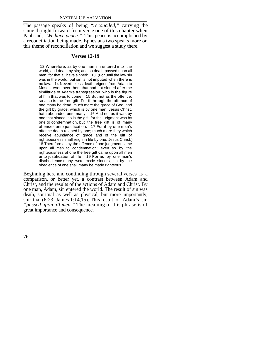The passage speaks of being *"reconciled,"* carrying the same thought forward from verse one of this chapter when Paul said, *"We have peace."* This peace is accomplished by a reconciliation being made. Ephesians two speaks more on this theme of reconciliation and we suggest a study there.

## **Verses 12-19**

 12 Wherefore, as by one man sin entered into the world, and death by sin; and so death passed upon all men, for that all have sinned: 13 (For until the law sin was in the world: but sin is not imputed when there is no law. 14 Nevertheless death reigned from Adam to Moses, even over them that had not sinned after the similitude of Adam's transgression, who is the figure of him that was to come. 15 But not as the offence, so also is the free gift. For if through the offence of one many be dead, much more the grace of God, and the gift by grace, which is by one man, Jesus Christ, hath abounded unto many. 16 And not as it was by one that sinned, so is the gift: for the judgment was by one to condemnation, but the free gift is of many offences unto justification. 17 For if by one man's offence death reigned by one; much more they which receive abundance of grace and of the gift of righteousness shall reign in life by one, Jesus Christ.) 18 Therefore as by the offence of one judgment came upon all men to condemnation; even so by the righteousness of one the free gift came upon all men unto justification of life. 19 For as by one man's disobedience many were made sinners, so by the obedience of one shall many be made righteous.

Beginning here and continuing through several verses is a comparison, or better yet, a contrast between Adam and Christ, and the results of the actions of Adam and Christ. By one man, Adam, sin entered the world. The result of sin was death, spiritual as well as physical, but more importantly, spiritual  $(6:23; James 1:14,15)$ . This result of Adam's sin *"passed upon all men."* The meaning of this phrase is of great importance and consequence.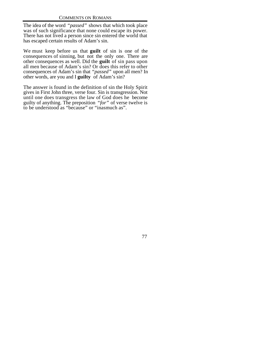The idea of the word *"passed"* shows that which took place was of such significance that none could escape its power. There has not lived a person since sin entered the world that has escaped certain results of Adam's sin.

We must keep before us that **guilt** of sin is one of the consequences of sinning, but not the only one. There are other consequences as well. Did the **guilt** of sin pass upon all men because of Adam's sin? Or does this refer to other consequences of Adam's sin that *"passed"* upon all men? In other words, are you and I **guilty** of Adam's sin?

The answer is found in the definition of sin the Holy Spirit gives in First John three, verse four. Sin is transgression. Not until one does transgress the law of God does he become guilty of anything. The preposition *"for"* of verse twelve is to be understood as "because" or "inasmuch as".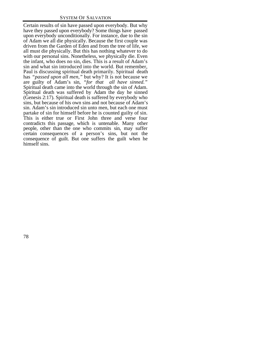Certain results of sin have passed upon everybody. But why have they passed upon everybody? Some things have passed upon everybody unconditionally. For instance, due to the sin of Adam we all die physically. Because the first couple was driven from the Garden of Eden and from the tree of life, we all must die physically. But this has nothing whatever to do with our personal sins. Nonetheless, we physically die. Even the infant, who does no sin, dies. This is a result of Adam's sin and what sin introduced into the world. But remember, Paul is discussing spiritual death primarily. Spiritual death has *"passed upon all men,"* but why? It is not because we are guilty of Adam's sin, *"for that all have sinned."* Spiritual death came into the world through the sin of Adam. Spiritual death was suffered by Adam the day he sinned (Genesis 2:17). Spiritual death is suffered by everybody who sins, but because of his own sins and not because of Adam's sin. Adam's sin introduced sin unto men, but each one must partake of sin for himself before he is counted guilty of sin. This is either true or First John three and verse four contradicts this passage, which is untenable. Many other people, other than the one who commits sin, may suffer certain consequences of a person's sins, but not the consequence of guilt. But one suffers the guilt when he himself sins.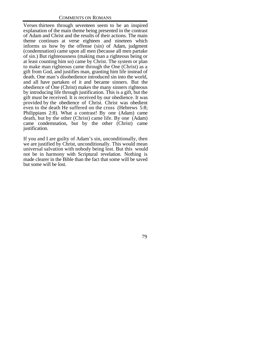Verses thirteen through seventeen seem to be an inspired explanation of the main theme being presented in the contrast of Adam and Christ and the results of their actions. The main theme continues at verse eighteen and nineteen which informs us how by the offense (sin) of Adam, judgment (condemnation) came upon all men (because all men partake of sin.) But righteousness (making man a righteous being or at least counting him so) came by Christ. The system or plan to make man righteous came through the One (Christ) as a gift from God, and justifies man, granting him life instead of death. One man's disobedience introduced sin into the world, and all have partaken of it and became sinners. But the obedience of One (Christ) makes the many sinners righteous by introducing life through justification. This is a gift, but the gift must be received. It is received by our obedience. It was provided by the obedience of Christ. Christ was obedient even to the death He suffered on the cross (Hebrews 5:8; Philippians 2:8). What a contrast! By one (Adam) came death, but by the other (Christ) came life. By one (Adam) came condemnation, but by the other (Christ) came justification.

If you and I are guilty of Adam's sin, unconditionally, then we are justified by Christ, unconditionally. This would mean universal salvation with nobody being lost. But this would not be in harmony with Scriptural revelation. Nothing is made clearer in the Bible than the fact that some will be saved but some will be lost.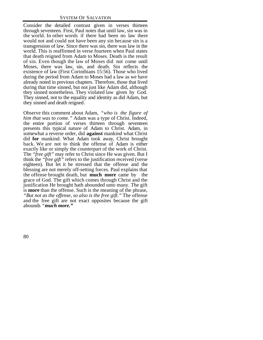Consider the detailed contrast given in verses thirteen through seventeen. First, Paul notes that until law, sin was in the world. In other words if there had been no law there would not and could not have been any sin because sin is a transgression of law. Since there was sin, there was law in the world. This is reaffirmed in verse fourteen when Paul states that death reigned from Adam to Moses. Death is the result of sin. Even though the law of Moses did not come until Moses, there was law, sin, and death. Sin reflects the existence of law (First Corinthians 15:56). Those who lived during the period from Adam to Moses had a law as we have already noted in previous chapters. Therefore, those that lived during that time sinned, but not just like Adam did, although they sinned nonetheless. They violated law given by God. They sinned, not to the equality and identity as did Adam, but they sinned and death reigned.

Observe this comment about Adam, *"who is the figure of him that was to come."* Adam was a type of Christ. Indeed, the entire portion of verses thirteen through seventeen presents this typical nature of Adam to Christ. Adam, in somewhat a reverse order, did **against** mankind what Christ did **for** mankind. What Adam took away, Christ brought back. We are not to think the offense of Adam is either exactly like or simply the counterpart of the work of Christ. The *"free gift"* may refer to Christ since He was given. But I think the *"free gift"* refers to the justification received (verse eighteen). But let it be stressed that the offense and the blessing are not merely off-setting forces. Paul explains that the offense brought death, but **much more** came by the grace of God. The gift which comes through Christ and the justification He brought hath abounded unto many. The gift is **more** than the offense. Such is the meaning of the phrase, *"But not as the offense, so also is the free gift."* The offense and the free gift are not exact opposites because the gift abounds *"much more."*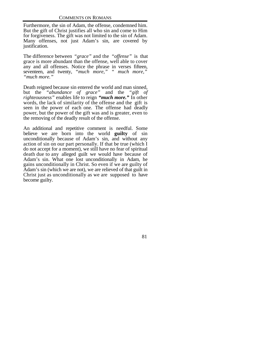Furthermore, the sin of Adam, the offense, condemned him. But the gift of Christ justifies all who sin and come to Him for forgiveness. The gift was not limited to the sin of Adam. Many offenses, not just Adam's sin, are covered by justification.

The difference between *"grace"* and the *"offense"* is that grace is more abundant than the offense, well able to cover any and all offenses. Notice the phrase in verses fifteen, seventeen, and twenty, *"much more," " much more," "much more."*

Death reigned because sin entered the world and man sinned, but the *"abundance of grace"* and the *"gift of righteousness"* enables life to reign *"much more."* In other words, the lack of similarity of the offense and the gift is seen in the power of each one. The offense had deadly power, but the power of the gift was and is greater, even to the removing of the deadly result of the offense.

An additional and repetitive comment is needful. Some believe we are born into the world **guilty** of sin unconditionally because of Adam's sin, and without any action of sin on our part personally. If that be true (which I do not accept for a moment), we still have no fear of spiritual death due to any alleged guilt we would have because of Adam's sin. What one lost unconditionally in Adam, he gains unconditionally in Christ. So even if we are guilty of Adam's sin (which we are not), we are relieved of that guilt in Christ just as unconditionally as we are supposed to have become guilty.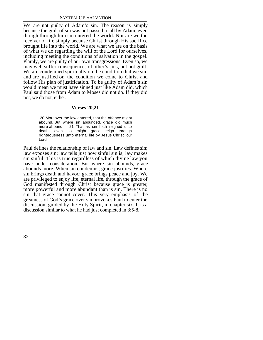We are not guilty of Adam's sin. The reason is simply because the guilt of sin was not passed to all by Adam, even though through him sin entered the world. Nor are we the receiver of life simply because Christ through His sacrifice brought life into the world. We are what we are on the basis of what we do regarding the will of the Lord for ourselves, including meeting the conditions of salvation in the gospel. Plainly, we are guilty of our own transgressions. Even so, we may well suffer consequences of other's sins, but not guilt. We are condemned spiritually on the condition that we sin, and are justified on the condition we come to Christ and follow His plan of justification. To be guilty of Adam's sin would mean we must have sinned just like Adam did, which Paul said those from Adam to Moses did not do. If they did not, we do not, either.

## **Verses 20,21**

 20 Moreover the law entered, that the offence might abound. But where sin abounded, grace did much more abound: 21 That as sin hath reigned unto death, even so might grace reign through righteousness unto eternal life by Jesus Christ our Lord.

Paul defines the relationship of law and sin. Law defines sin; law exposes sin; law tells just how sinful sin is; law makes sin sinful. This is true regardless of which divine law you have under consideration. But where sin abounds, grace abounds more. When sin condemns; grace justifies. Where sin brings death and havoc; grace brings peace and joy. We are privileged to enjoy life, eternal life, through the grace of God manifested through Christ because grace is greater, more powerful and more abundant than is sin. There is no sin that grace cannot cover. This very emphasis of the greatness of God's grace over sin provokes Paul to enter the discussion, guided by the Holy Spirit, in chapter six. It is a discussion similar to what he had just completed in 3:5-8.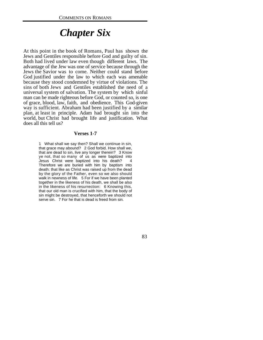## *Chapter Six*

At this point in the book of Romans, Paul has shown the Jews and Gentiles responsible before God and guilty of sin. Both had lived under law even though different laws. The advantage of the Jew was one of service because through the Jews the Savior was to come. Neither could stand before God justified under the law to which each was amenable because they stood condemned by virtue of violations. The sins of both Jews and Gentiles established the need of a universal system of salvation. The system by which sinful man can be made righteous before God, or counted so, is one of grace, blood, law, faith, and obedience. This God-given way is sufficient. Abraham had been justified by a similar plan, at least in principle. Adam had brought sin into the world, but Christ had brought life and justification. What does all this tell us?

#### **Verses 1-7**

1 What shall we say then? Shall we continue in sin, that grace may abound? 2 God forbid. How shall we, that are dead to sin, live any longer therein? 3 Know ye not, that so many of us as were baptized into Jesus Christ were baptized into his death? 4 Therefore we are buried with him by baptism into death: that like as Christ was raised up from the dead by the glory of the Father, even so we also should walk in newness of life. 5 For if we have been planted together in the likeness of his death, we shall be also in the likeness of his resurrection: 6 Knowing this, that our old man is crucified with him, that the body of sin might be destroyed, that henceforth we should not serve sin. 7 For he that is dead is freed from sin.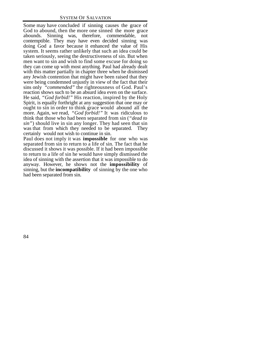Some may have concluded if sinning causes the grace of God to abound, then the more one sinned the more grace abounds. Sinning was, therefore, commendable, not contemptible. They may have even decided sinning was doing God a favor because it enhanced the value of His system. It seems rather unlikely that such an idea could be taken seriously, seeing the destructiveness of sin. But when men want to sin and wish to find some excuse for doing so they can come up with most anything. Paul had already dealt with this matter partially in chapter three when he dismissed any Jewish contention that might have been raised that they were being condemned unjustly in view of the fact that their sins only *"commended"* the righteousness of God. Paul's reaction shows such to be an absurd idea even on the surface. He said, *"God forbid!"* His reaction, inspired by the Holy Spirit, is equally forthright at any suggestion that one may or ought to sin in order to think grace would abound all the more. Again, we read, *"God forbid!"* It was ridiculous to think that those who had been separated from sin (*"dead to sin"*) should live in sin any longer. They had seen that sin was that from which they needed to be separated. They certainly would not wish to continue in sin.

Paul does not imply it was **impossible** for one who was separated from sin to return to a life of sin. The fact that he discussed it shows it was possible. If it had been impossible to return to a life of sin he would have simply dismissed the idea of sinning with the assertion that it was impossible to do anyway. However, he shows not the **impossibility** of sinning, but the **incompatibility** of sinning by the one who had been separated from sin.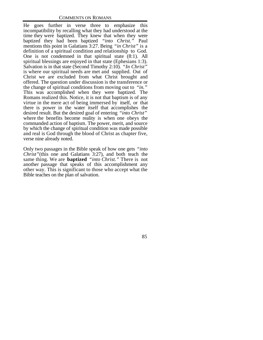He goes further in verse three to emphasize this incompatibility by recalling what they had understood at the time they were baptized. They knew that when they were baptized they had been baptized *"into Christ."* Paul mentions this point in Galatians 3:27. Being *"in Christ"* is a definition of a spiritual condition and relationship to God. One is not condemned in that spiritual state (8:1). All spiritual blessings are enjoyed in that state (Ephesians 1:3). Salvation is in that state (Second Timothy 2:10). *"In Christ"* is where our spiritual needs are met and supplied. Out of Christ we are excluded from what Christ brought and offered. The question under discussion is the transference or the change of spiritual conditions from moving out to *"in."* This was accomplished when they were baptized. The Romans realized this. Notice, it is not that baptism is of any virtue in the mere act of being immersed by itself, or that there is power in the water itself that accomplishes the desired result. But the desired goal of entering *"into Christ"* where the benefits become reality is when one obeys the commanded action of baptism. The power, merit, and source by which the change of spiritual condition was made possible and real is God through the blood of Christ as chapter five, verse nine already noted.

Only two passages in the Bible speak of how one gets *"into Christ"*(this one and Galatians 3:27), and both teach the same thing. We are **baptized** *"into Christ."* There is not another passage that speaks of this accomplishment any other way. This is significant to those who accept what the Bible teaches on the plan of salvation.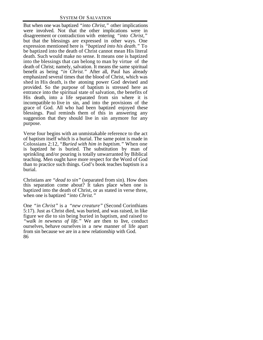#### SYSTEM OF SALVATION

But when one was baptized *"into Christ,"* other implications were involved. Not that the other implications were in disagreement or contradiction with entering *"into Christ,"* but that the blessings are expressed in other ways. One expression mentioned here is *"baptized into his death."* To be baptized into the death of Christ cannot mean His literal death. Such would make no sense. It means one is baptized into the blessings that can belong to man by virtue of the death of Christ; namely, salvation. It means the same spiritual benefit as being *"in Christ."* After all, Paul has already emphasized several times that the blood of Christ, which was shed in His death, is the atoning power God devised and provided. So the purpose of baptism is stressed here as entrance into the spiritual state of salvation, the benefits of His death, into a life separated from sin where it is incompatible to live in sin, and into the provisions of the grace of God. All who had been baptized enjoyed these blessings. Paul reminds them of this in answering any suggestion that they should live in sin anymore for any purpose.

Verse four begins with an unmistakable reference to the act of baptism itself which is a burial. The same point is made in Colossians 2:12, "*Buried with him in baptism."* When one is baptized he is buried. The substitution by man of sprinkling and/or pouring is totally unwarranted by Biblical teaching. Men ought have more respect for the Word of God than to practice such things. God's book teaches baptism is a burial.

Christians are *"dead to sin"* (separated from sin). How does this separation come about? It takes place when one is baptized into the death of Christ, or as stated in verse three, when one is baptized *"into Christ."*

86 One *"in Christ"* is a *"new creature"* (Second Corinthians 5:17). Just as Christ died, was buried, and was raised, in like figure we die to sin being buried in baptism, and raised to *"walk in newness of life."* We are then to live, conduct ourselves, behave ourselves in a new manner of life apart from sin because we are in a new relationship with God.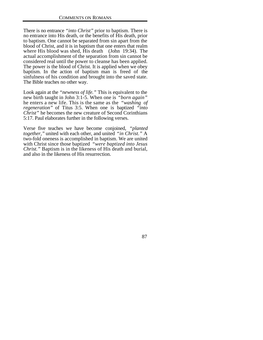There is no entrance *"into Christ"* prior to baptism. There is no entrance into His death, or the benefits of His death, prior to baptism. One cannot be separated from sin apart from the blood of Christ, and it is in baptism that one enters that realm where His blood was shed, His death (John 19:34). The actual accomplishment of the separation from sin cannot be considered real until the power to cleanse has been applied. The power is the blood of Christ. It is applied when we obey baptism. In the action of baptism man is freed of the sinfulness of his condition and brought into the saved state. The Bible teaches no other way.

Look again at the *"newness of life."* This is equivalent to the new birth taught in John 3:1-5. When one is *"born again"* he enters a new life. This is the same as the *"washing of regeneration"* of Titus 3:5. When one is baptized *"into Christ"* he becomes the new creature of Second Corinthians 5:17. Paul elaborates further in the following verses.

Verse five teaches we have become conjoined, *"planted together,"* united with each other, and united *"in Christ."* A two-fold oneness is accomplished in baptism. We are united with Christ since those baptized *"were baptized into Jesus Christ."* Baptism is in the likeness of His death and burial, and also in the likeness of His resurrection.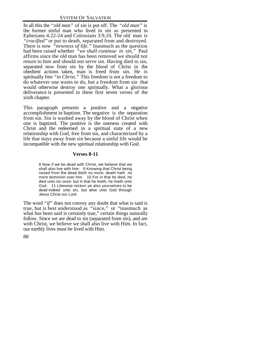In all this the *"old man"* of sin is put off. The *"old man"* is the former sinful man who lived in sin as presented in Ephesians 4:22-24 and Colossians 3:9,10. The old man is *"crucified"* or put to death, separated from and destroyed. There is now *"newness of life."* Inasmuch as the question had been raised whether *"we shall continue in sin,"* Paul affirms since the old man has been removed we should not return to him and should not serve sin. Having died to sin, separated now from sin by the blood of Christ in the obedient actions taken, man is freed from sin. He is spiritually free *"in Christ."* This freedom is not a freedom to do whatever one wants to do, but a freedom from sin that would otherwise destroy one spiritually. What a glorious deliverance is presented in these first seven verses of the sixth chapter.

This paragraph presents a positive and a negative accomplishment in baptism. The negative is the separation from sin. Sin is washed away by the blood of Christ when one is baptized. The positive is the oneness created with Christ and the redeemed in a spiritual state of a new relationship with God, free from sin, and characterized by a life that stays away from sin because a sinful life would be incompatible with the new spiritual relationship with God.

## **Verses 8-11**

8 Now if we be dead with Christ, we believe that we shall also live with him: 9 Knowing that Christ being raised from the dead dieth no more; death hath no more dominion over him. 10 For in that he died, he died unto sin once: but in that he liveth, he liveth unto God. 11 Likewise reckon ye also yourselves to be dead indeed unto sin, but alive unto God through Jesus Christ our Lord.

The word *"if"* does not convey any doubt that what is said is true, but is best understood as "since," or "inasmuch as what has been said is certainly true," certain things naturally follow. Since we are dead to sin (separated from sin), and are with Christ, we believe we shall also live with Him. In fact, our earthly lives must be lived with Him.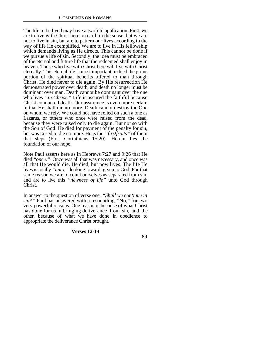The life to be lived may have a twofold application. First, we are to live with Christ here on earth in the sense that we are not to live in sin, but are to pattern our lives according to the way of life He exemplified. We are to live in His fellowship which demands living as He directs. This cannot be done if we pursue a life of sin. Secondly, the idea must be embraced of the eternal and future life that the redeemed shall enjoy in heaven. Those who live with Christ here will live with Christ eternally. This eternal life is most important, indeed the prime portion of the spiritual benefits offered to man through Christ. He died never to die again. By His resurrection He demonstrated power over death, and death no longer must be dominant over man. Death cannot be dominant over the one who lives *"in Christ."* Life is assured the faithful because Christ conquered death. Our assurance is even more certain in that He shall die no more. Death cannot destroy the One on whom we rely. We could not have relied on such a one as Lazarus, or others who once were raised from the dead, because they were raised only to die again. But not so with the Son of God. He died for payment of the penalty for sin, but was raised to die no more. He is the *"firstfruits"* of them that slept (First Corinthians 15:20). Herein lies the foundation of our hope.

Note Paul asserts here as in Hebrews 7:27 and 9:26 that He died "*once*." Once was all that was necessary, and once was all that He would die. He died, but now lives. The life He lives is totally *"unto,"* looking toward, given to God. For that same reason we are to count ourselves as separated from sin, and are to live this *"newness of life"* unto God through Christ.

In answer to the question of verse one, *"Shall we continue in sin?"* Paul has answered with a resounding, "**No**," for two very powerful reasons. One reason is because of what Christ has done for us in bringing deliverance from sin, and the other, because of what we have done in obedience to appropriate the deliverance Christ brought.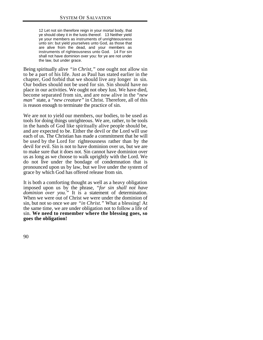12 Let not sin therefore reign in your mortal body, that ye should obey it in the lusts thereof. 13 Neither yield ye your members as instruments of unrighteousness unto sin: but yield yourselves unto God, as those that are alive from the dead, and your members as instruments of righteousness unto God. 14 For sin shall not have dominion over you: for ye are not under the law, but under grace.

Being spiritually alive *"in Christ,"* one ought not allow sin to be a part of his life. Just as Paul has stated earlier in the chapter, God forbid that we should live any longer in sin. Our bodies should not be used for sin. Sin should have no place in our activities. We ought not obey lust. We have died, become separated from sin, and are now alive in the "*new man"* state, a *"new creature"* in Christ. Therefore, all of this is reason enough to terminate the practice of sin.

We are not to yield our members, our bodies, to be used as tools for doing things unrighteous. We are, rather, to be tools in the hands of God like spiritually alive people should be, and are expected to be. Either the devil or the Lord will use each of us. The Christian has made a commitment that he will be used by the Lord for righteousness rather than by the devil for evil. Sin is not to have dominion over us, but we are to make sure that it does not. Sin cannot have dominion over us as long as we choose to walk uprightly with the Lord. We do not live under the bondage of condemnation that is pronounced upon us by law, but we live under the system of grace by which God has offered release from sin.

It is both a comforting thought as well as a heavy obligation imposed upon us by the phrase, *"for sin shall not have dominion over you."* It is a statement of determination. When we were out of Christ we were under the dominion of sin, but not so once we are *"in Christ."* What a blessing! At the same time, we are under obligation not to follow a life of sin. **We need to remember where the blessing goes, so goes the obligation!**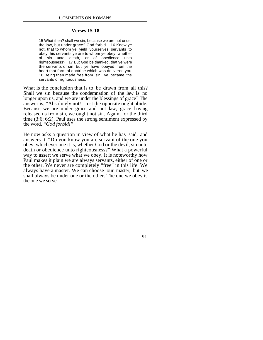## **Verses 15-18**

15 What then? shall we sin, because we are not under the law, but under grace? God forbid. 16 Know ye not, that to whom ye yield yourselves servants to obey, his servants ye are to whom ye obey; whether of sin unto death, or of obedience unto righteousness? 17 But God be thanked, that ye were the servants of sin, but ye have obeyed from the heart that form of doctrine which was delivered you. 18 Being then made free from sin, ye became the servants of righteousness.

What is the conclusion that is to be drawn from all this? Shall we sin because the condemnation of the law is no longer upon us, and we are under the blessings of grace? The answer is, "Absolutely not!" Just the opposite ought abide. Because we are under grace and not law, grace having released us from sin, we ought not sin. Again, for the third time (3:6; 6:2), Paul uses the strong sentiment expressed by the word, *"God forbid!"*

He now asks a question in view of what he has said, and answers it. "Do you know you are servant of the one you obey, whichever one it is, whether God or the devil, sin unto death or obedience unto righteousness?" What a powerful way to assert we serve what we obey. It is noteworthy how Paul makes it plain we are always servants, either of one or the other. We never are completely "free" in this life. We always have a master. We can choose our master, but we shall always be under one or the other. The one we obey is the one we serve.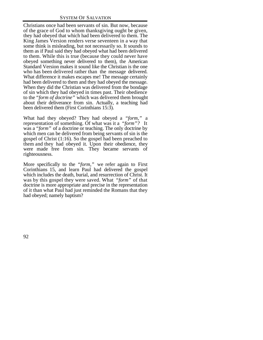Christians once had been servants of sin. But now, because of the grace of God to whom thanksgiving ought be given, they had obeyed that which had been delivered to them. The King James Version renders verse seventeen in a way that some think is misleading, but not necessarily so. It sounds to them as if Paul said they had obeyed what had been delivered to them. While this is true (because they could never have obeyed something never delivered to them), the American Standard Version makes it sound like the Christian is the one who has been delivered rather than the message delivered. What difference it makes escapes me! The message certainly had been delivered to them and they had obeyed the message. When they did the Christian was delivered from the bondage of sin which they had obeyed in times past. Their obedience to the *"form of doctrine"* which was delivered them brought about their deliverance from sin. Actually, a teaching had been delivered them (First Corinthians 15:3).

What had they obeyed? They had obeyed a *"form,"* a representation of something. Of what was it a *"form"?* It was a *"form"* of a doctrine or teaching. The only doctrine by which men can be delivered from being servants of sin is the gospel of Christ (1:16). So the gospel had been preached to them and they had obeyed it. Upon their obedience, they were made free from sin. They became servants of righteousness.

More specifically to the *"form,"* we refer again to First Corinthians 15, and learn Paul had delivered the gospel which includes the death, burial, and resurrection of Christ. It was by this gospel they were saved. What *"form"* of that doctrine is more appropriate and precise in the representation of it than what Paul had just reminded the Romans that they had obeyed; namely baptism?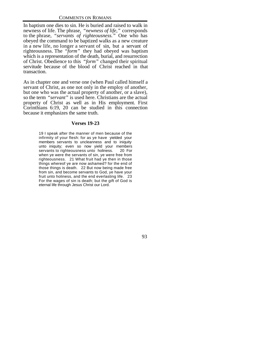In baptism one dies to sin. He is buried and raised to walk in newness of life. The phrase, *"newness of life,"* corresponds to the phrase, *"servants of righteousness."* One who has obeyed the command to be baptized walks as a new creature in a new life, no longer a servant of sin, but a servant of righteousness. The *"form"* they had obeyed was baptism which is a representation of the death, burial, and resurrection of Christ. Obedience to this *"form"* changed their spiritual servitude because of the blood of Christ reached in that transaction.

As in chapter one and verse one (when Paul called himself a servant of Christ, as one not only in the employ of another, but one who was the actual property of another, or a slave), so the term *"servant"* is used here. Christians are the actual property of Christ as well as in His employment. First Corinthians 6:19, 20 can be studied in this connection because it emphasizes the same truth.

## **Verses 19-23**

19 I speak after the manner of men because of the infirmity of your flesh: for as ye have yielded your members servants to uncleanness and to iniquity unto iniquity; even so now yield your members servants to righteousness unto holiness. 20 For when ye were the servants of sin, ye were free from righteousness. 21 What fruit had ye then in those things whereof ye are now ashamed? for the end of those things is death. 22 But now being made free from sin, and become servants to God, ye have your fruit unto holiness, and the end everlasting life. 23 For the wages of sin is death; but the gift of God is eternal life through Jesus Christ our Lord.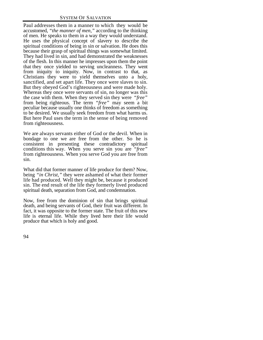Paul addresses them in a manner to which they would be accustomed, *"the manner of men,"* according to the thinking of men. He speaks to them in a way they would understand. He uses the physical concept of slavery to describe the spiritual conditions of being in sin or salvation. He does this because their grasp of spiritual things was somewhat limited. They had lived in sin, and had demonstrated the weaknesses of the flesh. In this manner he impresses upon them the point that they once yielded to serving uncleanness. They went from iniquity to iniquity. Now, in contrast to that, as Christians they were to yield themselves unto a holy, sanctified, and set apart life. They once were slaves to sin. But they obeyed God's righteousness and were made holy. Whereas they once were servants of sin, no longer was this the case with them. When they served sin they were *"free"* from being righteous. The term *"free"* may seem a bit peculiar because usually one thinks of freedom as something to be desired. We usually seek freedom from what harms us. But here Paul uses the term in the sense of being removed from righteousness.

We are always servants either of God or the devil. When in bondage to one we are free from the other. So he is consistent in presenting these contradictory spiritual conditions this way. When you serve sin you are *"free"* from righteousness. When you serve God you are free from sin.

What did that former manner of life produce for them? Now, being *"in Christ,"* they were ashamed of what their former life had produced. Well they might be, because it produced sin. The end result of the life they formerly lived produced spiritual death, separation from God, and condemnation.

Now, free from the dominion of sin that brings spiritual death, and being servants of God, their fruit was different. In fact, it was opposite to the former state. The fruit of this new life is eternal life. While they lived here their life would produce that which is holy and good.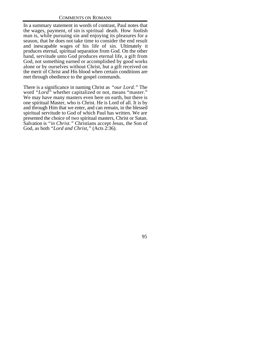In a summary statement in words of contrast, Paul notes that the wages, payment, of sin is spiritual death. How foolish man is, while pursuing sin and enjoying its pleasures for a season, that he does not take time to consider the end result and inescapable wages of his life of sin. Ultimately it produces eternal, spiritual separation from God. On the other hand, servitude unto God produces eternal life, a gift from God, not something earned or accomplished by good works alone or by ourselves without Christ, but a gift received on the merit of Christ and His blood when certain conditions are met through obedience to the gospel commands.

There is a significance in naming Christ as *"our Lord."* The word *"Lord"* whether capitalized or not, means "master." We may have many masters even here on earth, but there is one spiritual Master, who is Christ. He is Lord of all. It is by and through Him that we enter, and can remain, in the blessed spiritual servitude to God of which Paul has written. We are presented the choice of two spiritual masters, Christ or Satan. Salvation is *"in Christ."* Christians accept Jesus, the Son of God, as both *"Lord and Christ,"* (Acts 2:36).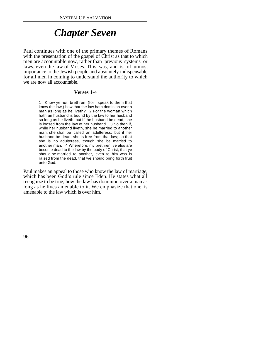# *Chapter Seven*

Paul continues with one of the primary themes of Romans with the presentation of the gospel of Christ as that to which men are accountable now, rather than previous systems or laws, even the law of Moses. This was, and is, of utmost importance to the Jewish people and absolutely indispensable for all men in coming to understand the authority to which we are now all accountable.

### **Verses 1-4**

1 Know ye not, brethren, (for I speak to them that know the law,) how that the law hath dominion over a man as long as he liveth? 2 For the woman which hath an husband is bound by the law to her husband so long as he liveth; but if the husband be dead, she is loosed from the law of her husband. 3 So then if, while her husband liveth, she be married to another man, she shall be called an adulteress: but if her husband be dead, she is free from that law; so that she is no adulteress, though she be married to another man. 4 Wherefore, my brethren, ye also are become dead to the law by the body of Christ; that ye should be married to another, even to him who is raised from the dead, that we should bring forth fruit unto God.

Paul makes an appeal to those who know the law of marriage, which has been God's rule since Eden. He states what all recognize to be true, how the law has dominion over a man as long as he lives amenable to it. We emphasize that one is amenable to the law which is over him.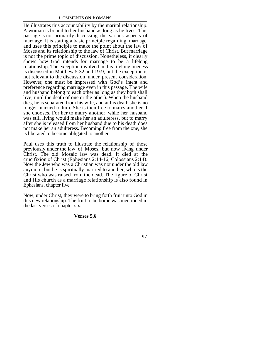He illustrates this accountability by the marital relationship. A woman is bound to her husband as long as he lives. This passage is not primarily discussing the various aspects of marriage. It is stating a basic principle regarding marriage, and uses this principle to make the point about the law of Moses and its relationship to the law of Christ. But marriage is not the prime topic of discussion. Nonetheless, it clearly shows how God intends for marriage to be a lifelong relationship. The exception involved in this lifelong oneness is discussed in Matthew 5:32 and 19:9, but the exception is not relevant to the discussion under present consideration. However, one must be impressed with God's intent and preference regarding marriage even in this passage. The wife and husband belong to each other as long as they both shall live; until the death of one or the other). When the husband dies, he is separated from his wife, and at his death she is no longer married to him. She is then free to marry another if she chooses. For her to marry another while her husband was still living would make her an adulteress, but to marry after she is released from her husband due to his death does not make her an adulteress. Becoming free from the one, she is liberated to become obligated to another.

Paul uses this truth to illustrate the relationship of those previously under the law of Moses, but now living under Christ. The old Mosaic law was dead. It died at the crucifixion of Christ (Ephesians 2:14-16; Colossians 2:14). Now the Jew who was a Christian was not under the old law anymore, but he is spiritually married to another, who is the Christ who was raised from the dead. The figure of Christ and His church as a marriage relationship is also found in Ephesians, chapter five.

Now, under Christ, they were to bring forth fruit unto God in this new relationship. The fruit to be borne was mentioned in the last verses of chapter six.

# **Verses 5,6**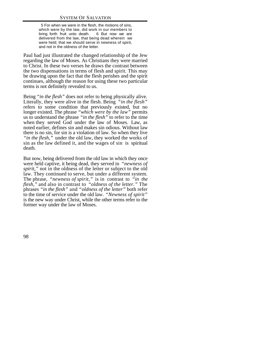5 For when we were in the flesh, the motions of sins, which were by the law, did work in our members to bring forth fruit unto death. 6 But now we are delivered from the law, that being dead wherein we were held; that we should serve in newness of spirit, and not in the oldness of the letter.

Paul had just illustrated the changed relationship of the Jew regarding the law of Moses. As Christians they were married to Christ. In these two verses he draws the contrast between the two dispensations in terms of flesh and spirit. This may be drawing upon the fact that the flesh perishes and the spirit continues, although the reason for using these two particular terms is not definitely revealed to us.

Being *"in the flesh"* does not refer to being physically alive. Literally, they were alive in the flesh. Being *"in the flesh"* refers to some condition that previously existed, but no longer existed. The phrase *"which were by the law"* permits us to understand the phrase *"in the flesh"* to refer to the time when they served God under the law of Moses. Law, as noted earlier, defines sin and makes sin odious. Without law there is no sin, for sin is a violation of law. So when they live *"in the flesh,"* under the old law, they worked the works of sin as the law defined it, and the wages of sin is spiritual death.

But now, being delivered from the old law in which they once were held captive, it being dead, they served in *"newness of spirit,*" not in the oldness of the letter or subject to the old law. They continued to serve, but under a different system. The phrase, *"newness of spirit,"* is in contrast to *"in the flesh,"* and also in contrast to *"oldness of the letter."* The phrases *"in the flesh"* and "*oldness of the letter"* both refer to the time of service under the old law. *"Newness of spirit"* is the new way under Christ, while the other terms refer to the former way under the law of Moses.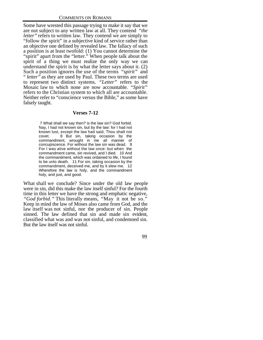Some have wrested this passage trying to make it say that we are not subject to any written law at all. They contend *"the letter"* refers to written law. They contend we are simply to "follow the spirit" in a subjective kind of service rather than an objective one defined by revealed law. The fallacy of such a position is at least twofold: (1) You cannot determine the "spirit" apart from the "letter." When people talk about the spirit of a thing we must realize the only way we can understand the spirit is by what the letter says about it. (2) Such a position ignores the use of the terms *"spirit"* and " *letter"* as they are used by Paul. These two terms are used to represent two distinct systems. *"Letter"* refers to the Mosaic law to which none are now accountable. *"Spirit"* refers to the Christian system to which all are accountable. Neither refer to "conscience versus the Bible," as some have falsely taught.

## **Verses 7-12**

 7 What shall we say then? is the law sin? God forbid. Nay, I had not known sin, but by the law: for I had not known lust, except the law had said, Thou shalt not covet. 8 But sin, taking occasion by the commandment, wrought in me all manner of concupiscence. For without the law sin was dead. 9 For I was alive without the law once: but when the commandment came, sin revived, and I died. 10 And the commandment, which was ordained to life, I found to be unto death. 11 For sin, taking occasion by the commandment, deceived me, and by it slew me. 12 Wherefore the law is holy, and the commandment holy, and just, and good.

What shall we conclude? Since under the old law people were in sin, did this make the law itself sinful? For the fourth time in this letter we have the strong and emphatic negative, *"God forbid."* This literally means, "May it not be so." Keep in mind the law of Moses also came from God, and the law itself was not sinful, nor the producer of sin. People sinned. The law defined that sin and made sin evident, classified what was and was not sinful, and condemned sin. But the law itself was not sinful.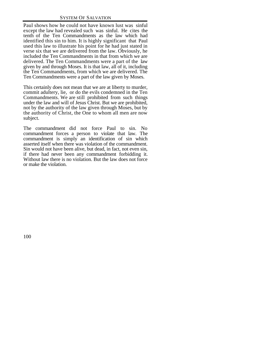Paul shows how he could not have known lust was sinful except the law had revealed such was sinful. He cites the tenth of the Ten Commandments as the law which had identified this sin to him. It is highly significant that Paul used this law to illustrate his point for he had just stated in verse six that we are delivered from the law. Obviously, he included the Ten Commandments in that from which we are delivered. The Ten Commandments were a part of the law given by and through Moses. It is that law, all of it, including the Ten Commandments, from which we are delivered. The Ten Commandments were a part of the law given by Moses.

This certainly does not mean that we are at liberty to murder, commit adultery, lie, or do the evils condemned in the Ten Commandments. We are still prohibited from such things under the law and will of Jesus Christ. But we are prohibited, not by the authority of the law given through Moses, but by the authority of Christ, the One to whom all men are now subject.

The commandment did not force Paul to sin. No commandment forces a person to violate that law. The commandment is simply an identification of sin which asserted itself when there was violation of the commandment. Sin would not have been alive, but dead, in fact, not even sin, if there had never been any commandment forbidding it. Without law there is no violation. But the law does not force or make the violation.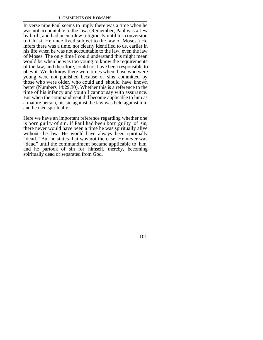In verse nine Paul seems to imply there was a time when he was not accountable to the law. (Remember, Paul was a Jew by birth, and had been a Jew religiously until his conversion to Christ. He once lived subject to the law of Moses.) He infers there was a time, not clearly identified to us, earlier in his life when he was not accountable to the law, even the law of Moses. The only time I could understand this might mean would be when he was too young to know the requirements of the law, and therefore, could not have been responsible to obey it. We do know there were times when those who were young were not punished because of sins committed by those who were older, who could and should have known better (Numbers 14:29,30). Whether this is a reference to the time of his infancy and youth I cannot say with assurance. But when the commandment did become applicable to him as a mature person, his sin against the law was held against him and he died spiritually.

Here we have an important reference regarding whether one is born guilty of sin. If Paul had been born guilty of sin, there never would have been a time he was spiritually alive without the law. He would have always been spiritually "dead." But he states that was not the case. He never was "dead" until the commandment became applicable to him, and he partook of sin for himself, thereby, becoming spiritually dead or separated from God.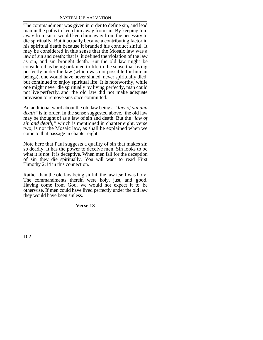The commandment was given in order to define sin, and lead man in the paths to keep him away from sin. By keeping him away from sin it would keep him away from the necessity to die spiritually. But it actually became a contributing factor in his spiritual death because it branded his conduct sinful. It may be considered in this sense that the Mosaic law was a law of sin and death; that is, it defined the violation of the law as sin, and sin brought death. But the old law might be considered as being ordained to life in the sense that living perfectly under the law (which was not possible for human beings), one would have never sinned, never spiritually died, but continued to enjoy spiritual life. It is noteworthy, while one might never die spiritually by living perfectly, man could not live perfectly, and the old law did not make adequate provision to remove sins once committed.

An additional word about the old law being a *"law of sin and death"* is in order. In the sense suggested above, the old law may be thought of as a law of sin and death. But the "*law of sin and death,"* which is mentioned in chapter eight, verse two, is not the Mosaic law, as shall be explained when we come to that passage in chapter eight.

Note here that Paul suggests a quality of sin that makes sin so deadly. It has the power to deceive men. Sin looks to be what it is not. It is deceptive. When men fall for the deception of sin they die spiritually. You will want to read First Timothy 2:14 in this connection.

Rather than the old law being sinful, the law itself was holy. The commandments therein were holy, just, and good. Having come from God, we would not expect it to be otherwise. If men could have lived perfectly under the old law they would have been sinless.

# **Verse 13**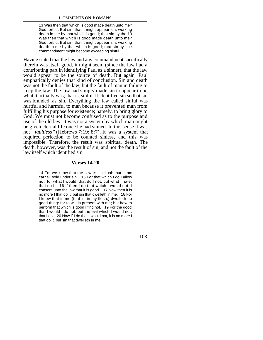13 Was then that which is good made death unto me? God forbid. But sin, that it might appear sin, working death in me by that which is good; that sin by the 13 Was then that which is good made death unto me? God forbid. But sin, that it might appear sin, working death in me by that which is good; that sin by the commandment might become exceeding sinful.

Having stated that the law and any commandment specifically therein was itself good, it might seem (since the law had a contributing part in identifying Paul as a sinner), that the law would appear to be the source of death. But again, Paul emphatically denies that kind of conclusion. Sin and death was not the fault of the law, but the fault of man in failing to keep the law. The law had simply made sin to appear to be what it actually was; that is, sinful. It identified sin so that sin was branded as sin. Everything the law called sinful was hurtful and harmful to man because it prevented man from fulfilling his purpose for existence; namely, to bring glory to God. We must not become confused as to the purpose and use of the old law. It was not a system by which man might be given eternal life once he had sinned. In this sense it was not *"faultless"* (Hebrews 7:19; 8:7). It was a system that required perfection to be counted sinless, and this was impossible. Therefore, the result was spiritual death. The death, however, was the result of sin, and not the fault of the law itself which identified sin.

### **Verses 14-20**

14 For we know that the law is spiritual: but I am carnal, sold under sin. 15 For that which I do I allow not: for what I would, that do I not; but what I hate, that do I. 16 If then I do that which I would not, I consent unto the law that it is good. 17 Now then it is no more I that do it, but sin that dwelleth in me. 18 For I know that in me (that is, in my flesh,) dwelleth no good thing: for to will is present with me; but how to perform that which is good I find not. 19 For the good that I would I do not: but the evil which I would not, that I do. 20 Now if I do that I would not, it is no more I that do it, but sin that dwelleth in me.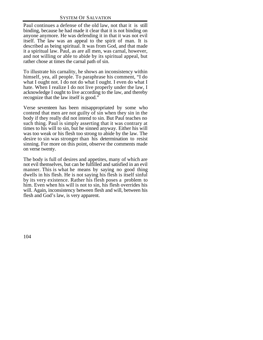Paul continues a defense of the old law, not that it is still binding, because he had made it clear that it is not binding on anyone anymore. He was defending it in that it was not evil itself. The law was an appeal to the spirit of man. It is described as being spiritual. It was from God, and that made it a spiritual law. Paul, as are all men, was carnal, however, and not willing or able to abide by its spiritual appeal, but rather chose at times the carnal path of sin.

To illustrate his carnality, he shows an inconsistency within himself, yea, all people. To paraphrase his comment, "I do what I ought not. I do not do what I ought. I even do what I hate. When I realize I do not live properly under the law, I acknowledge I ought to live according to the law, and thereby recognize that the law itself is good."

Verse seventeen has been misappropriated by some who contend that men are not guilty of sin when they sin in the body if they really did not intend to sin. But Paul teaches no such thing. Paul is simply asserting that it was contrary at times to his will to sin, but he sinned anyway. Either his will was too weak or his flesh too strong to abide by the law. The desire to sin was stronger than his determination to resist sinning. For more on this point, observe the comments made on verse twenty.

The body is full of desires and appetites, many of which are not evil themselves, but can be fulfilled and satisfied in an evil manner. This is what he means by saying no good thing dwells in his flesh. He is not saying his flesh is itself sinful by its very existence. Rather his flesh poses a problem to him. Even when his will is not to sin, his flesh overrides his will. Again, inconsistency between flesh and will, between his flesh and God's law, is very apparent.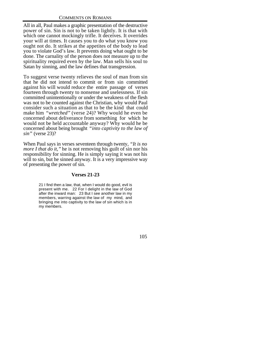All in all, Paul makes a graphic presentation of the destructive power of sin. Sin is not to be taken lightly. It is that with which one cannot mockingly trifle. It deceives. It overrides your will at times. It causes you to do what you know you ought not do. It strikes at the appetites of the body to lead you to violate God's law. It prevents doing what ought to be done. The carnality of the person does not measure up to the spirituality required even by the law. Man sells his soul to Satan by sinning, and the law defines that transgression.

To suggest verse twenty relieves the soul of man from sin that he did not intend to commit or from sin committed against his will would reduce the entire passage of verses fourteen through twenty to nonsense and uselessness. If sin committed unintentionally or under the weakness of the flesh was not to be counted against the Christian, why would Paul consider such a situation as that to be the kind that could make him *"wretched"* (verse 24)? Why would he even be concerned about deliverance from something for which he would not be held accountable anyway? Why would he be concerned about being brought *"into captivity to the law of sin"* (verse 23)?

When Paul says in verses seventeen through twenty, *"It is no more I that do it,*" he is not removing his guilt of sin nor his responsibility for sinning. He is simply saying it was not his will to sin, but he sinned anyway. It is a very impressive way of presenting the power of sin.

# **Verses 21-23**

21 I find then a law, that, when I would do good, evil is present with me. 22 For I delight in the law of God after the inward man: 23 But I see another law in my members, warring against the law of my mind, and bringing me into captivity to the law of sin which is in my members.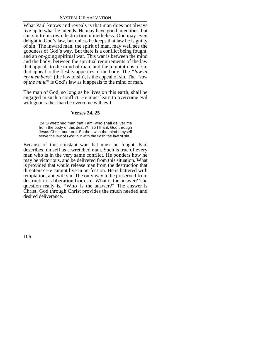What Paul knows and reveals is that man does not always live up to what he intends. He may have good intentions, but can sin to his own destruction nonetheless. One may even delight in God's law, but unless he keeps that law he is guilty of sin. The inward man, the spirit of man, may well see the goodness of God's way. But there is a conflict being fought, and an on-going spiritual war. This war is between the mind and the body; between the spiritual requirements of the law that appeals to the mind of man, and the temptations of sin that appeal to the fleshly appetites of the body. The *"law in my members"* (the law of sin), is the appeal of sin. The *"law of the mind"* is God's law as it appeals to the mind of man.

The man of God, so long as he lives on this earth, shall be engaged in such a conflict. He must learn to overcome evil with good rather than be overcome with evil.

# **Verses 24, 25**

 24 O wretched man that I am! who shall deliver me from the body of this death? 25 I thank God through Jesus Christ our Lord. So then with the mind I myself serve the law of God; but with the flesh the law of sin.

Because of this constant war that must be fought, Paul describes himself as a wretched man. Such is true of every man who is in the very same conflict. He ponders how he may be victorious, and be delivered from this situation. What is provided that would release man from the destruction that threatens? He cannot live in perfection. He is battered with temptation, and will sin. The only way to be preserved from destruction is liberation from sin. What is the answer? The question really is, "Who is the answer?" The answer is Christ. God through Christ provides the much needed and desired deliverance.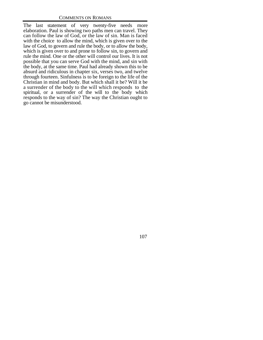The last statement of very twenty-five needs more elaboration. Paul is showing two paths men can travel. They can follow the law of God, or the law of sin. Man is faced with the choice to allow the mind, which is given over to the law of God, to govern and rule the body, or to allow the body, which is given over to and prone to follow sin, to govern and rule the mind. One or the other will control our lives. It is not possible that you can serve God with the mind, and sin with the body, at the same time. Paul had already shown this to be absurd and ridiculous in chapter six, verses two, and twelve through fourteen. Sinfulness is to be foreign to the life of the Christian in mind and body. But which shall it be? Will it be a surrender of the body to the will which responds to the spiritual, or a surrender of the will to the body which responds to the way of sin? The way the Christian ought to go cannot be misunderstood.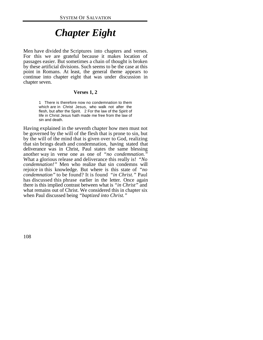# *Chapter Eight*

Men have divided the Scriptures into chapters and verses. For this we are grateful because it makes location of passages easier. But sometimes a chain of thought is broken by these artificial divisions. Such seems to be the case at this point in Romans. At least, the general theme appears to continue into chapter eight that was under discussion in chapter seven.

## **Verses 1, 2**

1 There is therefore now no condemnation to them which are in Christ Jesus, who walk not after the flesh, but after the Spirit. 2 For the law of the Spirit of life in Christ Jesus hath made me free from the law of sin and death.

Having explained in the seventh chapter how men must not be governed by the will of the flesh that is prone to sin, but by the will of the mind that is given over to God, realizing that sin brings death and condemnation, having stated that deliverance was in Christ, Paul states the same blessing another way in verse one as one of *"no condemnation."* What a glorious release and deliverance this really is! *"No condemnation!"* Men who realize that sin condemns will rejoice in this knowledge. But where is this state of *"no condemnation"* to be found? It is found *"in Christ."* Paul has discussed this phrase earlier in the letter. Once again there is this implied contrast between what is *"in Christ"* and what remains out of Christ. We considered this in chapter six when Paul discussed being *"baptized into Christ."*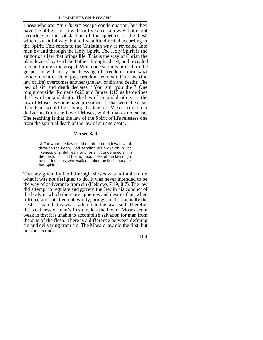Those who are *"in Christ"* escape condemnation, but they have the obligation to walk or live a certain way that is not according to the satisfaction of the appetites of the flesh which is a sinful way, but to live a life directed according to the Spirit. This refers to the Christian way as revealed unto man by and through the Holy Spirit. The Holy Spirit is the author of a law that brings life. This is the way of Christ, the plan devised by God the Father through Christ, and revealed to man through the gospel. When one submits himself to the gospel he will enjoy the blessing of freedom from what condemns him. He enjoys freedom from sin. One law (the law of life) overcomes another (the law of sin and death). The law of sin and death declares, "You sin; you die." One might consider Romans 6:23 and James 1:15 as he defines the law of sin and death. The law of sin and death is not the law of Moses as some have presumed. If that were the case, then Paul would be saying the law of Moses could not deliver us from the law of Moses, which makes no sense. The teaching is that the law of the Spirit of life releases one from the spiritual death of the law of sin and death.

#### **Verses 3, 4**

 3 For what the law could not do, in that it was weak through the flesh, God sending his own Son in the likeness of sinful flesh, and for sin, condemned sin in the flesh: 4 That the righteousness of the law might be fulfilled in us, who walk not after the flesh, but after the Spirit.

The law given by God through Moses was not able to do what it was not designed to do. It was never intended to be the way of deliverance from sin (Hebrews 7:19; 8:7). The law did attempt to regulate and govern the Jew in his conduct of the body in which there are appetites and desires that, when fulfilled and satisfied unlawfully, brings sin. It is actually the flesh of man that is weak rather than the law itself. Thereby, the weakness of man's flesh makes the law of Moses seem weak in that it is unable to accomplish salvation for man from the sins of the flesh. There is a difference between defining sin and delivering from sin. The Mosaic law did the first, but not the second.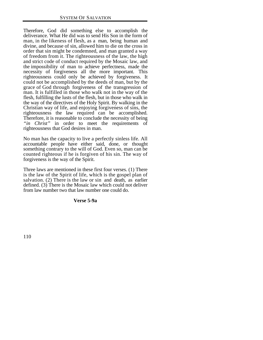Therefore, God did something else to accomplish the deliverance. What He did was to send His Son in the form of man, in the likeness of flesh, as a man, being human and divine, and because of sin, allowed him to die on the cross in order that sin might be condemned, and man granted a way of freedom from it. The righteousness of the law, the high and strict code of conduct required by the Mosaic law, and the impossibility of man to achieve perfectness, made the necessity of forgiveness all the more important. This righteousness could only be achieved by forgiveness. It could not be accomplished by the deeds of man, but by the grace of God through forgiveness of the transgression of man. It is fulfilled in those who walk not in the way of the flesh, fulfilling the lusts of the flesh, but in those who walk in the way of the directives of the Holy Spirit. By walking in the Christian way of life, and enjoying forgiveness of sins, the righteousness the law required can be accomplished. Therefore, it is reasonable to conclude the necessity of being *"in Christ"* in order to meet the requirements of righteousness that God desires in man.

No man has the capacity to live a perfectly sinless life. All accountable people have either said, done, or thought something contrary to the will of God. Even so, man can be counted righteous if he is forgiven of his sin. The way of forgiveness is the way of the Spirit.

Three laws are mentioned in these first four verses. (1) There is the law of the Spirit of life, which is the gospel plan of salvation. (2) There is the law or sin and death, as earlier defined. (3) There is the Mosaic law which could not deliver from law number two that law number one could do.

#### **Verse 5-9a**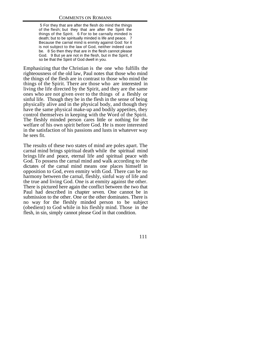5 For they that are after the flesh do mind the things of the flesh; but they that are after the Spirit the things of the Spirit. 6 For to be carnally minded is death; but to be spiritually minded is life and peace. 7 Because the carnal mind is enmity against God: for it is not subject to the law of God, neither indeed can be. 8 So then they that are in the flesh cannot please God. 9 But ye are not in the flesh, but in the Spirit, if so be that the Spirit of God dwell in you.

Emphasizing that the Christian is the one who fulfills the righteousness of the old law, Paul notes that those who mind the things of the flesh are in contrast to those who mind the things of the Spirit. There are those who are interested in living the life directed by the Spirit, and they are the same ones who are not given over to the things of a fleshly or sinful life. Though they be in the flesh in the sense of being physically alive and in the physical body, and though they have the same physical make-up and bodily appetites, they control themselves in keeping with the Word of the Spirit. The fleshly minded person cares little or nothing for the welfare of his own spirit before God. He is more interested in the satisfaction of his passions and lusts in whatever way he sees fit.

The results of these two states of mind are poles apart. The carnal mind brings spiritual death while the spiritual mind brings life and peace, eternal life and spiritual peace with God. To possess the carnal mind and walk according to the dictates of the carnal mind means one places himself in opposition to God, even enmity with God. There can be no harmony between the carnal, fleshly, sinful way of life and the true and living God. One is at enmity against the other. There is pictured here again the conflict between the two that Paul had described in chapter seven. One cannot be in submission to the other. One or the other dominates. There is no way for the fleshly minded person to be subject (obedient) to God while in his fleshly mind. Those in the flesh, in sin, simply cannot please God in that condition.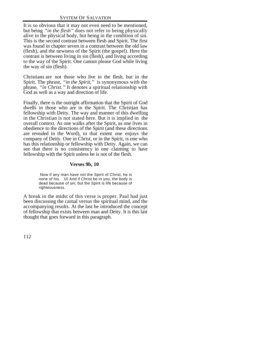It is so obvious that it may not even need to be mentioned, but being *"in the flesh"* does not refer to being physically alive in the physical body, but being in the condition of sin. This is the second contrast between flesh and Spirit. The first was found in chapter seven in a contrast between the old law (flesh), and the newness of the Spirit (the gospel). Here the contrast is between living in sin (flesh), and living according to the way of the Spirit. One cannot please God while living the way of sin (flesh).

Christians are not those who live in the flesh, but in the Spirit. The phrase, *"in the Spirit,"* is synonymous with the phrase, *"in Christ."* It denotes a spiritual relationship with God as well as a way and direction of life.

Finally, there is the outright affirmation that the Spirit of God dwells in those who are in the Spirit. The Christian has fellowship with Deity. The way and manner of this dwelling in the Christian is not stated here. But it is implied in the overall context. As one walks after the Spirit, as one lives in obedience to the directions of the Spirit (and these directions are revealed in the Word), to that extent one enjoys the company of Deity. One in Christ, or in the Spirit, is one who has this relationship or fellowship with Deity. Again, we can see that there is no consistency in one claiming to have fellowship with the Spirit unless he is not of the flesh.

# **Verses 9b, 10**

 Now if any man have not the Spirit of Christ, he is none of his. 10 And if Christ be in you, the body is dead because of sin; but the Spirit is life because of righteousness.

A break in the midst of this verse is proper. Paul had just been discussing the carnal versus the spiritual mind, and the accompanying results. At the last he introduced the concept of fellowship that exists between man and Deity. It is this last thought that goes forward in this paragraph.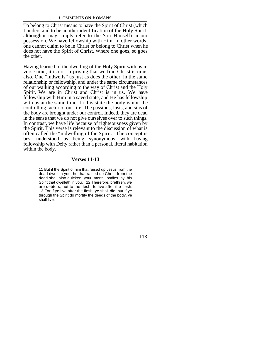To belong to Christ means to have the Spirit of Christ (which I understand to be another identification of the Holy Spirit, although it may simply refer to the Son Himself) in our possession. We have fellowship with Him. In other words, one cannot claim to be in Christ or belong to Christ when he does not have the Spirit of Christ. Where one goes, so goes the other.

Having learned of the dwelling of the Holy Spirit with us in verse nine, it is not surprising that we find Christ is in us also. One "indwells" us just as does the other, in the same relationship or fellowship, and under the same circumstances of our walking according to the way of Christ and the Holy Spirit. We are in Christ and Christ is in us. We have fellowship with Him in a saved state, and He has fellowship with us at the same time. In this state the body is not the controlling factor of our life. The passions, lusts, and sins of the body are brought under our control. Indeed, they are dead in the sense that we do not give ourselves over to such things. In contrast, we have life because of righteousness given by the Spirit. This verse is relevant to the discussion of what is often called the "indwelling of the Spirit." The concept is best understood as being synonymous with having fellowship with Deity rather than a personal, literal habitation within the body.

# **Verses 11-13**

11 But if the Spirit of him that raised up Jesus from the dead dwell in you, he that raised up Christ from the dead shall also quicken your mortal bodies by his Spirit that dwelleth in you. 12 Therefore, brethren, we are debtors, not to the flesh, to live after the flesh. 13 For if ye live after the flesh, ye shall die: but if ye through the Spirit do mortify the deeds of the body, ye shall live.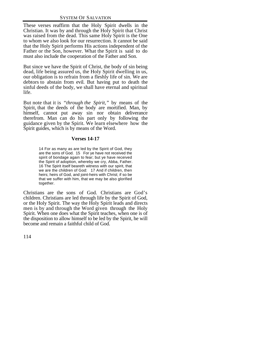These verses reaffirm that the Holy Spirit dwells in the Christian. It was by and through the Holy Spirit that Christ was raised from the dead. This same Holy Spirit is the One to whom we also look for our resurrection. It cannot be said that the Holy Spirit performs His actions independent of the Father or the Son, however. What the Spirit is said to do must also include the cooperation of the Father and Son.

But since we have the Spirit of Christ, the body of sin being dead, life being assured us, the Holy Spirit dwelling in us, our obligation is to refrain from a fleshly life of sin. We are debtors to abstain from evil. But having put to death the sinful deeds of the body, we shall have eternal and spiritual life.

But note that it is *"through the Spirit,"* by means of the Spirit, that the deeds of the body are mortified. Man, by himself, cannot put away sin nor obtain deliverance therefrom. Man can do his part only by following the guidance given by the Spirit. We learn elsewhere how the Spirit guides, which is by means of the Word.

# **Verses 14-17**

14 For as many as are led by the Spirit of God, they are the sons of God. 15 For ye have not received the spirit of bondage again to fear; but ye have received the Spirit of adoption, whereby we cry, Abba, Father. 16 The Spirit itself beareth witness with our spirit, that we are the children of God: 17 And if children, then heirs; heirs of God, and joint-heirs with Christ; if so be that we suffer with him, that we may be also glorified together.

Christians are the sons of God. Christians are God's children. Christians are led through life by the Spirit of God, or the Holy Spirit. The way the Holy Spirit leads and directs men is by and through the Word given through the Holy Spirit. When one does what the Spirit teaches, when one is of the disposition to allow himself to be led by the Spirit, he will become and remain a faithful child of God.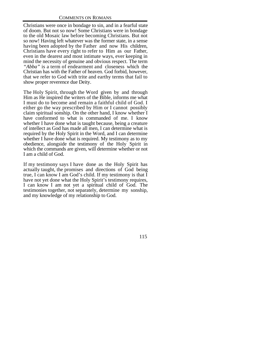Christians were once in bondage to sin, and in a fearful state of doom. But not so now! Some Christians were in bondage to the old Mosaic law before becoming Christians. But not so now! Having left whatever was the former state, in a sense having been adopted by the Father and now His children, Christians have every right to refer to Him as our Father, even in the dearest and most intimate ways, ever keeping in mind the necessity of genuine and obvious respect. The term *"Abba"* is a term of endearment and closeness which the Christian has with the Father of heaven. God forbid, however, that we refer to God with trite and earthy terms that fail to show proper reverence due Deity.

The Holy Spirit, through the Word given by and through Him as He inspired the writers of the Bible, informs me what I must do to become and remain a faithful child of God. I either go the way prescribed by Him or I cannot possibly claim spiritual sonship. On the other hand, I know whether I have conformed to what is commanded of me. I know whether I have done what is taught because, being a creature of intellect as God has made all men, I can determine what is required by the Holy Spirit in the Word, and I can determine whether I have done what is required. My testimony as to my obedience, alongside the testimony of the Holy Spirit in which the commands are given, will determine whether or not I am a child of God.

If my testimony says I have done as the Holy Spirit has actually taught, the promises and directions of God being true, I can know I am God's child. If my testimony is that I have not yet done what the Holy Spirit's testimony requires, I can know I am not yet a spiritual child of God. The testimonies together, not separately, determine my sonship, and my knowledge of my relationship to God.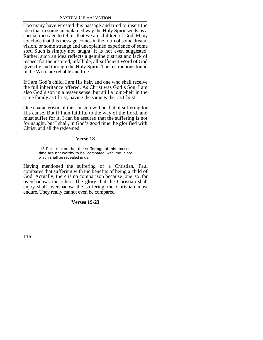Too many have wrested this passage and tried to insert the idea that in some unexplained way the Holy Spirit sends us a special message to tell us that we are children of God. Many conclude that this message comes in the form of some dream, vision, or some strange and unexplained experience of some sort. Such is simply not taught. It is not even suggested. Rather, such an idea reflects a genuine distrust and lack of respect for the inspired, infallible, all-sufficient Word of God given by and through the Holy Spirit. The instructions found in the Word are reliable and true.

If I am God's child, I am His heir, and one who shall receive the full inheritance offered. As Christ was God's Son, I am also God's son in a lesser sense, but still a joint-heir in the same family as Christ, having the same Father as Christ.

One characteristic of this sonship will be that of suffering for His cause. But if I am faithful to the way of the Lord, and must suffer for it, I can be assured that the suffering is not for naught, but I shall, in God's good time, be glorified with Christ, and all the redeemed.

# **Verse 18**

 18 For I reckon that the sufferings of this present time are not worthy to be compared with the glory which shall be revealed in us.

Having mentioned the suffering of a Christian, Paul compares that suffering with the benefits of being a child of God. Actually, there is no comparison because one so far overshadows the other. The glory that the Christian shall enjoy shall overshadow the suffering the Christian must endure. They really cannot even be compared.

# **Verses 19-23**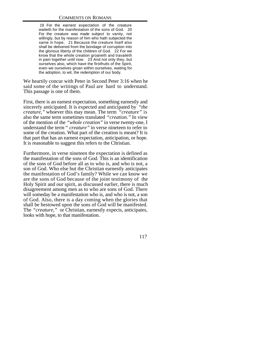19 For the earnest expectation of the creature waiteth for the manifestation of the sons of God. 20 For the creature was made subject to vanity, not willingly, but by reason of him who hath subjected the same in hope, 21 Because the creature itself also shall be delivered from the bondage of corruption into the glorious liberty of the children of God. 22 For we know that the whole creation groaneth and travaileth in pain together until now. 23 And not only they, but ourselves also, which have the firstfruits of the Spirit, even we ourselves groan within ourselves, waiting for the adoption, to wit, the redemption of our body.

We heartily concur with Peter in Second Peter 3:16 when he said some of the writings of Paul are hard to understand. This passage is one of them.

First, there is an earnest expectation, something earnestly and sincerely anticipated. It is expected and anticipated by *"the creature,"* whoever this may mean. The term *"creature"* is also the same term sometimes translated *"creation."* In view of the mention of the *"whole creation"* in verse twenty-one, I understand the term " *creature"* in verse nineteen to refer to some of the creation. What part of the creation is meant? It is that part that has an earnest expectation, anticipation, or hope. It is reasonable to suggest this refers to the Christian.

Furthermore, in verse nineteen the expectation is defined as the manifestation of the sons of God. This is an identification of the sons of God before all as to who is, and who is not, a son of God. Who else but the Christian earnestly anticipates the manifestation of God's family? While we can know we are the sons of God because of the joint testimony of the Holy Spirit and our spirit, as discussed earlier, there is much disagreement among men as to who are sons of God. There will someday be a manifestation who is, and who is not, a son of God. Also, there is a day coming when the glories that shall be bestowed upon the sons of God will be manifested. The *"creature,"* or Christian, earnestly expects, anticipates, looks with hope, to that manifestation.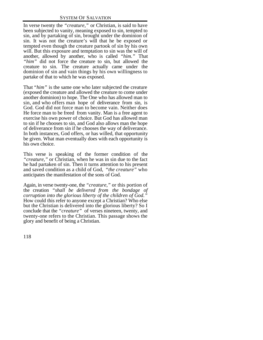In verse twenty the *"creature,"* or Christian, is said to have been subjected to vanity, meaning exposed to sin, tempted to sin, and by partaking of sin, brought under the dominion of sin. It was not the creature's will that he be exposed or tempted even though the creature partook of sin by his own will. But this exposure and temptation to sin was the will of another, allowed by another, who is called *"him."* That *"him"* did not force the creature to sin, but allowed the creature to sin. The creature actually came under the dominion of sin and vain things by his own willingness to partake of that to which he was exposed.

That *"him"* is the same one who later subjected the creature (exposed the creature and allowed the creature to come under another dominion) to hope. The One who has allowed man to sin, and who offers man hope of deliverance from sin, is God. God did not force man to become vain. Neither does He force man to be freed from vanity. Man is a free agent to exercise his own power of choice. But God has allowed man to sin if he chooses to sin, and God also allows man the hope of deliverance from sin if he chooses the way of deliverance. In both instances, God offers, or has willed, that opportunity be given. What man eventually does with each opportunity is his own choice.

This verse is speaking of the former condition of the *"creature,"* or Christian, when he was in sin due to the fact he had partaken of sin. Then it turns attention to his present and saved condition as a child of God, *"the creature"* who anticipates the manifestation of the sons of God.

Again, in verse twenty-one, the *"creature,"* or this portion of the creation *"shall be delivered from the bondage of corruption into the glorious liberty of the children of God."* How could this refer to anyone except a Christian? Who else but the Christian is delivered into the glorious liberty? So I conclude that the *"creature"* of verses nineteen, twenty, and twenty-one refers to the Christian. This passage shows the glory and benefit of being a Christian.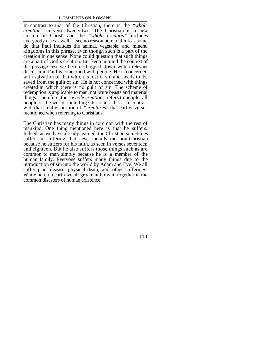In contrast to that of the Christian, there is the *"whole creation"* in verse twenty-two. The Christian is a new creature in Christ, and the *"whole creation"* includes everybody else as well. I see no reason here to think as some do that Paul includes the animal, vegetable, and mineral kingdoms in this phrase, even though such is a part of the creation in one sense. None could question that such things are a part of God's creation. But keep in mind the context of the passage lest we become bogged down with irrelevant discussion. Paul is concerned with people. He is concerned with salvation of that which is lost in sin and needs to be saved from the guilt of sin. He is not concerned with things created in which there is no guilt of sin. The scheme of redemption is applicable to man, not brute beasts and material things. Therefore, the *"whole creation"* refers to people, all people of the world, including Christians. It is in contrast with that smaller portion of *"creatures"* that earlier verses mentioned when referring to Christians.

The Christian has many things in common with the rest of mankind. One thing mentioned here is that he suffers. Indeed, as we have already learned, the Christian sometimes suffers a suffering that never befalls the non-Christian because he suffers for his faith, as seen in verses seventeen and eighteen. But he also suffers those things such as are common to man simply because he is a member of the human family. Everyone suffers many things due to the introduction of sin into the world by Adam and Eve. We all suffer pain, disease, physical death, and other sufferings. While here on earth we all groan and travail together in the common disasters of human existence.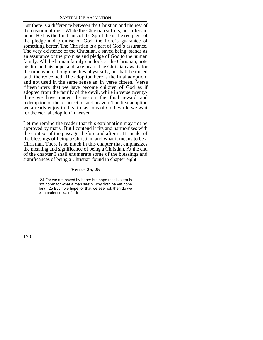But there is a difference between the Christian and the rest of the creation of men. While the Christian suffers, he suffers in hope. He has the firstfruits of the Spirit; he is the recipient of the pledge and promise of God, the Lord's guarantee of something better. The Christian is a part of God's assurance. The very existence of the Christian, a saved being, stands as an assurance of the promise and pledge of God to the human family. All the human family can look at the Christian, note his life and his hope, and take heart. The Christian awaits for the time when, though he dies physically, he shall be raised with the redeemed. The adoption here is the final adoption, and not used in the same sense as in verse fifteen. Verse fifteen infers that we have become children of God as if adopted from the family of the devil, while in verse twentythree we have under discussion the final reward and redemption of the resurrection and heaven. The first adoption we already enjoy in this life as sons of God, while we wait for the eternal adoption in heaven.

Let me remind the reader that this explanation may not be approved by many. But I contend it fits and harmonizes with the context of the passages before and after it. It speaks of the blessings of being a Christian, and what it means to be a Christian. There is so much in this chapter that emphasizes the meaning and significance of being a Christian. At the end of the chapter I shall enumerate some of the blessings and significances of being a Christian found in chapter eight.

# **Verses 25, 25**

 24 For we are saved by hope: but hope that is seen is not hope: for what a man seeth, why doth he yet hope for? 25 But if we hope for that we see not, then do we with patience wait for it.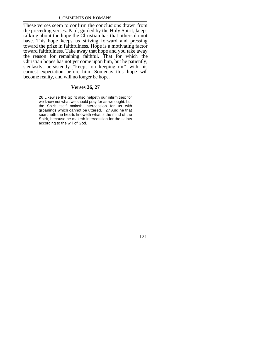These verses seem to confirm the conclusions drawn from the preceding verses. Paul, guided by the Holy Spirit, keeps talking about the hope the Christian has that others do not have. This hope keeps us striving forward and pressing toward the prize in faithfulness. Hope is a motivating factor toward faithfulness. Take away that hope and you take away the reason for remaining faithful. That for which the Christian hopes has not yet come upon him, but he patiently, stedfastly, persistently "keeps on keeping on" with his earnest expectation before him. Someday this hope will become reality, and will no longer be hope.

# **Verses 26, 27**

26 Likewise the Spirit also helpeth our infirmities: for we know not what we should pray for as we ought: but the Spirit itself maketh intercession for us with groanings which cannot be uttered. 27 And he that searcheth the hearts knoweth what is the mind of the Spirit, because he maketh intercession for the saints according to the will of God.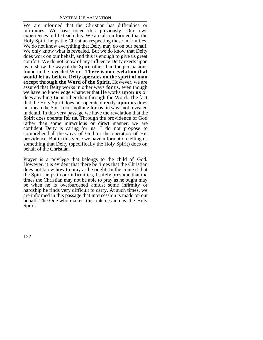We are informed that the Christian has difficulties or infirmities. We have noted this previously. Our own experiences in life teach this. We are also informed that the Holy Spirit helps the Christian respecting these infirmities. We do not know everything that Deity may do on our behalf. We only know what is revealed. But we do know that Deity does work on our behalf, and this is enough to give us great comfort. We do not know of any influence Deity exerts upon us to show the way of the Spirit other than the persuasions found in the revealed Word. **There is no revelation that would let us believe Deity operates on the spirit of man except through the Word of the Spirit.** However, we are assured that Deity works in other ways **for** us, even though we have no knowledge whatever that He works **upon us** or does anything **to** us other than through the Word. The fact that the Holy Spirit does not operate directly **upon us** does not mean the Spirit does nothing **for us** in ways not revealed in detail. In this very passage we have the revelation that the Spirit does operate **for us.** Through the providence of God rather than some miraculous or direct manner, we are confident Deity is caring for us. I do not propose to comprehend all the ways of God in the operation of His providence. But in this verse we have information telling us something that Deity (specifically the Holy Spirit) does on behalf of the Christian.

Prayer is a privilege that belongs to the child of God. However, it is evident that there be times that the Christian does not know how to pray as he ought. In the context that the Spirit helps in our infirmities, I safely presume that the times the Christian may not be able to pray as he ought may be when he is overburdened amidst some infirmity or hardship he finds very difficult to carry. At such times, we are informed in this passage that intercession is made on our behalf. The One who makes this intercession is the Holy Spirit.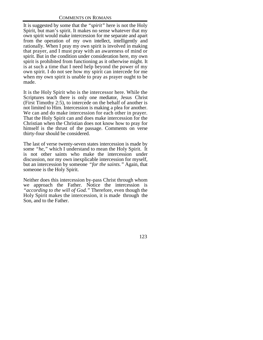It is suggested by some that the *"spirit"* here is not the Holy Spirit, but man's spirit. It makes no sense whatever that my own spirit would make intercession for me separate and apart from the operation of my own intellect, intelligently and rationally. When I pray my own spirit is involved in making that prayer, and I must pray with an awareness of mind or spirit. But in the condition under consideration here, my own spirit is prohibited from functioning as it otherwise might. It is at such a time that I need help beyond the power of my own spirit. I do not see how my spirit can intercede for me when my own spirit is unable to pray as prayer ought to be made.

It is the Holy Spirit who is the intercessor here. While the Scriptures teach there is only one mediator, Jesus Christ (First Timothy 2:5), to intercede on the behalf of another is not limited to Him. Intercession is making a plea for another. We can and do make intercession for each other in prayer. That the Holy Spirit can and does make intercession for the Christian when the Christian does not know how to pray for himself is the thrust of the passage. Comments on verse thirty-four should be considered.

The last of verse twenty-seven states intercession is made by some *"he,"* which I understand to mean the Holy Spirit. It is not other saints who make the intercession under discussion, nor my own inexplicable intercession for myself, but an intercession by someone *"for the saints."* Again, that someone is the Holy Spirit.

Neither does this intercession by-pass Christ through whom we approach the Father. Notice the intercession is *"according to the will of God."* Therefore, even though the Holy Spirit makes the intercession, it is made through the Son, and to the Father.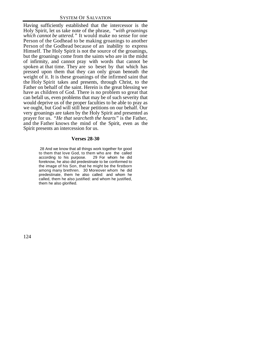Having sufficiently established that the intercessor is the Holy Spirit, let us take note of the phrase, *"with groanings which cannot be uttered."* It would make no sense for one Person of the Godhead to be making groanings to another Person of the Godhead because of an inability to express Himself. The Holy Spirit is not the source of the groanings, but the groanings come from the saints who are in the midst of infirmity, and cannot pray with words that cannot be spoken at that time. They are so beset by that which has pressed upon them that they can only groan beneath the weight of it. It is these groanings of the infirmed saint that the Holy Spirit takes and presents, through Christ, to the Father on behalf of the saint. Herein is the great blessing we have as children of God. There is no problem so great that can befall us, even problems that may be of such severity that would deprive us of the proper faculties to be able to pray as we ought, but God will still hear petitions on our behalf. Our very groanings are taken by the Holy Spirit and presented as prayer for us. *"He that searcheth the hearts"* is the Father, and the Father knows the mind of the Spirit, even as the Spirit presents an intercession for us.

### **Verses 28-30**

 28 And we know that all things work together for good to them that love God, to them who are the called according to his purpose. 29 For whom he did foreknow, he also did predestinate to be conformed to the image of his Son, that he might be the firstborn among many brethren. 30 Moreover whom he did predestinate, them he also called: and whom he called, them he also justified: and whom he justified, them he also glorified.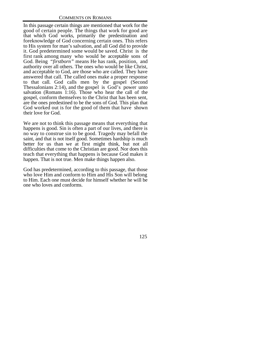In this passage certain things are mentioned that work for the good of certain people. The things that work for good are that which God works, primarily the predestination and foreknowledge of God concerning certain ones. This refers to His system for man's salvation, and all God did to provide it. God predetermined some would be saved. Christ is the first rank among many who would be acceptable sons of God. Being *"firstborn"* means He has rank, position, and authority over all others. The ones who would be like Christ, and acceptable to God, are those who are called. They have answered that call. The called ones make a proper response to that call. God calls men by the gospel (Second Thessalonians 2:14), and the gospel is God's power unto salvation (Romans 1:16). Those who hear the call of the gospel, conform themselves to the Christ that has been sent, are the ones predestined to be the sons of God. This plan that God worked out is for the good of them that have shown their love for God.

We are not to think this passage means that everything that happens is good. Sin is often a part of our lives, and there is no way to construe sin to be good. Tragedy may befall the saint, and that is not itself good. Sometimes hardship is much better for us than we at first might think, but not all difficulties that come to the Christian are good. Nor does this teach that everything that happens is because God makes it happen. That is not true. Men make things happen also.

God has predetermined, according to this passage, that those who love Him and conform to Him and His Son will belong to Him. Each one must decide for himself whether he will be one who loves and conforms.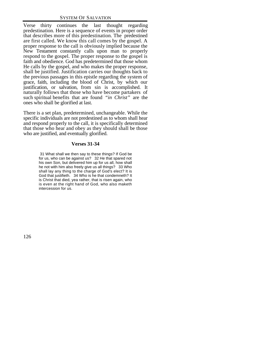Verse thirty continues the last thought regarding predestination. Here is a sequence of events in proper order that describes more of this predestination. The predestined are first called. We know this call comes by the gospel. A proper response to the call is obviously implied because the New Testament constantly calls upon man to properly respond to the gospel. The proper response to the gospel is faith and obedience. God has predetermined that those whom He calls by the gospel, and who makes the proper response, shall be justified. Justification carries our thoughts back to the previous passages in this epistle regarding the system of grace, faith, including the blood of Christ, by which our justification, or salvation, from sin is accomplished. It naturally follows that those who have become partakers of such spiritual benefits that are found *"in Christ"* are the ones who shall be glorified at last.

There is a set plan, predetermined, unchangeable. While the specific individuals are not predestined as to whom shall hear and respond properly to the call, it is specifically determined that those who hear and obey as they should shall be those who are justified, and eventually glorified.

# **Verses 31-34**

 31 What shall we then say to these things? If God be for us, who can be against us? 32 He that spared not his own Son, but delivered him up for us all, how shall he not with him also freely give us all things? 33 Who shall lay any thing to the charge of God's elect? It is God that justifieth. 34 Who is he that condemneth? It is Christ that died, yea rather, that is risen again, who is even at the right hand of God, who also maketh intercession for us.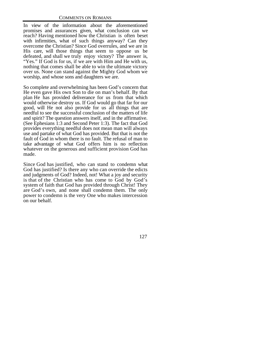In view of the information about the aforementioned promises and assurances given, what conclusion can we reach? Having mentioned how the Christian is often beset with infirmities, what of such things anyway? Can they overcome the Christian? Since God overrules, and we are in His care, will those things that seem to oppose us be defeated, and shall we truly enjoy victory? The answer is, "Yes." If God is for us, if we are with Him and He with us, nothing that comes shall be able to win the ultimate victory over us. None can stand against the Mighty God whom we worship, and whose sons and daughters we are.

So complete and overwhelming has been God's concern that He even gave His own Son to die on man's behalf. By that plan He has provided deliverance for us from that which would otherwise destroy us. If God would go that far for our good, will He not also provide for us all things that are needful to see the successful conclusion of the matters of life and spirit? The question answers itself, and in the affirmative. (See Ephesians 1:3 and Second Peter 1:3). The fact that God provides everything needful does not mean man will always use and partake of what God has provided. But that is not the fault of God in whom there is no fault. The refusal of man to take advantage of what God offers him is no reflection whatever on the generous and sufficient provision God has made.

Since God has justified, who can stand to condemn what God has justified? Is there any who can override the edicts and judgments of God? Indeed, not! What a joy and security is that of the Christian who has come to God by God's system of faith that God has provided through Christ! They are God's own, and none shall condemn them. The only power to condemn is the very One who makes intercession on our behalf.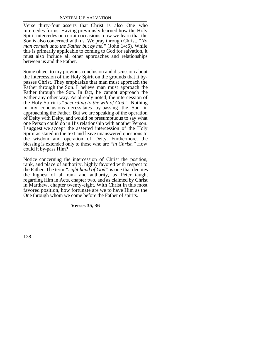Verse thirty-four asserts that Christ is also One who intercedes for us. Having previously learned how the Holy Spirit intercedes on certain occasions, now we learn that the Son is also concerned with us. We pray through Christ. *"No man cometh unto the Father but by me."* (John 14:6). While this is primarily applicable to coming to God for salvation, it must also include all other approaches and relationships between us and the Father.

Some object to my previous conclusion and discussion about the intercession of the Holy Spirit on the grounds that it bypasses Christ. They emphasize that man must approach the Father through the Son. I believe man must approach the Father through the Son. In fact, he cannot approach the Father any other way. As already noted, the intercession of the Holy Spirit is "*according to the will of God."* Nothing in my conclusions necessitates by-passing the Son in approaching the Father. But we are speaking of the operation of Deity with Deity, and would be presumptuous to say what one Person could do in His relationship with another Person. I suggest we accept the asserted intercession of the Holy Spirit as stated in the text and leave unanswered questions to the wisdom and operation of Deity. Furthermore, the blessing is extended only to those who are *"in Christ."* How could it by-pass Him?

Notice concerning the intercession of Christ the position, rank, and place of authority, highly favored with respect to the Father. The term *"right hand of God"* is one that denotes the highest of all rank and authority, as Peter taught regarding Him in Acts, chapter two, and as claimed by Christ in Matthew, chapter twenty-eight. With Christ in this most favored position, how fortunate are we to have Him as the One through whom we come before the Father of spirits.

# **Verses 35, 36**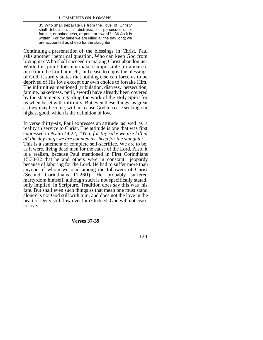35 Who shall separate us from the love of Christ? shall tribulation, or distress, or persecution, or famine, or nakedness, or peril, or sword? 36 As it is written, For thy sake we are killed all the day long; we are accounted as sheep for the slaughter.

Continuing a presentation of the blessings in Christ, Paul asks another rhetorical question. Who can keep God from loving us? Who shall succeed in making Christ abandon us? While this point does not make it impossible for a man to turn from the Lord himself, and cease to enjoy the blessings of God, it surely states that nothing else can force us to be deprived of His love except our own choice to forsake Him. The infirmities mentioned (tribulation, distress, persecution, famine, nakedness, peril, sword) have already been covered by the statements regarding the work of the Holy Spirit for us when beset with infirmity. But even these things, as great as they may become, will not cause God to cease seeking our highest good, which is the definition of love.

In verse thirty-six, Paul expresses an attitude as well as a reality in service to Christ. The attitude is one that was first expressed in Psalm 44:22, *"Yea, for thy sake we are killed all the day long; we are counted as sheep for the slaughter."* This is a statement of complete self-sacrifice. We are to be, as it were, living dead men for the cause of the Lord. Also, it is a realism, because Paul mentioned in First Corinthians 15:30-32 that he and others were in constant jeopardy because of laboring for the Lord. He had to suffer more than anyone of whom we read among the followers of Christ (Second Corinthians 11:26ff). He probably suffered martyrdom himself, although such is not specifically stated, only implied, in Scripture. Tradition does say this was his fate. But shall even such things as that mean one must stand alone? Is not God still with him, and does not the love in the heart of Deity still flow over him? Indeed, God will not cease to love.

#### **Verses 37-39**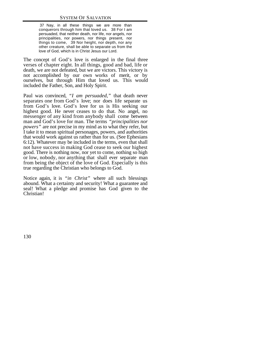37 Nay, in all these things we are more than conquerors through him that loved us. 38 For I am persuaded, that neither death, nor life, nor angels, nor principalities, nor powers, nor things present, nor things to come, 39 Nor height, nor depth, nor any other creature, shall be able to separate us from the love of God, which is in Christ Jesus our Lord.

The concept of God's love is enlarged in the final three verses of chapter eight. In all things, good and bad, life or death, we are not defeated, but we are victors. This victory is not accomplished by our own works of merit, or by ourselves, but through Him that loved us. This would included the Father, Son, and Holy Spirit.

Paul was convinced, *"I am persuaded,"* that death never separates one from God's love; nor does life separate us from God's love. God's love for us is His seeking our highest good. He never ceases to do that. No angel, no messenger of any kind from anybody shall come between man and God's love for man. The terms *"principalities nor powers"* are not precise in my mind as to what they refer, but I take it to mean spiritual personages, powers, and authorities that would work against us rather than for us. (See Ephesians 6:12). Whatever may be included in the terms, even that shall not have success in making God cease to seek our highest good. There is nothing now, nor yet to come, nothing so high or low, nobody, nor anything that shall ever separate man from being the object of the love of God. Especially is this true regarding the Christian who belongs to God.

Notice again, it is *"in Christ"* where all such blessings abound. What a certainty and security! What a guarantee and seal! What a pledge and promise has God given to the Christian!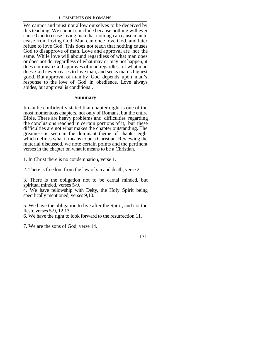We cannot and must not allow ourselves to be deceived by this teaching. We cannot conclude because nothing will ever cause God to cease loving man that nothing can cause man to cease from loving God. Man can once love God, and later refuse to love God. This does not teach that nothing causes God to disapprove of man. Love and approval are not the same. While love will abound regardless of what man does or does not do, regardless of what may or may not happen, it does not mean God approves of man regardless of what man does. God never ceases to love man, and seeks man's highest good. But approval of man by God depends upon man's response to the love of God in obedience. Love always abides, but approval is conditional.

#### **Summary**

It can be confidently stated that chapter eight is one of the most momentous chapters, not only of Romans, but the entire Bible. There are heavy problems and difficulties regarding the conclusions reached in certain portions of it, but these difficulties are not what makes the chapter outstanding. The greatness is seen in the dominant theme of chapter eight which defines what it means to be a Christian. Reviewing the material discussed, we note certain points and the pertinent verses in the chapter on what it means to be a Christian.

1. In Christ there is no condemnation, verse 1.

2. There is freedom from the law of sin and death, verse 2.

3. There is the obligation not to be carnal minded, but spiritual minded, verses 5-9.

4. We have fellowship with Deity, the Holy Spirit being specifically mentioned, verses 9,10.

5. We have the obligation to live after the Spirit, and not the flesh, verses 5-9, 12,13.

6. We have the right to look forward to the resurrection,11.

7. We are the sons of God, verse 14.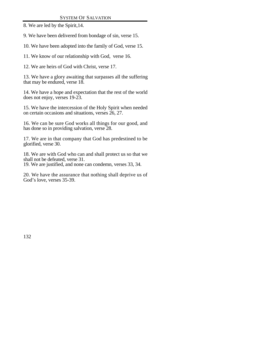8. We are led by the Spirit,14.

9. We have been delivered from bondage of sin, verse 15.

10. We have been adopted into the family of God, verse 15.

11. We know of our relationship with God, verse 16.

12. We are heirs of God with Christ, verse 17.

13. We have a glory awaiting that surpasses all the suffering that may be endured, verse 18.

14. We have a hope and expectation that the rest of the world does not enjoy, verses 19-23.

15. We have the intercession of the Holy Spirit when needed on certain occasions and situations, verses 26, 27.

16. We can be sure God works all things for our good, and has done so in providing salvation, verse 28.

17. We are in that company that God has predestined to be glorified, verse 30.

18. We are with God who can and shall protect us so that we shall not be defeated, verse 31.

19. We are justified, and none can condemn, verses 33, 34.

20. We have the assurance that nothing shall deprive us of God's love, verses 35-39.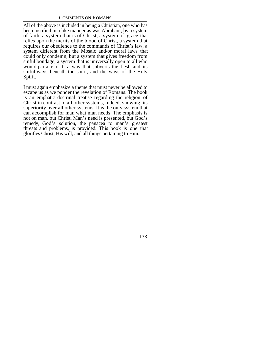All of the above is included in being a Christian, one who has been justified in a like manner as was Abraham, by a system of faith, a system that is of Christ, a system of grace that relies upon the merits of the blood of Christ, a system that requires our obedience to the commands of Christ's law, a system different from the Mosaic and/or moral laws that could only condemn, but a system that gives freedom from sinful bondage, a system that is universally open to all who would partake of it, a way that subverts the flesh and its sinful ways beneath the spirit, and the ways of the Holy Spirit.

I must again emphasize a theme that must never be allowed to escape us as we ponder the revelation of Romans. The book is an emphatic doctrinal treatise regarding the religion of Christ in contrast to all other systems, indeed, showing its superiority over all other systems. It is the only system that can accomplish for man what man needs. The emphasis is not on man, but Christ. Man's need is presented, but God's remedy, God's solution, the panacea to man's greatest threats and problems, is provided. This book is one that glorifies Christ, His will, and all things pertaining to Him.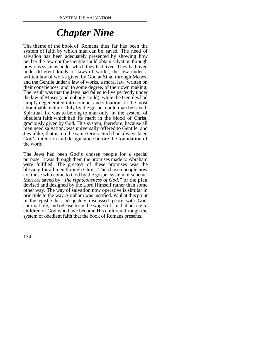# *Chapter Nine*

The theme of the book of Romans thus far has been the system of faith by which man can be saved. The need of salvation has been adequately presented by showing how neither the Jew nor the Gentile could obtain salvation through previous systems under which they had lived. They had lived under different kinds of laws of works; the Jew under a written law of works given by God at Sinai through Moses, and the Gentile under a law of works, a moral law, written on their consciences, and, to some degree, of their own making. The result was that the Jews had failed to live perfectly under the law of Moses (and nobody could), while the Gentiles had simply degenerated into conduct and situations of the most abominable nature. Only by the gospel could man be saved. Spiritual life was to belong to man only in the system of obedient faith which had its merit in the blood of Christ, graciously given by God. This system, therefore, because all men need salvation, was universally offered to Gentile and Jew alike; that is, on the same terms. Such had always been God's intention and design since before the foundation of the world.

The Jews had been God's chosen people for a special purpose. It was through them the promises made to Abraham were fulfilled. The greatest of these promises was the blessing for all men through Christ. The chosen people now are those who come to God by the gospel system or scheme. Men are saved by *"the righteousness of God,"* or the plan devised and designed by the Lord Himself rather than some other way. The way of salvation now operative is similar in principle to the way Abraham was justified. Paul at this point in the epistle has adequately discussed peace with God, spiritual life, and release from the wages of sin that belong to children of God who have become His children through the system of obedient faith that the book of Romans presents.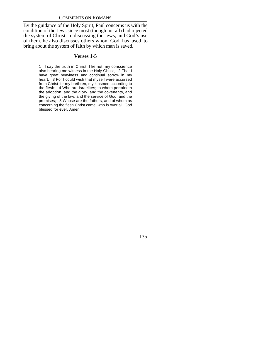By the guidance of the Holy Spirit, Paul concerns us with the condition of the Jews since most (though not all) had rejected the system of Christ. In discussing the Jews, and God's use of them, he also discusses others whom God has used to bring about the system of faith by which man is saved.

# **Verses 1-5**

1 I say the truth in Christ, I lie not, my conscience also bearing me witness in the Holy Ghost, 2 That I have great heaviness and continual sorrow in my heart. 3 For I could wish that myself were accursed from Christ for my brethren, my kinsmen according to the flesh: 4 Who are Israelites; to whom pertaineth the adoption, and the glory, and the covenants, and the giving of the law, and the service of God, and the promises; 5 Whose are the fathers, and of whom as concerning the flesh Christ came, who is over all, God blessed for ever. Amen.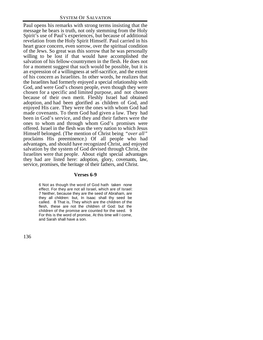Paul opens his remarks with strong terms insisting that the message he bears is truth, not only stemming from the Holy Spirit's use of Paul's experiences, but because of additional revelation from the Holy Spirit Himself. Paul carried in his heart grace concern, even sorrow, over the spiritual condition of the Jews. So great was this sorrow that he was personally willing to be lost if that would have accomplished the salvation of his fellow-countrymen in the flesh. He does not for a moment suggest that such would be possible, but it is an expression of a willingness at self-sacrifice, and the extent of his concern as Israelites. In other words, he realizes that the Israelites had formerly enjoyed a special relationship with God, and were God's chosen people, even though they were chosen for a specific and limited purpose, and not chosen because of their own merit. Fleshly Israel had obtained adoption, and had been glorified as children of God, and enjoyed His care. They were the ones with whom God had made covenants. To them God had given a law. They had been in God's service, and they and their fathers were the ones to whom and through whom God's promises were offered. Israel in the flesh was the very nation to which Jesus Himself belonged. (The mention of Christ being *"over all"* proclaims His preeminence.) Of all people who had advantages, and should have recognized Christ, and enjoyed salvation by the system of God devised through Christ, the Israelites were that people. About eight special advantages they had are listed here: adoption, glory, covenants, law, service, promises, the heritage of their fathers, and Christ.

#### **Verses 6-9**

6 Not as though the word of God hath taken none effect. For they are not all Israel, which are of Israel: 7 Neither, because they are the seed of Abraham, are they all children: but, In Isaac shall thy seed be called. 8 That is, They which are the children of the flesh, these are not the children of God: but the children of the promise are counted for the seed. 9 For this is the word of promise, At this time will I come, and Sarah shall have a son.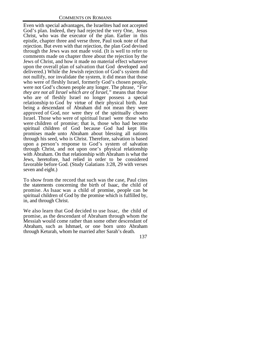Even with special advantages, the Israelites had not accepted God's plan. Indeed, they had rejected the very One, Jesus Christ, who was the executor of the plan. Earlier in this epistle, chapter three and verse three, Paul took note of that rejection. But even with that rejection, the plan God devised through the Jews was not made void. (It is well to refer to comments made on chapter three about the rejection by the Jews of Christ, and how it made no material effect whatever upon the overall plan of salvation that God developed and delivered.) While the Jewish rejection of God's system did not nullify, nor invalidate the system, it did mean that those who were of fleshly Israel, formerly God's chosen people, were not God's chosen people any longer. The phrase, *"For they are not all Israel which are of Israel,"* means that those who are of fleshly Israel no longer possess a special relationship to God by virtue of their physical birth. Just being a descendant of Abraham did not mean they were approved of God, nor were they of the spiritually chosen Israel. Those who were of spiritual Israel were those who were children of promise; that is, those who had become spiritual children of God because God had kept His promises made unto Abraham about blessing all nations through his seed, who is Christ. Therefore, salvation is based upon a person's response to God's system of salvation through Christ, and not upon one's physical relationship with Abraham. On that relationship with Abraham is what the Jews, heretofore, had relied in order to be considered favorable before God. (Study Galatians 3:28, 29 with verses seven and eight.)

To show from the record that such was the case, Paul cites the statements concerning the birth of Isaac, the child of promise. As Isaac was a child of promise, people can be spiritual children of God by the promise which is fulfilled by, in, and through Christ.

We also learn that God decided to use Issac, the child of promise, as the descendant of Abraham through whom the Messiah would come rather than some other descendant of Abraham, such as Ishmael, or one born unto Abraham through Keturah, whom he married after Sarah's death.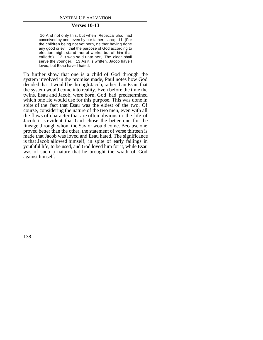#### **Verses 10-13**

 10 And not only this; but when Rebecca also had conceived by one, even by our father Isaac; 11 (For the children being not yet born, neither having done any good or evil, that the purpose of God according to election might stand, not of works, but of him that calleth;) 12 It was said unto her, The elder shall serve the younger. 13 As it is written, Jacob have I loved, but Esau have I hated.

To further show that one is a child of God through the system involved in the promise made, Paul notes how God decided that it would be through Jacob, rather than Esau, that the system would come into reality. Even before the time the twins, Esau and Jacob, were born, God had predetermined which one He would use for this purpose. This was done in spite of the fact that Esau was the eldest of the two. Of course, considering the nature of the two men, even with all the flaws of character that are often obvious in the life of Jacob, it is evident that God chose the better one for the lineage through whom the Savior would come. Because one proved better than the other, the statement of verse thirteen is made that Jacob was loved and Esau hated. The significance is that Jacob allowed himself, in spite of early failings in youthful life, to be used, and God loved him for it, while Esau was of such a nature that he brought the wrath of God against himself.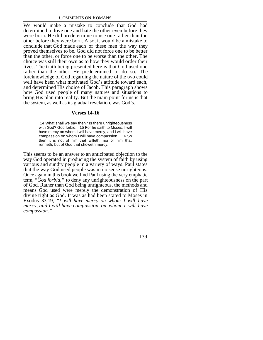We would make a mistake to conclude that God had determined to love one and hate the other even before they were born. He did predetermine to use one rather than the other before they were born. Also, it would be a mistake to conclude that God made each of these men the way they proved themselves to be. God did not force one to be better than the other, or force one to be worse than the other. The choice was still their own as to how they would order their lives. The truth being presented here is that God used one rather than the other. He predetermined to do so. The foreknowledge of God regarding the nature of the two could well have been what motivated God's attitude toward each, and determined His choice of Jacob. This paragraph shows how God used people of many natures and situations to bring His plan into reality. But the main point for us is that the system, as well as its gradual revelation, was God's.

#### **Verses 14-16**

 14 What shall we say then? Is there unrighteousness with God? God forbid. 15 For he saith to Moses, I will have mercy on whom I will have mercy, and I will have compassion on whom I will have compassion. 16 So then it is not of him that willeth, nor of him that runneth, but of God that showeth mercy.

This seems to be an answer to an anticipated objection to the way God operated in producing the system of faith by using various and sundry people in a variety of ways. Paul states that the way God used people was in no sense unrighteous. Once again in this book we find Paul using the very emphatic term, *"God forbid,"* to deny any unrighteousness on the part of God. Rather than God being unrighteous, the methods and means God used were merely the demonstration of His divine right as God. It was as had been stated to Moses in Exodus 33:19, *"I will have mercy on whom I will have mercy, and I will have compassion on whom I will have compassion."*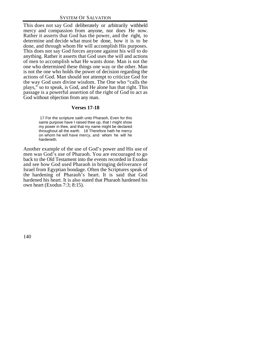This does not say God deliberately or arbitrarily withheld mercy and compassion from anyone, nor does He now. Rather it asserts that God has the power, and the right, to determine and decide what must be done, how it is to be done, and through whom He will accomplish His purposes. This does not say God forces anyone against his will to do anything. Rather it asserts that God uses the will and actions of men to accomplish what He wants done. Man is not the one who determined these things one way or the other. Man is not the one who holds the power of decision regarding the actions of God. Man should not attempt to criticize God for the way God uses divine wisdom. The One who "calls the plays," so to speak, is God, and He alone has that right. This passage is a powerful assertion of the right of God to act as God without objection from any man.

## **Verses 17-18**

 17 For the scripture saith unto Pharaoh, Even for this same purpose have I raised thee up, that I might show my power in thee, and that my name might be declared throughout all the earth. 18 Therefore hath he mercy on whom he will have mercy, and whom he will he hardeneth.

Another example of the use of God's power and His use of men was God's use of Pharaoh. You are encouraged to go back to the Old Testament into the events recorded in Exodus and see how God used Pharaoh in bringing deliverance of Israel from Egyptian bondage. Often the Scriptures speak of the hardening of Pharaoh's heart. It is said that God hardened his heart. It is also stated that Pharaoh hardened his own heart (Exodus 7:3; 8:15).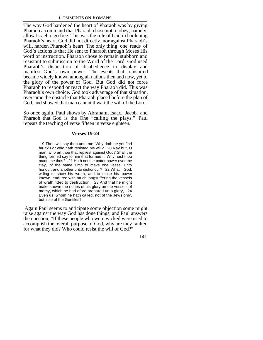The way God hardened the heart of Pharaoh was by giving Pharaoh a command that Pharaoh chose not to obey; namely, allow Israel to go free. This was the role of God in hardening Pharaoh's heart. God did not directly, nor against Pharaoh's will, harden Pharaoh's heart. The only thing one reads of God's actions is that He sent to Pharaoh through Moses His word of instruction. Pharaoh chose to remain stubborn and resistant to submission to the Word of the Lord. God used Pharaoh's disposition of disobedience to display and manifest God's own power. The events that transpired became widely known among all nations then and now, yet to the glory of the power of God. But God did not force Pharaoh to respond or react the way Pharaoh did. This was Pharaoh's own choice. God took advantage of that situation, overcame the obstacle that Pharaoh placed before the plan of God, and showed that man cannot thwart the will of the Lord.

So once again, Paul shows by Abraham, Isaac, Jacob, and Pharaoh that God is the One "calling the plays." Paul repeats the teaching of verse fifteen in verse eighteen.

### **Verses 19-24**

 19 Thou wilt say then unto me, Why doth he yet find fault? For who hath resisted his will? 20 Nay but, O man, who art thou that repliest against God? Shall the thing formed say to him that formed it, Why hast thou made me thus? 21 Hath not the potter power over the clay, of the same lump to make one vessel unto honour, and another unto dishonour? 22 What if God, willing to show his wrath, and to make his power known, endured with much longsuffering the vessels of wrath fitted to destruction: 23 And that he might make known the riches of his glory on the vessels of mercy, which he had afore prepared unto glory, 24 Even us, whom he hath called, not of the Jews only, but also of the Gentiles?

 Again Paul seems to anticipate some objection some might raise against the way God has done things, and Paul answers the question, "If these people who were wicked were used to accomplish the overall purpose of God, why are they faulted for what they did? Who could resist the will of God?"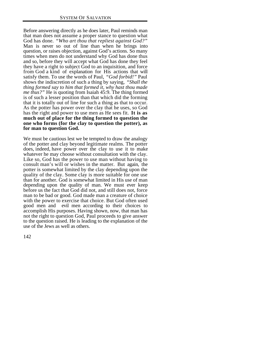Before answering directly as he does later, Paul reminds man that man does not assume a proper stance to question what God has done. *"Who art thou that repliest against God?"* Man is never so out of line than when he brings into question, or raises objection, against God's actions. So many times when men do not understand why God has done thus and so, before they will accept what God has done they feel they have a right to subject God to an inquisition, and force from God a kind of explanation for His actions that will satisfy them. To use the words of Paul, *"God forbid!"* Paul shows the indiscretion of such a thing by saying, *"Shall the thing formed say to him that formed it, why hast thou made me thus?"* He is quoting from Isaiah 45:9. The thing formed is of such a lesser position than that which did the forming that it is totally out of line for such a thing as that to occur. As the potter has power over the clay that he uses, so God has the right and power to use men as He sees fit. **It is as much out of place for the thing formed to question the one who forms (for the clay to question the potter), as for man to question God.**

We must be cautious lest we be tempted to draw the analogy of the potter and clay beyond legitimate realms. The potter does, indeed, have power over the clay to use it to make whatever he may choose without consultation with the clay. Like so, God has the power to use man without having to consult man's will or wishes in the matter. But again, the potter is somewhat limited by the clay depending upon the quality of the clay. Some clay is more suitable for one use than for another. God is somewhat limited in His use of man depending upon the quality of man. We must ever keep before us the fact that God did not, and still does not, force man to be bad or good. God made man a creature of choice with the power to exercise that choice. But God often used good men and evil men according to their choices to accomplish His purposes. Having shown, now, that man has not the right to question God, Paul proceeds to give answer to the question raised. He is leading to the explanation of the use of the Jews as well as others.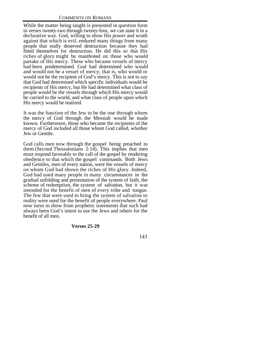While the matter being taught is presented in question form in verses twenty-two through twenty-four, we can state it in a declarative way. God, willing to show His power and wrath against that which is evil, endured many things from many people that really deserved destruction because they had fitted themselves for destruction. He did this so that His riches of glory might be manifested on those who would partake of His mercy. These who became vessels of mercy had been predetermined. God had determined who would and would not be a vessel of mercy; that is, who would or would not be the recipient of God's mercy. This is not to say that God had determined which specific individuals would be recipients of His mercy, but He had determined what class of people would be the vessels through which His mercy would be carried to the world, and what class of people upon which His mercy would be realized.

It was the function of the Jew to be the one through whom the mercy of God through the Messiah would be made known. Furthermore, those who became the recipients of the mercy of God included all those whom God called, whether Jew or Gentile.

God calls men now through the gospel being preached to them (Second Thessalonians 2:14). This implies that men must respond favorably to the call of the gospel by rendering obedience to that which the gospel commands. Both Jews and Gentiles, men of every nation, were the vessels of mercy on whom God had shown the riches of His glory. Indeed, God had used many people in many circumstances in the gradual unfolding and presentation of the system of faith, the scheme of redemption, the system of salvation, but it was intended for the benefit of men of every tribe and tongue. The few that were used to bring the system of salvation to reality were used for the benefit of people everywhere. Paul now turns to show from prophetic statements that such had always been God's intent to use the Jews and others for the benefit of all men.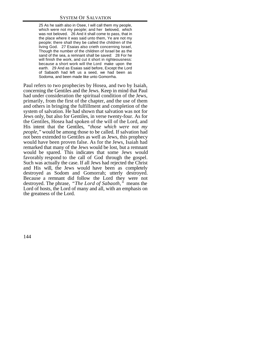25 As he saith also in Osee, I will call them my people, which were not my people; and her beloved, which was not beloved. 26 And it shall come to pass, that in the place where it was said unto them, Ye are not my people; there shall they be called the children of the living God. 27 Esaias also crieth concerning Israel, Though the number of the children of Israel be as the sand of the sea, a remnant shall be saved: 28 For he will finish the work, and cut it short in righteousness: because a short work will the Lord make upon the earth. 29 And as Esaias said before, Except the Lord of Sabaoth had left us a seed, we had been as Sodoma, and been made like unto Gomorrha.

Paul refers to two prophecies by Hosea, and two by Isaiah, concerning the Gentiles and the Jews. Keep in mind that Paul had under consideration the spiritual condition of the Jews, primarily, from the first of the chapter, and the use of them and others in bringing the fulfillment and completion of the system of salvation. He had shown that salvation was not for Jews only, but also for Gentiles, in verse twenty-four. As for the Gentiles, Hosea had spoken of the will of the Lord, and His intent that the Gentiles, *"those which were not my people,"* would be among those to be called. If salvation had not been extended to Gentiles as well as Jews, this prophecy would have been proven false. As for the Jews, Isaiah had remarked that many of the Jews would be lost, but a remnant would be spared. This indicates that some Jews would favorably respond to the call of God through the gospel. Such was actually the case. If all Jews had rejected the Christ and His will, the Jews would have been as completely destroyed as Sodom and Gomorrah; utterly destroyed. Because a remnant did follow the Lord they were not destroyed. The phrase, *"The Lord of Sabaoth,"* means the Lord of hosts, the Lord of many and all, with an emphasis on the greatness of the Lord.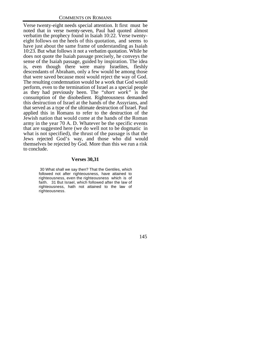Verse twenty-eight needs special attention. It first must be noted that in verse twenty-seven, Paul had quoted almost verbatim the prophecy found in Isaiah 10:22. Verse twentyeight follows on the heels of this quotation, and seems to have just about the same frame of understanding as Isaiah 10:23. But what follows it not a verbatim quotation. While he does not quote the Isaiah passage precisely, he conveys the sense of the Isaiah passage, guided by inspiration. The idea is, even though there were many Israelites, fleshly descendants of Abraham, only a few would be among those that were saved because most would reject the way of God. The resulting condemnation would be a work that God would perform, even to the termination of Israel as a special people as they had previously been. The *"short work"* is the consumption of the disobedient. Righteousness demanded this destruction of Israel at the hands of the Assyrians, and that served as a type of the ultimate destruction of Israel. Paul applied this in Romans to refer to the destruction of the Jewish nation that would come at the hands of the Roman army in the year 70 A. D. Whatever be the specific events that are suggested here (we do well not to be dogmatic in what is not specified), the thrust of the passage is that the Jews rejected God's way, and those who did would themselves be rejected by God. More than this we run a risk to conclude.

#### **Verses 30,31**

 30 What shall we say then? That the Gentiles, which followed not after righteousness, have attained to righteousness, even the righteousness which is of faith. 31 But Israel, which followed after the law of righteousness, hath not attained to the law of righteousness.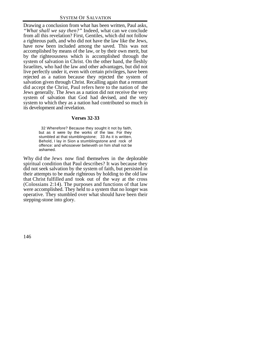Drawing a conclusion from what has been written, Paul asks, *"What shall we say then?"* Indeed, what can we conclude from all this revelation? First, Gentiles, which did not follow a righteous path, and who did not have the law like the Jews, have now been included among the saved. This was not accomplished by means of the law, or by their own merit, but by the righteousness which is accomplished through the system of salvation in Christ. On the other hand, the fleshly Israelites, who had the law and other advantages, but did not live perfectly under it, even with certain privileges, have been rejected as a nation because they rejected the system of salvation given through Christ. Recalling again that a remnant did accept the Christ, Paul refers here to the nation of the Jews generally. The Jews as a nation did not receive the very system of salvation that God had devised, and the very system to which they as a nation had contributed so much in its development and revelation.

#### **Verses 32-33**

 32 Wherefore? Because they sought it not by faith, but as it were by the works of the law. For they stumbled at that stumblingstone; 33 As it is written, Behold, I lay in Sion a stumblingstone and rock of offence: and whosoever believeth on him shall not be ashamed.

Why did the Jews now find themselves in the deplorable spiritual condition that Paul describes? It was because they did not seek salvation by the system of faith, but persisted in their attempts to be made righteous by holding to the old law that Christ fulfilled and took out of the way at the cross (Colossians 2:14). The purposes and functions of that law were accomplished. They held to a system that no longer was operative. They stumbled over what should have been their stepping-stone into glory.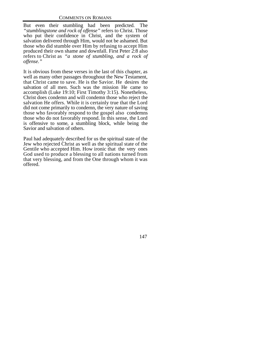But even their stumbling had been predicted. The *"stumblingstone and rock of offense"* refers to Christ. Those who put their confidence in Christ, and the system of salvation delivered through Him, would not be ashamed. But those who did stumble over Him by refusing to accept Him produced their own shame and downfall. First Peter 2:8 also refers to Christ as *"a stone of stumbling, and a rock of offense."*

It is obvious from these verses in the last of this chapter, as well as many other passages throughout the New Testament, that Christ came to save. He is the Savior. He desires the salvation of all men. Such was the mission He came to accomplish (Luke 19:10; First Timothy 3:15). Nonetheless, Christ does condemn and will condemn those who reject the salvation He offers. While it is certainly true that the Lord did not come primarily to condemn, the very nature of saving those who favorably respond to the gospel also condemns those who do not favorably respond. In this sense, the Lord is offensive to some, a stumbling block, while being the Savior and salvation of others.

Paul had adequately described for us the spiritual state of the Jew who rejected Christ as well as the spiritual state of the Gentile who accepted Him. How ironic that the very ones God used to produce a blessing to all nations turned from that very blessing, and from the One through whom it was offered.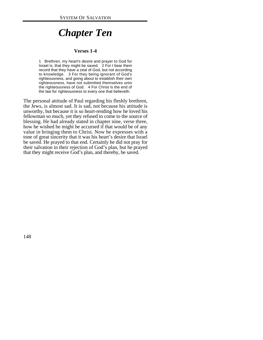# *Chapter Ten*

#### **Verses 1-4**

1 Brethren, my heart's desire and prayer to God for Israel is, that they might be saved. 2 For I bear them record that they have a zeal of God, but not according to knowledge. 3 For they being ignorant of God's righteousness, and going about to establish their own righteousness, have not submitted themselves unto the righteousness of God. 4 For Christ is the end of the law for righteousness to every one that believeth.

The personal attitude of Paul regarding his fleshly brethren, the Jews, is almost sad. It is sad, not because his attitude is unworthy, but because it is so heart-rending how he loved his fellowman so much, yet they refused to come to the source of blessing. He had already stated in chapter nine, verse three, how he wished he might be accursed if that would be of any value in bringing them to Christ. Now he expresses with a tone of great sincerity that it was his heart's desire that Israel be saved. He prayed to that end. Certainly he did not pray for their salvation in their rejection of God's plan, but he prayed that they might receive God's plan, and thereby, be saved.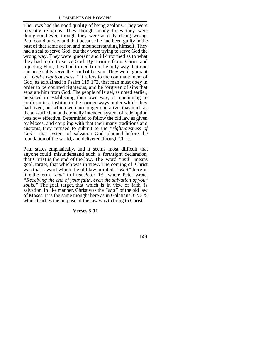The Jews had the good quality of being zealous. They were fervently religious. They thought many times they were doing good even though they were actually doing wrong. Paul could understand that because he had been guilty in the past of that same action and misunderstanding himself. They had a zeal to serve God, but they were trying to serve God the wrong way. They were ignorant and ill-informed as to what they had to do to serve God. By turning from Christ and rejecting Him, they had turned from the only way that one can acceptably serve the Lord of heaven. They were ignorant of *"God's righteousness."* It refers to the commandment of God, as explained in Psalm 119:172, that man must obey in order to be counted righteous, and be forgiven of sins that separate him from God. The people of Israel, as noted earlier, persisted in establishing their own way, or continuing to conform in a fashion to the former ways under which they had lived, but which were no longer operative, inasmuch as the all-sufficient and eternally intended system of redemption was now effective. Determined to follow the old law as given by Moses, and coupling with that their many traditions and customs, they refused to submit to the *"righteousness of God,"* that system of salvation God planned before the foundation of the world, and delivered through Christ.

Paul states emphatically, and it seems most difficult that anyone could misunderstand such a forthright declaration, that Christ is the end of the law. The word *"end"* means goal, target, that which was in view. The coming of Christ was that toward which the old law pointed. *"End"* here is like the term *"end"* in First Peter 1:9, where Peter wrote, *"Receiving the end of your faith, even the salvation of your souls."* The goal, target, that which is in view of faith, is salvation. In like manner, Christ was the *"end"* of the old law of Moses. It is the same thought here as in Galatians 3:23-25 which teaches the purpose of the law was to bring to Christ.

#### **Verses 5-11**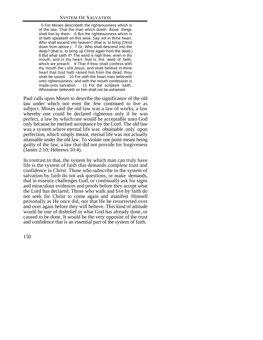5 For Moses describeth the righteousness which is of the law, That the man which doeth those things shall live by them. 6 But the righteousness which is of faith speaketh on this wise, Say not in thine heart, Who shall ascend into heaven? (that is, to bring Christ down from above:) 7 Or, Who shall descend into the deep? (that is, to bring up Christ again from the dead.) 8 But what saith it? The word is nigh thee, even in thy mouth, and in thy heart: that is, the word of faith, which we preach; 9 That if thou shalt confess with thy mouth the Lord Jesus, and shalt believe in thine heart that God hath raised him from the dead, thou shalt be saved. 10 For with the heart man believeth unto righteousness; and with the mouth confession is made unto salvation. 11 For the scripture saith, Whosoever believeth on him shall not be ashamed.

Paul calls upon Moses to describe the significance of the old law under which not even the Jew continued to live as subject. Moses said the old law was a law of works, a law whereby one could be declared righteous only if he was perfect, a law by which one would be acceptable unto God only because he merited acceptance by the Lord. The old law was a system where eternal life was obtainable only upon perfection, which simply meant, eternal life was not actually attainable under the old law. To violate one point meant being guilty of the law, a law that did not provide for forgiveness (James 2:10; Hebrews 10:4).

In contrast to that, the system by which man can truly have life is the system of faith that demands complete trust and confidence in Christ. Those who subscribe to the system of salvation by faith do not ask questions, or make demands, that in essence challenges God, or continually ask for signs and miraculous evidences and proofs before they accept what the Lord has declared. Those who walk and live by faith do not seek for Christ to come again and manifest Himself personally as He once did, nor that He be resurrected over and over again before they will believe. This kind of attitude would be one of disbelief in what God has already done, or caused to be done. It would be the very opposite of the trust and confidence that is an essential part of the system of faith.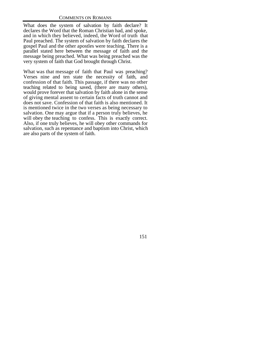What does the system of salvation by faith declare? It declares the Word that the Roman Christian had, and spoke, and in which they believed, indeed, the Word of truth that Paul preached. The system of salvation by faith declares the gospel Paul and the other apostles were teaching. There is a parallel stated here between the message of faith and the message being preached. What was being preached was the very system of faith that God brought through Christ.

What was that message of faith that Paul was preaching? Verses nine and ten state the necessity of faith, and confession of that faith. This passage, if there was no other teaching related to being saved, (there are many others), would prove forever that salvation by faith alone in the sense of giving mental assent to certain facts of truth cannot and does not save. Confession of that faith is also mentioned. It is mentioned twice in the two verses as being necessary to salvation. One may argue that if a person truly believes, he will obey the teaching to confess. This is exactly correct. Also, if one truly believes, he will obey other commands for salvation, such as repentance and baptism into Christ, which are also parts of the system of faith.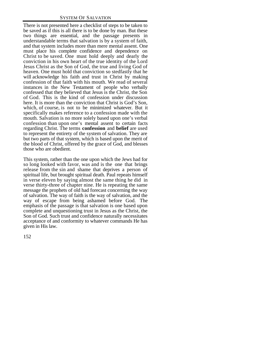There is not presented here a checklist of steps to be taken to be saved as if this is all there is to be done by man. But these two things are essential, and the passage presents in understandable terms that salvation is by a system of faith, and that system includes more than mere mental assent. One must place his complete confidence and dependence on Christ to be saved. One must hold deeply and dearly the conviction in his own heart of the true identity of the Lord Jesus Christ as the Son of God, the true and living God of heaven. One must hold that conviction so stedfastly that he will acknowledge his faith and trust in Christ by making confession of that faith with his mouth. We read of several instances in the New Testament of people who verbally confessed that they believed that Jesus is the Christ, the Son of God. This is the kind of confession under discussion here. It is more than the conviction that Christ is God's Son, which, of course, is not to be minimized whatever. But it specifically makes reference to a confession made with the mouth. Salvation is no more solely based upon one's verbal confession than upon one's mental assent to certain facts regarding Christ. The terms **confession** and **belief** are used to represent the entirety of the system of salvation. They are but two parts of that system, which is based upon the merit of the blood of Christ, offered by the grace of God, and blesses those who are obedient.

This system, rather than the one upon which the Jews had for so long looked with favor, was and is the one that brings release from the sin and shame that deprives a person of spiritual life, but brought spiritual death. Paul repeats himself in verse eleven by saying almost the same thing he did in verse thirty-three of chapter nine. He is repeating the same message the prophets of old had forecast concerning the way of salvation. The way of faith is the way of salvation, and the way of escape from being ashamed before God. The emphasis of the passage is that salvation is one based upon complete and unquestioning trust in Jesus as the Christ, the Son of God. Such trust and confidence naturally necessitates acceptance of and conformity to whatever commands He has given in His law.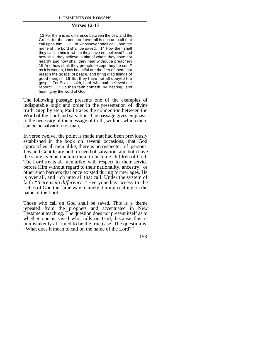#### **Verses 12-17**

 12 For there is no difference between the Jew and the Greek: for the same Lord over all is rich unto all that call upon him. 13 For whosoever shall call upon the name of the Lord shall be saved. 14 How then shall they call on him in whom they have not believed? and how shall they believe in him of whom they have not heard? and how shall they hear without a preacher? 15 And how shall they preach, except they be sent? as it is written, How beautiful are the feet of them that preach the gospel of peace, and bring glad tidings of good things! 16 But they have not all obeyed the gospel. For Esaias saith, Lord, who hath believed our report? 17 So then faith cometh by hearing, and hearing by the word of God.

The following passage presents one of the examples of indisputable logic and order in the presentation of divine truth. Step by step, Paul traces the connection between the Word of the Lord and salvation. The passage gives emphasis to the necessity of the message of truth, without which there can be no salvation for man.

In verse twelve, the point is made that had been previously established in the book on several occasions, that God approaches all men alike, there is no respecter of persons, Jew and Gentile are both in need of salvation, and both have the same avenue open to them to become children of God. The Lord treats all men alike with respect to their service before Him without regard to their nationality, ancestry, or other such barriers that once existed during former ages. He is over all, and rich unto all that call. Under the system of faith *"there is no difference."* Everyone has access to the riches of God the same way; namely, through calling on the name of the Lord.

Those who call on God shall be saved. This is a theme repeated from the prophets and accentuated in New Testament teaching. The question does not present itself as to whether one is saved who calls on God, because this is unmistakenly affirmed to be the true case. The question is, "What does it mean to call on the name of the Lord?"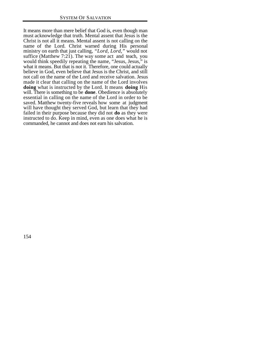It means more than mere belief that God is, even though man must acknowledge that truth. Mental assent that Jesus is the Christ is not all it means. Mental assent is not calling on the name of the Lord. Christ warned during His personal ministry on earth that just calling, *"Lord, Lord,"* would not suffice (Matthew  $7:21$ ). The way some act and teach, you would think speedily repeating the name, "Jesus, Jesus," is what it means. But that is not it. Therefore, one could actually believe in God, even believe that Jesus is the Christ, and still not call on the name of the Lord and receive salvation. Jesus made it clear that calling on the name of the Lord involves **doing** what is instructed by the Lord. It means **doing** His will. There is something to be **done**. Obedience is absolutely essential in calling on the name of the Lord in order to be saved. Matthew twenty-five reveals how some at judgment will have thought they served God, but learn that they had failed in their purpose because they did not **do** as they were instructed to do. Keep in mind, even as one does what he is commanded, he cannot and does not earn his salvation.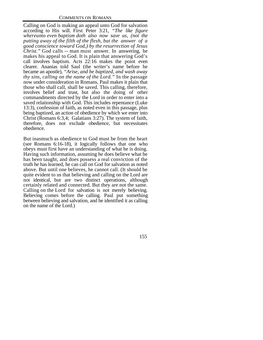Calling on God is making an appeal unto God for salvation according to His will. First Peter 3:21, *"The like figure whereunto even baptism doth also now save us, (not the putting away of the filth of the flesh, but the answer of a good conscience toward God,) by the resurrection of Jesus Christ."* God calls -- man must answer. In answering, he makes his appeal to God. It is plain that answering God's call involves baptism. Acts 22:16 makes the point even clearer. Ananias told Saul (the writer's name before he became an apostle), *"Arise, and be baptized, and wash away thy sins, calling on the name of the Lord."* In the passage now under consideration in Romans, Paul makes it plain that those who shall call, shall be saved. This calling, therefore, involves belief and trust, but also the doing of other commandments directed by the Lord in order to enter into a saved relationship with God. This includes repentance (Luke 13:3), confession of faith, as noted even in this passage, plus being baptized, an action of obedience by which we enter into Christ (Romans 6:3,4; Galatians 3:27). The system of faith, therefore, does not exclude obedience, but necessitates obedience.

But inasmuch as obedience to God must be from the heart (see Romans 6:16-18), it logically follows that one who obeys must first have an understanding of what he is doing. Having such information, assuming he does believe what he has been taught, and does possess a real conviction of the truth he has learned, he can call on God for salvation as noted above. But until one believes, he cannot call. (It should be quite evident to us that believing and calling on the Lord are not identical, but are two distinct operations, although certainly related and connected. But they are not the same. Calling on the Lord for salvation is not merely believing. Believing comes before the calling. Paul put something between believing and salvation, and he identified it as calling on the name of the Lord.)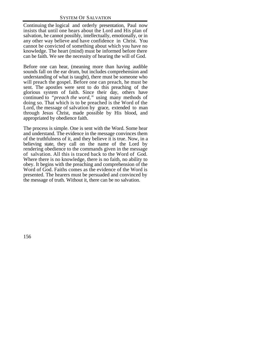Continuing the logical and orderly presentation, Paul now insists that until one hears about the Lord and His plan of salvation, he cannot possibly, intellectually, emotionally, or in any other way believe and have confidence in Christ. You cannot be convicted of something about which you have no knowledge. The heart (mind) must be informed before there can be faith. We see the necessity of hearing the will of God.

Before one can hear, (meaning more than having audible sounds fall on the ear drum, but includes comprehension and understanding of what is taught), there must be someone who will preach the gospel. Before one can preach, he must be sent. The apostles were sent to do this preaching of the glorious system of faith. Since their day, others have continued to *"preach the word,"* using many methods of doing so. That which is to be preached is the Word of the Lord, the message of salvation by grace, extended to man through Jesus Christ, made possible by His blood, and appropriated by obedience faith.

The process is simple. One is sent with the Word. Some hear and understand. The evidence in the message convinces them of the truthfulness of it, and they believe it is true. Now, in a believing state, they call on the name of the Lord by rendering obedience to the commands given in the message of salvation. All this is traced back to the Word of God. Where there is no knowledge, there is no faith, no ability to obey. It begins with the preaching and comprehension of the Word of God. Faiths comes as the evidence of the Word is presented. The hearers must be persuaded and convinced by the message of truth. Without it, there can be no salvation.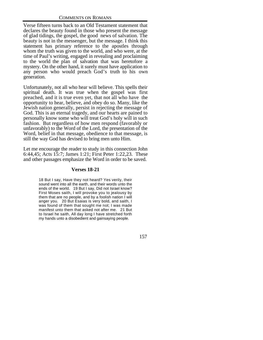Verse fifteen turns back to an Old Testament statement that declares the beauty found in those who present the message of glad tidings, the gospel, the good news of salvation. The beauty is not in the messenger, but the message. I think this statement has primary reference to the apostles through whom the truth was given to the world, and who were, at the time of Paul's writing, engaged in revealing and proclaiming to the world the plan of salvation that was heretofore a mystery. On the other hand, it surely must have application to any person who would preach God's truth to his own generation.

Unfortunately, not all who hear will believe. This spells their spiritual death. It was true when the gospel was first preached, and it is true even yet, that not all who have the opportunity to hear, believe, and obey do so. Many, like the Jewish nation generally, persist in rejecting the message of God. This is an eternal tragedy, and our hearts are pained to personally know some who will treat God's holy will in such fashion. But regardless of how men respond (favorably or unfavorably) to the Word of the Lord, the presentation of the Word, belief in that message, obedience to that message, is still the way God has devised to bring men unto Him.

Let me encourage the reader to study in this connection John 6:44,45; Acts 15:7; James 1:21; First Peter 1:22,23. These and other passages emphasize the Word in order to be saved.

#### **Verses 18-21**

18 But I say, Have they not heard? Yes verily, their sound went into all the earth, and their words unto the ends of the world. 19 But I say, Did not Israel know? First Moses saith, I will provoke you to jealousy by them that are no people, and by a foolish nation I will anger you. 20 But Esaias is very bold, and saith, I was found of them that sought me not; I was made manifest unto them that asked not after me. 21 But to Israel he saith, All day long I have stretched forth my hands unto a disobedient and gainsaying people.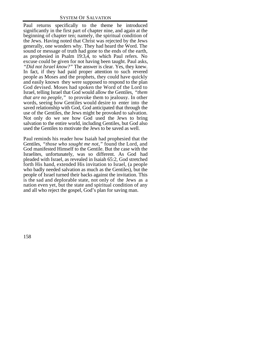Paul returns specifically to the theme he introduced significantly in the first part of chapter nine, and again at the beginning of chapter ten; namely, the spiritual condition of the Jews. Having noted that Christ was rejected by the Jews generally, one wonders why. They had heard the Word. The sound or message of truth had gone to the ends of the earth, as prophesied in Psalm 19:3,4, to which Paul refers. No excuse could be given for not having been taught. Paul asks, *"Did not Israel know?"* The answer is clear. Yes, they knew. In fact, if they had paid proper attention to such revered people as Moses and the prophets, they could have quickly and easily known they were supposed to respond to the plan God devised. Moses had spoken the Word of the Lord to Israel, telling Israel that God would allow the Gentiles, *"them that are no people,"* to provoke them to jealousy. In other words, seeing how Gentiles would desire to enter into the saved relationship with God, God anticipated that through the use of the Gentiles, the Jews might be provoked to salvation. Not only do we see how God used the Jews to bring salvation to the entire world, including Gentiles, but God also used the Gentiles to motivate the Jews to be saved as well.

Paul reminds his reader how Isaiah had prophesied that the Gentiles, *"those who sought me not,"* found the Lord, and God manifested Himself to the Gentile. But the case with the Israelites, unfortunately, was so different. As God had pleaded with Israel, as revealed in Isaiah 65:2, God stretched forth His hand, extended His invitation to Israel, (a people who badly needed salvation as much as the Gentiles), but the people of Israel turned their backs against the invitation. This is the sad and deplorable state, not only of the Jews as a nation even yet, but the state and spiritual condition of any and all who reject the gospel, God's plan for saving man.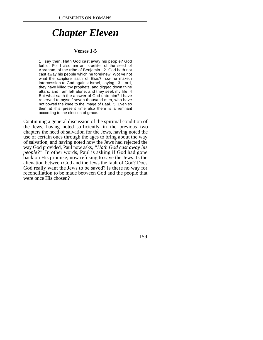# *Chapter Eleven*

#### **Verses 1-5**

1 I say then, Hath God cast away his people? God forbid. For I also am an Israelite, of the seed of Abraham, of the tribe of Benjamin. 2 God hath not cast away his people which he foreknew. Wot ye not what the scripture saith of Elias? how he maketh intercession to God against Israel, saying, 3 Lord, they have killed thy prophets, and digged down thine altars; and I am left alone, and they seek my life. 4 But what saith the answer of God unto him? I have reserved to myself seven thousand men, who have not bowed the knee to the image of Baal. 5 Even so then at this present time also there is a remnant according to the election of grace.

Continuing a general discussion of the spiritual condition of the Jews, having noted sufficiently in the previous two chapters the need of salvation for the Jews, having noted the use of certain ones through the ages to bring about the way of salvation, and having noted how the Jews had rejected the way God provided, Paul now asks, *"Hath God cast away his people?"* In other words, Paul is asking if God had gone back on His promise, now refusing to save the Jews. Is the alienation between God and the Jews the fault of God? Does God really want the Jews to be saved? Is there no way for reconciliation to be made between God and the people that were once His chosen?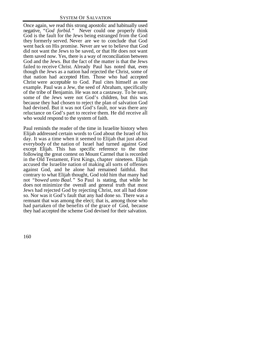Once again, we read this strong apostolic and habitually used negative, *"God forbid."* Never could one properly think God is the fault for the Jews being estranged from the God they formerly served. Never are we to conclude that God went back on His promise. Never are we to believe that God did not want the Jews to be saved, or that He does not want them saved now. Yes, there is a way of reconciliation between God and the Jews. But the fact of the matter is that the Jews failed to receive Christ. Already Paul has noted that, even though the Jews as a nation had rejected the Christ, some of that nation had accepted Him. Those who had accepted Christ were acceptable to God. Paul cites himself as one example. Paul was a Jew, the seed of Abraham, specifically of the tribe of Benjamin. He was not a castaway. To be sure, some of the Jews were not God's children, but this was because they had chosen to reject the plan of salvation God had devised. But it was not God's fault, nor was there any reluctance on God's part to receive them. He did receive all who would respond to the system of faith.

Paul reminds the reader of the time in Israelite history when Elijah addressed certain words to God about the Israel of his day. It was a time when it seemed to Elijah that just about everybody of the nation of Israel had turned against God except Elijah. This has specific reference to the time following the great contest on Mount Carmel that is recorded in the Old Testament, First Kings, chapter nineteen. Elijah accused the Israelite nation of making all sorts of offenses against God, and he alone had remained faithful. But contrary to what Elijah thought, God told him that many had not *"bowed unto Baal."* So Paul is stating, that while he does not minimize the overall and general truth that most Jews had rejected God by rejecting Christ, not all had done so. Nor was it God's fault that any had done so. There was a remnant that was among the elect; that is, among those who had partaken of the benefits of the grace of God, because they had accepted the scheme God devised for their salvation.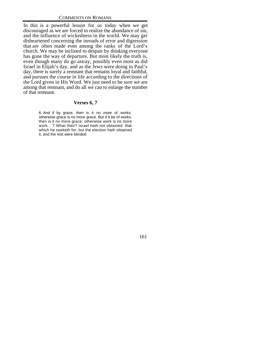In this is a powerful lesson for us today when we get discouraged as we are forced to realize the abundance of sin, and the influence of wickedness in the world. We may get disheartened concerning the inroads of error and digression that are often made even among the ranks of the Lord's church. We may be inclined to despair by thinking everyone has gone the way of departure. But most likely the truth is, even though many do go astray, possibly even most as did Israel in Elijah's day, and as the Jews were doing in Paul's day, there is surely a remnant that remains loyal and faithful, and pursues the course in life according to the directions of the Lord given in His Word. We just need to be sure we are among that remnant, and do all we can to enlarge the number of that remnant.

#### **Verses 6, 7**

6 And if by grace, then is it no more of works: otherwise grace is no more grace. But if it be of works, then is it no more grace: otherwise work is no more work. 7 What then? Israel hath not obtained that which he seeketh for; but the election hath obtained it, and the rest were blinded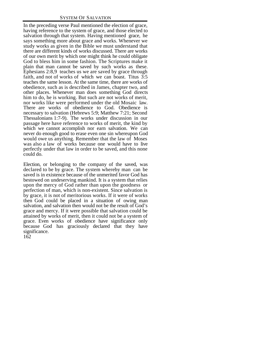In the preceding verse Paul mentioned the election of grace, having reference to the system of grace, and those elected to salvation through that system. Having mentioned grace, he says something more about grace and works. Whenever we study works as given in the Bible we must understand that there are different kinds of works discussed. There are works of our own merit by which one might think he could obligate God to bless him in some fashion. The Scriptures make it plain that man cannot be saved by such works as these. Ephesians 2:8,9 teaches us we are saved by grace through faith, and not of works of which we can boast. Titus 3:5 teaches the same lesson. At the same time, there are works of obedience, such as is described in James, chapter two, and other places. Whenever man does something God directs him to do, he is working. But such are not works of merit, nor works like were performed under the old Mosaic law. There are works of obedience to God. Obedience is necessary to salvation (Hebrews 5:9; Matthew 7:21; Second Thessalonians 1:7-9). The works under discussion in our passage here have reference to works of merit, the kind by which we cannot accomplish nor earn salvation. We can never do enough good to erase even one sin whereupon God would owe us anything. Remember that the law of Moses was also a law of works because one would have to live perfectly under that law in order to be saved, and this none could do.

162 Election, or belonging to the company of the saved, was declared to be by grace. The system whereby man can be saved is in existence because of the unmerited favor God has bestowed on undeserving mankind. It is a system that relies upon the mercy of God rather than upon the goodness or perfection of man, which is non-existent. Since salvation is by grace, it is not of meritorious works. If it were of works then God could be placed in a situation of owing man salvation, and salvation then would not be the result of God's grace and mercy. If it were possible that salvation could be attained by works of merit, then it could not be a system of grace. Even works of obedience have significance only because God has graciously declared that they have significance.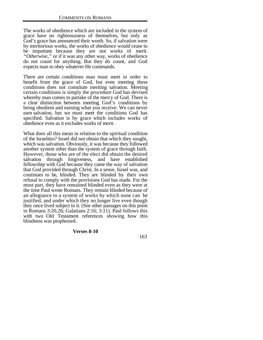The works of obedience which are included in the system of grace have no righteousness of themselves, but only as God's grace has announced their worth. So, if salvation were by meritorious works, the works of obedience would cease to be important because they are not works of merit. *"Otherwise,"* or if it was any other way, works of obedience do not count for anything. But they do count, and God expects man to obey whatever He commands.

There are certain conditions man must meet in order to benefit from the grace of God, but even meeting these conditions does not constitute meriting salvation. Meeting certain conditions is simply the procedure God has devised whereby man comes to partake of the mercy of God. There is a clear distinction between meeting God's conditions by being obedient and earning what you receive. We can never earn salvation, but we must meet the conditions God has specified. Salvation is by grace which includes works of obedience even as it excludes works of merit.

What does all this mean in relation to the spiritual condition of the Israelites? Israel did not obtain that which they sought, which was salvation. Obviously, it was because they followed another system other than the system of grace through faith. However, those who are of the elect did obtain the desired salvation through forgiveness, and have established fellowship with God because they came the way of salvation that God provided through Christ. In a sense, Israel was, and continues to be, blinded. They are blinded by their own refusal to comply with the provisions God has made. For the most part, they have remained blinded even as they were at the time Paul wrote Romans. They remain blinded because of an allegiance to a system of works by which none can be justified, and under which they no longer live even though they once lived subject to it. (See other passages on this point in Romans 3:20,26; Galatians 2:16; 3:11). Paul follows this with two Old Testament references showing how this blindness was prophesied.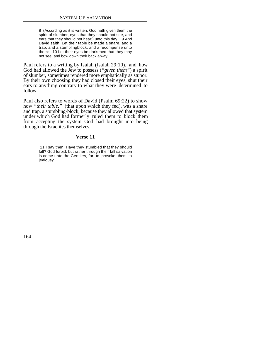8 (According as it is written, God hath given them the spirit of slumber, eyes that they should not see, and ears that they should not hear;) unto this day. 9 And David saith, Let their table be made a snare, and a trap, and a stumblingblock, and a recompense unto them: 10 Let their eyes be darkened that they may not see, and bow down their back alway.

Paul refers to a writing by Isaiah (Isaiah 29:10), and how God had allowed the Jew to possess (*"given them"*) a spirit of slumber, sometimes rendered more emphatically as stupor. By their own choosing they had closed their eyes, shut their ears to anything contrary to what they were determined to follow.

Paul also refers to words of David (Psalm 69:22) to show how *"their table,"* (that upon which they fed), was a snare and trap, a stumbling-block, because they allowed that system under which God had formerly ruled them to block them from accepting the system God had brought into being through the Israelites themselves.

#### **Verse 11**

 11 I say then, Have they stumbled that they should fall? God forbid: but rather through their fall salvation is come unto the Gentiles, for to provoke them to jealousy.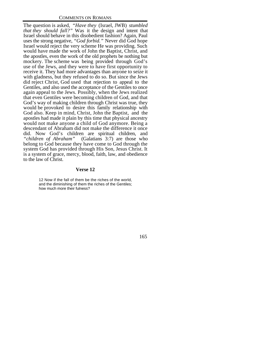The question is asked, *"Have they* (Israel, JWB) *stumbled that they should fall?"* Was it the design and intent that Israel should behave in this disobedient fashion? Again, Paul uses the strong negative, *"God forbid."* Never did God hope Israel would reject the very scheme He was providing. Such would have made the work of John the Baptist, Christ, and the apostles, even the work of the old prophets be nothing but mockery. The scheme was being provided through God's use of the Jews, and they were to have first opportunity to receive it. They had more advantages than anyone to seize it with gladness, but they refused to do so. But since the Jews did reject Christ, God used that rejection to appeal to the Gentiles, and also used the acceptance of the Gentiles to once again appeal to the Jews. Possibly, when the Jews realized that even Gentiles were becoming children of God, and that God's way of making children through Christ was true, they would be provoked to desire this family relationship with God also. Keep in mind, Christ, John the Baptist, and the apostles had made it plain by this time that physical ancestry would not make anyone a child of God anymore. Being a descendant of Abraham did not make the difference it once did. Now God's children are spiritual children, and "*children of Abraham*" (Galatians 3:7) are those who (Galatians 3:7) are those who belong to God because they have come to God through the system God has provided through His Son, Jesus Christ. It is a system of grace, mercy, blood, faith, law, and obedience to the law of Christ.

#### **Verse 12**

12 Now if the fall of them be the riches of the world, and the diminishing of them the riches of the Gentiles; how much more their fulness?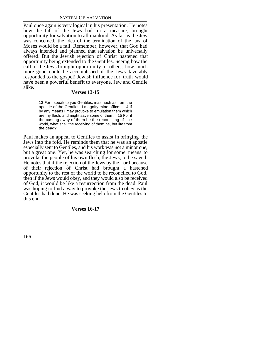Paul once again is very logical in his presentation. He notes how the fall of the Jews had, in a measure, brought opportunity for salvation to all mankind. As far as the Jew was concerned, the idea of the termination of the law of Moses would be a fall. Remember, however, that God had always intended and planned that salvation be universally offered. But the Jewish rejection of Christ hastened that opportunity being extended to the Gentiles. Seeing how the call of the Jews brought opportunity to others, how much more good could be accomplished if the Jews favorably responded to the gospel! Jewish influence for truth would have been a powerful benefit to everyone, Jew and Gentile alike.

#### **Verses 13-15**

13 For I speak to you Gentiles, inasmuch as I am the apostle of the Gentiles, I magnify mine office: 14 If by any means I may provoke to emulation them which are my flesh, and might save some of them. 15 For if the casting away of them be the reconciling of the world, what shall the receiving of them be, but life from the dead?

Paul makes an appeal to Gentiles to assist in bringing the Jews into the fold. He reminds them that he was an apostle especially sent to Gentiles, and his work was not a minor one, but a great one. Yet, he was searching for some means to provoke the people of his own flesh, the Jews, to be saved. He notes that if the rejection of the Jews by the Lord because of their rejection of Christ had brought a hastened opportunity to the rest of the world to be reconciled to God, then if the Jews would obey, and they would also be received of God, it would be like a resurrection from the dead. Paul was hoping to find a way to provoke the Jews to obey as the Gentiles had done. He was seeking help from the Gentiles to this end.

### **Verses 16-17**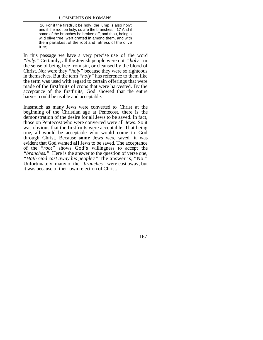16 For if the firstfruit be holy, the lump is also holy: and if the root be holy, so are the branches. 17 And if some of the branches be broken off, and thou, being a wild olive tree, wert grafted in among them, and with them partakest of the root and fatness of the olive tree;

In this passage we have a very precise use of the word *"holy."* Certainly, all the Jewish people were not *"holy"* in the sense of being free from sin, or cleansed by the blood of Christ. Nor were they *"holy"* because they were so righteous in themselves. But the term *"holy"* has reference to them like the term was used with regard to certain offerings that were made of the firstfruits of crops that were harvested. By the acceptance of the firstfruits, God showed that the entire harvest could be usable and acceptable.

Inasmuch as many Jews were converted to Christ at the beginning of the Christian age at Pentecost, there is the demonstration of the desire for all Jews to be saved. In fact, those on Pentecost who were converted were all Jews. So it was obvious that the firstfruits were acceptable. That being true, all would be acceptable who would come to God through Christ. Because **some** Jews were saved, it was evident that God wanted **all** Jews to be saved. The acceptance of the *"root"* shows God's willingness to accept the *"branches."* Here is the answer to the question of verse one, *"Hath God cast away his people?"* The answer is, "No." Unfortunately, many of the *"branches"* were cast away, but it was because of their own rejection of Christ.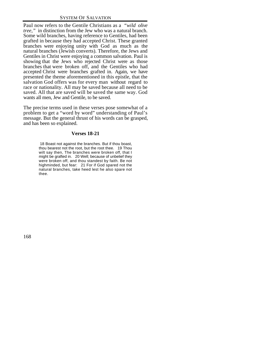Paul now refers to the Gentile Christians as a *"wild olive tree,"* in distinction from the Jew who was a natural branch. Some wild branches, having reference to Gentiles, had been grafted in because they had accepted Christ. These granted branches were enjoying unity with God as much as the natural branches (Jewish converts). Therefore, the Jews and Gentiles in Christ were enjoying a common salvation. Paul is showing that the Jews who rejected Christ were as those branches that were broken off, and the Gentiles who had accepted Christ were branches grafted in. Again, we have presented the theme aforementioned in this epistle, that the salvation God offers was for every man without regard to race or nationality. All may be saved because all need to be saved. All that are saved will be saved the same way. God wants all men, Jew and Gentile, to be saved.

The precise terms used in these verses pose somewhat of a problem to get a "word by word" understanding of Paul's message. But the general thrust of his words can be grasped, and has been so explained.

## **Verses 18-21**

 18 Boast not against the branches. But if thou boast, thou bearest not the root, but the root thee. 19 Thou wilt say then, The branches were broken off, that I might be grafted in. 20 Well; because of unbelief they were broken off, and thou standest by faith. Be not highminded, but fear: 21 For if God spared not the natural branches, take heed lest he also spare not thee.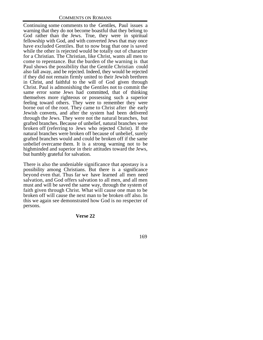Continuing some comments to the Gentiles, Paul issues a warning that they do not become boastful that they belong to God rather than the Jews. True, they were in spiritual fellowship with God, and with converted Jews that may once have excluded Gentiles. But to now brag that one is saved while the other is rejected would be totally out of character for a Christian. The Christian, like Christ, wants all men to come to repentance. But the burden of the warning is that Paul shows the possibility that the Gentile Christian could also fall away, and be rejected. Indeed, they would be rejected if they did not remain firmly united to their Jewish brethren in Christ, and faithful to the will of God given through Christ. Paul is admonishing the Gentiles not to commit the same error some Jews had committed, that of thinking themselves more righteous or possessing such a superior feeling toward others. They were to remember they were borne out of the root. They came to Christ after the early Jewish converts, and after the system had been delivered through the Jews. They were not the natural branches, but grafted branches. Because of unbelief, natural branches were broken off (referring to Jews who rejected Christ). If the natural branches were broken off because of unbelief, surely grafted branches would and could be broken off if the same unbelief overcame them. It is a strong warning not to be highminded and superior in their attitudes toward the Jews, but humbly grateful for salvation.

There is also the undeniable significance that apostasy is a possibility among Christians. But there is a significance beyond even that. Thus far we have learned all men need salvation, and God offers salvation to all men, and all men must and will be saved the same way, through the system of faith given through Christ. What will cause one man to be broken off will cause the next man to be broken off also. In this we again see demonstrated how God is no respecter of persons.

#### **Verse 22**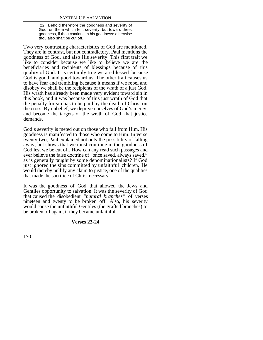22 Behold therefore the goodness and severity of God: on them which fell, severity; but toward thee, goodness, if thou continue in his goodness: otherwise thou also shalt be cut off.

Two very contrasting characteristics of God are mentioned. They are in contrast, but not contradictory. Paul mentions the goodness of God, and also His severity. This first trait we like to consider because we like to believe we are the beneficiaries and recipients of blessings because of this quality of God. It is certainly true we are blessed because God is good, and good toward us. The other trait causes us to have fear and trembling because it means if we rebel and disobey we shall be the recipients of the wrath of a just God. His wrath has already been made very evident toward sin in this book, and it was because of this just wrath of God that the penalty for sin has to be paid by the death of Christ on the cross. By unbelief, we deprive ourselves of God's mercy, and become the targets of the wrath of God that justice demands.

God's severity is meted out on those who fall from Him. His goodness is manifested to those who come to Him. In verse twenty-two, Paul explained not only the possibility of falling away, but shows that we must continue in the goodness of God lest we be cut off. How can any read such passages and ever believe the false doctrine of "once saved, always saved," as is generally taught by some denominationalists? If God just ignored the sins committed by unfaithful children, He would thereby nullify any claim to justice, one of the qualities that made the sacrifice of Christ necessary.

It was the goodness of God that allowed the Jews and Gentiles opportunity to salvation. It was the severity of God that caused the disobedient *"natural branches"* of verses nineteen and twenty to be broken off. Also, his severity would cause the unfaithful Gentiles (the grafted branches) to be broken off again, if they became unfaithful.

#### **Verses 23-24**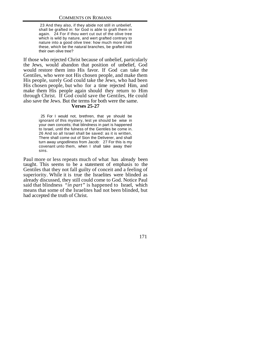23 And they also, if they abide not still in unbelief, shall be grafted in: for God is able to graft them in again. 24 For if thou wert cut out of the olive tree which is wild by nature, and wert grafted contrary to nature into a good olive tree: how much more shall these, which be the natural branches, be grafted into their own olive tree?

If those who rejected Christ because of unbelief, particularly the Jews, would abandon that position of unbelief, God would restore them into His favor. If God can take the Gentiles, who were not His chosen people, and make them His people, surely God could take the Jews, who had been His chosen people, but who for a time rejected Him, and make them His people again should they return to Him through Christ. If God could save the Gentiles, He could also save the Jews. But the terms for both were the same.

#### **Verses 25-27**

 25 For I would not, brethren, that ye should be ignorant of this mystery, lest ye should be wise in your own conceits; that blindness in part is happened to Israel, until the fulness of the Gentiles be come in. 26 And so all Israel shall be saved: as it is written, There shall come out of Sion the Deliverer, and shall turn away ungodliness from Jacob: 27 For this is my covenant unto them, when I shall take away their sins.

Paul more or less repeats much of what has already been taught. This seems to be a statement of emphasis to the Gentiles that they not fall guilty of conceit and a feeling of superiority. While it is true the Israelites were blinded as already discussed, they still could come to God. Notice Paul said that blindness *"in part"* is happened to Israel, which means that some of the Israelites had not been blinded, but had accepted the truth of Christ.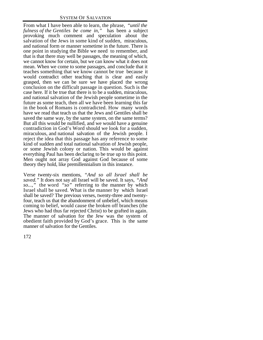From what I have been able to learn, the phrase, *"until the fulness of the Gentiles be come in,"* has been a subject provoking much comment and speculation about the salvation of the Jews in some kind of sudden, miraculous, and national form or manner sometime in the future. There is one point in studying the Bible we need to remember, and that is that there may well be passages, the meaning of which, we cannot know for certain, but we can know what it does not mean. When we come to some passages, and conclude that it teaches something that we know cannot be true because it would contradict other teaching that is clear and easily grasped, then we can be sure we have placed the wrong conclusion on the difficult passage in question. Such is the case here. If it be true that there is to be a sudden, miraculous, and national salvation of the Jewish people sometime in the future as some teach, then all we have been learning this far in the book of Romans is contradicted. How many words have we read that teach us that the Jews and Gentiles shall be saved the same way, by the same system, on the same terms? But all this would be nullified, and we would have a genuine contradiction in God's Word should we look for a sudden, miraculous, and national salvation of the Jewish people. I reject the idea that this passage has any reference to some kind of sudden and total national salvation of Jewish people, or some Jewish colony or nation. This would be against everything Paul has been declaring to be true up to this point. Men ought not array God against God because of some theory they hold, like premillennialism in this instance.

Verse twenty-six mentions, *"And so all Israel shall be saved."* It does not say all Israel will be saved. It says, *"And so...,"* the word *"so"* referring to the manner by which Israel shall be saved. What is the manner by which Israel shall be saved? The previous verses, twenty-three and twentyfour, teach us that the abandonment of unbelief, which means coming to belief, would cause the broken off branches (the Jews who had thus far rejected Christ) to be grafted in again. The manner of salvation for the Jew was the system of obedient faith provided by God's grace. This is the same manner of salvation for the Gentiles.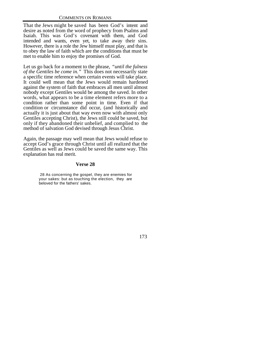That the Jews might be saved has been God's intent and desire as noted from the word of prophecy from Psalms and Isaiah. This was God's covenant with them, and God intended and wants, even yet, to take away their sins. However, there is a role the Jew himself must play, and that is to obey the law of faith which are the conditions that must be met to enable him to enjoy the promises of God.

Let us go back for a moment to the phrase, *"until the fulness of the Gentiles be come in."* This does not necessarily state a specific time reference when certain events will take place. It could well mean that the Jews would remain hardened against the system of faith that embraces all men until almost nobody except Gentiles would be among the saved. In other words, what appears to be a time element refers more to a condition rather than some point in time. Even if that condition or circumstance did occur, (and historically and actually it is just about that way even now with almost only Gentiles accepting Christ), the Jews still could be saved, but only if they abandoned their unbelief, and complied to the method of salvation God devised through Jesus Christ.

Again, the passage may well mean that Jews would refuse to accept God's grace through Christ until all realized that the Gentiles as well as Jews could be saved the same way. This explanation has real merit.

## **Verse 28**

 28 As concerning the gospel, they are enemies for your sakes: but as touching the election, they are beloved for the fathers' sakes.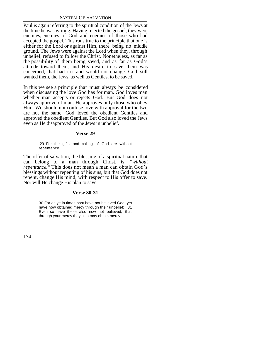Paul is again referring to the spiritual condition of the Jews at the time he was writing. Having rejected the gospel, they were enemies, enemies of God and enemies of those who had accepted the gospel. This runs true to the principle that one is either for the Lord or against Him, there being no middle ground. The Jews were against the Lord when they, through unbelief, refused to follow the Christ. Nonetheless, as far as the possibility of them being saved, and as far as God's attitude toward them, and His desire to save them was concerned, that had not and would not change. God still wanted them, the Jews, as well as Gentiles, to be saved.

In this we see a principle that must always be considered when discussing the love God has for man. God loves man whether man accepts or rejects God. But God does not always approve of man. He approves only those who obey Him. We should not confuse love with approval for the two are not the same. God loved the obedient Gentiles and approved the obedient Gentiles. But God also loved the Jews even as He disapproved of the Jews in unbelief.

#### **Verse 29**

 29 For the gifts and calling of God are without repentance.

The offer of salvation, the blessing of a spiritual nature that can belong to a man through Christ, is *"without repentance."* This does not mean a man can obtain God's blessings without repenting of his sins, but that God does not repent, change His mind, with respect to His offer to save. Nor will He change His plan to save.

# **Verse 30-31**

30 For as ye in times past have not believed God, yet have now obtained mercy through their unbelief: 31 Even so have these also now not believed, that through your mercy they also may obtain mercy.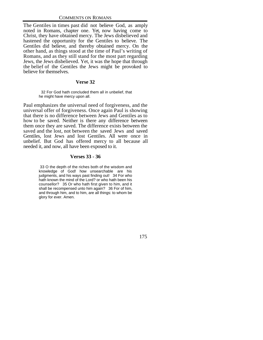The Gentiles in times past did not believe God, as amply noted in Romans, chapter one. Yet, now having come to Christ, they have obtained mercy. The Jews disbelieved and hastened the opportunity for the Gentiles to believe. The Gentiles did believe, and thereby obtained mercy. On the other hand, as things stood at the time of Paul's writing of Romans, and as they still stand for the most part regarding Jews, the Jews disbelieved. Yet, it was the hope that through the belief of the Gentiles the Jews might be provoked to believe for themselves.

#### **Verse 32**

 32 For God hath concluded them all in unbelief, that he might have mercy upon all.

Paul emphasizes the universal need of forgiveness, and the universal offer of forgiveness. Once again Paul is showing that there is no difference between Jews and Gentiles as to how to be saved. Neither is there any difference between them once they are saved. The difference exists between the saved and the lost, not between the saved Jews and saved Gentiles, lost Jews and lost Gentiles. All were once in unbelief. But God has offered mercy to all because all needed it, and now, all have been exposed to it.

#### **Verses 33 - 36**

 33 O the depth of the riches both of the wisdom and knowledge of God! how unsearchable are his judgments, and his ways past finding out! 34 For who hath known the mind of the Lord? or who hath been his counsellor? 35 Or who hath first given to him, and it shall be recompensed unto him again? 36 For of him, and through him, and to him, are all things: to whom be glory for ever. Amen.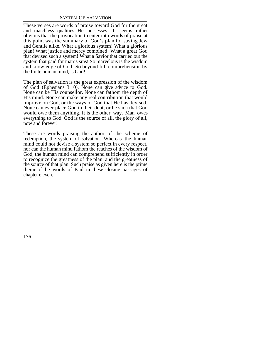These verses are words of praise toward God for the great and matchless qualities He possesses. It seems rather obvious that the provocation to enter into words of praise at this point was the summary of God's plan for saving Jew and Gentile alike. What a glorious system! What a glorious plan! What justice and mercy combined! What a great God that devised such a system! What a Savior that carried out the system that paid for man's sins! So marvelous is the wisdom and knowledge of God! So beyond full comprehension by the finite human mind, is God!

The plan of salvation is the great expression of the wisdom of God (Ephesians 3:10). None can give advice to God. None can be His counsellor. None can fathom the depth of His mind. None can make any real contribution that would improve on God, or the ways of God that He has devised. None can ever place God in their debt, or be such that God would owe them anything. It is the other way. Man owes everything to God. God is the source of all, the glory of all, now and forever!

These are words praising the author of the scheme of redemption, the system of salvation. Whereas the human mind could not devise a system so perfect in every respect, nor can the human mind fathom the reaches of the wisdom of God, the human mind can comprehend sufficiently in order to recognize the greatness of the plan, and the greatness of the source of that plan. Such praise as given here is the prime theme of the words of Paul in these closing passages of chapter eleven.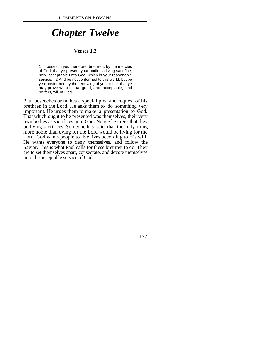# *Chapter Twelve*

#### **Verses 1,2**

1 I beseech you therefore, brethren, by the mercies of God, that ye present your bodies a living sacrifice, holy, acceptable unto God, which is your reasonable service. 2 And be not conformed to this world: but be ye transformed by the renewing of your mind, that ye may prove what is that good, and acceptable, and perfect, will of God.

Paul beseeches or makes a special plea and request of his brethren in the Lord. He asks them to do something very important. He urges them to make a presentation to God. That which ought to be presented was themselves, their very own bodies as sacrifices unto God. Notice he urges that they be living sacrifices. Someone has said that the only thing more noble than dying for the Lord would be living for the Lord. God wants people to live lives according to His will. He wants everyone to deny themselves, and follow the Savior. This is what Paul calls for these brethren to do. They are to set themselves apart, consecrate, and devote themselves unto the acceptable service of God.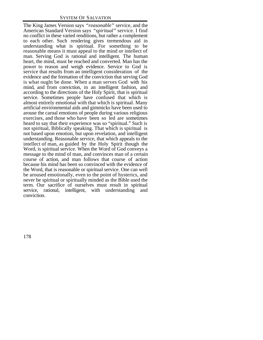The King James Version says *"reasonable"* service, and the American Standard Version says *"spiritual"* service. I find no conflict in these varied renditions, but rather a complement to each other. Such rendering gives tremendous aid in understanding what is spiritual. For something to be reasonable means it must appeal to the mind or intellect of man. Serving God is rational and intelligent. The human heart, the mind, must be reached and converted. Man has the power to reason and weigh evidence. Service to God is service that results from an intelligent consideration of the evidence and the formation of the conviction that serving God is what ought be done. When a man serves God with his mind, and from conviction, in an intelligent fashion, and according to the directions of the Holy Spirit, that is spiritual service. Sometimes people have confused that which is almost entirely emotional with that which is spiritual. Many artificial environmental aids and gimmicks have been used to arouse the carnal emotions of people during various religious exercises, and those who have been so led are sometimes heard to say that their experience was so "spiritual." Such is not spiritual, Biblically speaking. That which is spiritual is not based upon emotion, but upon revelation, and intelligent understanding. Reasonable service, that which appeals to the intellect of man, as guided by the Holy Spirit though the Word, is spiritual service. When the Word of God conveys a message to the mind of man, and convinces man of a certain course of action, and man follows that course of action because his mind has been so convinced with the evidence of the Word, that is reasonable or spiritual service. One can well be aroused emotionally, even to the point of hysterics, and never be spiritual or spiritually minded as the Bible used the term. Our sacrifice of ourselves must result in spiritual service, rational, intelligent, with understanding and conviction.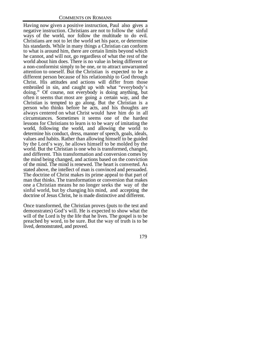Having now given a positive instruction, Paul also gives a negative instruction. Christians are not to follow the sinful ways of the world, nor follow the multitude to do evil. Christians are not to let the world set his pace, or determine his standards. While in many things a Christian can conform to what is around him, there are certain limits beyond which he cannot, and will not, go regardless of what the rest of the world about him does. There is no value in being different or a non-conformist simply to be one, or to attract unwarranted attention to oneself. But the Christian is expected to be a different person because of his relationship to God through Christ. His attitudes and actions will differ from those embroiled in sin, and caught up with what "everybody's doing." Of course, not everybody is doing anything, but often it seems that most are going a certain way, and the Christian is tempted to go along. But the Christian is a person who thinks before he acts, and his thoughts are always centered on what Christ would have him do in all circumstances. Sometimes it seems one of the hardest lessons for Christians to learn is to be wary of imitating the world, following the world, and allowing the world to determine his conduct, dress, manner of speech, goals, ideals, values and habits. Rather than allowing himself to be guided by the Lord's way, he allows himself to be molded by the world. But the Christian is one who is transformed, changed, and different. This transformation and conversion comes by the mind being changed, and actions based on the conviction of the mind. The mind is renewed. The heart is converted. As stated above, the intellect of man is convinced and persuaded. The doctrine of Christ makes its prime appeal to that part of man that thinks. The transformation or conversion that makes one a Christian means he no longer seeks the way of the sinful world, but by changing his mind, and accepting the doctrine of Jesus Christ, he is made distinctive and different.

Once transformed, the Christian proves (puts to the test and demonstrates) God's will. He is expected to show what the will of the Lord is by the life that he lives. The gospel is to be preached by word, to be sure. But the way of truth is to be lived, demonstrated, and proved.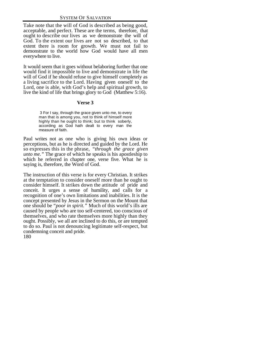SYSTEM OF SALVATION

Take note that the will of God is described as being good, acceptable, and perfect. These are the terms, therefore, that ought to describe our lives as we demonstrate the will of God. To the extent our lives are not so described, to that extent there is room for growth. We must not fail to demonstrate to the world how God would have all men everywhere to live.

It would seem that it goes without belaboring further that one would find it impossible to live and demonstrate in life the will of God if he should refuse to give himself completely as a living sacrifice to the Lord. Having given oneself to the Lord, one is able, with God's help and spiritual growth, to live the kind of life that brings glory to God (Matthew 5:16).

#### **Verse 3**

 3 For I say, through the grace given unto me, to every man that is among you, not to think of himself more highly than he ought to think; but to think soberly, according as God hath dealt to every man the measure of faith.

Paul writes not as one who is giving his own ideas or perceptions, but as he is directed and guided by the Lord. He so expresses this in the phrase, *"through the grace given unto me."* The grace of which he speaks is his apostleship to which he referred in chapter one, verse five. What he is saying is, therefore, the Word of God.

180 The instruction of this verse is for every Christian. It strikes at the temptation to consider oneself more than he ought to consider himself. It strikes down the attitude of pride and conceit. It urges a sense of humility, and calls for a recognition of one's own limitations and inabilities. It is the concept presented by Jesus in the Sermon on the Mount that one should be *"poor in spirit."* Much of this world's ills are caused by people who are too self-centered, too conscious of themselves, and who rate themselves more highly than they ought. Possibly, we all are inclined to do this, or are tempted to do so. Paul is not denouncing legitimate self-respect, but condemning conceit and pride.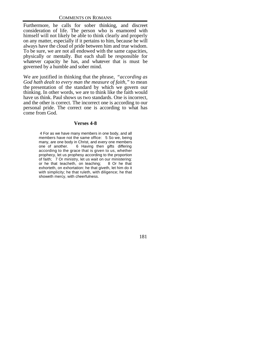Furthermore, he calls for sober thinking, and discreet consideration of life. The person who is enamored with himself will not likely be able to think clearly and properly on any matter, especially if it pertains to him, because he will always have the cloud of pride between him and true wisdom. To be sure, we are not all endowed with the same capacities, physically or mentally. But each shall be responsible for whatever capacity he has, and whatever that is must be governed by a humble and sober mind.

We are justified in thinking that the phrase, *"according as God hath dealt to every man the measure of faith,"* to mean the presentation of the standard by which we govern our thinking. In other words, we are to think like the faith would have us think. Paul shows us two standards. One is incorrect, and the other is correct. The incorrect one is according to our personal pride. The correct one is according to what has come from God.

#### **Verses 4-8**

 4 For as we have many members in one body, and all members have not the same office: 5 So we, being many, are one body in Christ, and every one members one of another. 6 Having then gifts differing according to the grace that is given to us, whether prophecy, let us prophesy according to the proportion of faith; 7 Or ministry, let us wait on our ministering: or he that teacheth, on teaching; 8 Or he that exhorteth, on exhortation: he that giveth, let him do it with simplicity; he that ruleth, with diligence; he that showeth mercy, with cheerfulness.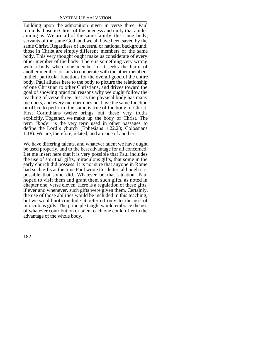Building upon the admonition given in verse three, Paul reminds those in Christ of the oneness and unity that abides among us. We are all of the same family, the same body, servants of the same God, and we all have been saved by the same Christ. Regardless of ancestral or national background, those in Christ are simply different members of the same body. This very thought ought make us considerate of every other member of the body. There is something very wrong with a body where one member of it seeks the harm of another member, or fails to cooperate with the other members in their particular functions for the overall good of the entire body. Paul alludes here to the body to picture the relationship of one Christian to other Christians, and drives toward the goal of showing practical reasons why we ought follow the teaching of verse three. Just as the physical body has many members, and every member does not have the same function or office to perform, the same is true of the body of Christ. First Corinthians twelve brings out these very truths explicitly. Together, we make up the body of Christ. The term *"body"* is the very term used in other passages to define the Lord's church (Ephesians 1:22,23; Colossians 1:18). We are, therefore, related, and are one of another.

We have differing talents, and whatever talent we have ought be used properly, and to the best advantage for all concerned. Let me insert here that it is very possible that Paul includes the use of spiritual gifts, miraculous gifts, that some in the early church did possess. It is not sure that anyone in Rome had such gifts at the time Paul wrote this letter, although it is possible that some did. Whatever be that situation, Paul hoped to visit them and grant them such gifts, as noted in chapter one, verse eleven. Here is a regulation of these gifts, if ever and whenever, such gifts were given them. Certainly, the use of those abilities would be included in this teaching, but we would not conclude it referred only to the use of miraculous gifts. The principle taught would embrace the use of whatever contribution or talent each one could offer to the advantage of the whole body.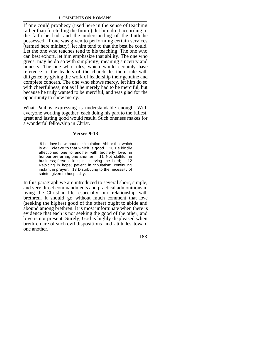If one could prophesy (used here in the sense of teaching rather than foretelling the future), let him do it according to the faith he had, and the understanding of the faith he possessed. If one was given to performing certain services (termed here ministry), let him tend to that the best he could. Let the one who teaches tend to his teaching. The one who can best exhort, let him emphasize that ability. The one who gives, may he do so with simplicity, meaning sincerity and honesty. The one who rules, which would certainly have reference to the leaders of the church, let them rule with diligence by giving the work of leadership their genuine and complete concern. The one who shows mercy, let him do so with cheerfulness, not as if he merely had to be merciful, but because he truly wanted to be merciful, and was glad for the opportunity to show mercy.

What Paul is expressing is understandable enough. With everyone working together, each doing his part to the fullest, great and lasting good would result. Such oneness makes for a wonderful fellowship in Christ.

# **Verses 9-13**

 9 Let love be without dissimulation. Abhor that which is evil; cleave to that which is good. 10 Be kindly affectioned one to another with brotherly love; in honour preferring one another; 11 Not slothful in business; fervent in spirit; serving the Lord; 12 Rejoicing in hope; patient in tribulation; continuing instant in prayer; 13 Distributing to the necessity of saints; given to hospitality.

In this paragraph we are introduced to several short, simple, and very direct commandments and practical admonitions in living the Christian life, especially our relationship with brethren. It should go without much comment that love (seeking the highest good of the other) ought to abide and abound among brethren. It is most unfortunate when there is evidence that each is not seeking the good of the other, and love is not present. Surely, God is highly displeased when brethren are of such evil dispositions and attitudes toward one another.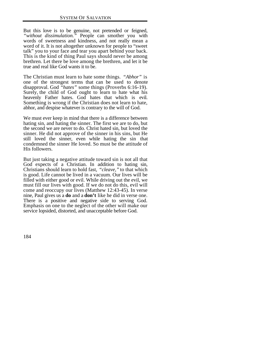But this love is to be genuine, not pretended or feigned, *"without dissimulation."* People can smother you with words of sweetness and kindness, and not really mean a word of it. It is not altogether unknown for people to "sweet talk" you to your face and tear you apart behind your back. This is the kind of thing Paul says should never be among brethren. Let there be love among the brethren, and let it be true and real like God wants it to be.

The Christian must learn to hate some things. *"Abhor"* is one of the strongest terms that can be used to denote disapproval. God *"hates"* some things (Proverbs 6:16-19). Surely, the child of God ought to learn to hate what his heavenly Father hates. God hates that which is evil. Something is wrong if the Christian does not learn to hate, abhor, and despise whatever is contrary to the will of God.

We must ever keep in mind that there is a difference between hating sin, and hating the sinner. The first we are to do, but the second we are never to do. Christ hated sin, but loved the sinner. He did not approve of the sinner in his sins, but He still loved the sinner, even while hating the sin that condemned the sinner He loved. So must be the attitude of His followers.

But just taking a negative attitude toward sin is not all that God expects of a Christian. In addition to hating sin, Christians should learn to hold fast, *"cleave,"* to that which is good. Life cannot be lived in a vacuum. Our lives will be filled with either good or evil. While driving out the evil, we must fill our lives with good. If we do not do this, evil will come and reoccupy our lives (Matthew 12:43-45). In verse nine, Paul gives us a **do** and a **don't** like he did in verse one. There is a positive and negative side to serving God. Emphasis on one to the neglect of the other will make our service lopsided, distorted, and unacceptable before God.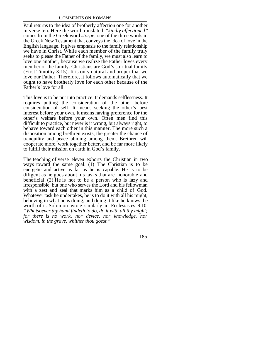Paul returns to the idea of brotherly affection one for another in verse ten. Here the word translated *"kindly affectioned"* comes from the Greek word *storge,* one of the three words in the Greek New Testament that conveys the idea of love in the English language. It gives emphasis to the family relationship we have in Christ. While each member of the family truly seeks to please the Father of the family, we must also learn to love one another, because we realize the Father loves every member of the family. Christians are God's spiritual family (First Timothy 3:15). It is only natural and proper that we love our Father. Therefore, it follows automatically that we ought to have brotherly love for each other because of the Father's love for all.

This love is to be put into practice. It demands selflessness. It requires putting the consideration of the other before consideration of self. It means seeking the other's best interest before your own. It means having preference for the other's welfare before your own. Often men find this difficult to practice, but never is it wrong, but always right, to behave toward each other in this manner. The more such a disposition among brethren exists, the greater the chance of tranquility and peace abiding among them. Brethren will cooperate more, work together better, and be far more likely to fulfill their mission on earth in God's family.

The teaching of verse eleven exhorts the Christian in two ways toward the same goal. (1) The Christian is to be energetic and active as far as he is capable. He is to be diligent as he goes about his tasks that are honorable and beneficial. (2) He is not to be a person who is lazy and irresponsible, but one who serves the Lord and his fellowman with a zest and zeal that marks him as a child of God. Whatever task he undertakes, he is to do it with all his might, believing in what he is doing, and doing it like he knows the worth of it. Solomon wrote similarly in Ecclesiastes 9:10, *"Whatsoever thy hand findeth to do, do it with all thy might; for there is no work, nor device, nor knowledge, nor wisdom, in the grave, whither thou goest."*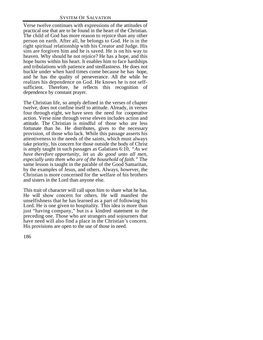Verse twelve continues with expressions of the attitudes of practical use that are to be found in the heart of the Christian. The child of God has more reason to rejoice than any other person on earth. After all, he belongs to God. He is in the right spiritual relationship with his Creator and Judge. His sins are forgiven him and he is saved. He is on his way to heaven. Why should he not rejoice? He has a hope, and this hope burns within his heart. It enables him to face hardships and tribulations with patience and stedfastness. He does not buckle under when hard times come because he has hope, and he has the quality of perseverance. All the while he realizes his dependence on God. He knows he is not selfsufficient. Therefore, he reflects this recognition of dependence by constant prayer.

The Christian life, so amply defined in the verses of chapter twelve, does not confine itself to attitude. Already, in verses four through eight, we have seen the need for cooperative action. Verse nine through verse eleven includes action and attitude. The Christian is mindful of those who are less fortunate than he. He distributes, gives to the necessary provision, of those who lack. While this passage asserts his attentiveness to the needs of the saints, which must always take priority, his concern for those outside the body of Christ is amply taught in such passages as Galatians 6:10, *"As we have therefore opportunity, let us do good unto all men, especially unto them who are of the household of faith."* The same lesson is taught in the parable of the Good Samaritan, by the examples of Jesus, and others. Always, however, the Christian is more concerned for the welfare of his brothers and sisters in the Lord than anyone else.

This trait of character will call upon him to share what he has. He will show concern for others. He will manifest the unselfishness that he has learned as a part of following his Lord. He is one given to hospitality. This idea is more than just "having company," but is a kindred statement to the preceding one. Those who are strangers and sojourners that have need will also find a place in the Christian's concern. His provisions are open to the use of those in need.

186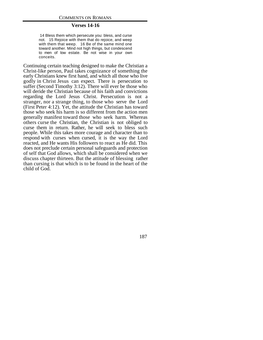#### **Verses 14-16**

 14 Bless them which persecute you: bless, and curse not. 15 Rejoice with them that do rejoice, and weep with them that weep. 16 Be of the same mind one toward another. Mind not high things, but condescend to men of low estate. Be not wise in your own conceits.

Continuing certain teaching designed to make the Christian a Christ-like person, Paul takes cognizance of something the early Christians knew first hand, and which all those who live godly in Christ Jesus can expect. There is persecution to suffer (Second Timothy 3:12). There will ever be those who will deride the Christian because of his faith and convictions regarding the Lord Jesus Christ. Persecution is not a stranger, nor a strange thing, to those who serve the Lord (First Peter 4:12). Yet, the attitude the Christian has toward those who seek his harm is so different from the action men generally manifest toward those who seek harm. Whereas others curse the Christian, the Christian is not obliged to curse them in return. Rather, he will seek to bless such people. While this takes more courage and character than to respond with curses when cursed, it is the way the Lord reacted, and He wants His followers to react as He did. This does not preclude certain personal safeguards and protection of self that God allows, which shall be considered when we discuss chapter thirteen. But the attitude of blessing rather than cursing is that which is to be found in the heart of the child of God.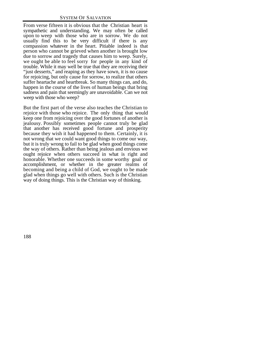From verse fifteen it is obvious that the Christian heart is sympathetic and understanding. We may often be called upon to weep with those who are in sorrow. We do not usually find this to be very difficult if there is any compassion whatever in the heart. Pitiable indeed is that person who cannot be grieved when another is brought low due to sorrow and tragedy that causes him to weep. Surely, we ought be able to feel sorry for people in any kind of trouble. While it may well be true that they are receiving their "just desserts," and reaping as they have sown, it is no cause for rejoicing, but only cause for sorrow, to realize that others suffer heartache and heartbreak. So many things can, and do, happen in the course of the lives of human beings that bring sadness and pain that seemingly are unavoidable. Can we not weep with those who weep?

But the first part of the verse also teaches the Christian to rejoice with those who rejoice. The only thing that would keep one from rejoicing over the good fortunes of another is jealousy. Possibly sometimes people cannot truly be glad that another has received good fortune and prosperity because they wish it had happened to them. Certainly, it is not wrong that we could want good things to come our way, but it is truly wrong to fail to be glad when good things come the way of others. Rather than being jealous and envious we ought rejoice when others succeed in what is right and honorable. Whether one succeeds in some worthy goal or accomplishment, or whether in the greater realms of becoming and being a child of God, we ought to be made glad when things go well with others. Such is the Christian way of doing things. This is the Christian way of thinking.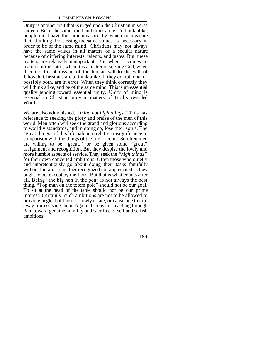Unity is another trait that is urged upon the Christian in verse sixteen. Be of the same mind and think alike. To think alike, people must have the same measure by which to measure their thinking. Possessing the same values is necessary in order to be of the same mind. Christians may not always have the same values in all matters of a secular nature because of differing interests, talents, and tastes. But these matters are relatively unimportant. But when it comes to matters of the spirit, when it is a matter of serving God, when it comes to submission of the human will to the will of Jehovah, Christians are to think alike. If they do not, one, or possibly both, are in error. When they think correctly they will think alike, and be of the same mind. This is an essential quality tending toward essential unity. Unity of mind is essential to Christian unity in matters of God's revealed Word.

We are also admonished, *"mind not high things."* This has reference to seeking the glory and praise of the men of this world. Men often will seek the grand and glorious according to worldly standards, and in doing so, lose their souls. The "great things" of this life pale into relative insignificance in comparison with the things of the life to come. So often men are willing to be "great," or be given some "great" assignment and recognition. But they despise the lowly and more humble aspects of service. They seek the *"high things"* for their own conceited ambitions. Often those who quietly and unpretentiously go about doing their tasks faithfully without fanfare are neither recognized nor appreciated as they ought to be, except by the Lord. But that is what counts after all. Being "the big hen in the pen" is not always the best thing. "Top man on the totem pole" should not be our goal. To sit at the head of the table should not be our prime interest. Certainly, such ambitions are not to be allowed to provoke neglect of those of lowly estate, or cause one to turn away from serving them. Again, there is this teaching through Paul toward genuine humility and sacrifice of self and selfish ambitions.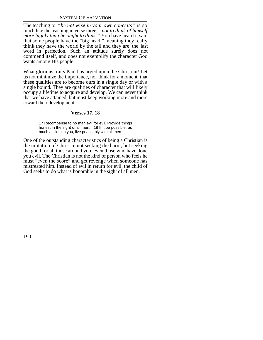The teaching to *"be not wise in your own conceits"* is so much like the teaching in verse three, *"not to think of himself more highly than he ought to think."* You have heard it said that some people have the "big head," meaning they really think they have the world by the tail and they are the last word in perfection. Such an attitude surely does not commend itself, and does not exemplify the character God wants among His people.

What glorious traits Paul has urged upon the Christian! Let us not minimize the importance, nor think for a moment, that these qualities are to become ours in a single day or with a single bound. They are qualities of character that will likely occupy a lifetime to acquire and develop. We can never think that we have attained, but must keep working more and more toward their development.

# **Verses 17, 18**

17 Recompense to no man evil for evil. Provide things honest in the sight of all men. 18 If it be possible, as much as lieth in you, live peaceably with all men.

One of the outstanding characteristics of being a Christian is the imitation of Christ in not seeking the harm, but seeking the good for all those around you, even those who have done you evil. The Christian is not the kind of person who feels he must "even the score" and get revenge when someone has mistreated him. Instead of evil in return for evil, the child of God seeks to do what is honorable in the sight of all men.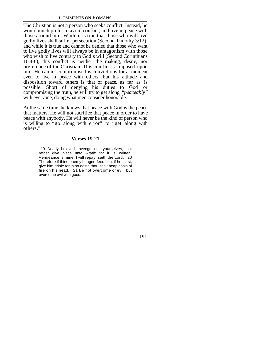The Christian is not a person who seeks conflict. Instead, he would much prefer to avoid conflict, and live in peace with those around him. While it is true that those who will live godly lives shall suffer persecution (Second Timothy 3:12), and while it is true and cannot be denied that those who want to live godly lives will always be in antagonism with those who wish to live contrary to God's will (Second Corinthians 10:4-6), this conflict is neither the making, desire, nor preference of the Christian. This conflict is imposed upon him. He cannot compromise his convictions for a moment even to live in peace with others, but his attitude and disposition toward others is that of peace, as far as is possible. Short of denying his duties to God or compromising the truth, he will try to get along *"peaceably"* with everyone, doing what men consider honorable.

At the same time, he knows that peace with God is the peace that matters. He will not sacrifice that peace in order to have peace with anybody. He will never be the kind of person who is willing to "go along with error" to "get along with others."

#### **Verses 19-21**

 19 Dearly beloved, avenge not yourselves, but rather give place unto wrath: for it is written, Vengeance is mine; I will repay, saith the Lord. 20 Therefore if thine enemy hunger, feed him; if he thirst, give him drink: for in so doing thou shalt heap coals of fire on his head. 21 Be not overcome of evil, but overcome evil with good.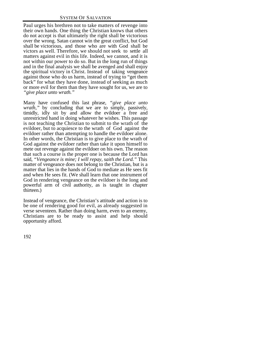Paul urges his brethren not to take matters of revenge into their own hands. One thing the Christian knows that others do not accept is that ultimately the right shall be victorious over the wrong. Satan cannot win the great conflict, but God shall be victorious, and those who are with God shall be victors as well. Therefore, we should not seek to settle all matters against evil in this life. Indeed, we cannot, and it is not within our power to do so. But in the long run of things and in the final analysis we shall be avenged and shall enjoy the spiritual victory in Christ. Instead of taking vengeance against those who do us harm, instead of trying to "get them back" for what they have done, instead of seeking as much or more evil for them than they have sought for us, we are to *"give place unto wrath."*

Many have confused this last phrase, *"give place unto wrath,"* by concluding that we are to simply, passively, timidly, idly sit by and allow the evildoer a free and unrestricted hand in doing whatever he wishes. This passage is not teaching the Christian to submit to the wrath of the evildoer, but to acquiesce to the wrath of God against the evildoer rather than attempting to handle the evildoer alone. In other words, the Christian is to give place to the wrath of God against the evildoer rather than take it upon himself to mete out revenge against the evildoer on his own. The reason that such a course is the proper one is because the Lord has said, *"Vengeance is mine; I will repay, saith the Lord."* This matter of vengeance does not belong to the Christian, but is a matter that lies in the hands of God to mediate as He sees fit and when He sees fit. (We shall learn that one instrument of God in rendering vengeance on the evildoer is the long and powerful arm of civil authority, as is taught in chapter thirteen.)

Instead of vengeance, the Christian's attitude and action is to be one of rendering good for evil, as already suggested in verse seventeen. Rather than doing harm, even to an enemy, Christians are to be ready to assist and help should opportunity afford.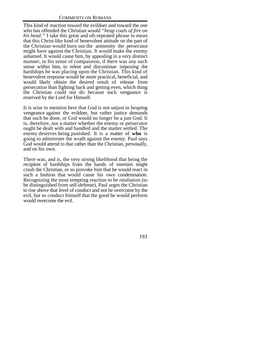This kind of reaction toward the evildoer and toward the one who has offended the Christian would *"heap coals of fire on his head."* I take this great and oft-repeated phrase to mean that this Christ-like kind of benevolent attitude on the part of the Christian would burn out the animosity the persecutor might have against the Christian. It would make the enemy ashamed. It would cause him, by appealing in a very distinct manner, to his sense of compassion, if there was any such sense within him, to relent and discontinue imposing the hardships he was placing upon the Christian. This kind of benevolent response would be more practical, beneficial, and would likely obtain the desired result of release from persecution than fighting back and getting even, which thing the Christian could not do because such vengeance is reserved by the Lord for Himself.

It is wise to mention here that God is not unjust in heaping vengeance against the evildoer, but rather justice demands that such be done, or God would no longer be a just God. It is, therefore, not a matter whether the enemy or persecutor ought be dealt with and handled and the matter settled. The enemy deserves being punished. It is a matter of **who** is going to administer the wrath against the enemy. Paul says God would attend to that rather than the Christian, personally, and on his own.

There was, and is, the very strong likelihood that being the recipient of hardships from the hands of enemies might crush the Christian, or so provoke him that he would react in such a fashion that would cause his own condemnation. Recognizing the most tempting reaction to be retaliation (to be distinguished from self-defense), Paul urges the Christian to rise above that level of conduct and not be overcome by the evil, but so conduct himself that the good he would perform would overcome the evil.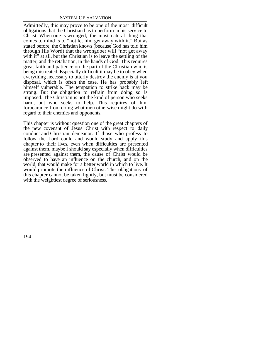Admittedly, this may prove to be one of the most difficult obligations that the Christian has to perform in his service to Christ. When one is wronged, the most natural thing that comes to mind is to "not let him get away with it." But as stated before, the Christian knows (because God has told him through His Word) that the wrongdoer will "not get away with it" at all, but the Christian is to leave the settling of the matter, and the retaliation, in the hands of God. This requires great faith and patience on the part of the Christian who is being mistreated. Especially difficult it may be to obey when everything necessary to utterly destroy the enemy is at you disposal, which is often the case. He has probably left himself vulnerable. The temptation to strike back may be strong. But the obligation to refrain from doing so is imposed. The Christian is not the kind of person who seeks harm, but who seeks to help. This requires of him forbearance from doing what men otherwise might do with regard to their enemies and opponents.

This chapter is without question one of the great chapters of the new covenant of Jesus Christ with respect to daily conduct and Christian demeanor. If those who profess to follow the Lord could and would study and apply this chapter to their lives, even when difficulties are presented against them, maybe I should say especially when difficulties are presented against them, the cause of Christ would be observed to have an influence on the church, and on the world, that would make for a better world in which to live. It would promote the influence of Christ. The obligations of this chapter cannot be taken lightly, but must be considered with the weightiest degree of seriousness.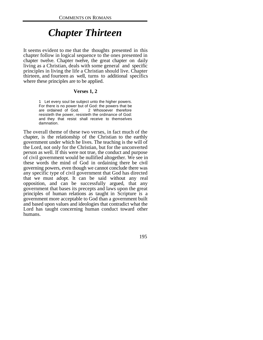# *Chapter Thirteen*

It seems evident to me that the thoughts presented in this chapter follow in logical sequence to the ones presented in chapter twelve. Chapter twelve, the great chapter on daily living as a Christian, deals with some general and specific principles in living the life a Christian should live. Chapter thirteen, and fourteen as well, turns to additional specifics where these principles are to be applied.

#### **Verses 1, 2**

1 Let every soul be subject unto the higher powers. For there is no power but of God: the powers that be are ordained of God. 2 Whosoever therefore resisteth the power, resisteth the ordinance of God: and they that resist shall receive to themselves damnation.

The overall theme of these two verses, in fact much of the chapter, is the relationship of the Christian to the earthly government under which he lives. The teaching is the will of the Lord, not only for the Christian, but for the unconverted person as well. If this were not true, the conduct and purpose of civil government would be nullified altogether. We see in these words the mind of God in ordaining there be civil governing powers, even though we cannot conclude there was any specific type of civil government that God has directed that we must adopt. It can be said without any real opposition, and can be successfully argued, that any government that bases its precepts and laws upon the great principles of human relations as taught in Scripture is a government more acceptable to God than a government built and based upon values and ideologies that contradict what the Lord has taught concerning human conduct toward other humans.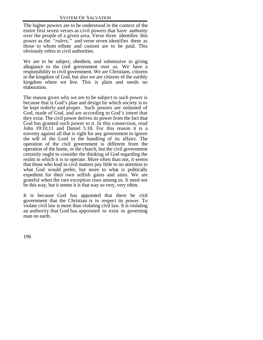The higher powers are to be understood in the context of the entire first seven verses as civil powers that have authority over the people of a given area. Verse three identifies this power as the *"rulers,"* and verse seven identifies them as those to whom tribute and custom are to be paid. This obviously refers to civil authorities.

We are to be subject, obedient, and submissive in giving allegiance to the civil government over us. We have a responsibility to civil government. We are Christians, citizens in the kingdom of God, but also we are citizens of the earthly kingdom where we live. This is plain and needs no elaboration.

The reason given why we are to be subject to such power is because that is God's plan and design by which society is to be kept orderly and proper. Such powers are ordained of God, made of God, and are according to God's intent that they exist. The civil power derives its power from the fact that God has granted such power to it. In this connection, read John 19:10,11 and Daniel 5:18. For this reason it is a travesty against all that is right for any government to ignore the will of the Lord in the handling of its affairs. The operation of the civil government is different from the operation of the home, or the church, but the civil government certainly ought to consider the thinking of God regarding the realm in which it is to operate. More often than not, it seems that those who lead in civil matters pay little to no attention to what God would prefer, but more to what is politically expedient for their own selfish gains and aims. We are grateful when the rare exception rises among us. It need not be this way, but it seems it is that way so very, very often.

It is because God has appointed that there be civil government that the Christian is to respect its power. To violate civil law is more than violating civil law. It is violating an authority that God has appointed to exist in governing man on earth.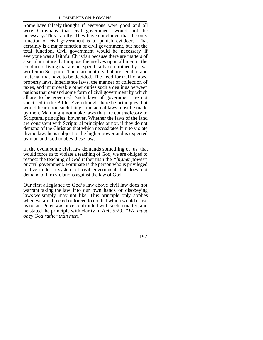Some have falsely thought if everyone were good and all were Christians that civil government would not be necessary. This is folly. They have concluded that the only function of civil government is to punish evildoers. That certainly is a major function of civil government, but not the total function. Civil government would be necessary if everyone was a faithful Christian because there are matters of a secular nature that impose themselves upon all men in the conduct of living that are not specifically determined by laws written in Scripture. There are matters that are secular and material that have to be decided. The need for traffic laws, property laws, inheritance laws, the manner of collection of taxes, and innumerable other duties such a dealings between nations that demand some form of civil government by which all are to be governed. Such laws of government are not specified in the Bible. Even though there be principles that would bear upon such things, the actual laws must be made by men. Man ought not make laws that are contradictory to Scriptural principles, however. Whether the laws of the land are consistent with Scriptural principles or not, if they do not demand of the Christian that which necessitates him to violate divine law, he is subject to the higher power and is expected by man and God to obey these laws.

In the event some civil law demands something of us that would force us to violate a teaching of God, we are obliged to respect the teaching of God rather than the *"higher power"* or civil government. Fortunate is the person who is privileged to live under a system of civil government that does not demand of him violations against the law of God.

Our first allegiance to God's law above civil law does not warrant taking the law into our own hands or disobeying laws we simply may not like. This principle only applies when we are directed or forced to do that which would cause us to sin. Peter was once confronted with such a matter, and he stated the principle with clarity in Acts 5:29, *"We must obey God rather than men."*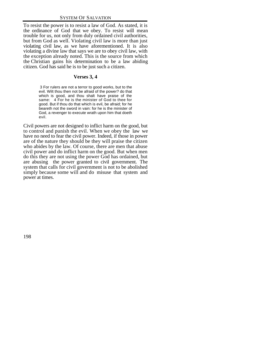To resist the power is to resist a law of God. As stated, it is the ordinance of God that we obey. To resist will mean trouble for us, not only from duly ordained civil authorities, but from God as well. Violating civil law is more than just violating civil law, as we have aforementioned. It is also violating a divine law that says we are to obey civil law, with the exception already noted. This is the source from which the Christian gains his determination to be a law abiding citizen. God has said he is to be just such a citizen.

# **Verses 3, 4**

 3 For rulers are not a terror to good works, but to the evil. Wilt thou then not be afraid of the power? do that which is good, and thou shalt have praise of the same: 4 For he is the minister of God to thee for good. But if thou do that which is evil, be afraid; for he beareth not the sword in vain: for he is the minister of God, a revenger to execute wrath upon him that doeth evil.

Civil powers are not designed to inflict harm on the good, but to control and punish the evil. When we obey the law we have no need to fear the civil power. Indeed, if those in power are of the nature they should be they will praise the citizen who abides by the law. Of course, there are men that abuse civil power and do inflict harm on the good. But when men do this they are not using the power God has ordained, but are abusing the power granted to civil government. The system that calls for civil government is not to be abolished simply because some will and do misuse that system and power at times.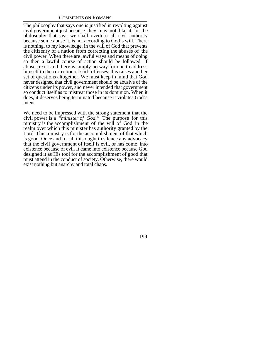The philosophy that says one is justified in revolting against civil government just because they may not like it, or the philosophy that says we shall overturn all civil authority because some abuse it, is not according to God's will. There is nothing, to my knowledge, in the will of God that prevents the citizenry of a nation from correcting the abuses of the civil power. When there are lawful ways and means of doing so then a lawful course of action should be followed. If abuses exist and there is simply no way for one to address himself to the correction of such offenses, this raises another set of questions altogether. We must keep in mind that God never designed that civil government should be abusive of the citizens under its power, and never intended that government so conduct itself as to mistreat those in its dominion. When it does, it deserves being terminated because it violates God's intent.

We need to be impressed with the strong statement that the civil power is a *"minister of God."* The purpose for this ministry is the accomplishment of the will of God in the realm over which this minister has authority granted by the Lord. This ministry is for the accomplishment of that which is good. Once and for all this ought to silence any advocacy that the civil government of itself is evil, or has come into existence because of evil. It came into existence because God designed it as His tool for the accomplishment of good that must attend in the conduct of society. Otherwise, there would exist nothing but anarchy and total chaos.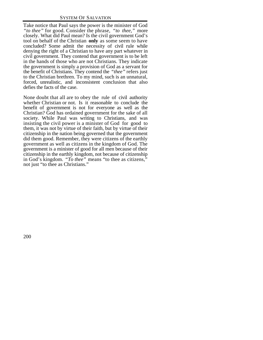Take notice that Paul says the power is the minister of God *"to thee"* for good. Consider the phrase, *"to thee,"* more closely. What did Paul mean? Is the civil government God's tool on behalf of the Christian **only** as some seem to have concluded? Some admit the necessity of civil rule while denying the right of a Christian to have any part whatever in civil government. They contend that government is to be left in the hands of those who are not Christians. They indicate the government is simply a provision of God as a servant for the benefit of Christians. They contend the *"thee"* refers just to the Christian brethren. To my mind, such is an unnatural, forced, unrealistic, and inconsistent conclusion that also defies the facts of the case.

None doubt that all are to obey the rule of civil authority whether Christian or not. Is it reasonable to conclude the benefit of government is not for everyone as well as the Christian? God has ordained government for the sake of all society. While Paul was writing to Christians, and was insisting the civil power is a minister of God for good to them, it was not by virtue of their faith, but by virtue of their citizenship in the nation being governed that the government did them good. Remember, they were citizens of the earthly government as well as citizens in the kingdom of God. The government is a minister of good for all men because of their citizenship in the earthly kingdom, not because of citizenship in God's kingdom. *"To thee"* means "to thee as citizens," not just "to thee as Christians."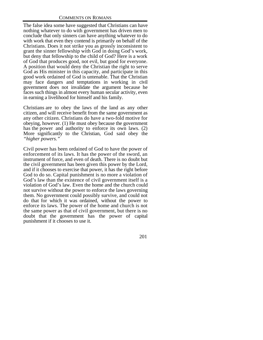The false idea some have suggested that Christians can have nothing whatever to do with government has driven men to conclude that only sinners can have anything whatever to do with work that even they contend is primarily on behalf of the Christians. Does it not strike you as grossly inconsistent to grant the sinner fellowship with God in doing God's work, but deny that fellowship to the child of God? Here is a work of God that produces good, not evil, but good for everyone. A position that would deny the Christian the right to serve God as His minister in this capacity, and participate in this good work ordained of God is untenable. That the Christian may face dangers and temptations in working in civil government does not invalidate the argument because he faces such things in almost every human secular activity, even in earning a livelihood for himself and his family.

Christians are to obey the laws of the land as any other citizen, and will receive benefit from the same government as any other citizen. Christians do have a two-fold motive for obeying, however. (1) He must obey because the government has the power and authority to enforce its own laws. (2) More significantly to the Christian, God said obey the *"higher powers."*

Civil power has been ordained of God to have the power of enforcement of its laws. It has the power of the sword, an instrument of force, and even of death. There is no doubt but the civil government has been given this power by the Lord, and if it chooses to exercise that power, it has the right before God to do so. Capital punishment is no more a violation of God's law than the existence of civil government itself is a violation of God's law. Even the home and the church could not survive without the power to enforce the laws governing them. No government could possibly survive, and could not do that for which it was ordained, without the power to enforce its laws. The power of the home and church is not the same power as that of civil government, but there is no doubt that the government has the power of capital punishment if it chooses to use it.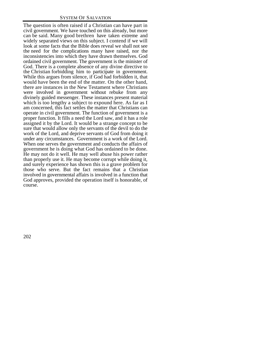The question is often raised if a Christian can have part in civil government. We have touched on this already, but more can be said. Many good brethren have taken extreme and widely separated views on this subject. I contend if we will look at some facts that the Bible does reveal we shall not see the need for the complications many have raised, nor the inconsistencies into which they have drawn themselves. God ordained civil government. The government is the minister of God. There is a complete absence of any divine directive to the Christian forbidding him to participate in government. While this argues from silence, if God had forbidden it, that would have been the end of the matter. On the other hand, there are instances in the New Testament where Christians were involved in government without rebuke from any divinely guided messenger. These instances present material which is too lengthy a subject to expound here. As far as I am concerned, this fact settles the matter that Christians can operate in civil government. The function of government is a proper function. It fills a need the Lord saw, and it has a role assigned it by the Lord. It would be a strange concept to be sure that would allow only the servants of the devil to do the work of the Lord, and deprive servants of God from doing it under any circumstances. Government is a work of the Lord. When one serves the government and conducts the affairs of government he is doing what God has ordained to be done. He may not do it well. He may well abuse his power rather than properly use it. He may become corrupt while doing it, and surely experience has shown this is a grave problem for those who serve. But the fact remains that a Christian involved in governmental affairs is involved in a function that God approves, provided the operation itself is honorable, of course.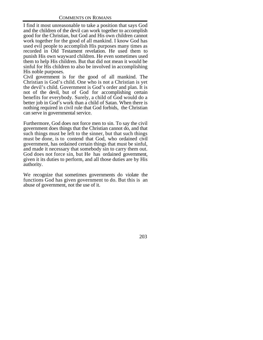I find it most unreasonable to take a position that says God and the children of the devil can work together to accomplish good for the Christian, but God and His own children cannot work together for the good of all mankind. I know God has used evil people to accomplish His purposes many times as recorded in Old Testament revelation. He used them to punish His own wayward children. He even sometimes used them to help His children. But that did not mean it would be sinful for His children to also be involved in accomplishing His noble purposes.

Civil government is for the good of all mankind. The Christian is God's child. One who is not a Christian is yet the devil's child. Government is God's order and plan. It is not of the devil, but of God for accomplishing certain benefits for everybody. Surely, a child of God would do a better job in God's work than a child of Satan. When there is nothing required in civil rule that God forbids, the Christian can serve in governmental service.

Furthermore, God does not force men to sin. To say the civil government does things that the Christian cannot do, and that such things must be left to the sinner, but that such things must be done, is to contend that God, who ordained civil government, has ordained certain things that must be sinful, and made it necessary that somebody sin to carry them out. God does not force sin, but He has ordained government, given it its duties to perform, and all those duties are by His authority.

We recognize that sometimes governments do violate the functions God has given government to do. But this is an abuse of government, not the use of it.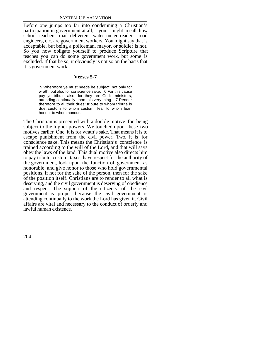Before one jumps too far into condemning a Christian's participation in government at all, you might recall how school teachers, mail deliverers, water meter readers, road engineers, etc. are government workers. You might say that is acceptable, but being a policeman, mayor, or soldier is not. So you now obligate yourself to produce Scripture that teaches you can do some government work, but some is excluded. If that be so, it obviously is not so on the basis that it is government work.

# **Verses 5-7**

 5 Wherefore ye must needs be subject, not only for wrath, but also for conscience sake. 6 For this cause pay ye tribute also: for they are God's ministers, attending continually upon this very thing. 7 Render therefore to all their dues: tribute to whom tribute is due; custom to whom custom; fear to whom fear; honour to whom honour.

The Christian is presented with a double motive for being subject to the higher powers. We touched upon these two motives earlier. One, it is for wrath's sake. That means it is to escape punishment from the civil power. Two, it is for conscience sake. This means the Christian's conscience is trained according to the will of the Lord, and that will says obey the laws of the land. This dual motive also directs him to pay tribute, custom, taxes, have respect for the authority of the government, look upon the function of government as honorable, and give honor to those who hold governmental positions, if not for the sake of the person, then for the sake of the position itself. Christians are to render to all what is deserving, and the civil government is deserving of obedience and respect. The support of the citizenry of the civil government is proper because the civil government is attending continually to the work the Lord has given it. Civil affairs are vital and necessary to the conduct of orderly and lawful human existence.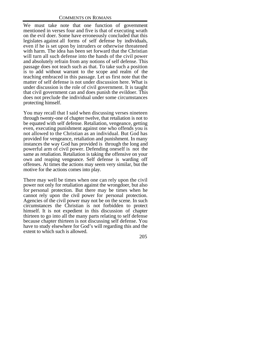We must take note that one function of government mentioned in verses four and five is that of executing wrath on the evil doer. Some have erroneously concluded that this legislates against all forms of self defense by individuals, even if he is set upon by intruders or otherwise threatened with harm. The idea has been set forward that the Christian will turn all such defense into the hands of the civil power and absolutely refrain from any notions of self defense. This passage does not teach such as that. To take such a position is to add without warrant to the scope and realm of the teaching embraced in this passage. Let us first note that the matter of self defense is not under discussion here. What is under discussion is the role of civil government. It is taught that civil government can and does punish the evildoer. This does not preclude the individual under some circumstances protecting himself.

You may recall that I said when discussing verses nineteen through twenty-one of chapter twelve, that retaliation is not to be equated with self defense. Retaliation, vengeance, getting even, executing punishment against one who offends you is not allowed to the Christian as an individual. But God has provided for vengeance, retaliation and punishment. In many instances the way God has provided is through the long and powerful arm of civil power. Defending oneself is not the same as retaliation. Retaliation is taking the offensive on your own and reaping vengeance. Self defense is warding off offenses. At times the actions may seem very similar, but the motive for the actions comes into play.

There may well be times when one can rely upon the civil power not only for retaliation against the wrongdoer, but also for personal protection. But there may be times when he cannot rely upon the civil power for personal protection. Agencies of the civil power may not be on the scene. In such circumstances the Christian is not forbidden to protect himself. It is not expedient in this discussion of chapter thirteen to go into all the many parts relating to self defense because chapter thirteen is not discussing self defense. You have to study elsewhere for God's will regarding this and the extent to which such is allowed.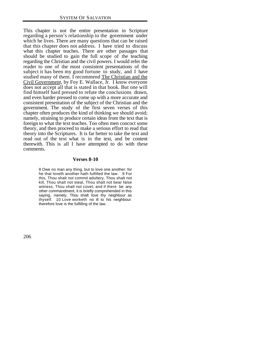This chapter is not the entire presentation in Scripture regarding a person's relationship to the government under which he lives. There are many questions that can be raised that this chapter does not address. I have tried to discuss what this chapter teaches. There are other passages that should be studied to gain the full scope of the teaching regarding the Christian and the civil powers. I would refer the reader to one of the most consistent presentations of the subject it has been my good fortune to study, and I have studied many of them. I recommend The Christian and the Civil Government, by Foy E. Wallace, Jr. I know everyone does not accept all that is stated in that book. But one will find himself hard pressed to refute the conclusions drawn, and even harder pressed to come up with a more accurate and consistent presentation of the subject of the Christian and the government. The study of the first seven verses of this chapter often produces the kind of thinking we should avoid; namely, straining to produce certain ideas from the text that is foreign to what the text teaches. Too often men concoct some theory, and then proceed to make a serious effort to read that theory into the Scriptures. It is far better to take the text and read out of the text what is in the text, and be content therewith. This is all I have attempted to do with these comments.

#### **Verses 8-10**

8 Owe no man any thing, but to love one another: for he that loveth another hath fulfilled the law. 9 For this, Thou shalt not commit adultery, Thou shalt not kill, Thou shalt not steal, Thou shalt not bear false witness, Thou shalt not covet; and if there be any other commandment, it is briefly comprehended in this saying, namely, Thou shalt love thy neighbour as thyself. 10 Love worketh no ill to his neighbour: therefore love is the fulfilling of the law.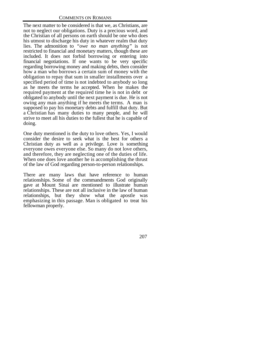The next matter to be considered is that we, as Christians, are not to neglect our obligations. Duty is a precious word, and the Christian of all persons on earth should be one who does his utmost to discharge his duty in whatever realm that duty lies. The admonition to *"owe no man anything"* is not restricted to financial and monetary matters, though these are included. It does not forbid borrowing or entering into financial negotiations. If one wants to be very specific regarding borrowing money and making debts, then consider how a man who borrows a certain sum of money with the obligation to repay that sum in smaller installments over a specified period of time is not indebted to anybody so long as he meets the terms he accepted. When he makes the required payment at the required time he is not in debt or obligated to anybody until the next payment is due. He is not owing any man anything if he meets the terms. A man is supposed to pay his monetary debts and fulfill that duty. But a Christian has many duties to many people, and he will strive to meet all his duties to the fullest that he is capable of doing.

One duty mentioned is the duty to love others. Yes, I would consider the desire to seek what is the best for others a Christian duty as well as a privilege. Love is something everyone owes everyone else. So many do not love others, and therefore, they are neglecting one of the duties of life. When one does love another he is accomplishing the thrust of the law of God regarding person-to-person relationships.

There are many laws that have reference to human relationships. Some of the commandments God originally gave at Mount Sinai are mentioned to illustrate human relationships. These are not all inclusive in the law of human relationships, but they show what the apostle was emphasizing in this passage. Man is obligated to treat his fellowman properly.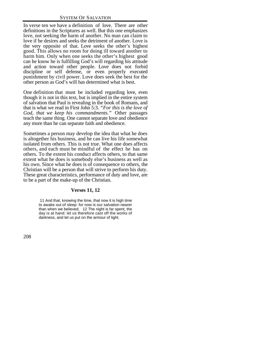In verse ten we have a definition of love. There are other definitions in the Scriptures as well. But this one emphasizes love, not seeking the harm of another. No man can claim to love if he desires and seeks the detriment of another. Love is the very opposite of that. Love seeks the other's highest good. This allows no room for doing ill toward another to harm him. Only when one seeks the other's highest good can he know he is fulfilling God's will regarding his attitude and action toward other people. Love does not forbid discipline or self defense, or even properly executed punishment by civil power. Love does seek the best for the other person as God's will has determined what is best.

One definition that must be included regarding love, even though it is not in this text, but is implied in the entire system of salvation that Paul is revealing in the book of Romans, and that is what we read in First John 5:3. *"For this is the love of God, that we keep his commandments."* Other passages teach the same thing. One cannot separate love and obedience any more than he can separate faith and obedience.

Sometimes a person may develop the idea that what he does is altogether his business, and he can live his life somewhat isolated from others. This is not true. What one does affects others, and each must be mindful of the effect he has on others. To the extent his conduct affects others, to that same extent what he does is somebody else's business as well as his own. Since what he does is of consequence to others, the Christian will be a person that will strive to perform his duty. These great characteristics, performance of duty and love, are to be a part of the make-up of the Christian.

# **Verses 11, 12**

 11 And that, knowing the time, that now it is high time to awake out of sleep: for now is our salvation nearer than when we believed. 12 The night is far spent, the day is at hand: let us therefore cast off the works of darkness, and let us put on the armour of light.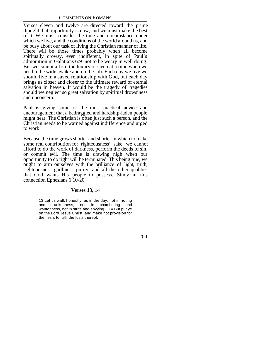Verses eleven and twelve are directed toward the prime thought that opportunity is now, and we must make the best of it. We must consider the time and circumstance under which we live, and the conditions of the world around us, and be busy about our task of living the Christian manner of life. There will be those times probably when all become spiritually drowsy, even indifferent, in spite of Paul's admonition in Galatians 6:9 not to be weary in well doing. But we cannot afford the luxury of sleep at a time when we need to be wide awake and on the job. Each day we live we should live in a saved relationship with God, but each day brings us closer and closer to the ultimate reward of eternal salvation in heaven. It would be the tragedy of tragedies should we neglect so great salvation by spiritual drowsiness and unconcern.

Paul is giving some of the most practical advice and encouragement that a bedraggled and hardship-laden people might hear. The Christian is often just such a person, and the Christian needs to be warned against indifference and urged to work.

Because the time grows shorter and shorter in which to make some real contribution for righteousness' sake, we cannot afford to do the work of darkness, perform the deeds of sin, or commit evil. The time is drawing nigh when our opportunity to do right will be terminated. This being true, we ought to arm ourselves with the brilliance of light, truth, righteousness, godliness, purity, and all the other qualities that God wants His people to possess. Study in this connection Ephesians 6:10-20.

# **Verses 13, 14**

13 Let us walk honestly, as in the day; not in rioting and drunkenness, not in chambering and wantonness, not in strife and envying. 14 But put ye on the Lord Jesus Christ, and make not provision for the flesh, to fulfil the lusts thereof.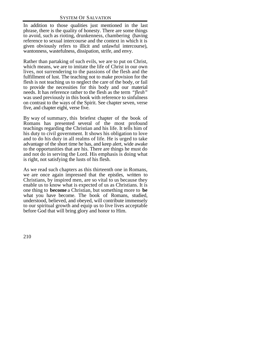In addition to those qualities just mentioned in the last phrase, there is the quality of honesty. There are some things to avoid, such as rioting, drunkenness, chambering (having reference to sexual intercourse and the context in which it is given obviously refers to illicit and unlawful intercourse), wantonness, wastefulness, dissipation, strife, and envy.

Rather than partaking of such evils, we are to put on Christ, which means, we are to imitate the life of Christ in our own lives, not surrendering to the passions of the flesh and the fulfillment of lust. The teaching not to make provision for the flesh is not teaching us to neglect the care of the body, or fail to provide the necessities for this body and our material needs. It has reference rather to the flesh as the term *"flesh"* was used previously in this book with reference to sinfulness on contrast to the ways of the Spirit. See chapter seven, verse five, and chapter eight, verse five.

By way of summary, this briefest chapter of the book of Romans has presented several of the most profound teachings regarding the Christian and his life. It tells him of his duty to civil government. It shows his obligation to love and to do his duty in all realms of life. He is urged to take advantage of the short time he has, and keep alert, wide awake to the opportunities that are his. There are things he must do and not do in serving the Lord. His emphasis is doing what is right, not satisfying the lusts of his flesh.

As we read such chapters as this thirteenth one in Romans, we are once again impressed that the epistles, written to Christians, by inspired men, are so vital to us because they enable us to know what is expected of us as Christians. It is one thing to **become** a Christian, but something more to **be** what you have become. The book of Romans, studied, understood, believed, and obeyed, will contribute immensely to our spiritual growth and equip us to live lives acceptable before God that will bring glory and honor to Him.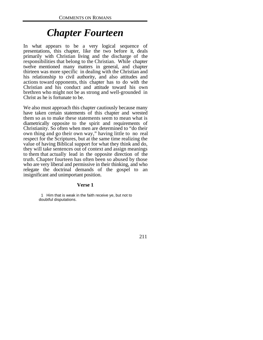# *Chapter Fourteen*

In what appears to be a very logical sequence of presentations, this chapter, like the two before it, deals primarily with Christian living and the discharge of the responsibilities that belong to the Christian. While chapter twelve mentioned many matters in general, and chapter thirteen was more specific in dealing with the Christian and his relationship to civil authority, and also attitudes and actions toward opponents, this chapter has to do with the Christian and his conduct and attitude toward his own brethren who might not be as strong and well-grounded in Christ as he is fortunate to be.

We also must approach this chapter cautiously because many have taken certain statements of this chapter and wrested them so as to make these statements seem to mean what is diametrically opposite to the spirit and requirements of Christianity. So often when men are determined to "do their own thing and go their own way," having little to no real respect for the Scriptures, but at the same time realizing the value of having Biblical support for what they think and do, they will take sentences out of context and assign meanings to them that actually lead in the opposite direction of the truth. Chapter fourteen has often been so abused by those who are very liberal and permissive in their thinking, and who relegate the doctrinal demands of the gospel to an insignificant and unimportant position.

# **Verse 1**

 1 Him that is weak in the faith receive ye, but not to doubtful disputations.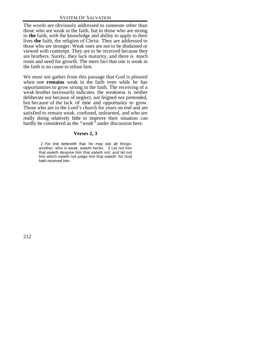The words are obviously addressed to someone other than those who are weak in the faith, but to those who are strong in **the** faith, with the knowledge and ability to apply to their lives **the** faith, the religion of Christ. They are addressed to those who are stronger. Weak ones are not to be disdained or viewed with contempt. They are to be received because they are brothers. Surely, they lack maturity, and there is much room and need for growth. The mere fact that one is weak in the faith is no cause to refuse him.

We must not gather from this passage that God is pleased when one **remains** weak in the faith even while he has opportunities to grow strong in the faith. The receiving of a weak brother necessarily indicates the weakness is neither deliberate nor because of neglect, not feigned nor pretended, but because of the lack of time and opportunity to grow. Those who are in the Lord's church for years on end and are satisfied to remain weak, confused, unlearned, and who are really doing relatively little to improve their situation can hardly be considered as the *"weak"* under discussion here.

# **Verses 2, 3**

 2 For one believeth that he may eat all things: another, who is weak, eateth herbs. 3 Let not him that eateth despise him that eateth not; and let not him which eateth not judge him that eateth: for God hath received him.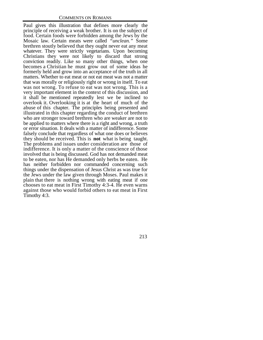Paul gives this illustration that defines more clearly the principle of receiving a weak brother. It is on the subject of food. Certain foods were forbidden among the Jews by the Mosaic law. Certain meats were called *"unclean."* Some brethren stoutly believed that they ought never eat any meat whatever. They were strictly vegetarians. Upon becoming Christians they were not likely to discard that strong conviction readily. Like so many other things, when one becomes a Christian he must grow out of some ideas he formerly held and grow into an acceptance of the truth in all matters. Whether to eat meat or not eat meat was not a matter that was morally or religiously right or wrong in itself. To eat was not wrong. To refuse to eat was not wrong. This is a very important element in the context of this discussion, and it shall be mentioned repeatedly lest we be inclined to overlook it. Overlooking it is at the heart of much of the abuse of this chapter. The principles being presented and illustrated in this chapter regarding the conduct of brethren who are stronger toward brethren who are weaker are not to be applied to matters where there is a right and wrong, a truth or error situation. It deals with a matter of indifference. Some falsely conclude that regardless of what one does or believes they should be received. This is **not** what is being taught. The problems and issues under consideration are those of indifference. It is only a matter of the conscience of those involved that is being discussed. God has not demanded meat to be eaten, nor has He demanded only herbs be eaten. He has neither forbidden nor commanded concerning such things under the dispensation of Jesus Christ as was true for the Jews under the law given through Moses. Paul makes it plain that there is nothing wrong with eating meat if one chooses to eat meat in First Timothy 4:3-4. He even warns against those who would forbid others to eat meat in First Timothy 4:3.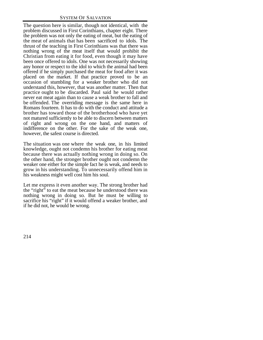The question here is similar, though not identical, with the problem discussed in First Corinthians, chapter eight. There the problem was not only the eating of meat, but the eating of the meat of animals that has been sacrificed to idols. The thrust of the teaching in First Corinthians was that there was nothing wrong of the meat itself that would prohibit the Christian from eating it for food, even though it may have been once offered to idols. One was not necessarily showing any honor or respect to the idol to which the animal had been offered if he simply purchased the meat for food after it was placed on the market. If that practice proved to be an occasion of stumbling for a weaker brother who did not understand this, however, that was another matter. Then that practice ought to be discarded. Paul said he would rather never eat meat again than to cause a weak brother to fall and be offended. The overriding message is the same here in Romans fourteen. It has to do with the conduct and attitude a brother has toward those of the brotherhood who have yet not matured sufficiently to be able to discern between matters of right and wrong on the one hand, and matters of indifference on the other. For the sake of the weak one, however, the safest course is directed.

The situation was one where the weak one, in his limited knowledge, ought not condemn his brother for eating meat because there was actually nothing wrong in doing so. On the other hand, the stronger brother ought not condemn the weaker one either for the simple fact he is weak, and needs to grow in his understanding. To unnecessarily offend him in his weakness might well cost him his soul.

Let me express it even another way. The strong brother had the "right" to eat the meat because he understood there was nothing wrong in doing so. But he must be willing to sacrifice his "right" if it would offend a weaker brother, and if he did not, he would be wrong.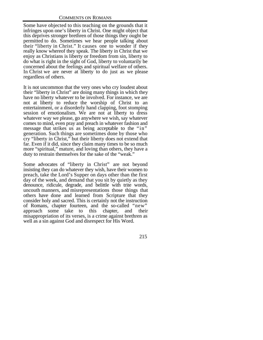Some have objected to this teaching on the grounds that it infringes upon one's liberty in Christ. One might object that this deprives stronger brethren of those things they ought be permitted to do. Sometimes we hear people talking about their "liberty in Christ." It causes one to wonder if they really know whereof they speak. The liberty in Christ that we enjoy as Christians is liberty or freedom from sin, liberty to do what is right in the sight of God, liberty to voluntarily be concerned about the feelings and spiritual welfare of others. In Christ we are never at liberty to do just as we please regardless of others.

It is not uncommon that the very ones who cry loudest about their "liberty in Christ" are doing many things in which they have no liberty whatever to be involved. For instance, we are not at liberty to reduce the worship of Christ to an entertainment, or a disorderly hand clapping, foot stomping session of emotionalism. We are not at liberty to dress whatever way we please, go anywhere we wish, say whatever comes to mind, even pray and preach in whatever fashion and message that strikes us as being acceptable to the "in" generation. Such things are sometimes done by those who cry "liberty in Christ," but their liberty does not extend that far. Even if it did, since they claim many times to be so much more "spiritual," mature, and loving than others, they have a duty to restrain themselves for the sake of the "weak."

Some advocates of "liberty in Christ" are not beyond insisting they can do whatever they wish, have their women to preach, take the Lord's Supper on days other than the first day of the week, and demand that you sit by quietly as they denounce, ridicule, degrade, and belittle with trite words, uncouth manners, and misrepresentations those things that others have done and learned from Scripture that they consider holy and sacred. This is certainly not the instruction of Romans, chapter fourteen, and the so-called "new" approach some take to this chapter, and their misappropriation of its verses, is a crime against brethren as well as a sin against God and disrespect for His Word.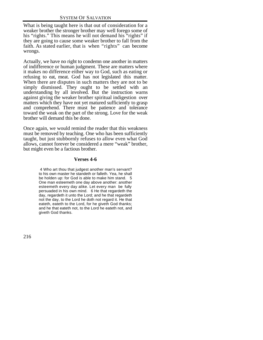What is being taught here is that out of consideration for a weaker brother the stronger brother may well forego some of his "rights." This means he will not demand his "rights" if they are going to cause some weaker brother to fall from the faith. As stated earlier, that is when "rights" can become wrongs.

Actually, we have no right to condemn one another in matters of indifference or human judgment. These are matters where it makes no difference either way to God, such as eating or refusing to eat, meat. God has not legislated this matter. When there are disputes in such matters they are not to be simply dismissed. They ought to be settled with an understanding by all involved. But the instruction warns against giving the weaker brother spiritual indigestion over matters which they have not yet matured sufficiently to grasp and comprehend. There must be patience and tolerance toward the weak on the part of the strong. Love for the weak brother will demand this be done.

Once again, we would remind the reader that this weakness must be removed by teaching. One who has been sufficiently taught, but just stubbornly refuses to allow even what God allows, cannot forever be considered a mere "weak" brother, but might even be a factious brother.

# **Verses 4-6**

 4 Who art thou that judgest another man's servant? to his own master he standeth or falleth. Yea, he shall be holden up: for God is able to make him stand. 5 One man esteemeth one day above another: another esteemeth every day alike. Let every man be fully persuaded in his own mind. 6 He that regardeth the day, regardeth it unto the Lord; and he that regardeth not the day, to the Lord he doth not regard it. He that eateth, eateth to the Lord, for he giveth God thanks; and he that eateth not, to the Lord he eateth not, and giveth God thanks.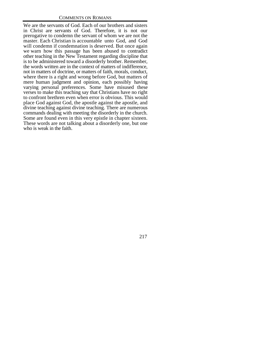We are the servants of God. Each of our brothers and sisters in Christ are servants of God. Therefore, it is not our prerogative to condemn the servant of whom we are not the master. Each Christian is accountable unto God, and God will condemn if condemnation is deserved. But once again we warn how this passage has been abused to contradict other teaching in the New Testament regarding discipline that is to be administered toward a disorderly brother. Remember, the words written are in the context of matters of indifference, not in matters of doctrine, or matters of faith, morals, conduct, where there is a right and wrong before God, but matters of mere human judgment and opinion, each possibly having varying personal preferences. Some have misused these verses to make this teaching say that Christians have no right to confront brethren even when error is obvious. This would place God against God, the apostle against the apostle, and divine teaching against divine teaching. There are numerous commands dealing with meeting the disorderly in the church. Some are found even in this very epistle in chapter sixteen. These words are not talking about a disorderly one, but one who is weak in the faith.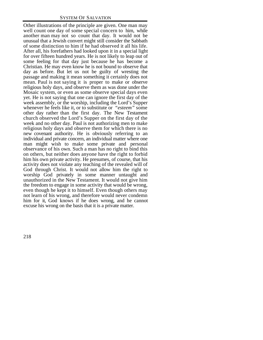Other illustrations of the principle are given. One man may well count one day of some special concern to him, while another man may not so count that day. It would not be unusual that a Jewish convert might still consider the Sabbath of some distinction to him if he had observed it all his life. After all, his forefathers had looked upon it in a special light for over fifteen hundred years. He is not likely to leap out of some feeling for that day just because he has become a Christian. He may even know he is not bound to observe that day as before. But let us not be guilty of wresting the passage and making it mean something it certainly does not mean. Paul is not saying it is proper to make or observe religious holy days, and observe them as was done under the Mosaic system, or even as some observe special days even yet. He is not saying that one can ignore the first day of the week assembly, or the worship, including the Lord's Supper whenever he feels like it, or to substitute or *"esteem"* some other day rather than the first day. The New Testament church observed the Lord's Supper on the first day of the week and no other day. Paul is not authorizing men to make religious holy days and observe them for which there is no new covenant authority. He is obviously referring to an individual and private concern, an individual matter where one man might wish to make some private and personal observance of his own. Such a man has no right to bind this on others, but neither does anyone have the right to forbid him his own private activity. He presumes, of course, that his activity does not violate any teaching of the revealed will of God through Christ. It would not allow him the right to worship God privately in some manner untaught and unauthorized in the New Testament. It would not give him the freedom to engage in some activity that would be wrong, even though he kept it to himself. Even though others may not learn of his wrong, and therefore would never condemn him for it, God knows if he does wrong, and he cannot excuse his wrong on the basis that it is a private matter.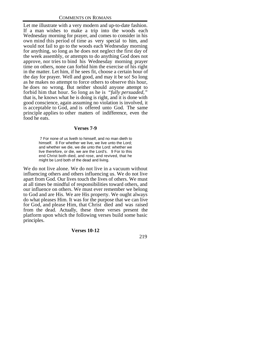Let me illustrate with a very modern and up-to-date fashion. If a man wishes to make a trip into the woods each Wednesday morning for prayer, and comes to consider in his own mind this period of time as very special to him, and would not fail to go to the woods each Wednesday morning for anything, so long as he does not neglect the first day of the week assembly, or attempts to do anything God does not approve, nor tries to bind his Wednesday morning prayer time on others, none can forbid him the exercise of his right in the matter. Let him, if he sees fit, choose a certain hour of the day for prayer. Well and good, and may it be so! So long as he makes no attempt to force others to observe this hour, he does no wrong. But neither should anyone attempt to forbid him that hour. So long as he is *"fully persuaded,"* that is, he knows what he is doing is right, and it is done with good conscience, again assuming no violation is involved, it is acceptable to God, and is offered unto God. The same principle applies to other matters of indifference, even the food he eats.

#### **Verses 7-9**

 7 For none of us liveth to himself, and no man dieth to himself. 8 For whether we live, we live unto the Lord; and whether we die, we die unto the Lord: whether we live therefore, or die, we are the Lord's. 9 For to this end Christ both died, and rose, and revived, that he might be Lord both of the dead and living.

We do not live alone. We do not live in a vacuum without influencing others and others influencing us. We do not live apart from God. Our lives touch the lives of others. We must at all times be mindful of responsibilities toward others, and our influence on others. We must ever remember we belong to God and are His. We are His property. We ought always do what pleases Him. It was for the purpose that we can live for God, and please Him, that Christ died and was raised from the dead. Actually, these three verses present the platform upon which the following verses build some basic principles.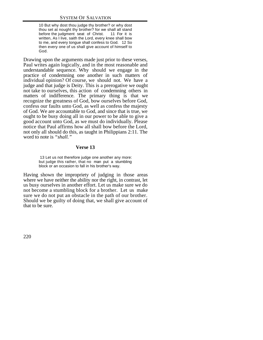10 But why dost thou judge thy brother? or why dost thou set at nought thy brother? for we shall all stand before the judgment seat of Christ. 11 For it is written, As I live, saith the Lord, every knee shall bow to me, and every tongue shall confess to God. 12 So then every one of us shall give account of himself to God.

Drawing upon the arguments made just prior to these verses, Paul writes again logically, and in the most reasonable and understandable sequence. Why should we engage in the practice of condemning one another in such matters of individual opinion? Of course, we should not. We have a judge and that judge is Deity. This is a prerogative we ought not take to ourselves, this action of condemning others in matters of indifference. The primary thing is that we recognize the greatness of God, bow ourselves before God, confess our faults unto God, as well as confess the majesty of God. We are accountable to God, and since that is true, we ought to be busy doing all in our power to be able to give a good account unto God, as we must do individually. Please notice that Paul affirms how all shall bow before the Lord, not only all should do this, as taught in Philippians 2:11. The word to note is *"shall."*

#### **Verse 13**

 13 Let us not therefore judge one another any more: but judge this rather, that no man put a stumbling block or an occasion to fall in his brother's way.

Having shown the impropriety of judging in those areas where we have neither the ability nor the right, in contrast, let us busy ourselves in another effort. Let us make sure we do not become a stumbling block for a brother. Let us make sure we do not put an obstacle in the path of our brother. Should we be guilty of doing that, we shall give account of that to be sure.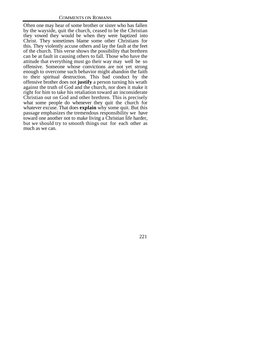Often one may hear of some brother or sister who has fallen by the wayside, quit the church, ceased to be the Christian they vowed they would be when they were baptized into Christ. They sometimes blame some other Christians for this. They violently accuse others and lay the fault at the feet of the church. This verse shows the possibility that brethren can be at fault in causing others to fall. Those who have the attitude that everything must go their way may well be so offensive. Someone whose convictions are not yet strong enough to overcome such behavior might abandon the faith to their spiritual destruction. This bad conduct by the offensive brother does not **justify** a person turning his wrath against the truth of God and the church, nor does it make it right for him to take his retaliation toward an inconsiderate Christian out on God and other brethren. This is precisely what some people do whenever they quit the church for whatever excuse. That does **explain** why some quit. But this passage emphasizes the tremendous responsibility we have toward one another not to make living a Christian life harder, but we should try to smooth things out for each other as much as we can.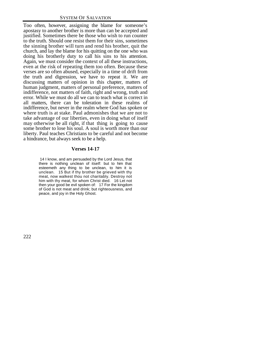Too often, however, assigning the blame for someone's apostasy to another brother is more than can be accepted and justified. Sometimes there be those who wish to run counter to the truth. Should one resist them for their sins, sometimes the sinning brother will turn and rend his brother, quit the church, and lay the blame for his quitting on the one who was doing his brotherly duty to call his sins to his attention. Again, we must consider the context of all these instructions, even at the risk of repeating them too often. Because these verses are so often abused, especially in a time of drift from the truth and digression, we have to repeat it. We are discussing matters of opinion in this chapter, matters of human judgment, matters of personal preference, matters of indifference, not matters of faith, right and wrong, truth and error. While we must do all we can to teach what is correct in all matters, there can be toleration in these realms of indifference, but never in the realm where God has spoken or where truth is at stake. Paul admonishes that we are not to take advantage of our liberties, even in doing what of itself may otherwise be all right, if that thing is going to cause some brother to lose his soul. A soul is worth more than our liberty. Paul teaches Christians to be careful and not become a hindrance, but always seek to be a help.

#### **Verses 14-17**

 14 I know, and am persuaded by the Lord Jesus, that there is nothing unclean of itself: but to him that esteemeth any thing to be unclean, to him it is unclean. 15 But if thy brother be grieved with thy meat, now walkest thou not charitably. Destroy not him with thy meat, for whom Christ died. 16 Let not then your good be evil spoken of: 17 For the kingdom of God is not meat and drink; but righteousness, and peace, and joy in the Holy Ghost.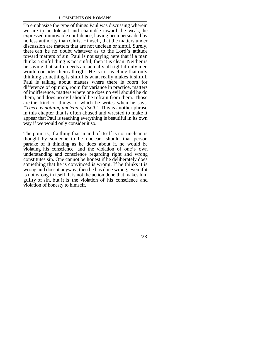To emphasize the type of things Paul was discussing wherein we are to be tolerant and charitable toward the weak, he expressed immovable confidence, having been persuaded by no less authority than Christ Himself, that the matters under discussion are matters that are not unclean or sinful. Surely, there can be no doubt whatever as to the Lord's attitude toward matters of sin. Paul is not saying here that if a man thinks a sinful thing is not sinful, then it is clean. Neither is he saying that sinful deeds are actually all right if only men would consider them all right. He is not teaching that only thinking something is sinful is what really makes it sinful. Paul is talking about matters where there is room for difference of opinion, room for variance in practice, matters of indifference, matters where one does no evil should he do them, and does no evil should he refrain from them. Those are the kind of things of which he writes when he says, *"There is nothing unclean of itself."* This is another phrase in this chapter that is often abused and wrested to make it appear that Paul is teaching everything is beautiful in its own way if we would only consider it so.

The point is, if a thing that in and of itself is not unclean is thought by someone to be unclean, should that person partake of it thinking as he does about it, he would be violating his conscience, and the violation of one's own understanding and conscience regarding right and wrong constitutes sin. One cannot be honest if he deliberately does something that he is convinced is wrong. If he thinks it is wrong and does it anyway, then he has done wrong, even if it is not wrong in itself. It is not the action done that makes him guilty of sin, but it is the violation of his conscience and violation of honesty to himself.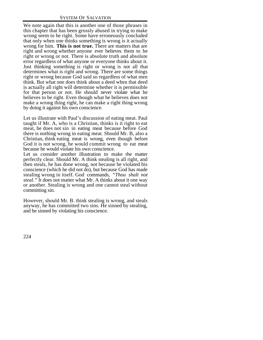We note again that this is another one of those phrases in this chapter that has been grossly abused in trying to make wrong seem to be right. Some have erroneously concluded that only when one thinks something is wrong is it actually wrong for him. **This is not true.** There are matters that are right and wrong whether anyone ever believes them to be right or wrong or not. There is absolute truth and absolute error regardless of what anyone or everyone thinks about it. Just thinking something is right or wrong is not all that determines what is right and wrong. There are some things right or wrong because God said so regardless of what men think. But what one does think about a deed when that deed is actually all right will determine whether it is permissible for that person or not. He should never violate what he believes to be right. Even though what he believes does not make a wrong thing right, he can make a right thing wrong by doing it against his own conscience.

Let us illustrate with Paul's discussion of eating meat. Paul taught if Mr. A, who is a Christian, thinks is it right to eat meat, he does not sin in eating meat because before God there is nothing wrong in eating meat. Should Mr. B, also a Christian, think eating meat is wrong, even though before God it is not wrong, he would commit wrong to eat meat because he would violate his own conscience.

Let us consider another illustration to make the matter perfectly clear. Should Mr. A think stealing is all right, and then steals, he has done wrong, not because he violated his conscience (which he did not do), but because God has made stealing wrong in itself. God commands, *"Thou shalt not steal."* It does not matter what Mr. A thinks about it one way or another. Stealing is wrong and one cannot steal without committing sin.

However, should Mr. B. think stealing is wrong, and steals anyway, he has committed two sins. He sinned by stealing, and he sinned by violating his conscience.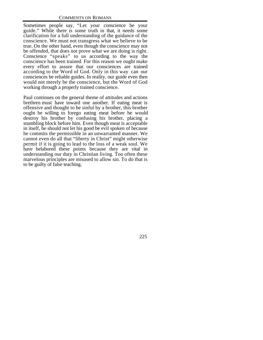Sometimes people say, "Let your conscience be your guide." While there is some truth in that, it needs some clarification for a full understanding of the guidance of the conscience. We must not transgress what we believe to be true. On the other hand, even though the conscience may not be offended, that does not prove what we are doing is right. Conscience "speaks" to us according to the way the conscience has been trained. For this reason we ought make every effort to assure that our consciences are trained according to the Word of God. Only in this way can our consciences be reliable guides. In reality, our guide even then would not merely be the conscience, but the Word of God working through a properly trained conscience.

Paul continues on the general theme of attitudes and actions brethren must have toward one another. If eating meat is offensive and thought to be sinful by a brother, this brother ought be willing to forego eating meat before he would destroy his brother by confusing his brother, placing a stumbling block before him. Even though meat is acceptable in itself, he should not let his good be evil spoken of because he commits the permissible in an unwarranted manner. We cannot even do all that "liberty in Christ" might otherwise permit if it is going to lead to the loss of a weak soul. We have belabored these points because they are vital in understanding our duty in Christian living. Too often these marvelous principles are misused to allow sin. To do that is to be guilty of false teaching.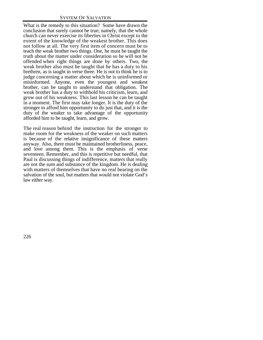What is the remedy to this situation? Some have drawn the conclusion that surely cannot be true; namely, that the whole church can never exercise its liberties in Christ except to the extent of the knowledge of the weakest brother. This does not follow at all. The very first item of concern must be to teach the weak brother two things. One, he must be taught the truth about the matter under consideration so he will not be offended when right things are done by others. Two, the weak brother also must be taught that he has a duty to his brethren, as is taught in verse three. He is not to think he is to judge concerning a matter about which he is uninformed or misinformed. Anyone, even the youngest and weakest brother, can be taught to understand that obligation. The weak brother has a duty to withhold his criticism, learn, and grow out of his weakness. This last lesson he can be taught in a moment. The first may take longer. It is the duty of the stronger to afford him opportunity to do just that, and it is the duty of the weaker to take advantage of the opportunity afforded him to be taught, learn, and grow.

The real reason behind the instruction for the stronger to make room for the weakness of the weaker on such matters is because of the relative insignificance of these matters anyway. Also, there must be maintained brotherliness, peace, and love among them. This is the emphasis of verse seventeen. Remember, and this is repetitive but needful, that Paul is discussing things of indifference, matters that really are not the sum and substance of the kingdom. He is dealing with matters of themselves that have no real bearing on the salvation of the soul, but matters that would not violate God's law either way.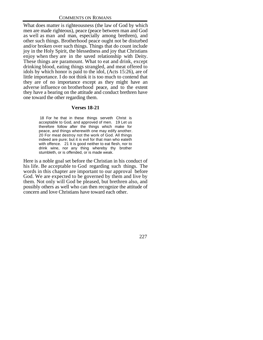What does matter is righteousness (the law of God by which men are made righteous), peace (peace between man and God as well as man and man, especially among brethren), and other such things. Brotherhood peace ought not be disturbed and/or broken over such things. Things that do count include joy in the Holy Spirit, the blessedness and joy that Christians enjoy when they are in the saved relationship with Deity. These things are paramount. What to eat and drink, except drinking blood, eating things strangled, and meat offered to idols by which honor is paid to the idol, (Acts 15:26), are of little importance. I do not think it is too much to contend that they are of no importance except as they might have an adverse influence on brotherhood peace, and to the extent they have a bearing on the attitude and conduct brethren have one toward the other regarding them.

# **Verses 18-21**

 18 For he that in these things serveth Christ is acceptable to God, and approved of men. 19 Let us therefore follow after the things which make for peace, and things wherewith one may edify another. 20 For meat destroy not the work of God. All things indeed are pure; but it is evil for that man who eateth with offence. 21 It is good neither to eat flesh, nor to drink wine, nor any thing whereby thy brother stumbleth, or is offended, or is made weak.

Here is a noble goal set before the Christian in his conduct of his life. Be acceptable to God regarding such things. The words in this chapter are important to our approval before God. We are expected to be governed by them and live by them. Not only will God be pleased, but brethren also, and possibly others as well who can then recognize the attitude of concern and love Christians have toward each other.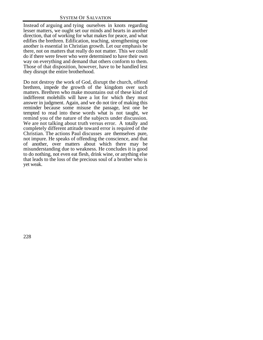Instead of arguing and tying ourselves in knots regarding lesser matters, we ought set our minds and hearts in another direction, that of working for what makes for peace, and what edifies the brethren. Edification, teaching, strengthening one another is essential in Christian growth. Let our emphasis be there, not on matters that really do not matter. This we could do if there were fewer who were determined to have their own way on everything and demand that others conform to them. Those of that disposition, however, have to be handled lest they disrupt the entire brotherhood.

Do not destroy the work of God, disrupt the church, offend brethren, impede the growth of the kingdom over such matters. Brethren who make mountains out of these kind of indifferent molehills will have a lot for which they must answer in judgment. Again, and we do not tire of making this reminder because some misuse the passage, lest one be tempted to read into these words what is not taught, we remind you of the nature of the subjects under discussion. We are not talking about truth versus error. A totally and completely different attitude toward error is required of the Christian. The actions Paul discusses are themselves pure, not impure. He speaks of offending the conscience, and that of another, over matters about which there may be misunderstanding due to weakness. He concludes it is good to do nothing, not even eat flesh, drink wine, or anything else that leads to the loss of the precious soul of a brother who is yet weak.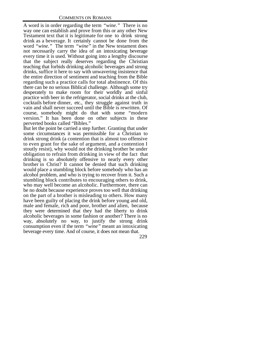A word is in order regarding the term *"wine."* There is no way one can establish and prove from this or any other New Testament text that it is legitimate for one to drink strong drink as a beverage. It certainly cannot be done from the word *"wine."* The term *"wine"* in the New testament does not necessarily carry the idea of an intoxicating beverage every time it is used. Without going into a lengthy discourse that the subject really deserves regarding the Christian teaching that forbids drinking alcoholic beverages and strong drinks, suffice it here to say with unwavering insistence that the entire direction of sentiment and teaching from the Bible regarding such a practice calls for total abstinence. Of this there can be no serious Biblical challenge. Although some try desperately to make room for their worldly and sinful practice with beer in the refrigerator, social drinks at the club, cocktails before dinner, etc., they struggle against truth in vain and shall never succeed until the Bible is rewritten. Of course, somebody might do that with some "modern version." It has been done on other subjects in these perverted books called "Bibles."

But let the point be carried a step further. Granting that under some circumstances it was permissible for a Christian to drink strong drink (a contention that is almost too offensive to even grant for the sake of argument, and a contention I stoutly resist), why would not the drinking brother be under obligation to refrain from drinking in view of the fact that drinking is so absolutely offensive to nearly every other brother in Christ? It cannot be denied that such drinking would place a stumbling block before somebody who has an alcohol problem, and who is trying to recover from it. Such a stumbling block contributes to encouraging others to drink, who may well become an alcoholic. Furthermore, there can be no doubt because experience proves too well that drinking on the part of a brother is misleading to others. How many have been guilty of placing the drink before young and old, male and female, rich and poor, brother and alien, because they were determined that they had the liberty to drink alcoholic beverages in some fashion or another? There is no way, absolutely no way, to justify the strong drink consumption even if the term *"wine"* meant an intoxicating beverage every time. And of course, it does not mean that.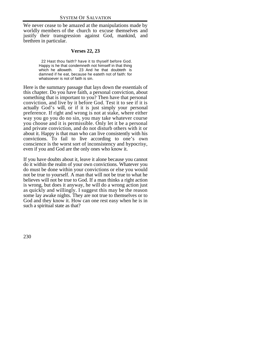We never cease to be amazed at the manipulations made by worldly members of the church to excuse themselves and justify their transgression against God, mankind, and brethren in particular.

# **Verses 22, 23**

 22 Hast thou faith? have it to thyself before God. Happy is he that condemneth not himself in that thing which he alloweth. 23 And he that doubteth is damned if he eat, because he eateth not of faith: for whatsoever is not of faith is sin.

Here is the summary passage that lays down the essentials of this chapter. Do you have faith, a personal conviction, about something that is important to you? Then have that personal conviction, and live by it before God. Test it to see if it is actually God's will, or if it is just simply your personal preference. If right and wrong is not at stake, where either way you go you do no sin, you may take whatever course you choose and it is permissible. Only let it be a personal and private conviction, and do not disturb others with it or about it. Happy is that man who can live consistently with his convictions. To fail to live according to one's own conscience is the worst sort of inconsistency and hypocrisy, even if you and God are the only ones who know it.

If you have doubts about it, leave it alone because you cannot do it within the realm of your own convictions. Whatever you do must be done within your convictions or else you would not be true to yourself. A man that will not be true to what he believes will not be true to God. If a man thinks a right action is wrong, but does it anyway, he will do a wrong action just as quickly and willingly. I suggest this may be the reason some lay awake nights. They are not true to themselves or to God and they know it. How can one rest easy when he is in such a spiritual state as that?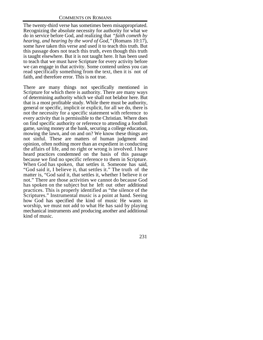The twenty-third verse has sometimes been misappropriated. Recognizing the absolute necessity for authority for what we do in service before God, and realizing that *"faith cometh by hearing, and hearing by the word of God,"* (Romans 10:17), some have taken this verse and used it to teach this truth. But this passage does not teach this truth, even though this truth is taught elsewhere. But it is not taught here. It has been used to teach that we must have Scripture for every activity before we can engage in that activity. Some contend unless you can read specifically something from the text, then it is not of faith, and therefore error. This is not true.

There are many things not specifically mentioned in Scripture for which there is authority. There are many ways of determining authority which we shall not belabor here. But that is a most profitable study. While there must be authority, general or specific, implicit or explicit, for all we do, there is not the necessity for a specific statement with reference to every activity that is permissible to the Christian. Where does on find specific authority or reference to attending a football game, saving money at the bank, securing a college education, mowing the lawn, and on and on? We know these things are not sinful. These are matters of human judgment and opinion, often nothing more than an expedient in conducting the affairs of life, and no right or wrong is involved. I have heard practices condemned on the basis of this passage because we find no specific reference to them in Scripture. When God has spoken, that settles it. Someone has said, "God said it, I believe it, that settles it." The truth of the matter is, "God said it, that settles it, whether I believe it or not." There are those activities we cannot do because God has spoken on the subject but he left out other additional practices. This is properly identified as "the silence of the Scriptures." Instrumental music is a point at hand. Seeing how God has specified the kind of music He wants in worship, we must not add to what He has said by playing mechanical instruments and producing another and additional kind of music.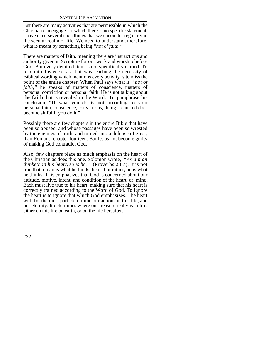But there are many activities that are permissible in which the Christian can engage for which there is no specific statement. I have cited several such things that we encounter regularly in the secular realm of life. We need to understand, therefore, what is meant by something being *"not of faith."*

There are matters of faith, meaning there are instructions and authority given in Scripture for our work and worship before God. But every detailed item is not specifically named. To read into this verse as if it was teaching the necessity of Biblical wording which mentions every activity is to miss the point of the entire chapter. When Paul says what is *"not of faith*," he speaks of matters of conscience, matters of personal conviction or personal faith. He is not talking about **the faith** that is revealed in the Word. To paraphrase his conclusion, "If what you do is not according to your personal faith, conscience, convictions, doing it can and does become sinful if you do it."

Possibly there are few chapters in the entire Bible that have been so abused, and whose passages have been so wrested by the enemies of truth, and turned into a defense of error, than Romans, chapter fourteen. But let us not become guilty of making God contradict God.

Also, few chapters place as much emphasis on the heart of the Christian as does this one. Solomon wrote, *"As a man thinketh in his heart, so is he."* (Proverbs 23:7). It is not true that a man is what he thinks he is, but rather, he is what he thinks. This emphasizes that God is concerned about our attitude, motive, intent, and condition of the heart or mind. Each must live true to his heart, making sure that his heart is correctly trained according to the Word of God. To ignore the heart is to ignore that which God emphasizes. The heart will, for the most part, determine our actions in this life, and our eternity. It determines where our treasure really is in life, either on this life on earth, or on the life hereafter.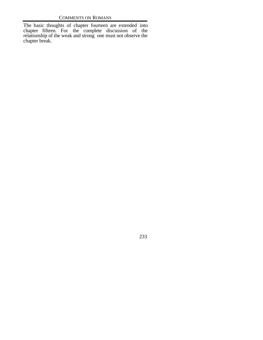The basic thoughts of chapter fourteen are extended into chapter fifteen. For the complete discussion of the relationship of the weak and strong one must not observe the chapter break.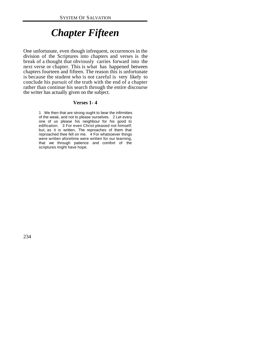# *Chapter Fifteen*

One unfortunate, even though infrequent, occurrences in the division of the Scriptures into chapters and verses is the break of a thought that obviously carries forward into the next verse or chapter. This is what has happened between chapters fourteen and fifteen. The reason this is unfortunate is because the student who is not careful is very likely to conclude his pursuit of the truth with the end of a chapter rather than continue his search through the entire discourse the writer has actually given on the subject.

#### **Verses 1- 4**

1 We then that are strong ought to bear the infirmities of the weak, and not to please ourselves. 2 Let every one of us please his neighbour for his good to edification. 3 For even Christ pleased not himself; but, as it is written, The reproaches of them that reproached thee fell on me. 4 For whatsoever things were written aforetime were written for our learning, that we through patience and comfort of the scriptures might have hope.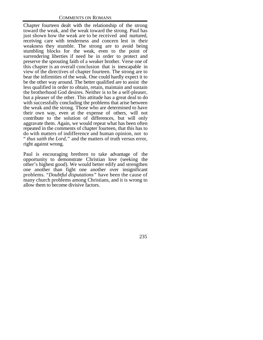Chapter fourteen dealt with the relationship of the strong toward the weak, and the weak toward the strong. Paul has just shown how the weak are to be received and nurtured, receiving care with tenderness and concern lest in their weakness they stumble. The strong are to avoid being stumbling blocks for the weak, even to the point of surrendering liberties if need be in order to protect and preserve the sprouting faith of a weaker brother. Verse one of this chapter is an overall conclusion that is inescapable in view of the directives of chapter fourteen. The strong are to bear the infirmities of the weak. One could hardly expect it to be the other way around. The better qualified are to assist the less qualified in order to obtain, retain, maintain and sustain the brotherhood God desires. Neither is to be a self-pleaser, but a pleaser of the other. This attitude has a great deal to do with successfully concluding the problems that arise between the weak and the strong. Those who are determined to have their own way, even at the expense of others, will not contribute to the solution of differences, but will only aggravate them. Again, we would repeat what has been often repeated in the comments of chapter fourteen, that this has to do with matters of indifference and human opinion, not to " *thus saith the Lord,"* and the matters of truth versus error, right against wrong.

Paul is encouraging brethren to take advantage of the opportunity to demonstrate Christian love (seeking the other's highest good). We would better edify and strengthen one another than fight one another over insignificant problems. "*Doubtful disputations"* have been the cause of many church problems among Christians, and it is wrong to allow them to become divisive factors.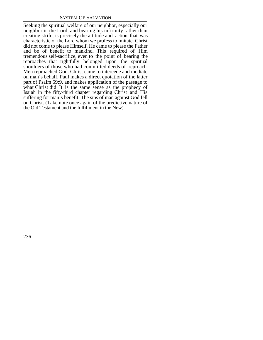Seeking the spiritual welfare of our neighbor, especially our neighbor in the Lord, and bearing his infirmity rather than creating strife, is precisely the attitude and action that was characteristic of the Lord whom we profess to imitate. Christ did not come to please Himself. He came to please the Father and be of benefit to mankind. This required of Him tremendous self-sacrifice, even to the point of bearing the reproaches that rightfully belonged upon the spiritual shoulders of those who had committed deeds of reproach. Men reproached God. Christ came to intercede and mediate on man's behalf. Paul makes a direct quotation of the latter part of Psalm 69:9, and makes application of the passage to what Christ did. It is the same sense as the prophecy of Isaiah in the fifty-third chapter regarding Christ and His suffering for man's benefit. The sins of man against God fell on Christ. (Take note once again of the predictive nature of the Old Testament and the fulfillment in the New).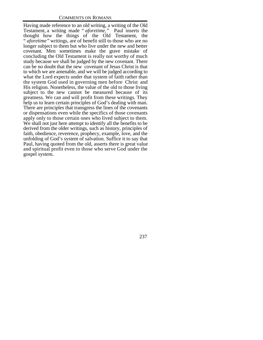Having made reference to an old writing, a writing of the Old Testament, a writing made " *aforetime,"* Paul inserts the thought how the things of the Old Testament, the " *aforetime"* writings, are of benefit still to those who are no longer subject to them but who live under the new and better covenant. Men sometimes make the grave mistake of concluding the Old Testament is really not worthy of much study because we shall be judged by the new covenant. There can be no doubt that the new covenant of Jesus Christ is that to which we are amenable, and we will be judged according to what the Lord expects under that system of faith rather than the system God used in governing men before Christ and His religion. Nonetheless, the value of the old to those living subject to the new cannot be measured because of its greatness. We can and will profit from these writings. They help us to learn certain principles of God's dealing with man. There are principles that transgress the lines of the covenants or dispensations even while the specifics of those covenants apply only to those certain ones who lived subject to them. We shall not just here attempt to identify all the benefits to be derived from the older writings, such as history, principles of faith, obedience, reverence, prophecy, example, love, and the unfolding of God's system of salvation. Suffice it to say that Paul, having quoted from the old, asserts there is great value and spiritual profit even to those who serve God under the gospel system.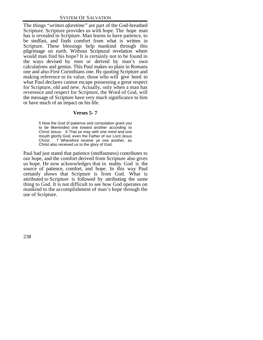The things "*written aforetime"* are part of the God-breathed Scripture. Scripture provides us with hope. The hope man has is revealed in Scripture. Man learns to have patience, to be stedfast, and finds comfort from what is written in Scripture. These blessings help mankind through this pilgrimage on earth. Without Scriptural revelation where would man find his hope? It is certainly not to be found in the ways devised by men or derived by man's own calculations and genius. This Paul makes so plain in Romans one and also First Corinthians one. By quoting Scripture and making reference to its value, those who will give heed to what Paul declares cannot escape possessing a great respect for Scripture, old and new. Actually, only when a man has reverence and respect for Scripture, the Word of God, will the message of Scripture have very much significance to him or have much of an impact on his life.

# **Verses 5- 7**

5 Now the God of patience and consolation grant you to be likeminded one toward another according to Christ Jesus: 6 That ye may with one mind and one mouth glorify God, even the Father of our Lord Jesus Christ. 7 Wherefore receive ye one another, as Christ also received us to the glory of God.

Paul had just stated that patience (stedfastness) contributes to our hope, and the comfort derived from Scripture also gives us hope. He now acknowledges that in reality God is the source of patience, comfort, and hope. In this way Paul certainly shows that Scripture is from God. What is attributed to Scripture is followed by attributing the same thing to God. It is not difficult to see how God operates on mankind to the accomplishment of man's hope through the use of Scripture.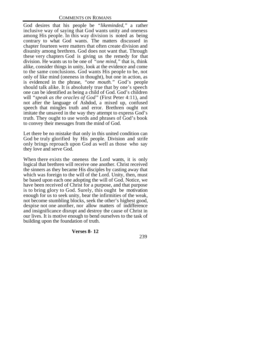God desires that his people be *"likeminded,"* a rather inclusive way of saying that God wants unity and oneness among His people. In this way division is noted as being contrary to what God wants. The matters discussed in chapter fourteen were matters that often create division and disunity among brethren. God does not want that. Through these very chapters God is giving us the remedy for that division. He wants us to be one of *"one mind,"* that is, think alike, consider things in unity, look at the evidence and come to the same conclusions. God wants His people to be, not only of like mind (oneness in thought), but one in action, as is evidenced in the phrase, *"one mouth."* God's people should talk alike. It is absolutely true that by one's speech one can be identified as being a child of God. God's children will *"speak as the oracles of God"* (First Peter 4:11), and not after the language of Ashdod, a mixed up, confused speech that mingles truth and error. Brethren ought not imitate the unsaved in the way they attempt to express God's truth. They ought to use words and phrases of God's book to convey their messages from the mind of God.

Let there be no mistake that only in this united condition can God be truly glorified by His people. Division and strife only brings reproach upon God as well as those who say they love and serve God.

When there exists the oneness the Lord wants, it is only logical that brethren will receive one another. Christ received the sinners as they became His disciples by casting away that which was foreign to the will of the Lord. Unity, then, must be based upon each one adopting the will of God. Notice, we have been received of Christ for a purpose, and that purpose is to bring glory to God. Surely, this ought be motivation enough for us to seek unity, bear the infirmities of the weak, not become stumbling blocks, seek the other's highest good, despise not one another, nor allow matters of indifference and insignificance disrupt and destroy the cause of Christ in our lives. It is motive enough to bend ourselves to the task of building upon the foundation of truth.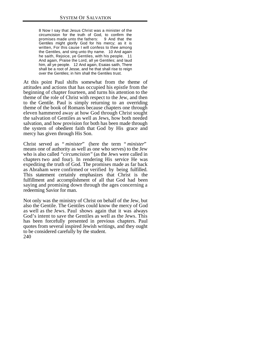8 Now I say that Jesus Christ was a minister of the circumcision for the truth of God, to confirm the promises made unto the fathers: 9 And that the Gentiles might glorify God for his mercy; as it is written, For this cause I will confess to thee among the Gentiles, and sing unto thy name. 10 And again he saith, Rejoice, ye Gentiles, with his people. 11 And again, Praise the Lord, all ye Gentiles; and laud him, all ye people. 12 And again, Esaias saith, There shall be a root of Jesse, and he that shall rise to reign over the Gentiles; in him shall the Gentiles trust.

At this point Paul shifts somewhat from the theme of attitudes and actions that has occupied his epistle from the beginning of chapter fourteen, and turns his attention to the theme of the role of Christ with respect to the Jew, and then to the Gentile. Paul is simply returning to an overriding theme of the book of Romans because chapters one through eleven hammered away at how God through Christ sought the salvation of Gentiles as well as Jews, how both needed salvation, and how provision for both has been made through the system of obedient faith that God by His grace and mercy has given through His Son.

Christ served as " *minister*" (here the term " *minister*" means one of authority as well as one who serves) to the Jew who is also called *"circumcision"* (as the Jews were called in chapters two and four). In rendering His service He was expediting the truth of God. The promises made as far back as Abraham were confirmed or verified by being fulfilled. This statement certainly emphasizes that Christ is the fulfillment and accomplishment of all that God had been saying and promising down through the ages concerning a redeeming Savior for man.

240 Not only was the ministry of Christ on behalf of the Jew, but also the Gentile. The Gentiles could know the mercy of God as well as the Jews. Paul shows again that it was always God's intent to save the Gentiles as well as the Jews. This has been forcefully presented in previous chapters. Paul quotes from several inspired Jewish writings, and they ought to be considered carefully by the student.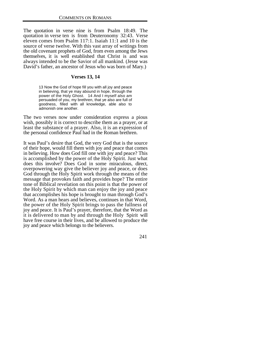The quotation in verse nine is from Psalm 18:49. The quotation in verse ten is from Deuteronomy 32:43. Verse eleven comes from Psalm 117:1. Isaiah 11:1 and 10 is the source of verse twelve. With this vast array of writings from the old covenant prophets of God, from even among the Jews themselves, it is well established that Christ is and was always intended to be the Savior of all mankind. (Jesse was David's father, an ancestor of Jesus who was born of Mary.)

#### **Verses 13, 14**

13 Now the God of hope fill you with all joy and peace in believing, that ye may abound in hope, through the power of the Holy Ghost. 14 And I myself also am persuaded of you, my brethren, that ye also are full of goodness, filled with all knowledge, able also to admonish one another.

The two verses now under consideration express a pious wish, possibly it is correct to describe them as a prayer, or at least the substance of a prayer. Also, it is an expression of the personal confidence Paul had in the Roman brethren.

It was Paul's desire that God, the very God that is the source of their hope, would fill them with joy and peace that comes in believing. How does God fill one with joy and peace? This is accomplished by the power of the Holy Spirit. Just what does this involve? Does God in some miraculous, direct, overpowering way give the believer joy and peace, or does God through the Holy Spirit work through the means of the message that provokes faith and provides hope? The entire tone of Biblical revelation on this point is that the power of the Holy Spirit by which man can enjoy the joy and peace that accomplishes his hope is brought to man through God's Word. As a man hears and believes, continues in that Word, the power of the Holy Spirit brings to pass the fullness of joy and peace. It is Paul's prayer, therefore, that the Word as it is delivered to man by and through the Holy Spirit will have free course in their lives, and be allowed to produce the joy and peace which belongs to the believers.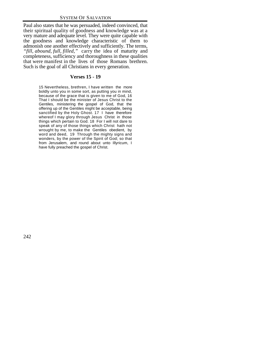Paul also states that he was persuaded, indeed convinced, that their spiritual quality of goodness and knowledge was at a very mature and adequate level. They were quite capable with the goodness and knowledge characteristic of them to admonish one another effectively and sufficiently. The terms, *"fill, abound, full, filled,"* carry the idea of maturity and completeness, sufficiency and thoroughness in these qualities that were manifest in the lives of those Romans brethren. Such is the goal of all Christians in every generation.

## **Verses 15 - 19**

15 Nevertheless, brethren, I have written the more boldly unto you in some sort, as putting you in mind, because of the grace that is given to me of God, 16 That I should be the minister of Jesus Christ to the Gentiles, ministering the gospel of God, that the offering up of the Gentiles might be acceptable, being sanctified by the Holy Ghost. 17 I have therefore whereof I may glory through Jesus Christ in those things which pertain to God. 18 For I will not dare to speak of any of those things which Christ hath not wrought by me, to make the Gentiles obedient, by word and deed, 19 Through the mighty signs and wonders, by the power of the Spirit of God; so that from Jerusalem, and round about unto Illyricum, I have fully preached the gospel of Christ.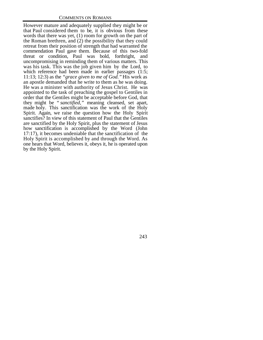However mature and adequately supplied they might be or that Paul considered them to be, it is obvious from these words that there was yet, (1) room for growth on the part of the Roman brethren, and (2) the possibility that they could retreat from their position of strength that had warranted the commendation Paul gave them. Because of this two-fold threat or condition, Paul was bold, forthright, and uncompromising in reminding them of various matters. This was his task. This was the job given him by the Lord, to which reference had been made in earlier passages (1:5; 11:13; 12:3) as the *"grace given to me of God."* His work as an apostle demanded that he write to them as he was doing. He was a minister with authority of Jesus Christ. He was appointed to the task of preaching the gospel to Gentiles in order that the Gentiles might be acceptable before God, that they might be " *sanctified,"* meaning cleansed, set apart, made holy. This sanctification was the work of the Holy Spirit. Again, we raise the question how the Holy Spirit sanctifies? In view of this statement of Paul that the Gentiles are sanctified by the Holy Spirit, plus the statement of Jesus how sanctification is accomplished by the Word (John 17:17), it becomes undeniable that the sanctification of the Holy Spirit is accomplished by and through the Word. As one hears that Word, believes it, obeys it, he is operated upon by the Holy Spirit.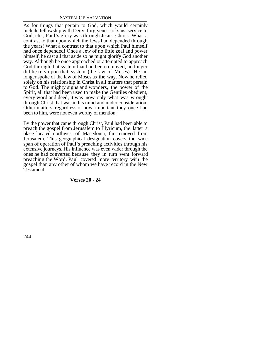As for things that pertain to God, which would certainly include fellowship with Deity, forgiveness of sins, service to God, etc., Paul's glory was through Jesus Christ. What a contrast to that upon which the Jews had depended through the years! What a contrast to that upon which Paul himself had once depended! Once a Jew of no little zeal and power himself, he cast all that aside so he might glorify God another way. Although he once approached or attempted to approach God through that system that had been removed, no longer did he rely upon that system (the law of Moses). He no longer spoke of the law of Moses as **the** way. Now he relied solely on his relationship in Christ in all matters that pertain to God. The mighty signs and wonders, the power of the Spirit, all that had been used to make the Gentiles obedient, every word and deed, it was now only what was wrought through Christ that was in his mind and under consideration. Other matters, regardless of how important they once had been to him, were not even worthy of mention.

By the power that came through Christ, Paul had been able to preach the gospel from Jerusalem to Illyricum, the latter a place located northwest of Macedonia, far removed from Jerusalem. This geographical designation covers the wide span of operation of Paul's preaching activities through his extensive journeys. His influence was even wider through the ones he had converted because they in turn went forward preaching the Word. Paul covered more territory with the gospel than any other of whom we have record in the New Testament.

#### **Verses 20 - 24**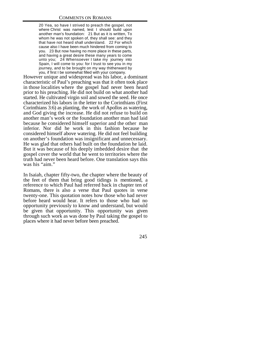20 Yea, so have I strived to preach the gospel, not where Christ was named, lest I should build upon another man's foundation: 21 But as it is written, To whom he was not spoken of, they shall see: and they that have not heard shall understand. 22 For which cause also I have been much hindered from coming to you. 23 But now having no more place in these parts, and having a great desire these many years to come unto you; 24 Whensoever I take my journey into Spain, I will come to you: for I trust to see you in my journey, and to be brought on my way thitherward by you, if first I be somewhat filled with your company.

However unique and widespread was his labor, a dominant characteristic of Paul's preaching was that it often took place in those localities where the gospel had never been heard prior to his preaching. He did not build on what another had started. He cultivated virgin soil and sowed the seed. He once characterized his labors in the letter to the Corinthians (First Corinthians 3:6) as planting, the work of Apollos as watering, and God giving the increase. He did not refuse to build on another man's work or the foundation another man had laid because he considered himself superior and the other man inferior. Nor did he work in this fashion because he considered himself above watering. He did not feel building on another's foundation was insignificant and unnecessary. He was glad that others had built on the foundation he laid. But it was because of his deeply imbedded desire that the gospel cover the world that he went to territories where the truth had never been heard before. One translation says this was his "aim."

In Isaiah, chapter fifty-two, the chapter where the beauty of the feet of them that bring good tidings is mentioned, a reference to which Paul had referred back in chapter ten of Romans, there is also a verse that Paul quotes in verse twenty-one. This quotation notes how those who had never before heard would hear. It refers to those who had no opportunity previously to know and understand, but would be given that opportunity. This opportunity was given through such work as was done by Paul taking the gospel to places where it had never before been preached.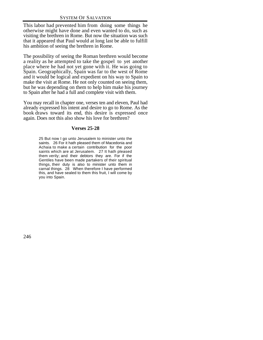This labor had prevented him from doing some things he otherwise might have done and even wanted to do, such as visiting the brethren in Rome. But now the situation was such that it appeared that Paul would at long last be able to fulfill his ambition of seeing the brethren in Rome.

The possibility of seeing the Roman brethren would become a reality as he attempted to take the gospel to yet another place where he had not yet gone with it. He was going to Spain. Geographically, Spain was far to the west of Rome and it would be logical and expedient on his way to Spain to make the visit at Rome. He not only counted on seeing them, but he was depending on them to help him make his journey to Spain after he had a full and complete visit with them.

You may recall in chapter one, verses ten and eleven, Paul had already expressed his intent and desire to go to Rome. As the book draws toward its end, this desire is expressed once again. Does not this also show his love for brethren?

# **Verses 25-28**

25 But now I go unto Jerusalem to minister unto the saints. 26 For it hath pleased them of Macedonia and Achaia to make a certain contribution for the poor saints which are at Jerusalem. 27 It hath pleased them verily; and their debtors they are. For if the Gentiles have been made partakers of their spiritual things, their duty is also to minister unto them in carnal things. 28 When therefore I have performed this, and have sealed to them this fruit, I will come by you into Spain.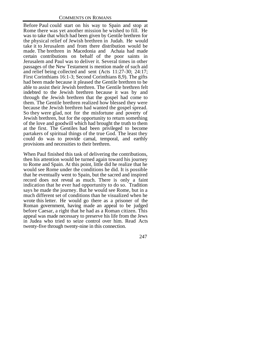Before Paul could start on his way to Spain and stop at Rome there was yet another mission he wished to fill. He was to take that which had been given by Gentile brethren for the physical relief of Jewish brethren in Judah. He would take it to Jerusalem and from there distribution would be made. The brethren in Macedonia and Achaia had made certain contributions on behalf of the poor saints in Jerusalem and Paul was to deliver it. Several times in other passages of the New Testament is mention made of such aid and relief being collected and sent (Acts 11:27-30; 24:17; First Corinthians 16:1-3; Second Corinthians 8,9). The gifts had been made because it pleased the Gentile brethren to be able to assist their Jewish brethren. The Gentile brethren felt indebted to the Jewish brethren because it was by and through the Jewish brethren that the gospel had come to them. The Gentile brethren realized how blessed they were because the Jewish brethren had wanted the gospel spread. So they were glad, not for the misfortune and poverty of Jewish brethren, but for the opportunity to return something of the love and goodwill which had brought the truth to them at the first. The Gentiles had been privileged to become partakers of spiritual things of the true God. The least they could do was to provide carnal, temporal, and earthly provisions and necessities to their brethren.

When Paul finished this task of delivering the contributions, then his attention would be turned again toward his journey to Rome and Spain. At this point, little did he realize that he would see Rome under the conditions he did. It is possible that he eventually went to Spain, but the sacred and inspired record does not reveal as much. There is only a faint indication that he ever had opportunity to do so. Tradition says he made the journey. But he would see Rome, but in a much different set of conditions than he visualized when he wrote this letter. He would go there as a prisoner of the Roman government, having made an appeal to be judged before Caesar, a right that he had as a Roman citizen. This appeal was made necessary to preserve his life from the Jews in Judea who tried to seize control over him. Read Acts twenty-five through twenty-nine in this connection.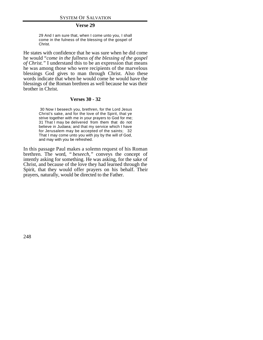#### **Verse 29**

29 And I am sure that, when I come unto you, I shall come in the fulness of the blessing of the gospel of Christ.

He states with confidence that he was sure when he did come he would "*come in the fullness of the blessing of the gospel of Christ."* I understand this to be an expression that means he was among those who were recipients of the marvelous blessings God gives to man through Christ. Also these words indicate that when he would come he would have the blessings of the Roman brethren as well because he was their brother in Christ.

# **Verses 30 - 32**

 30 Now I beseech you, brethren, for the Lord Jesus Christ's sake, and for the love of the Spirit, that ye strive together with me in your prayers to God for me; 31 That I may be delivered from them that do not believe in Judaea; and that my service which I have for Jerusalem may be accepted of the saints; 32 That I may come unto you with joy by the will of God, and may with you be refreshed.

In this passage Paul makes a solemn request of his Roman brethren. The word, " *beseech,"* conveys the concept of intently asking for something. He was asking, for the sake of Christ, and because of the love they had learned through the Spirit, that they would offer prayers on his behalf. Their prayers, naturally, would be directed to the Father.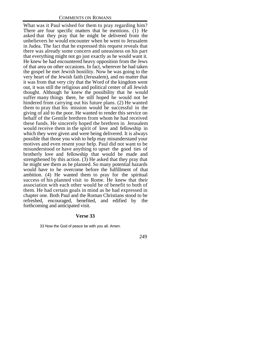What was it Paul wished for them to pray regarding him? There are four specific matters that he mentions. (1) He asked that they pray that he might be delivered from the unbelievers he would encounter when he went to Jerusalem in Judea. The fact that he expressed this request reveals that there was already some concern and uneasiness on his part that everything might not go just exactly as he would want it. He knew he had encountered heavy opposition from the Jews of that area on other occasions. In fact, wherever he had taken the gospel he met Jewish hostility. Now he was going to the very heart of the Jewish faith (Jerusalem), and no matter that it was from that very city that the Word of the kingdom went out, it was still the religious and political center of all Jewish thought. Although he knew the possibility that he would suffer many things there, he still hoped he would not be hindered from carrying out his future plans. (2) He wanted them to pray that his mission would be successful in the giving of aid to the poor. He wanted to render this service on behalf of the Gentile brethren from whom he had received these funds. He sincerely hoped the brethren in Jerusalem would receive them in the spirit of love and fellowship in which they were given and were being delivered. It is always possible that those you wish to help may misunderstand your motives and even resent your help. Paul did not want to be misunderstood or have anything to upset the good ties of brotherly love and fellowship that would be made and strengthened by this action.  $(3)$  He asked that they pray that he might see them as he planned. So many potential hazards would have to be overcome before the fulfillment of that ambition. (4) He wanted them to pray for the spiritual success of his planned visit to Rome. He knew that their association with each other would be of benefit to both of them. He had certain goals in mind as he had expressed in chapter one. Both Paul and the Roman Christians stood to be refreshed, encouraged, benefited, and edified by the forthcoming and anticipated visit.

#### **Verse 33**

33 Now the God of peace be with you all. Amen.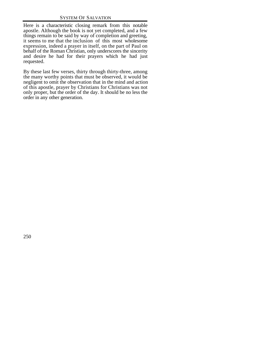Here is a characteristic closing remark from this notable apostle. Although the book is not yet completed, and a few things remain to be said by way of completion and greeting, it seems to me that the inclusion of this most wholesome expression, indeed a prayer in itself, on the part of Paul on behalf of the Roman Christian, only underscores the sincerity and desire he had for their prayers which he had just requested.

By these last few verses, thirty through thirty-three, among the many worthy points that must be observed, it would be negligent to omit the observation that in the mind and action of this apostle, prayer by Christians for Christians was not only proper, but the order of the day. It should be no less the order in any other generation.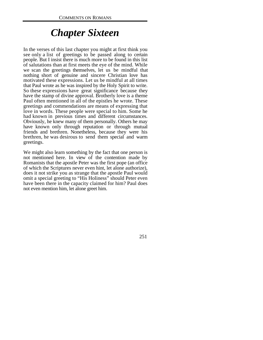# *Chapter Sixteen*

In the verses of this last chapter you might at first think you see only a list of greetings to be passed along to certain people. But I insist there is much more to be found in this list of salutations than at first meets the eye of the mind. While we scan the greetings themselves, let us be mindful that nothing short of genuine and sincere Christian love has motivated these expressions. Let us be mindful at all times that Paul wrote as he was inspired by the Holy Spirit to write. So these expressions have great significance because they have the stamp of divine approval. Brotherly love is a theme Paul often mentioned in all of the epistles he wrote. These greetings and commendations are means of expressing that love in words. These people were special to him. Some he had known in previous times and different circumstances. Obviously, he knew many of them personally. Others he may have known only through reputation or through mutual friends and brethren. Nonetheless, because they were his brethren, he was desirous to send them special and warm greetings.

We might also learn something by the fact that one person is not mentioned here. In view of the contention made by Romanists that the apostle Peter was the first pope (an office of which the Scriptures never even hint, let alone authorize), does it not strike you as strange that the apostle Paul would omit a special greeting to "His Holiness" should Peter even have been there in the capacity claimed for him? Paul does not even mention him, let alone greet him.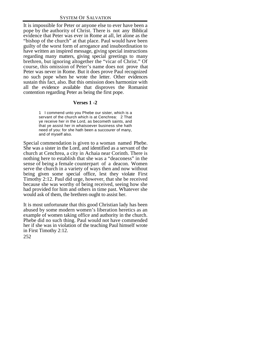It is impossible for Peter or anyone else to ever have been a pope by the authority of Christ. There is not any Biblical evidence that Peter was ever in Rome at all, let alone as the "bishop of the church" at that place. Paul would have been guilty of the worst form of arrogance and insubordination to have written an inspired message, giving special instructions regarding many matters, giving special greetings to many brethren, but ignoring altogether the "vicar of Christ." Of course, this omission of Peter's name does not prove that Peter was never in Rome. But it does prove Paul recognized no such pope when he wrote the letter. Other evidences sustain this fact, also. But this omission does harmonize with all the evidence available that disproves the Romanist contention regarding Peter as being the first pope.

# **Verses 1 -2**

1 I commend unto you Phebe our sister, which is a servant of the church which is at Cenchrea: 2 That ye receive her in the Lord, as becometh saints, and that ye assist her in whatsoever business she hath need of you: for she hath been a succourer of many, and of myself also.

Special commendation is given to a woman named Phebe. She was a sister in the Lord, and identified as a servant of the church at Cenchrea, a city in Achaia near Corinth. There is nothing here to establish that she was a "deaconess" in the sense of being a female counterpart of a deacon. Women serve the church in a variety of ways then and now without being given some special office, lest they violate First Timothy 2:12. Paul did urge, however, that she be received because she was worthy of being received, seeing how she had provided for him and others in time past. Whatever she would ask of them, the brethren ought to assist her.

252 It is most unfortunate that this good Christian lady has been abused by some modern women's liberation heretics as an example of women taking office and authority in the church. Phebe did no such thing. Paul would not have commended her if she was in violation of the teaching Paul himself wrote in First Timothy 2:12.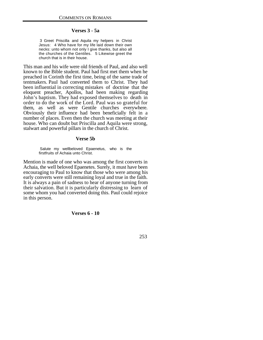# **Verses 3 - 5a**

 3 Greet Priscilla and Aquila my helpers in Christ Jesus: 4 Who have for my life laid down their own necks: unto whom not only I give thanks, but also all the churches of the Gentiles. 5 Likewise greet the church that is in their house.

This man and his wife were old friends of Paul, and also well known to the Bible student. Paul had first met them when he preached in Corinth the first time, being of the same trade of tentmakers. Paul had converted them to Christ. They had been influential in correcting mistakes of doctrine that the eloquent preacher, Apollos, had been making regarding John's baptism. They had exposed themselves to death in order to do the work of the Lord. Paul was so grateful for them, as well as were Gentile churches everywhere. Obviously their influence had been beneficially felt in a number of places. Even then the church was meeting at their house. Who can doubt but Priscilla and Aquila were strong, stalwart and powerful pillars in the church of Christ.

#### **Verse 5b**

 Salute my wellbeloved Epaenetus, who is the firstfruits of Achaia unto Christ.

Mention is made of one who was among the first converts in Achaia, the well beloved Epaenetes. Surely, it must have been encouraging to Paul to know that those who were among his early converts were still remaining loyal and true in the faith. It is always a pain of sadness to hear of anyone turning from their salvation. But it is particularly distressing to learn of some whom you had converted doing this. Paul could rejoice in this person.

# **Verses 6 - 10**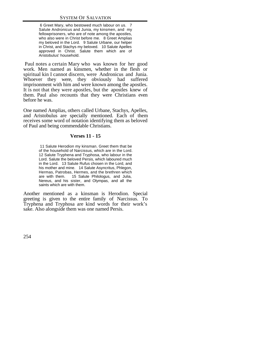6 Greet Mary, who bestowed much labour on us. 7 Salute Andronicus and Junia, my kinsmen, and my fellowprisoners, who are of note among the apostles, who also were in Christ before me. 8 Greet Amplias my beloved in the Lord. 9 Salute Urbane, our helper in Christ, and Stachys my beloved. 10 Salute Apelles approved in Christ. Salute them which are of Aristobulus' household.

 Paul notes a certain Mary who was known for her good work. Men named as kinsmen, whether in the flesh or spiritual kin I cannot discern, were Andronicus and Junia. Whoever they were, they obviously had suffered imprisonment with him and were known among the apostles. It is not that they were apostles, but the apostles knew of them. Paul also recounts that they were Christians even before he was.

One named Amplias, others called Urbane, Stachys, Apelles, and Aristobulus are specially mentioned. Each of them receives some word of notation identifying them as beloved of Paul and being commendable Christians.

# **Verses 11 - 15**

 11 Salute Herodion my kinsman. Greet them that be of the household of Narcissus, which are in the Lord. 12 Salute Tryphena and Tryphosa, who labour in the Lord. Salute the beloved Persis, which laboured much in the Lord. 13 Salute Rufus chosen in the Lord, and his mother and mine. 14 Salute Asyncritus, Phlegon, Hermas, Patrobas, Hermes, and the brethren which are with them. 15 Salute Philologus, and Julia, Nereus, and his sister, and Olympas, and all the saints which are with them.

Another mentioned as a kinsman is Herodion. Special greeting is given to the entire family of Narcissus. To Tryphena and Tryphosa are kind words for their work's sake. Also alongside them was one named Persis.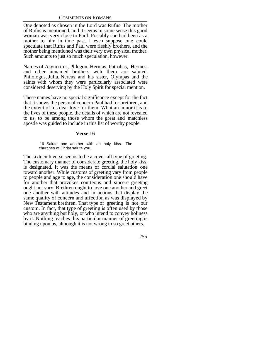One denoted as chosen in the Lord was Rufus. The mother of Rufus is mentioned, and it seems in some sense this good woman was very close to Paul. Possibly she had been as a mother to him in time past. I even suppose one could speculate that Rufus and Paul were fleshly brothers, and the mother being mentioned was their very own physical mother. Such amounts to just so much speculation, however.

Names of Asyncritus, Phlegon, Hermas, Patrobas, Hermes, and other unnamed brothers with them are saluted. Philologus, Julia, Nereus and his sister, Olympas and the saints with whom they were particularly associated were considered deserving by the Holy Spirit for special mention.

These names have no special significance except for the fact that it shows the personal concern Paul had for brethren, and the extent of his dear love for them. What an honor it is to the lives of these people, the details of which are not revealed to us, to be among those whom the great and matchless apostle was guided to include in this list of worthy people.

# **Verse 16**

 16 Salute one another with an holy kiss. The churches of Christ salute you.

The sixteenth verse seems to be a cover-all type of greeting. The customary manner of considerate greeting, the holy kiss, is designated. It was the means of cordial salutation one toward another. While customs of greeting vary from people to people and age to age, the consideration one should have for another that provokes courteous and sincere greeting ought not vary. Brethren ought to love one another and greet one another with attitudes and in actions that display the same quality of concern and affection as was displayed by New Testament brethren. That type of greeting is not our custom. In fact, that type of greeting is often used by those who are anything but holy, or who intend to convey holiness by it. Nothing teaches this particular manner of greeting is binding upon us, although it is not wrong to so greet others.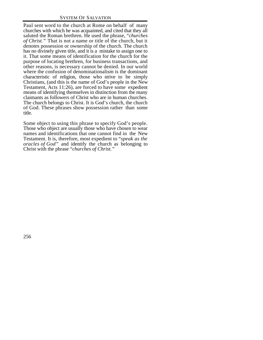Paul sent word to the church at Rome on behalf of many churches with which he was acquainted, and cited that they all saluted the Roman brethren. He used the phrase, "*churches of Christ."* That is not a name or title of the church, but it denotes possession or ownership of the church. The church has no divinely given title, and it is a mistake to assign one to it. That some means of identification for the church for the purpose of locating brethren, for business transactions, and other reasons, is necessary cannot be denied. In our world where the confusion of denominationalism is the dominant characteristic of religion, those who strive to be simply Christians, (and this is the name of God's people in the New Testament, Acts 11:26), are forced to have some expedient means of identifying themselves in distinction from the many claimants as followers of Christ who are in human churches. The church belongs to Christ. It is God's church, the church of God. These phrases show possession rather than some title.

Some object to using this phrase to specify God's people. Those who object are usually those who have chosen to wear names and identifications that one cannot find in the New Testament. It is, therefore, most expedient to "*speak as the oracles of God"* and identify the church as belonging to Christ with the phrase "*churches of Christ."*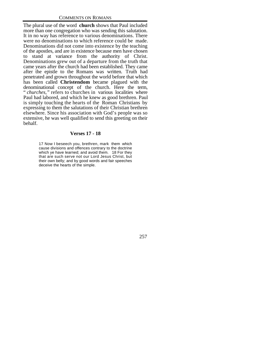The plural use of the word **church** shows that Paul included more than one congregation who was sending this salutation. It in no way has reference to various denominations. There were no denominations to which reference could be made. Denominations did not come into existence by the teaching of the apostles, and are in existence because men have chosen to stand at variance from the authority of Christ. Denominations grew out of a departure from the truth that came years after the church had been established. They came after the epistle to the Romans was written. Truth had penetrated and grown throughout the world before that which has been called **Christendom** became plagued with the denominational concept of the church. Here the term, " *churches,"* refers to churches in various localities where Paul had labored, and which he knew as good brethren. Paul is simply touching the hearts of the Roman Christians by expressing to them the salutations of their Christian brethren elsewhere. Since his association with God's people was so extensive, he was well qualified to send this greeting on their behalf.

# **Verses 17 - 18**

17 Now I beseech you, brethren, mark them which cause divisions and offences contrary to the doctrine which ye have learned; and avoid them. 18 For they that are such serve not our Lord Jesus Christ, but their own belly; and by good words and fair speeches deceive the hearts of the simple.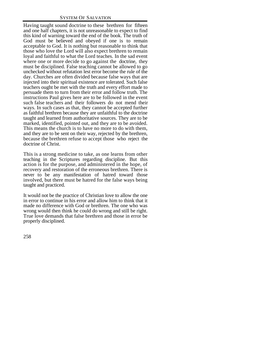Having taught sound doctrine to these brethren for fifteen and one half chapters, it is not unreasonable to expect to find this kind of warning toward the end of the book. The truth of God must be believed and obeyed if one is to remain acceptable to God. It is nothing but reasonable to think that those who love the Lord will also expect brethren to remain loyal and faithful to what the Lord teaches. In the sad event where one or more decide to go against the doctrine, they must be disciplined. False teaching cannot be allowed to go unchecked without refutation lest error become the rule of the day. Churches are often divided because false ways that are injected into their spiritual existence are tolerated. Such false teachers ought be met with the truth and every effort made to persuade them to turn from their error and follow truth. The instructions Paul gives here are to be followed in the event such false teachers and their followers do not mend their ways. In such cases as that, they cannot be accepted further as faithful brethren because they are unfaithful to the doctrine taught and learned from authoritative sources. They are to be marked, identified, pointed out, and they are to be avoided. This means the church is to have no more to do with them, and they are to be sent on their way, rejected by the brethren, because the brethren refuse to accept those who reject the doctrine of Christ.

This is a strong medicine to take, as one learns from other teaching in the Scriptures regarding discipline. But this action is for the purpose, and administered in the hope, of recovery and restoration of the erroneous brethren. There is never to be any manifestation of hatred toward those involved, but there must be hatred for the false ways being taught and practiced.

It would not be the practice of Christian love to allow the one in error to continue in his error and allow him to think that it made no difference with God or brethren. The one who was wrong would then think he could do wrong and still be right. True love demands that false brethren and those in error be properly disciplined.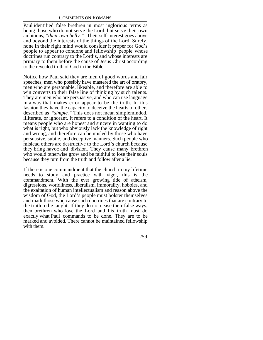Paul identified false brethren in most inglorious terms as being those who do not serve the Lord, but serve their own ambitions, *"their own belly."* Their self-interest goes above and beyond the interests of the things of the Lord. Surely, none in their right mind would consider it proper for God's people to appear to condone and fellowship people whose doctrines run contrary to the Lord's, and whose interests are primary to them before the cause of Jesus Christ according to the revealed truth of God in the Bible.

Notice how Paul said they are men of good words and fair speeches, men who possibly have mastered the art of oratory, men who are personable, likeable, and therefore are able to win converts to their false line of thinking by such talents. They are men who are persuasive, and who can use language in a way that makes error appear to be the truth. In this fashion they have the capacity to deceive the hearts of others described as *"simple."* This does not mean simpleminded, illiterate, or ignorant. It refers to a condition of the heart. It means people who are honest and sincere in wanting to do what is right, but who obviously lack the knowledge of right and wrong, and therefore can be misled by those who have persuasive, subtle, and deceptive manners. Such people who mislead others are destructive to the Lord's church because they bring havoc and division. They cause many brethren who would otherwise grow and be faithful to lose their souls because they turn from the truth and follow after a lie.

If there is one commandment that the church in my lifetime needs to study and practice with vigor, this is the commandment. With the ever growing tide of atheism, digressions, worldliness, liberalism, immorality, hobbies, and the exaltation of human intellectualism and reason above the wisdom of God, the Lord's people must bolster themselves and mark those who cause such doctrines that are contrary to the truth to be taught. If they do not cease their false ways, then brethren who love the Lord and his truth must do exactly what Paul commands to be done. They are to be marked and avoided. There cannot be maintained fellowship with them.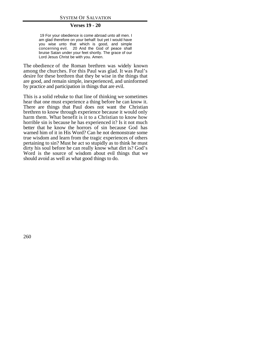## **Verses 19 - 20**

 19 For your obedience is come abroad unto all men. I am glad therefore on your behalf: but yet I would have you wise unto that which is good, and simple concerning evil. 20 And the God of peace shall bruise Satan under your feet shortly. The grace of our Lord Jesus Christ be with you. Amen.

The obedience of the Roman brethren was widely known among the churches. For this Paul was glad. It was Paul's desire for these brethren that they be wise in the things that are good, and remain simple, inexperienced, and uninformed by practice and participation in things that are evil.

This is a solid rebuke to that line of thinking we sometimes hear that one must experience a thing before he can know it. There are things that Paul does not want the Christian brethren to know through experience because it would only harm them. What benefit is it to a Christian to know how horrible sin is because he has experienced it? Is it not much better that he know the horrors of sin because God has warned him of it in His Word? Can he not demonstrate some true wisdom and learn from the tragic experiences of others pertaining to sin? Must he act so stupidly as to think he must dirty his soul before he can really know what dirt is? God's Word is the source of wisdom about evil things that we should avoid as well as what good things to do.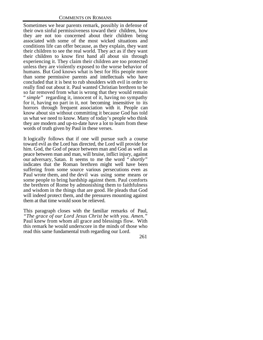Sometimes we hear parents remark, possibly in defense of their own sinful permissiveness toward their children, how they are not too concerned about their children being associated with some of the most wicked situations and conditions life can offer because, as they explain, they want their children to see the real world. They act as if they want their children to know first hand all about sin through experiencing it. They claim their children are too protected unless they are violently exposed to the worse behavior of humans. But God knows what is best for His people more than some permissive parents and intellectuals who have concluded that it is best to rub shoulders with evil in order to really find out about it. Paul wanted Christian brethren to be so far removed from what is wrong that they would remain " *simple"* regarding it, innocent of it, having no sympathy for it, having no part in it, not becoming insensitive to its horrors through frequent association with it. People can know about sin without committing it because God has told us what we need to know. Many of today's people who think they are modern and up-to-date have a lot to learn from these words of truth given by Paul in these verses.

It logically follows that if one will pursue such a course toward evil as the Lord has directed, the Lord will provide for him. God, the God of peace between man and God as well as peace between man and man, will bruise, inflict injury, against our adversary, Satan. It seems to me the word " *shortly"* indicates that the Roman brethren might well have been suffering from some source various persecutions even as Paul wrote them, and the devil was using some means or some people to bring hardship against them. Paul comforts the brethren of Rome by admonishing them to faithfulness and wisdom in the things that are good. He pleads that God will indeed protect them, and the pressures mounting against them at that time would soon be relieved.

This paragraph closes with the familiar remarks of Paul, *"The grace of our Lord Jesus Christ be with you. Amen."* Paul knew from whom all grace and blessings flow. With this remark he would underscore in the minds of those who read this same fundamental truth regarding our Lord.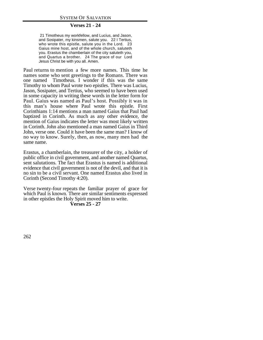## **Verses 21 - 24**

 21 Timotheus my workfellow, and Lucius, and Jason, and Sosipater, my kinsmen, salute you. 22 I Tertius, who wrote this epistle, salute you in the Lord. 23 Gaius mine host, and of the whole church, saluteth you. Erastus the chamberlain of the city saluteth you, and Quartus a brother. 24 The grace of our Lord Jesus Christ be with you all. Amen.

Paul returns to mention a few more names. This time he names some who sent greetings to the Romans. There was one named Timotheus. I wonder if this was the same Timothy to whom Paul wrote two epistles. There was Lucius, Jason, Sosipater, and Tertius, who seemed to have been used in some capacity in writing these words in the letter form for Paul. Gaius was named as Paul's host. Possibly it was in this man's house where Paul wrote this epistle. First Corinthians 1:14 mentions a man named Gaius that Paul had baptized in Corinth. As much as any other evidence, the mention of Gaius indicates the letter was most likely written in Corinth. John also mentioned a man named Gaius in Third John, verse one. Could it have been the same man? I know of no way to know. Surely, then, as now, many men had the same name.

Erastus, a chamberlain, the treasurer of the city, a holder of public office in civil government, and another named Quartus, sent salutations. The fact that Erastus is named is additional evidence that civil government is not of the devil, and that it is no sin to be a civil servant. One named Erastus also lived in Corinth (Second Timothy 4:20).

Verse twenty-four repeats the familiar prayer of grace for which Paul is known. There are similar sentiments expressed in other epistles the Holy Spirit moved him to write.

**Verses 25 - 27**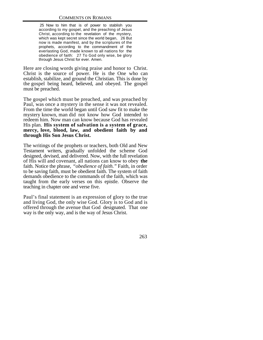25 Now to him that is of power to stablish you according to my gospel, and the preaching of Jesus Christ, according to the revelation of the mystery, which was kept secret since the world began, 26 But now is made manifest, and by the scriptures of the prophets, according to the commandment of the everlasting God, made known to all nations for the obedience of faith: 27 To God only wise, be glory through Jesus Christ for ever. Amen.

Here are closing words giving praise and honor to Christ. Christ is the source of power. He is the One who can establish, stabilize, and ground the Christian. This is done by the gospel being heard, believed, and obeyed. The gospel must be preached.

The gospel which must be preached, and was preached by Paul, was once a mystery in the sense it was not revealed. From the time the world began until God saw fit to make the mystery known, man did not know how God intended to redeem him. Now man can know because God has revealed His plan. **His system of salvation is a system of grace, mercy, love, blood, law, and obedient faith by and through His Son Jesus Christ.**

The writings of the prophets or teachers, both Old and New Testament writers, gradually unfolded the scheme God designed, devised, and delivered. Now, with the full revelation of His will and covenant, all nations can know to obey **the** faith. Notice the phrase, *"obedience of faith."* Faith, in order to be saving faith, must be obedient faith. The system of faith demands obedience to the commands of the faith, which was taught from the early verses on this epistle. Observe the teaching in chapter one and verse five.

Paul's final statement is an expression of glory to the true and living God, the only wise God. Glory is to God and is offered through the avenue that God designated. That one way is the only way, and is the way of Jesus Christ.